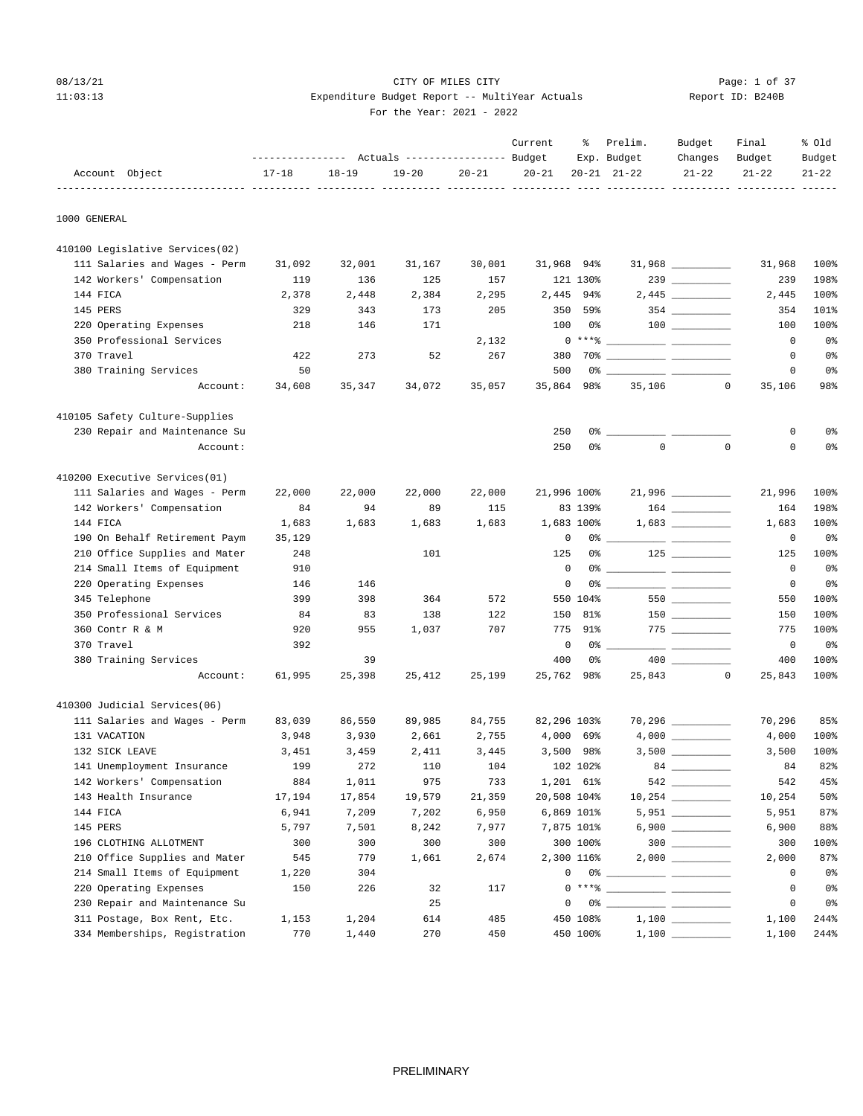## 08/13/21 Page: 1 of 37 Page: 1 of 37 11:03:13 Expenditure Budget Report -- MultiYear Actuals Report ID: B240B For the Year: 2021 - 2022

|                                 |           |           | ---------------    Actuals ----------------    Budget |           | Current                       | ႜ              | Prelim.<br>Exp. Budget      | Budget<br>Changes                      | Final<br>Budget        | % old<br>Budget |
|---------------------------------|-----------|-----------|-------------------------------------------------------|-----------|-------------------------------|----------------|-----------------------------|----------------------------------------|------------------------|-----------------|
| Account Object                  | $17 - 18$ | $18 - 19$ | $19 - 20$                                             | $20 - 21$ | $20 - 21$<br>----- ---------- |                | $20 - 21$ $21 - 22$         | $21 - 22$                              | $21 - 22$              | $21 - 22$       |
| 1000 GENERAL                    |           |           |                                                       |           |                               |                |                             |                                        |                        |                 |
| 410100 Legislative Services(02) |           |           |                                                       |           |                               |                |                             |                                        |                        |                 |
| 111 Salaries and Wages - Perm   | 31,092    | 32,001    | 31,167                                                | 30,001    | 31,968 94%                    |                |                             | $31,968$ _________                     | 31,968                 | 100%            |
| 142 Workers' Compensation       | 119       | 136       | 125                                                   | 157       |                               | 121 130%       |                             | $239$ _________                        | 239                    | 198%            |
| 144 FICA                        | 2,378     | 2,448     | 2,384                                                 | 2,295     |                               | 2,445 94%      |                             |                                        | 2,445                  | 100%            |
| 145 PERS                        | 329       | 343       | 173                                                   | 205       | 350                           | 59%            |                             | $354$ ________                         | 354                    | 101%            |
| 220 Operating Expenses          | 218       | 146       | 171                                                   |           | 100                           | 0%             |                             |                                        | 100                    | 100%            |
| 350 Professional Services       |           |           |                                                       | 2,132     |                               |                | $0***$ $\frac{1}{1}$        |                                        | 0                      | 0 <sup>8</sup>  |
| 370 Travel                      | 422       | 273       | 52                                                    | 267       | 380                           |                |                             |                                        | 0                      | 0%              |
| 380 Training Services           | 50        |           |                                                       |           | 500                           |                |                             |                                        | 0                      | 0 <sup>8</sup>  |
| Account:                        | 34,608    | 35,347    | 34,072                                                | 35,057    | 35,864                        | 98%            | 35,106                      |                                        | 0<br>35,106            | 98%             |
| 410105 Safety Culture-Supplies  |           |           |                                                       |           |                               |                |                             |                                        |                        |                 |
| 230 Repair and Maintenance Su   |           |           |                                                       |           | 250                           | 0 %            |                             |                                        | 0                      | 0%              |
| Account:                        |           |           |                                                       |           | 250                           | 0 <sup>°</sup> | $\Omega$                    |                                        | $\Omega$<br>0          | 0%              |
| 410200 Executive Services(01)   |           |           |                                                       |           |                               |                |                             |                                        |                        |                 |
| 111 Salaries and Wages - Perm   | 22,000    | 22,000    | 22,000                                                | 22,000    | 21,996 100%                   |                |                             |                                        | 21,996                 | 100%            |
| 142 Workers' Compensation       | 84        | 94        | 89                                                    | 115       |                               | 83 139%        |                             |                                        | 164                    | 198%            |
| 144 FICA                        | 1,683     | 1,683     | 1,683                                                 | 1,683     |                               | 1,683 100%     |                             |                                        | 1,683                  | 100%            |
| 190 On Behalf Retirement Paym   | 35,129    |           |                                                       |           | 0                             |                | 0% ____________ ___________ |                                        | 0                      | 0 <sup>°</sup>  |
| 210 Office Supplies and Mater   | 248       |           | 101                                                   |           | 125                           | 0%             |                             | $125$                                  | 125                    | 100%            |
| 214 Small Items of Equipment    | 910       |           |                                                       |           | $^{\circ}$                    |                | 0% ____________ ___________ |                                        | 0                      | 0 <sup>8</sup>  |
| 220 Operating Expenses          | 146       | 146       |                                                       |           | 0                             |                |                             |                                        | 0                      | 0%              |
| 345 Telephone                   | 399       | 398       | 364                                                   | 572       |                               | 550 104%       |                             | 550                                    | 550                    | 100%            |
| 350 Professional Services       | 84        | 83        | 138                                                   | 122       | 150                           | 81%            |                             | $150$ ________                         | 150                    | 100%            |
| 360 Contr R & M                 | 920       | 955       | 1,037                                                 | 707       | 775                           | 91%            |                             | $\begin{tabular}{c} 775 \end{tabular}$ | 775                    | 100%            |
| 370 Travel                      | 392       |           |                                                       |           | 0                             | $0\%$ $-$      |                             |                                        | $\mathbf{0}$           | 0 <sup>8</sup>  |
| 380 Training Services           |           | 39        |                                                       |           | 400                           | 0%             |                             |                                        | 400                    | 100%            |
| Account:                        | 61,995    | 25,398    | 25,412                                                | 25,199    | 25,762 98%                    |                | 25,843                      |                                        | $\mathbf{0}$<br>25,843 | 100%            |
| 410300 Judicial Services(06)    |           |           |                                                       |           |                               |                |                             |                                        |                        |                 |
| 111 Salaries and Wages - Perm   | 83,039    | 86,550    | 89,985                                                | 84,755    | 82,296 103%                   |                |                             | $70,296$ __________                    | 70,296                 | 85%             |
| 131 VACATION                    | 3,948     | 3,930     | 2,661                                                 | 2,755     |                               | 4,000 69%      |                             |                                        | 4,000                  | 100%            |
| 132 SICK LEAVE                  | 3,451     | 3,459     | 2,411                                                 | 3,445     |                               | 3,500 98%      |                             |                                        | 3,500                  | 100%            |
| 141 Unemployment Insurance      | 199       | 272       | 110                                                   | 104       |                               | 102 102%       |                             |                                        | 84                     | 82%             |
| 142 Workers' Compensation       | 884       | 1,011     | 975                                                   | 733       |                               | 1,201 61%      |                             |                                        | 542                    | 45%             |
| 143 Health Insurance            | 17,194    | 17,854    | 19,579                                                | 21,359    | 20,508 104%                   |                |                             |                                        | 10,254                 | 50%             |
| 144 FICA                        | 6,941     | 7,209     | 7,202                                                 | 6,950     |                               | 6,869 101%     |                             | $5,951$ _________                      | 5,951                  | 87%             |
| 145 PERS                        | 5,797     | 7,501     | 8,242                                                 | 7,977     |                               | 7,875 101%     |                             |                                        | 6,900                  | 88%             |
| 196 CLOTHING ALLOTMENT          | 300       | 300       | 300                                                   | 300       |                               | 300 100%       |                             | $300$                                  | 300                    | 100%            |
| 210 Office Supplies and Mater   | 545       | 779       | 1,661                                                 | 2,674     |                               | 2,300 116%     |                             |                                        | 2,000                  | 87%             |
| 214 Small Items of Equipment    | 1,220     | 304       |                                                       |           | 0                             |                |                             |                                        | 0                      | 0 <sup>°</sup>  |
| 220 Operating Expenses          | 150       | 226       | 32                                                    | 117       |                               |                | $0***$ $\frac{1}{2}$        |                                        | 0                      | 0%              |
| 230 Repair and Maintenance Su   |           |           | 25                                                    |           | 0                             |                |                             |                                        | 0                      | 0 <sup>°</sup>  |
| 311 Postage, Box Rent, Etc.     | 1,153     | 1,204     | 614                                                   | 485       |                               | 450 108%       |                             |                                        | 1,100                  | 244%            |
| 334 Memberships, Registration   | 770       | 1,440     | 270                                                   | 450       |                               | 450 100%       |                             |                                        | 1,100                  | 244%            |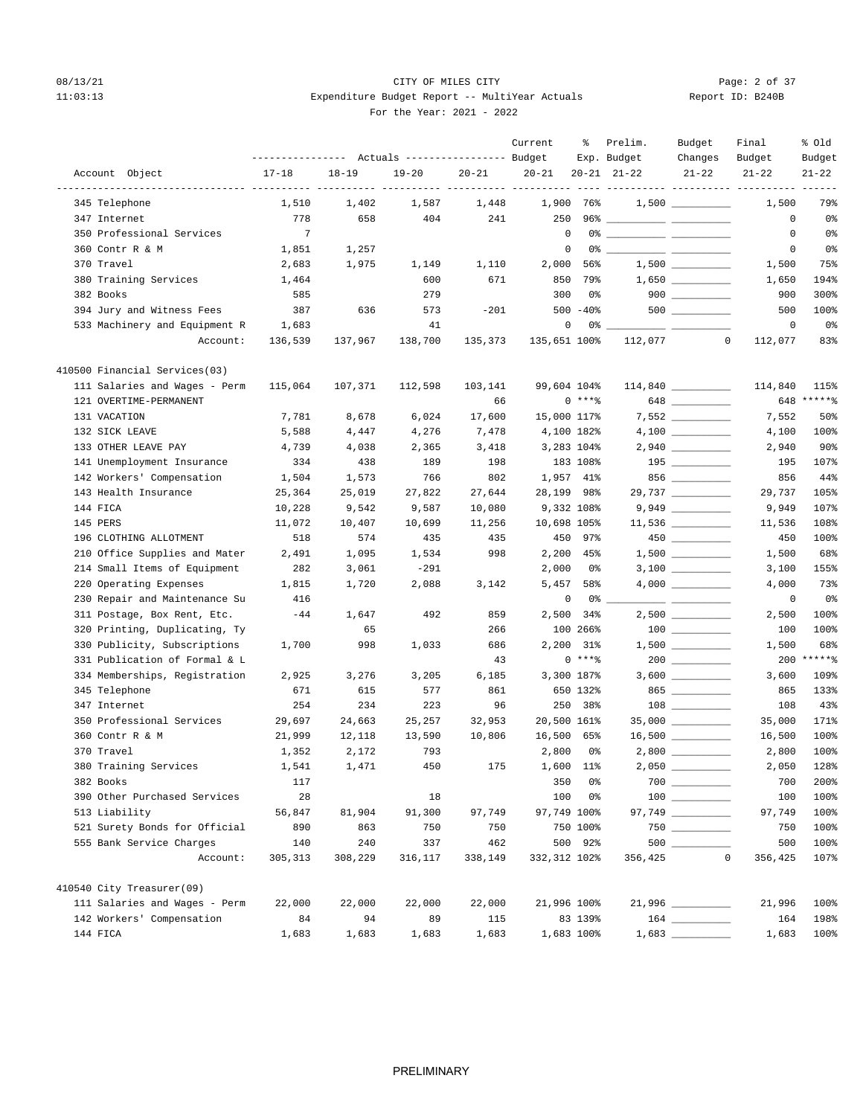## 08/13/21 CITY OF MILES CITY CHECK CITY CONTROL Page: 2 of 37 11:03:13 Expenditure Budget Report -- MultiYear Actuals For the Year: 2021 - 2022

| Report ID: B240B |  |  |
|------------------|--|--|
|                  |  |  |

|                               |                   |           |                                  |           | Current      | ႜ           | Prelim.             | Budget                                 | Final                                        | % old        |
|-------------------------------|-------------------|-----------|----------------------------------|-----------|--------------|-------------|---------------------|----------------------------------------|----------------------------------------------|--------------|
|                               | ----------------- |           | Actuals ----------------- Budget |           |              |             | Exp. Budget         | Changes                                | Budget                                       | Budget       |
| Account Object                | $17 - 18$         | $18 - 19$ | $19 - 20$                        | $20 - 21$ | $20 - 21$    |             | $20 - 21$ $21 - 22$ | $21 - 22$                              | $21 - 22$<br>---------- ---------- --------- | $21 - 22$    |
| 345 Telephone                 | 1,510             | 1,402     | 1,587                            | 1,448     |              | 1,900 76%   |                     | $1,500$ __________                     | 1,500                                        | 79%          |
| 347 Internet                  | 778               | 658       | 404                              | 241       | 250          |             |                     |                                        | 0                                            | 0%           |
| 350 Professional Services     | $7\phantom{.0}$   |           |                                  |           | $\mathbf 0$  |             |                     |                                        | 0                                            | 0%           |
| 360 Contr R & M               | 1,851             | 1,257     |                                  |           |              | $\mathbf 0$ |                     |                                        | 0                                            | $0\,$        |
| 370 Travel                    | 2,683             | 1,975     | 1,149                            | 1,110     | 2,000        | 56%         |                     |                                        | 1,500                                        | 75%          |
| 380 Training Services         | 1,464             |           | 600                              | 671       | 850          | 79%         |                     |                                        | 1,650                                        | 194%         |
| 382 Books                     | 585               |           | 279                              |           | 300          | 0%          |                     | $900$                                  | 900                                          | 300%         |
| 394 Jury and Witness Fees     | 387               | 636       | 573                              | $-201$    |              | $500 - 40$  |                     |                                        | 500                                          | 100%         |
| 533 Machinery and Equipment R | 1,683             |           | 41                               |           |              | 0<br>0% _   |                     |                                        | 0                                            | 0%           |
| Account:                      | 136,539           | 137,967   | 138,700                          | 135,373   | 135,651 100% |             | 112,077             | $\mathbf 0$                            | 112,077                                      | 83%          |
| 410500 Financial Services(03) |                   |           |                                  |           |              |             |                     |                                        |                                              |              |
| 111 Salaries and Wages - Perm | 115,064           | 107,371   | 112,598                          | 103,141   | 99,604 104%  |             |                     | $114,840$ _________                    | 114,840                                      | 115%         |
| 121 OVERTIME-PERMANENT        |                   |           |                                  | 66        |              | $0***8$     |                     | 648                                    |                                              | 648 ******   |
| 131 VACATION                  | 7,781             | 8,678     | 6,024                            | 17,600    | 15,000 117%  |             |                     |                                        | 7,552                                        | 50%          |
| 132 SICK LEAVE                | 5,588             | 4,447     | 4,276                            | 7,478     |              | 4,100 182%  |                     |                                        | 4,100                                        | 100%         |
| 133 OTHER LEAVE PAY           | 4,739             | 4,038     | 2,365                            | 3,418     |              | 3,283 104%  |                     |                                        | 2,940                                        | $90\%$       |
| 141 Unemployment Insurance    | 334               | 438       | 189                              | 198       |              | 183 108%    |                     | $195$ ________                         | 195                                          | 107%         |
| 142 Workers' Compensation     | 1,504             | 1,573     | 766                              | 802       |              | 1,957 41%   |                     | 856                                    | 856                                          | 44%          |
| 143 Health Insurance          | 25,364            | 25,019    | 27,822                           | 27,644    |              | 28,199 98%  |                     |                                        | 29,737                                       | 105%         |
| 144 FICA                      | 10,228            | 9,542     | 9,587                            | 10,080    |              | 9,332 108%  |                     |                                        | 9,949                                        | 107%         |
| 145 PERS                      | 11,072            | 10,407    | 10,699                           | 11,256    | 10,698 105%  |             |                     | $11,536$ _________                     | 11,536                                       | 108%         |
| 196 CLOTHING ALLOTMENT        | 518               | 574       | 435                              | 435       |              | 450 97%     |                     |                                        | 450                                          | 100%         |
| 210 Office Supplies and Mater | 2,491             | 1,095     | 1,534                            | 998       |              | 2,200 45%   |                     |                                        | 1,500                                        | 68%          |
| 214 Small Items of Equipment  | 282               | 3,061     | -291                             |           | 2,000        | 0%          |                     |                                        | 3,100                                        | 155%         |
| 220 Operating Expenses        | 1,815             | 1,720     | 2,088                            | 3,142     | 5,457        | 58%         |                     |                                        | 4,000                                        | 73%          |
| 230 Repair and Maintenance Su | 416               |           |                                  |           |              | 0<br>0 %    |                     |                                        | 0                                            | 0%           |
| 311 Postage, Box Rent, Etc.   | $-44$             | 1,647     | 492                              | 859       |              | 2,500 34%   |                     |                                        | 2,500                                        | 100%         |
| 320 Printing, Duplicating, Ty |                   | 65        |                                  | 266       |              | 100 266%    |                     |                                        | 100                                          | 100%         |
| 330 Publicity, Subscriptions  | 1,700             | 998       | 1,033                            | 686       |              | 2,200 31%   |                     |                                        | 1,500                                        | 68%          |
| 331 Publication of Formal & L |                   |           |                                  | 43        |              | $0***8$     |                     |                                        |                                              | $200$ *****% |
| 334 Memberships, Registration | 2,925             | 3,276     | 3,205                            | 6,185     |              | 3,300 187%  |                     |                                        | 3,600                                        | 109%         |
| 345 Telephone                 | 671               | 615       | 577                              | 861       |              | 650 132%    |                     | 865                                    | 865                                          | 133%         |
| 347 Internet                  | 254               | 234       | 223                              | 96        |              | 250 38%     |                     | 108 30                                 | 108                                          | 43%          |
| 350 Professional Services     | 29,697            | 24,663    | 25,257                           | 32,953    | 20,500 161%  |             |                     | 35,000 _________                       | 35,000                                       | 171%         |
| 360 Contr R & M               | 21,999            | 12,118    | 13,590                           | 10,806    | 16,500       | 65%         |                     | 16,500 _________                       | 16,500                                       | 100%         |
| 370 Travel                    | 1,352             | 2,172     | 793                              |           | 2,800        | - 0%        |                     | $2,800$ _________                      | 2,800                                        | 100%         |
| 380 Training Services         | 1,541             | 1,471     | 450                              | 175       | 1,600 11%    |             |                     |                                        | 2,050                                        | 128%         |
| 382 Books                     | 117               |           |                                  |           | 350          | 0%          |                     |                                        | 700                                          | 200%         |
| 390 Other Purchased Services  | 28                |           | 18                               |           | 100          | 0%          |                     | $\begin{tabular}{c} 100 \end{tabular}$ | 100                                          | 100%         |
| 513 Liability                 | 56,847            | 81,904    | 91,300                           | 97,749    | 97,749 100%  |             |                     |                                        | 97,749                                       | 100%         |
| 521 Surety Bonds for Official | 890               | 863       | 750                              | 750       |              | 750 100%    |                     |                                        | 750                                          | 100%         |
| 555 Bank Service Charges      | 140               | 240       | 337                              | 462       |              | 500 92%     |                     |                                        | 500                                          | 100%         |
| Account:                      | 305, 313          | 308,229   | 316,117                          | 338,149   | 332,312 102% |             | 356,425             | $\mathbb O$                            | 356,425                                      | 107%         |
| 410540 City Treasurer(09)     |                   |           |                                  |           |              |             |                     |                                        |                                              |              |
| 111 Salaries and Wages - Perm | 22,000            | 22,000    | 22,000                           | 22,000    |              | 21,996 100% |                     | 21,996 _________                       | 21,996                                       | 100%         |
| 142 Workers' Compensation     | 84                | 94        | 89                               | 115       |              | 83 139%     |                     |                                        | 164                                          | 198%         |
| 144 FICA                      | 1,683             | 1,683     | 1,683                            | 1,683     |              | 1,683 100%  |                     |                                        | 1,683                                        | 100%         |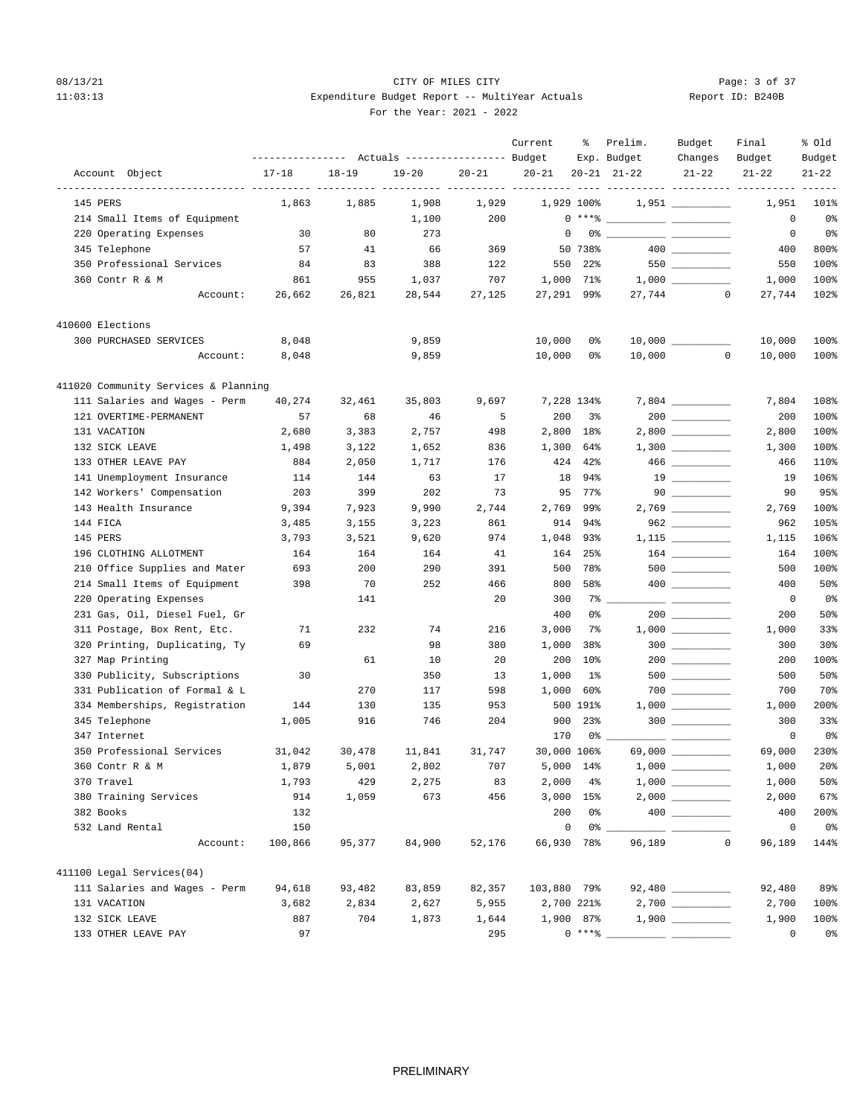## 08/13/21 CITY OF MILES CITY Page: 3 of 37 11:03:13 Expenditure Budget Report -- MultiYear Actuals For the Year: 2021 - 2022

|                                      | ---------------- |           | Actuals ----------------- Budget |           | Current          | ႜ               | Prelim.<br>Exp. Budget                                                                                                                                                                                                                                                                                                   | Budget<br>Changes                                     | Final<br>Budget                      | % old<br>Budget |
|--------------------------------------|------------------|-----------|----------------------------------|-----------|------------------|-----------------|--------------------------------------------------------------------------------------------------------------------------------------------------------------------------------------------------------------------------------------------------------------------------------------------------------------------------|-------------------------------------------------------|--------------------------------------|-----------------|
| Account Object                       | $17 - 18$        | $18 - 19$ | $19 - 20$                        | $20 - 21$ | $20 - 21$        |                 | $20 - 21$ $21 - 22$                                                                                                                                                                                                                                                                                                      | $21 - 22$                                             | $21 - 22$                            | $21 - 22$       |
| 145 PERS                             | 1,863            | 1,885     | 1,908                            | 1,929     | ----------- ---- | 1,929 100%      |                                                                                                                                                                                                                                                                                                                          | $1,951$ _________                                     | ------ ---------- ---------<br>1,951 | 101%            |
| 214 Small Items of Equipment         |                  |           | 1,100                            | 200       |                  |                 | $0***$ $\frac{1}{2}$ $\frac{1}{2}$ $\frac{1}{2}$ $\frac{1}{2}$ $\frac{1}{2}$ $\frac{1}{2}$ $\frac{1}{2}$ $\frac{1}{2}$ $\frac{1}{2}$ $\frac{1}{2}$ $\frac{1}{2}$ $\frac{1}{2}$ $\frac{1}{2}$ $\frac{1}{2}$ $\frac{1}{2}$ $\frac{1}{2}$ $\frac{1}{2}$ $\frac{1}{2}$ $\frac{1}{2}$ $\frac{1}{2}$ $\frac{1}{2}$ $\frac{1}{$ |                                                       | 0                                    | 0%              |
| 220 Operating Expenses               | 30               | 80        | 273                              |           |                  | $\mathbf 0$     | 0 왕 1                                                                                                                                                                                                                                                                                                                    |                                                       | 0                                    | 0%              |
| 345 Telephone                        | 57               | 41        | 66                               | 369       |                  | 50 738%         |                                                                                                                                                                                                                                                                                                                          |                                                       | 400                                  | 800%            |
| 350 Professional Services            | 84               | 83        | 388                              | 122       | 550              | 22%             |                                                                                                                                                                                                                                                                                                                          | $550$ ________                                        | 550                                  | 100%            |
| 360 Contr R & M                      | 861              | 955       | 1,037                            | 707       | 1,000            | 71%             |                                                                                                                                                                                                                                                                                                                          |                                                       | 1,000                                | 100%            |
| Account:                             | 26,662           | 26,821    | 28,544                           | 27,125    |                  | 27,291 99%      | 27,744                                                                                                                                                                                                                                                                                                                   | $\mathbf{0}$                                          | 27,744                               | 102%            |
| 410600 Elections                     |                  |           |                                  |           |                  |                 |                                                                                                                                                                                                                                                                                                                          |                                                       |                                      |                 |
| 300 PURCHASED SERVICES               | 8,048            |           | 9,859                            |           | 10,000           | 0%              |                                                                                                                                                                                                                                                                                                                          | $10,000$ _________                                    | 10,000                               | 100%            |
| Account:                             | 8,048            |           | 9,859                            |           | 10,000           | 0%              | 10,000                                                                                                                                                                                                                                                                                                                   | $\mathbf{0}$                                          | 10,000                               | 100%            |
| 411020 Community Services & Planning |                  |           |                                  |           |                  |                 |                                                                                                                                                                                                                                                                                                                          |                                                       |                                      |                 |
| 111 Salaries and Wages - Perm        | 40,274           | 32,461    | 35,803                           | 9,697     |                  | 7,228 134%      |                                                                                                                                                                                                                                                                                                                          |                                                       | 7,804                                | 108%            |
| 121 OVERTIME-PERMANENT               | 57               | 68        | 46                               | 5         | 200              | 3%              |                                                                                                                                                                                                                                                                                                                          |                                                       | 200                                  | 100%            |
| 131 VACATION                         | 2,680            | 3,383     | 2,757                            | 498       | 2,800            | 18%             |                                                                                                                                                                                                                                                                                                                          | $2,800$ __________                                    | 2,800                                | 100%            |
| 132 SICK LEAVE                       | 1,498            | 3,122     | 1,652                            | 836       | 1,300            | 64%             |                                                                                                                                                                                                                                                                                                                          | $1,300$                                               | 1,300                                | 100%            |
| 133 OTHER LEAVE PAY                  | 884              | 2,050     | 1,717                            | 176       | 424              | 42%             |                                                                                                                                                                                                                                                                                                                          | $466$                                                 | 466                                  | 110%            |
| 141 Unemployment Insurance           | 114              | 144       | 63                               | 17        | 18               | 94%             |                                                                                                                                                                                                                                                                                                                          |                                                       | 19                                   | 106%            |
| 142 Workers' Compensation            | 203              | 399       | 202                              | 73        | 95               | 77%             |                                                                                                                                                                                                                                                                                                                          |                                                       | 90                                   | 95%             |
| 143 Health Insurance                 | 9,394            | 7,923     | 9,990                            | 2,744     | 2,769            | 99%             |                                                                                                                                                                                                                                                                                                                          |                                                       | 2,769                                | 100%            |
| 144 FICA                             | 3,485            | 3,155     | 3,223                            | 861       | 914              | 94%             |                                                                                                                                                                                                                                                                                                                          | $962$                                                 | 962                                  | 105%            |
| 145 PERS                             | 3,793            | 3,521     | 9,620                            | 974       | 1,048            | 93%             |                                                                                                                                                                                                                                                                                                                          |                                                       | 1,115                                | 106%            |
| 196 CLOTHING ALLOTMENT               | 164              | 164       | 164                              | 41        | 164              | 25%             |                                                                                                                                                                                                                                                                                                                          |                                                       | 164                                  | 100%            |
| 210 Office Supplies and Mater        | 693              | 200       | 290                              | 391       | 500              | 78%             |                                                                                                                                                                                                                                                                                                                          | $500$ ________                                        | 500                                  | 100%            |
| 214 Small Items of Equipment         | 398              | 70        | 252                              | 466       | 800              | 58%             |                                                                                                                                                                                                                                                                                                                          |                                                       | 400                                  | 50%             |
| 220 Operating Expenses               |                  | 141       |                                  | 20        | 300              | 7%              |                                                                                                                                                                                                                                                                                                                          |                                                       | 0                                    | 0%              |
| 231 Gas, Oil, Diesel Fuel, Gr        |                  |           |                                  |           | 400              | 0 <sup>°</sup>  |                                                                                                                                                                                                                                                                                                                          |                                                       | 200                                  | 50%             |
| 311 Postage, Box Rent, Etc.          | 71               | 232       | 74                               | 216       | 3,000            | 7%              |                                                                                                                                                                                                                                                                                                                          |                                                       | 1,000                                | 33%             |
| 320 Printing, Duplicating, Ty        | 69               |           | 98                               | 380       | 1,000            | 38%             |                                                                                                                                                                                                                                                                                                                          | $300$                                                 | 300                                  | 30 <sup>8</sup> |
| 327 Map Printing                     |                  | 61        | 10                               | 20        | 200              | 10 <sub>8</sub> |                                                                                                                                                                                                                                                                                                                          |                                                       | 200                                  | 100%            |
| 330 Publicity, Subscriptions         | 30               |           | 350                              | 13        | 1,000            | $1\%$           |                                                                                                                                                                                                                                                                                                                          | $500$ _________                                       | 500                                  | 50%             |
| 331 Publication of Formal & L        |                  | 270       | 117                              | 598       | 1,000            | 60%             |                                                                                                                                                                                                                                                                                                                          |                                                       | 700                                  | 70%             |
| 334 Memberships, Registration        | 144              | 130       | 135                              | 953       |                  | 500 191%        |                                                                                                                                                                                                                                                                                                                          |                                                       | 1,000                                | 200%            |
| 345 Telephone                        | 1,005            | 916       | 746                              | 204       | 900              | 23%             |                                                                                                                                                                                                                                                                                                                          | $300$ ________                                        | 300                                  | 33%             |
| 347 Internet                         |                  |           |                                  |           | 170              | 0%              |                                                                                                                                                                                                                                                                                                                          | $\overline{\phantom{a}}$ and $\overline{\phantom{a}}$ | 0                                    | 0%              |
| 350 Professional Services            | 31,042           | 30,478    | 11,841                           | 31,747    |                  | 30,000 106%     |                                                                                                                                                                                                                                                                                                                          |                                                       | 69,000                               | 230%            |
| 360 Contr R & M                      | 1,879            | 5,001     | 2,802                            | 707       |                  | 5,000 14%       |                                                                                                                                                                                                                                                                                                                          |                                                       | $1\, , \, 0\,0\,0$                   | 20%             |
| 370 Travel                           | 1,793            | 429       | 2,275                            | 83        | 2,000            | $4\%$           |                                                                                                                                                                                                                                                                                                                          |                                                       | 1,000                                | 50%             |
| 380 Training Services                | 914              | 1,059     | 673                              | 456       | 3,000            | 15%             |                                                                                                                                                                                                                                                                                                                          |                                                       | 2,000                                | 67%             |
| 382 Books                            | 132              |           |                                  |           | 200              | 0%              |                                                                                                                                                                                                                                                                                                                          |                                                       | 400                                  | 200%            |
| 532 Land Rental                      | 150              |           |                                  |           | $\mathbf 0$      | 0%              |                                                                                                                                                                                                                                                                                                                          |                                                       | $\mathbb O$                          | 0%              |
| Account:                             | 100,866          | 95,377    | 84,900                           | 52,176    | 66,930           | 78%             | 96,189                                                                                                                                                                                                                                                                                                                   | $\mathbb O$                                           | 96,189                               | 144%            |
| 411100 Legal Services(04)            |                  |           |                                  |           |                  |                 |                                                                                                                                                                                                                                                                                                                          |                                                       |                                      |                 |
| 111 Salaries and Wages - Perm        | 94,618           | 93,482    | 83,859                           | 82,357    | 103,880 79%      |                 |                                                                                                                                                                                                                                                                                                                          | $92,480$ _________                                    | 92,480                               | 89%             |
| 131 VACATION                         | 3,682            | 2,834     | 2,627                            | 5,955     |                  | 2,700 221%      |                                                                                                                                                                                                                                                                                                                          |                                                       | 2,700                                | 100%            |
| 132 SICK LEAVE                       | 887              | 704       | 1,873                            | 1,644     |                  | 1,900 87%       |                                                                                                                                                                                                                                                                                                                          |                                                       | 1,900                                | 100%            |
| 133 OTHER LEAVE PAY                  | 97               |           |                                  | 295       |                  | $0***$ $*$      |                                                                                                                                                                                                                                                                                                                          |                                                       | 0                                    | 0%              |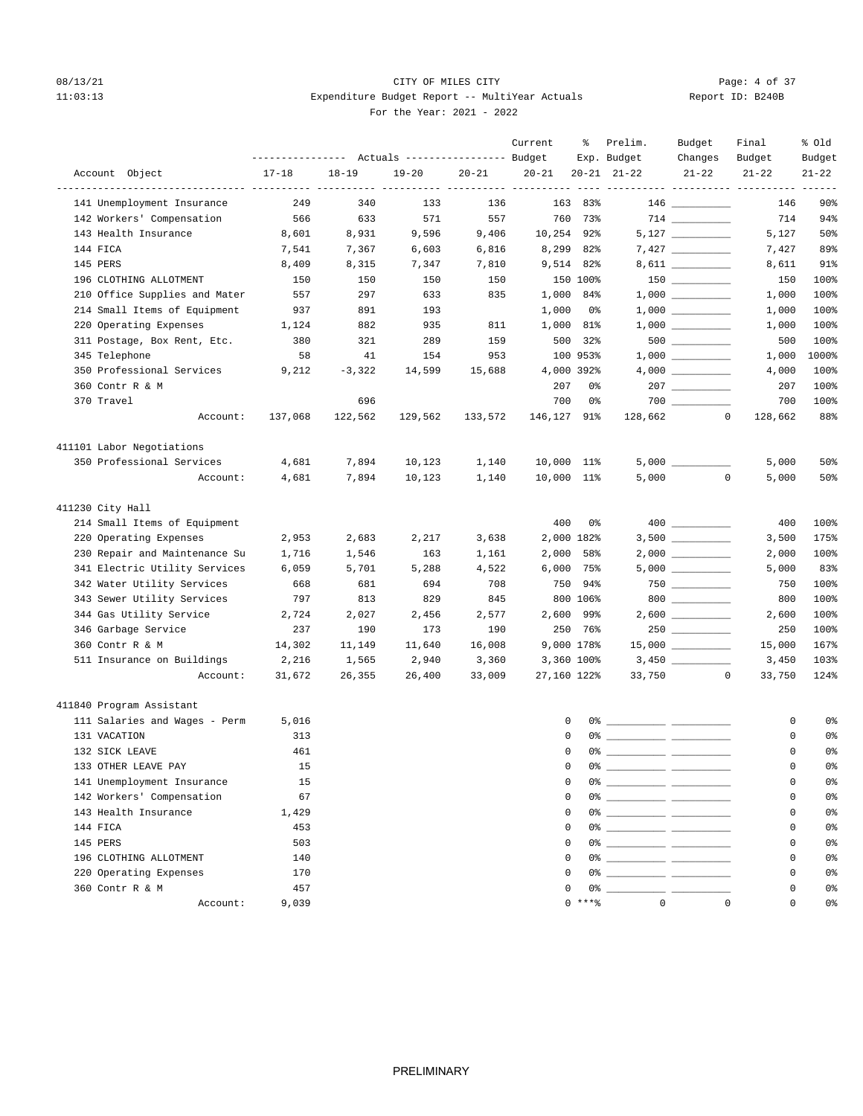# 08/13/21 CITY OF MILES CITY CHECK CONTROL Page: 4 of 37 11:03:13 Expenditure Budget Report -- MultiYear Actuals For the Year: 2021 - 2022

| Report ID: B240B |  |  |  |
|------------------|--|--|--|
|------------------|--|--|--|

|                               | ---------------- |           | Actuals ----------------- Budget |           | Current         | ိ           | Prelim.<br>Exp. Budget        | Budget<br>Changes                                                       | Final<br>Budget                           | % old<br>Budget |
|-------------------------------|------------------|-----------|----------------------------------|-----------|-----------------|-------------|-------------------------------|-------------------------------------------------------------------------|-------------------------------------------|-----------------|
| Account Object                | $17 - 18$        | $18 - 19$ | $19 - 20$                        | $20 - 21$ | $20 - 21$       |             | $20 - 21$ $21 - 22$           | $21 - 22$                                                               | $21 - 22$                                 | $21 - 22$       |
| 141 Unemployment Insurance    | 249              | 340       | 133                              | 136       | ---- ---------- | 163 83%     |                               | $146$ _________                                                         | --------- ---------- ---------- --<br>146 | $90\%$          |
| 142 Workers' Compensation     | 566              | 633       | 571                              | 557       | 760             | 73%         |                               |                                                                         | 714                                       | 94%             |
| 143 Health Insurance          | 8,601            | 8,931     | 9,596                            | 9,406     |                 | 10,254 92%  |                               |                                                                         | 5,127                                     | 50%             |
| 144 FICA                      | 7,541            | 7,367     | 6,603                            | 6,816     |                 | 8,299 82%   |                               |                                                                         | 7,427                                     | 89%             |
| 145 PERS                      | 8,409            | 8,315     | 7,347                            | 7,810     |                 | 9,514 82%   |                               | 8,611 _________                                                         | 8,611                                     | 91%             |
| 196 CLOTHING ALLOTMENT        | 150              | 150       | 150                              | 150       |                 | 150 100%    |                               |                                                                         | 150                                       | 100%            |
| 210 Office Supplies and Mater | 557              | 297       | 633                              | 835       |                 | 1,000 84%   |                               | $1\, , \, 0\, 0\, 0 \quad \underline{\hspace{1cm}} \rule{2.5cm}{0.4cm}$ | 1,000                                     | 100%            |
| 214 Small Items of Equipment  | 937              | 891       | 193                              |           | 1,000           | 0%          |                               |                                                                         | 1,000                                     | 100%            |
| 220 Operating Expenses        | 1,124            | 882       | 935                              | 811       |                 | 1,000 81%   |                               |                                                                         | 1,000                                     | 100%            |
| 311 Postage, Box Rent, Etc.   | 380              | 321       | 289                              | 159       | 500             | 32%         |                               | $500$ ________                                                          | 500                                       | 100%            |
| 345 Telephone                 | 58               | 41        | 154                              | 953       |                 | 100 953%    |                               |                                                                         | 1,000                                     | 1000%           |
| 350 Professional Services     | 9,212            | $-3,322$  | 14,599                           | 15,688    |                 | 4,000 392%  |                               |                                                                         | 4,000                                     | 100%            |
| 360 Contr R & M               |                  |           |                                  |           | 207             | 0%          |                               | $207$ _________                                                         | 207                                       | 100%            |
| 370 Travel                    |                  | 696       |                                  |           | 700             | 0%          |                               |                                                                         | 700                                       | 100%            |
| Account:                      | 137,068          | 122,562   | 129,562                          | 133,572   | 146,127         | 91%         |                               | $128,662$ 0                                                             | 128,662                                   | 88%             |
| 411101 Labor Negotiations     |                  |           |                                  |           |                 |             |                               |                                                                         |                                           |                 |
| 350 Professional Services     | 4,681            | 7,894     | 10,123                           | 1,140     |                 | 10,000 11%  |                               |                                                                         | 5,000                                     | 50%             |
| Account:                      | 4,681            | 7,894     | 10,123                           | 1,140     |                 | 10,000 11%  | 5,000                         | $\mathbf 0$                                                             | 5,000                                     | 50%             |
| 411230 City Hall              |                  |           |                                  |           |                 |             |                               |                                                                         |                                           |                 |
| 214 Small Items of Equipment  |                  |           |                                  |           | 400             | 0%          |                               |                                                                         | 400                                       | 100%            |
| 220 Operating Expenses        | 2,953            | 2,683     | 2,217                            | 3,638     |                 | 2,000 182%  |                               |                                                                         | 3,500                                     | 175%            |
| 230 Repair and Maintenance Su | 1,716            | 1,546     | 163                              | 1,161     | 2,000           | 58%         |                               |                                                                         | 2,000                                     | 100%            |
| 341 Electric Utility Services | 6,059            | 5,701     | 5,288                            | 4,522     |                 | $6,000$ 75% |                               |                                                                         | 5,000                                     | 83%             |
| 342 Water Utility Services    | 668              | 681       | 694                              | 708       | 750             | 94%         |                               | $750$ _________                                                         | 750                                       | 100%            |
| 343 Sewer Utility Services    | 797              | 813       | 829                              | 845       |                 | 800 106%    |                               | $800$ ________                                                          | 800                                       | 100%            |
| 344 Gas Utility Service       | 2,724            | 2,027     | 2,456                            | 2,577     |                 | 2,600 99%   |                               |                                                                         | 2,600                                     | 100%            |
| 346 Garbage Service           | 237              | 190       | 173                              | 190       |                 | 250 76%     |                               |                                                                         | 250                                       | 100%            |
| 360 Contr R & M               | 14,302           | 11,149    | 11,640                           | 16,008    |                 | 9,000 178%  |                               |                                                                         | 15,000                                    | 167%            |
| 511 Insurance on Buildings    | 2,216            | 1,565     | 2,940                            | 3,360     |                 | 3,360 100%  |                               |                                                                         | 3,450                                     | 103%            |
| Account:                      | 31,672           | 26,355    | 26,400                           | 33,009    |                 | 27,160 122% |                               | 33,750<br>0                                                             | 33,750                                    | 124%            |
| 411840 Program Assistant      |                  |           |                                  |           |                 |             |                               |                                                                         |                                           |                 |
| 111 Salaries and Wages - Perm | 5,016            |           |                                  |           |                 | 0           |                               |                                                                         | 0                                         | 0%              |
| 131 VACATION                  | 313              |           |                                  |           |                 | $\Omega$    |                               |                                                                         | 0                                         | 0%              |
| 132 SICK LEAVE                | 461              |           |                                  |           |                 | $\mathbf 0$ |                               |                                                                         | 0                                         | 0%              |
| 133 OTHER LEAVE PAY           | 15               |           |                                  |           |                 |             | $0\%$ __                      |                                                                         |                                           | 0 <sup>°</sup>  |
| 141 Unemployment Insurance    | 15               |           |                                  |           |                 | 0           | 0% _____________ ____________ |                                                                         | 0                                         | 0%              |
| 142 Workers' Compensation     | 67               |           |                                  |           |                 | 0           |                               |                                                                         | 0                                         | 0 <sup>°</sup>  |
| 143 Health Insurance          | 1,429            |           |                                  |           |                 | $\mathbf 0$ |                               |                                                                         | 0                                         | 0%              |
| 144 FICA                      | 453              |           |                                  |           |                 | 0           |                               |                                                                         | 0                                         | 0%              |
| 145 PERS                      | 503              |           |                                  |           |                 | $\mathbf 0$ |                               |                                                                         | 0                                         | 0%              |
| 196 CLOTHING ALLOTMENT        | 140              |           |                                  |           |                 | 0           |                               |                                                                         | 0                                         | 0%              |
| 220 Operating Expenses        | 170              |           |                                  |           |                 | 0           |                               |                                                                         | $\mathbf 0$                               | 0%              |
| 360 Contr R & M               | 457              |           |                                  |           |                 |             |                               |                                                                         | 0                                         | 0%              |
| Account:                      | 9,039            |           |                                  |           |                 |             | $0 \rightarrow + * *$ 0       | $\mathbb O$                                                             | $\mathbf 0$                               | 0%              |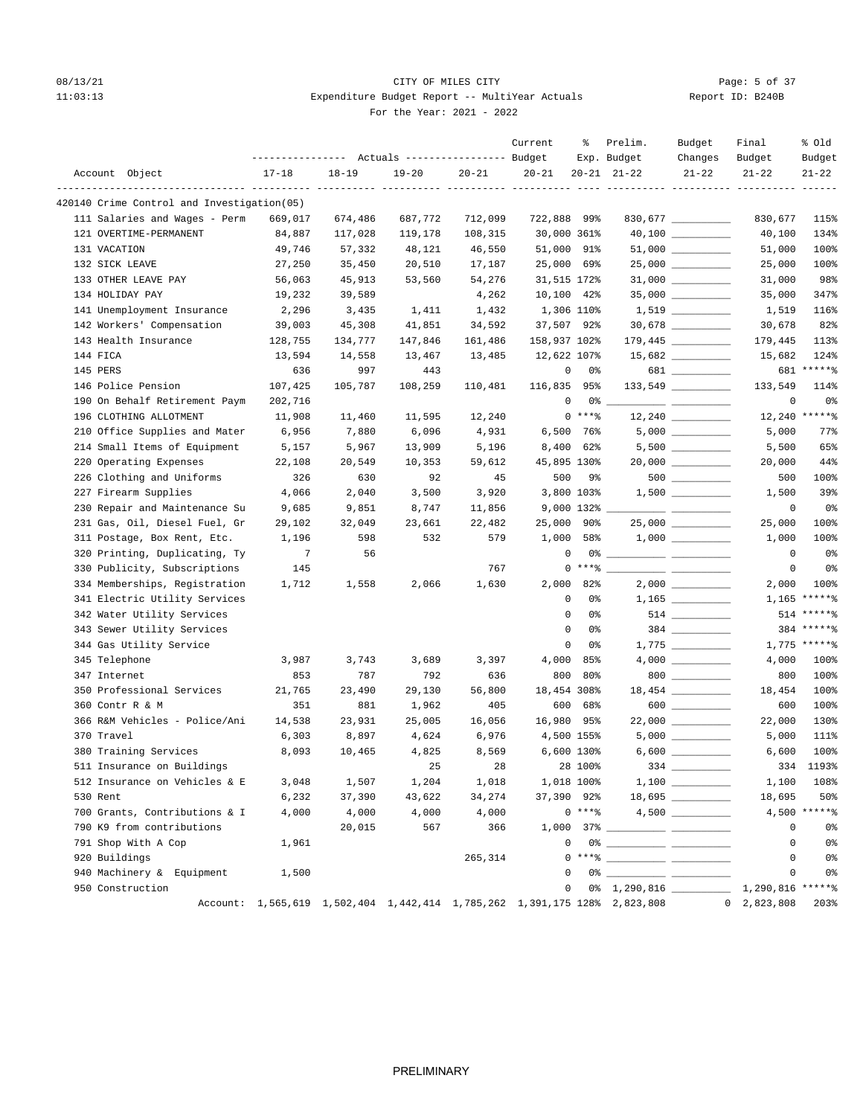# 08/13/21 CITY OF MILES CITY CHECK CITY CONTROL Page: 5 of 37 11:03:13 Expenditure Budget Report -- MultiYear Actuals For the Year: 2021 - 2022

| $17 - 18$<br>$18 - 19$<br>Account Object<br>$19 - 20$<br>$20 - 21$<br>$20 - 21$<br>$20 - 21$ $21 - 22$<br>$21 - 22$<br>$21 - 22$<br>$21 - 22$<br>---------------- ---------- --------- ---<br>---- ----------<br>------- ---------- ---------<br>420140 Crime Control and Investigation(05)<br>111 Salaries and Wages - Perm<br>669,017<br>674,486<br>687,772<br>712,099<br>722,888 99%<br>830,677<br>115%<br>30,000 361%<br>134%<br>121 OVERTIME-PERMANENT<br>84,887<br>117,028<br>119,178<br>108,315<br>40,100<br>49,746<br>51,000<br>100%<br>131 VACATION<br>57,332<br>48,121<br>46,550<br>91%<br>51,000<br>25,000<br>$25,000$ _________<br>132 SICK LEAVE<br>27,250<br>35,450<br>20,510<br>17,187<br>69%<br>25,000<br>100%<br>$31,000$ __________<br>98%<br>133 OTHER LEAVE PAY<br>56,063<br>45,913<br>53,560<br>54,276<br>31,515 172%<br>31,000<br>35,000 _________<br>134 HOLIDAY PAY<br>19,232<br>39,589<br>4,262<br>10,100 42%<br>347%<br>35,000<br>141 Unemployment Insurance<br>1,306 110%<br>2,296<br>3,435<br>1,411<br>1,432<br>116%<br>1,519<br>142 Workers' Compensation<br>37,507<br>$30,678$ _________<br>82%<br>39,003<br>45,308<br>41,851<br>34,592<br>30,678<br>92%<br>158,937 102%<br>$179,445$ _________<br>143 Health Insurance<br>128,755<br>134,777<br>147,846<br>161,486<br>113%<br>179,445<br>144 FICA<br>13,594<br>14,558<br>13,467<br>13,485<br>12,622 107%<br>15,682<br>124%<br>681 ******<br>145 PERS<br>636<br>997<br>443<br>0<br>0%<br>681<br>146 Police Pension<br>107,425<br>108,259<br>116,835 95%<br>114%<br>105,787<br>110,481<br>133,549<br>190 On Behalf Retirement Paym<br>$\mathbf 0$<br>$\mathbf 0$<br>0 <sup>8</sup><br>202,716<br>0%<br>$\frac{1}{1-\frac{1}{1-\frac{1}{1-\frac{1}{1-\frac{1}{1-\frac{1}{1-\frac{1}{1-\frac{1}{1-\frac{1}{1-\frac{1}{1-\frac{1}{1-\frac{1}{1-\frac{1}{1-\frac{1}{1-\frac{1}{1-\frac{1}{1-\frac{1}{1-\frac{1}{1-\frac{1}{1-\frac{1}{1-\frac{1}{1-\frac{1}{1-\frac{1}{1-\frac{1}{1-\frac{1}{1-\frac{1}{1-\frac{1}{1-\frac{1}{1-\frac{1}{1-\frac{1}{1-\frac{1}{1-\frac{1}{1-\frac{1}{1-\frac{1}{1-\frac{1}{1-\frac{1}{1-\frac{1$<br>$0***8$<br>12,240 ******<br>196 CLOTHING ALLOTMENT<br>11,908<br>11,460<br>11,595<br>12,240<br>$5,000$ __________<br>210 Office Supplies and Mater<br>6,956<br>7,880<br>6,096<br>4,931<br>$6,500$ 76%<br>5,000<br>77%<br>214 Small Items of Equipment<br>8,400<br>5,157<br>5,967<br>13,909<br>5,196<br>62%<br>5,500<br>220 Operating Expenses<br>45,895 130%<br>44%<br>22,108<br>20,549<br>10,353<br>59,612<br>20,000<br>500<br>226 Clothing and Uniforms<br>326<br>630<br>92<br>45<br>100%<br>9%<br>500<br>227 Firearm Supplies<br>2,040<br>3,800 103%<br>4,066<br>3,500<br>3,920<br>1,500<br>39%<br>230 Repair and Maintenance Su<br>9,685<br>9,851<br>8,747<br>11,856<br>9,000 132%<br>0%<br>0<br>25,000<br>100%<br>231 Gas, Oil, Diesel Fuel, Gr<br>29,102<br>32,049<br>23,661<br>22,482<br>90%<br>25,000<br>1,000<br>$1,000$ _________<br>100%<br>311 Postage, Box Rent, Etc.<br>1,196<br>598<br>532<br>579<br>58%<br>1,000<br>320 Printing, Duplicating, Ty<br>$7\phantom{.0}$<br>$\mathbf 0$<br>$\mathbf 0$<br>0 <sup>°</sup><br>56<br>$0***$ $*$<br>330 Publicity, Subscriptions<br>145<br>767<br>0<br>0%<br>2,000 82%<br>334 Memberships, Registration<br>1,712<br>1,558<br>2,066<br>1,630<br>2,000<br>100%<br>$1,165$ *****%<br>$\mathbf 0$<br>341 Electric Utility Services<br>0%<br>514 ******<br>342 Water Utility Services<br>0<br>0%<br>514<br>384 ******<br>343 Sewer Utility Services<br>$\mathbf 0$<br>0%<br>$1,775$ *****%<br>344 Gas Utility Service<br>0<br>0%<br>4,000<br>345 Telephone<br>3,987<br>3,743<br>3,689<br>3,397<br>85%<br>4,000<br>100%<br>800<br>$800$<br>100%<br>347 Internet<br>853<br>787<br>792<br>636<br>80%<br>800<br>350 Professional Services<br>18,454 308%<br>100%<br>21,765<br>23,490<br>29,130<br>56,800<br>18,454<br>$600$<br>600<br>100%<br>360 Contr R & M<br>351<br>881<br>1,962<br>405<br>68%<br>600<br>366 R&M Vehicles - Police/Ani<br>16,980<br>$22,000$ __________<br>14,538<br>23,931<br>25,005<br>16,056<br>95%<br>22,000<br>130%<br>370 Travel<br>6,303<br>8,897<br>4,624<br>6,976<br>4,500 155%<br>5,000<br>111%<br>6,600 130%<br>100%<br>380 Training Services<br>8,093<br>10,465<br>4,825<br>8,569<br>6,600<br>334 1193%<br>511 Insurance on Buildings<br>25<br>28 100%<br>28<br>512 Insurance on Vehicles & E<br>3,048<br>1,507<br>1,204<br>1,018<br>1,018 100%<br>1,100<br>37,390 92%<br>530 Rent<br>6,232<br>37,390<br>43,622<br>34,274<br>18,695<br>$0***8$<br>$4,500$ *****%<br>700 Grants, Contributions & I<br>4,000<br>4,000<br>4,000<br>4,000<br>790 K9 from contributions<br>20,015<br>567<br>366<br>0<br>$\begin{picture}(150,10) \put(0,0){\vector(1,0){100}} \put(15,0){\vector(1,0){100}} \put(15,0){\vector(1,0){100}} \put(15,0){\vector(1,0){100}} \put(15,0){\vector(1,0){100}} \put(15,0){\vector(1,0){100}} \put(15,0){\vector(1,0){100}} \put(15,0){\vector(1,0){100}} \put(15,0){\vector(1,0){100}} \put(15,0){\vector(1,0){100}} \put(15,0){\vector(1,0){100}}$<br>791 Shop With A Cop<br>1,961<br>0<br>$0***$ $\frac{1}{2}$ $\frac{1}{2}$ $\frac{1}{2}$ $\frac{1}{2}$ $\frac{1}{2}$ $\frac{1}{2}$ $\frac{1}{2}$ $\frac{1}{2}$ $\frac{1}{2}$ $\frac{1}{2}$ $\frac{1}{2}$ $\frac{1}{2}$ $\frac{1}{2}$ $\frac{1}{2}$ $\frac{1}{2}$ $\frac{1}{2}$ $\frac{1}{2}$ $\frac{1}{2}$ $\frac{1}{2}$ $\frac{1}{2}$ $\frac{1}{2}$ $\frac{1}{$<br>920 Buildings<br>265,314<br>$\mathbf{0}$<br>940 Machinery & Equipment<br>$\begin{picture}(150,10) \put(0,0){\vector(1,0){100}} \put(15,0){\vector(1,0){100}} \put(15,0){\vector(1,0){100}} \put(15,0){\vector(1,0){100}} \put(15,0){\vector(1,0){100}} \put(15,0){\vector(1,0){100}} \put(15,0){\vector(1,0){100}} \put(15,0){\vector(1,0){100}} \put(15,0){\vector(1,0){100}} \put(15,0){\vector(1,0){100}} \put(15,0){\vector(1,0){100}}$<br>1,500<br>0<br>950 Construction<br>Account: 1,565,619 1,502,404 1,442,414 1,785,262 1,391,175 128% 2,823,808 0 2,823,808 |  | --------------- Actuals ---------------- Budget | Current | ႜ | Prelim.<br>Exp. Budget | Budget<br>Changes | Final<br>Budget | % old<br>Budget |
|-------------------------------------------------------------------------------------------------------------------------------------------------------------------------------------------------------------------------------------------------------------------------------------------------------------------------------------------------------------------------------------------------------------------------------------------------------------------------------------------------------------------------------------------------------------------------------------------------------------------------------------------------------------------------------------------------------------------------------------------------------------------------------------------------------------------------------------------------------------------------------------------------------------------------------------------------------------------------------------------------------------------------------------------------------------------------------------------------------------------------------------------------------------------------------------------------------------------------------------------------------------------------------------------------------------------------------------------------------------------------------------------------------------------------------------------------------------------------------------------------------------------------------------------------------------------------------------------------------------------------------------------------------------------------------------------------------------------------------------------------------------------------------------------------------------------------------------------------------------------------------------------------------------------------------------------------------------------------------------------------------------------------------------------------------------------------------------------------------------------------------------------------------------------------------------------------------------------------------------------------------------------------------------------------------------------------------------------------------------------------------------------------------------------------------------------------------------------------------------------------------------------------------------------------------------------------------------------------------------------------------------------------------------------------------------------------------------------------------------------------------------------------------------------------------------------------------------------------------------------------------------------------------------------------------------------------------------------------------------------------------------------------------------------------------------------------------------------------------------------------------------------------------------------------------------------------------------------------------------------------------------------------------------------------------------------------------------------------------------------------------------------------------------------------------------------------------------------------------------------------------------------------------------------------------------------------------------------------------------------------------------------------------------------------------------------------------------------------------------------------------------------------------------------------------------------------------------------------------------------------------------------------------------------------------------------------------------------------------------------------------------------------------------------------------------------------------------------------------------------------------------------------------------------------------------------------------------------------------------------------------------------------------------------------------------------------------------------------------------------------------------------------------------------------------------------------------------------------------------------------------------------------------------------------------------------------------------------------------------------------------------------------------------------------------------------------------------------------------------------------------------------------------------------------------------------------------------------------------------------------------------------------------------------------------------------------------------------------------------------------------------------------------------------------------------------------------------------------------------------------------------------------------------------------------------------------------------------------------------------------------------------------------------------------------------------------------------------------------------------------------------------------------------------------------------------------------------------------------------------------------------------------------------------------------------------------------------------------------------------------------------------------------------------------------------------------------------------------------------------------------------------------------------------------------------------------------------------------------------------------------------------------------------------------------------------------------------------------------------------------------------|--|-------------------------------------------------|---------|---|------------------------|-------------------|-----------------|-----------------|
|                                                                                                                                                                                                                                                                                                                                                                                                                                                                                                                                                                                                                                                                                                                                                                                                                                                                                                                                                                                                                                                                                                                                                                                                                                                                                                                                                                                                                                                                                                                                                                                                                                                                                                                                                                                                                                                                                                                                                                                                                                                                                                                                                                                                                                                                                                                                                                                                                                                                                                                                                                                                                                                                                                                                                                                                                                                                                                                                                                                                                                                                                                                                                                                                                                                                                                                                                                                                                                                                                                                                                                                                                                                                                                                                                                                                                                                                                                                                                                                                                                                                                                                                                                                                                                                                                                                                                                                                                                                                                                                                                                                                                                                                                                                                                                                                                                                                                                                                                                                                                                                                                                                                                                                                                                                                                                                                                                                                                                                                                                                                                                                                                                                                                                                                                                                                                                                                                                                                                                                                             |  |                                                 |         |   |                        |                   |                 |                 |
|                                                                                                                                                                                                                                                                                                                                                                                                                                                                                                                                                                                                                                                                                                                                                                                                                                                                                                                                                                                                                                                                                                                                                                                                                                                                                                                                                                                                                                                                                                                                                                                                                                                                                                                                                                                                                                                                                                                                                                                                                                                                                                                                                                                                                                                                                                                                                                                                                                                                                                                                                                                                                                                                                                                                                                                                                                                                                                                                                                                                                                                                                                                                                                                                                                                                                                                                                                                                                                                                                                                                                                                                                                                                                                                                                                                                                                                                                                                                                                                                                                                                                                                                                                                                                                                                                                                                                                                                                                                                                                                                                                                                                                                                                                                                                                                                                                                                                                                                                                                                                                                                                                                                                                                                                                                                                                                                                                                                                                                                                                                                                                                                                                                                                                                                                                                                                                                                                                                                                                                                             |  |                                                 |         |   |                        |                   |                 |                 |
| 65%<br>108%<br>0%<br>0 0% 1,290,816 1,290,816 ******                                                                                                                                                                                                                                                                                                                                                                                                                                                                                                                                                                                                                                                                                                                                                                                                                                                                                                                                                                                                                                                                                                                                                                                                                                                                                                                                                                                                                                                                                                                                                                                                                                                                                                                                                                                                                                                                                                                                                                                                                                                                                                                                                                                                                                                                                                                                                                                                                                                                                                                                                                                                                                                                                                                                                                                                                                                                                                                                                                                                                                                                                                                                                                                                                                                                                                                                                                                                                                                                                                                                                                                                                                                                                                                                                                                                                                                                                                                                                                                                                                                                                                                                                                                                                                                                                                                                                                                                                                                                                                                                                                                                                                                                                                                                                                                                                                                                                                                                                                                                                                                                                                                                                                                                                                                                                                                                                                                                                                                                                                                                                                                                                                                                                                                                                                                                                                                                                                                                                        |  |                                                 |         |   |                        |                   |                 |                 |
|                                                                                                                                                                                                                                                                                                                                                                                                                                                                                                                                                                                                                                                                                                                                                                                                                                                                                                                                                                                                                                                                                                                                                                                                                                                                                                                                                                                                                                                                                                                                                                                                                                                                                                                                                                                                                                                                                                                                                                                                                                                                                                                                                                                                                                                                                                                                                                                                                                                                                                                                                                                                                                                                                                                                                                                                                                                                                                                                                                                                                                                                                                                                                                                                                                                                                                                                                                                                                                                                                                                                                                                                                                                                                                                                                                                                                                                                                                                                                                                                                                                                                                                                                                                                                                                                                                                                                                                                                                                                                                                                                                                                                                                                                                                                                                                                                                                                                                                                                                                                                                                                                                                                                                                                                                                                                                                                                                                                                                                                                                                                                                                                                                                                                                                                                                                                                                                                                                                                                                                                             |  |                                                 |         |   |                        |                   |                 |                 |
|                                                                                                                                                                                                                                                                                                                                                                                                                                                                                                                                                                                                                                                                                                                                                                                                                                                                                                                                                                                                                                                                                                                                                                                                                                                                                                                                                                                                                                                                                                                                                                                                                                                                                                                                                                                                                                                                                                                                                                                                                                                                                                                                                                                                                                                                                                                                                                                                                                                                                                                                                                                                                                                                                                                                                                                                                                                                                                                                                                                                                                                                                                                                                                                                                                                                                                                                                                                                                                                                                                                                                                                                                                                                                                                                                                                                                                                                                                                                                                                                                                                                                                                                                                                                                                                                                                                                                                                                                                                                                                                                                                                                                                                                                                                                                                                                                                                                                                                                                                                                                                                                                                                                                                                                                                                                                                                                                                                                                                                                                                                                                                                                                                                                                                                                                                                                                                                                                                                                                                                                             |  |                                                 |         |   |                        |                   |                 |                 |
|                                                                                                                                                                                                                                                                                                                                                                                                                                                                                                                                                                                                                                                                                                                                                                                                                                                                                                                                                                                                                                                                                                                                                                                                                                                                                                                                                                                                                                                                                                                                                                                                                                                                                                                                                                                                                                                                                                                                                                                                                                                                                                                                                                                                                                                                                                                                                                                                                                                                                                                                                                                                                                                                                                                                                                                                                                                                                                                                                                                                                                                                                                                                                                                                                                                                                                                                                                                                                                                                                                                                                                                                                                                                                                                                                                                                                                                                                                                                                                                                                                                                                                                                                                                                                                                                                                                                                                                                                                                                                                                                                                                                                                                                                                                                                                                                                                                                                                                                                                                                                                                                                                                                                                                                                                                                                                                                                                                                                                                                                                                                                                                                                                                                                                                                                                                                                                                                                                                                                                                                             |  |                                                 |         |   |                        |                   |                 |                 |
| 50%<br>0%<br>0 <sup>°</sup><br>$0\,$<br>203%                                                                                                                                                                                                                                                                                                                                                                                                                                                                                                                                                                                                                                                                                                                                                                                                                                                                                                                                                                                                                                                                                                                                                                                                                                                                                                                                                                                                                                                                                                                                                                                                                                                                                                                                                                                                                                                                                                                                                                                                                                                                                                                                                                                                                                                                                                                                                                                                                                                                                                                                                                                                                                                                                                                                                                                                                                                                                                                                                                                                                                                                                                                                                                                                                                                                                                                                                                                                                                                                                                                                                                                                                                                                                                                                                                                                                                                                                                                                                                                                                                                                                                                                                                                                                                                                                                                                                                                                                                                                                                                                                                                                                                                                                                                                                                                                                                                                                                                                                                                                                                                                                                                                                                                                                                                                                                                                                                                                                                                                                                                                                                                                                                                                                                                                                                                                                                                                                                                                                                |  |                                                 |         |   |                        |                   |                 |                 |
|                                                                                                                                                                                                                                                                                                                                                                                                                                                                                                                                                                                                                                                                                                                                                                                                                                                                                                                                                                                                                                                                                                                                                                                                                                                                                                                                                                                                                                                                                                                                                                                                                                                                                                                                                                                                                                                                                                                                                                                                                                                                                                                                                                                                                                                                                                                                                                                                                                                                                                                                                                                                                                                                                                                                                                                                                                                                                                                                                                                                                                                                                                                                                                                                                                                                                                                                                                                                                                                                                                                                                                                                                                                                                                                                                                                                                                                                                                                                                                                                                                                                                                                                                                                                                                                                                                                                                                                                                                                                                                                                                                                                                                                                                                                                                                                                                                                                                                                                                                                                                                                                                                                                                                                                                                                                                                                                                                                                                                                                                                                                                                                                                                                                                                                                                                                                                                                                                                                                                                                                             |  |                                                 |         |   |                        |                   |                 |                 |
|                                                                                                                                                                                                                                                                                                                                                                                                                                                                                                                                                                                                                                                                                                                                                                                                                                                                                                                                                                                                                                                                                                                                                                                                                                                                                                                                                                                                                                                                                                                                                                                                                                                                                                                                                                                                                                                                                                                                                                                                                                                                                                                                                                                                                                                                                                                                                                                                                                                                                                                                                                                                                                                                                                                                                                                                                                                                                                                                                                                                                                                                                                                                                                                                                                                                                                                                                                                                                                                                                                                                                                                                                                                                                                                                                                                                                                                                                                                                                                                                                                                                                                                                                                                                                                                                                                                                                                                                                                                                                                                                                                                                                                                                                                                                                                                                                                                                                                                                                                                                                                                                                                                                                                                                                                                                                                                                                                                                                                                                                                                                                                                                                                                                                                                                                                                                                                                                                                                                                                                                             |  |                                                 |         |   |                        |                   |                 |                 |
|                                                                                                                                                                                                                                                                                                                                                                                                                                                                                                                                                                                                                                                                                                                                                                                                                                                                                                                                                                                                                                                                                                                                                                                                                                                                                                                                                                                                                                                                                                                                                                                                                                                                                                                                                                                                                                                                                                                                                                                                                                                                                                                                                                                                                                                                                                                                                                                                                                                                                                                                                                                                                                                                                                                                                                                                                                                                                                                                                                                                                                                                                                                                                                                                                                                                                                                                                                                                                                                                                                                                                                                                                                                                                                                                                                                                                                                                                                                                                                                                                                                                                                                                                                                                                                                                                                                                                                                                                                                                                                                                                                                                                                                                                                                                                                                                                                                                                                                                                                                                                                                                                                                                                                                                                                                                                                                                                                                                                                                                                                                                                                                                                                                                                                                                                                                                                                                                                                                                                                                                             |  |                                                 |         |   |                        |                   |                 |                 |
|                                                                                                                                                                                                                                                                                                                                                                                                                                                                                                                                                                                                                                                                                                                                                                                                                                                                                                                                                                                                                                                                                                                                                                                                                                                                                                                                                                                                                                                                                                                                                                                                                                                                                                                                                                                                                                                                                                                                                                                                                                                                                                                                                                                                                                                                                                                                                                                                                                                                                                                                                                                                                                                                                                                                                                                                                                                                                                                                                                                                                                                                                                                                                                                                                                                                                                                                                                                                                                                                                                                                                                                                                                                                                                                                                                                                                                                                                                                                                                                                                                                                                                                                                                                                                                                                                                                                                                                                                                                                                                                                                                                                                                                                                                                                                                                                                                                                                                                                                                                                                                                                                                                                                                                                                                                                                                                                                                                                                                                                                                                                                                                                                                                                                                                                                                                                                                                                                                                                                                                                             |  |                                                 |         |   |                        |                   |                 |                 |
|                                                                                                                                                                                                                                                                                                                                                                                                                                                                                                                                                                                                                                                                                                                                                                                                                                                                                                                                                                                                                                                                                                                                                                                                                                                                                                                                                                                                                                                                                                                                                                                                                                                                                                                                                                                                                                                                                                                                                                                                                                                                                                                                                                                                                                                                                                                                                                                                                                                                                                                                                                                                                                                                                                                                                                                                                                                                                                                                                                                                                                                                                                                                                                                                                                                                                                                                                                                                                                                                                                                                                                                                                                                                                                                                                                                                                                                                                                                                                                                                                                                                                                                                                                                                                                                                                                                                                                                                                                                                                                                                                                                                                                                                                                                                                                                                                                                                                                                                                                                                                                                                                                                                                                                                                                                                                                                                                                                                                                                                                                                                                                                                                                                                                                                                                                                                                                                                                                                                                                                                             |  |                                                 |         |   |                        |                   |                 |                 |
|                                                                                                                                                                                                                                                                                                                                                                                                                                                                                                                                                                                                                                                                                                                                                                                                                                                                                                                                                                                                                                                                                                                                                                                                                                                                                                                                                                                                                                                                                                                                                                                                                                                                                                                                                                                                                                                                                                                                                                                                                                                                                                                                                                                                                                                                                                                                                                                                                                                                                                                                                                                                                                                                                                                                                                                                                                                                                                                                                                                                                                                                                                                                                                                                                                                                                                                                                                                                                                                                                                                                                                                                                                                                                                                                                                                                                                                                                                                                                                                                                                                                                                                                                                                                                                                                                                                                                                                                                                                                                                                                                                                                                                                                                                                                                                                                                                                                                                                                                                                                                                                                                                                                                                                                                                                                                                                                                                                                                                                                                                                                                                                                                                                                                                                                                                                                                                                                                                                                                                                                             |  |                                                 |         |   |                        |                   |                 |                 |
|                                                                                                                                                                                                                                                                                                                                                                                                                                                                                                                                                                                                                                                                                                                                                                                                                                                                                                                                                                                                                                                                                                                                                                                                                                                                                                                                                                                                                                                                                                                                                                                                                                                                                                                                                                                                                                                                                                                                                                                                                                                                                                                                                                                                                                                                                                                                                                                                                                                                                                                                                                                                                                                                                                                                                                                                                                                                                                                                                                                                                                                                                                                                                                                                                                                                                                                                                                                                                                                                                                                                                                                                                                                                                                                                                                                                                                                                                                                                                                                                                                                                                                                                                                                                                                                                                                                                                                                                                                                                                                                                                                                                                                                                                                                                                                                                                                                                                                                                                                                                                                                                                                                                                                                                                                                                                                                                                                                                                                                                                                                                                                                                                                                                                                                                                                                                                                                                                                                                                                                                             |  |                                                 |         |   |                        |                   |                 |                 |
|                                                                                                                                                                                                                                                                                                                                                                                                                                                                                                                                                                                                                                                                                                                                                                                                                                                                                                                                                                                                                                                                                                                                                                                                                                                                                                                                                                                                                                                                                                                                                                                                                                                                                                                                                                                                                                                                                                                                                                                                                                                                                                                                                                                                                                                                                                                                                                                                                                                                                                                                                                                                                                                                                                                                                                                                                                                                                                                                                                                                                                                                                                                                                                                                                                                                                                                                                                                                                                                                                                                                                                                                                                                                                                                                                                                                                                                                                                                                                                                                                                                                                                                                                                                                                                                                                                                                                                                                                                                                                                                                                                                                                                                                                                                                                                                                                                                                                                                                                                                                                                                                                                                                                                                                                                                                                                                                                                                                                                                                                                                                                                                                                                                                                                                                                                                                                                                                                                                                                                                                             |  |                                                 |         |   |                        |                   |                 |                 |
|                                                                                                                                                                                                                                                                                                                                                                                                                                                                                                                                                                                                                                                                                                                                                                                                                                                                                                                                                                                                                                                                                                                                                                                                                                                                                                                                                                                                                                                                                                                                                                                                                                                                                                                                                                                                                                                                                                                                                                                                                                                                                                                                                                                                                                                                                                                                                                                                                                                                                                                                                                                                                                                                                                                                                                                                                                                                                                                                                                                                                                                                                                                                                                                                                                                                                                                                                                                                                                                                                                                                                                                                                                                                                                                                                                                                                                                                                                                                                                                                                                                                                                                                                                                                                                                                                                                                                                                                                                                                                                                                                                                                                                                                                                                                                                                                                                                                                                                                                                                                                                                                                                                                                                                                                                                                                                                                                                                                                                                                                                                                                                                                                                                                                                                                                                                                                                                                                                                                                                                                             |  |                                                 |         |   |                        |                   |                 |                 |
|                                                                                                                                                                                                                                                                                                                                                                                                                                                                                                                                                                                                                                                                                                                                                                                                                                                                                                                                                                                                                                                                                                                                                                                                                                                                                                                                                                                                                                                                                                                                                                                                                                                                                                                                                                                                                                                                                                                                                                                                                                                                                                                                                                                                                                                                                                                                                                                                                                                                                                                                                                                                                                                                                                                                                                                                                                                                                                                                                                                                                                                                                                                                                                                                                                                                                                                                                                                                                                                                                                                                                                                                                                                                                                                                                                                                                                                                                                                                                                                                                                                                                                                                                                                                                                                                                                                                                                                                                                                                                                                                                                                                                                                                                                                                                                                                                                                                                                                                                                                                                                                                                                                                                                                                                                                                                                                                                                                                                                                                                                                                                                                                                                                                                                                                                                                                                                                                                                                                                                                                             |  |                                                 |         |   |                        |                   |                 |                 |
|                                                                                                                                                                                                                                                                                                                                                                                                                                                                                                                                                                                                                                                                                                                                                                                                                                                                                                                                                                                                                                                                                                                                                                                                                                                                                                                                                                                                                                                                                                                                                                                                                                                                                                                                                                                                                                                                                                                                                                                                                                                                                                                                                                                                                                                                                                                                                                                                                                                                                                                                                                                                                                                                                                                                                                                                                                                                                                                                                                                                                                                                                                                                                                                                                                                                                                                                                                                                                                                                                                                                                                                                                                                                                                                                                                                                                                                                                                                                                                                                                                                                                                                                                                                                                                                                                                                                                                                                                                                                                                                                                                                                                                                                                                                                                                                                                                                                                                                                                                                                                                                                                                                                                                                                                                                                                                                                                                                                                                                                                                                                                                                                                                                                                                                                                                                                                                                                                                                                                                                                             |  |                                                 |         |   |                        |                   |                 |                 |
|                                                                                                                                                                                                                                                                                                                                                                                                                                                                                                                                                                                                                                                                                                                                                                                                                                                                                                                                                                                                                                                                                                                                                                                                                                                                                                                                                                                                                                                                                                                                                                                                                                                                                                                                                                                                                                                                                                                                                                                                                                                                                                                                                                                                                                                                                                                                                                                                                                                                                                                                                                                                                                                                                                                                                                                                                                                                                                                                                                                                                                                                                                                                                                                                                                                                                                                                                                                                                                                                                                                                                                                                                                                                                                                                                                                                                                                                                                                                                                                                                                                                                                                                                                                                                                                                                                                                                                                                                                                                                                                                                                                                                                                                                                                                                                                                                                                                                                                                                                                                                                                                                                                                                                                                                                                                                                                                                                                                                                                                                                                                                                                                                                                                                                                                                                                                                                                                                                                                                                                                             |  |                                                 |         |   |                        |                   |                 |                 |
|                                                                                                                                                                                                                                                                                                                                                                                                                                                                                                                                                                                                                                                                                                                                                                                                                                                                                                                                                                                                                                                                                                                                                                                                                                                                                                                                                                                                                                                                                                                                                                                                                                                                                                                                                                                                                                                                                                                                                                                                                                                                                                                                                                                                                                                                                                                                                                                                                                                                                                                                                                                                                                                                                                                                                                                                                                                                                                                                                                                                                                                                                                                                                                                                                                                                                                                                                                                                                                                                                                                                                                                                                                                                                                                                                                                                                                                                                                                                                                                                                                                                                                                                                                                                                                                                                                                                                                                                                                                                                                                                                                                                                                                                                                                                                                                                                                                                                                                                                                                                                                                                                                                                                                                                                                                                                                                                                                                                                                                                                                                                                                                                                                                                                                                                                                                                                                                                                                                                                                                                             |  |                                                 |         |   |                        |                   |                 |                 |
|                                                                                                                                                                                                                                                                                                                                                                                                                                                                                                                                                                                                                                                                                                                                                                                                                                                                                                                                                                                                                                                                                                                                                                                                                                                                                                                                                                                                                                                                                                                                                                                                                                                                                                                                                                                                                                                                                                                                                                                                                                                                                                                                                                                                                                                                                                                                                                                                                                                                                                                                                                                                                                                                                                                                                                                                                                                                                                                                                                                                                                                                                                                                                                                                                                                                                                                                                                                                                                                                                                                                                                                                                                                                                                                                                                                                                                                                                                                                                                                                                                                                                                                                                                                                                                                                                                                                                                                                                                                                                                                                                                                                                                                                                                                                                                                                                                                                                                                                                                                                                                                                                                                                                                                                                                                                                                                                                                                                                                                                                                                                                                                                                                                                                                                                                                                                                                                                                                                                                                                                             |  |                                                 |         |   |                        |                   |                 |                 |
|                                                                                                                                                                                                                                                                                                                                                                                                                                                                                                                                                                                                                                                                                                                                                                                                                                                                                                                                                                                                                                                                                                                                                                                                                                                                                                                                                                                                                                                                                                                                                                                                                                                                                                                                                                                                                                                                                                                                                                                                                                                                                                                                                                                                                                                                                                                                                                                                                                                                                                                                                                                                                                                                                                                                                                                                                                                                                                                                                                                                                                                                                                                                                                                                                                                                                                                                                                                                                                                                                                                                                                                                                                                                                                                                                                                                                                                                                                                                                                                                                                                                                                                                                                                                                                                                                                                                                                                                                                                                                                                                                                                                                                                                                                                                                                                                                                                                                                                                                                                                                                                                                                                                                                                                                                                                                                                                                                                                                                                                                                                                                                                                                                                                                                                                                                                                                                                                                                                                                                                                             |  |                                                 |         |   |                        |                   |                 |                 |
|                                                                                                                                                                                                                                                                                                                                                                                                                                                                                                                                                                                                                                                                                                                                                                                                                                                                                                                                                                                                                                                                                                                                                                                                                                                                                                                                                                                                                                                                                                                                                                                                                                                                                                                                                                                                                                                                                                                                                                                                                                                                                                                                                                                                                                                                                                                                                                                                                                                                                                                                                                                                                                                                                                                                                                                                                                                                                                                                                                                                                                                                                                                                                                                                                                                                                                                                                                                                                                                                                                                                                                                                                                                                                                                                                                                                                                                                                                                                                                                                                                                                                                                                                                                                                                                                                                                                                                                                                                                                                                                                                                                                                                                                                                                                                                                                                                                                                                                                                                                                                                                                                                                                                                                                                                                                                                                                                                                                                                                                                                                                                                                                                                                                                                                                                                                                                                                                                                                                                                                                             |  |                                                 |         |   |                        |                   |                 |                 |
|                                                                                                                                                                                                                                                                                                                                                                                                                                                                                                                                                                                                                                                                                                                                                                                                                                                                                                                                                                                                                                                                                                                                                                                                                                                                                                                                                                                                                                                                                                                                                                                                                                                                                                                                                                                                                                                                                                                                                                                                                                                                                                                                                                                                                                                                                                                                                                                                                                                                                                                                                                                                                                                                                                                                                                                                                                                                                                                                                                                                                                                                                                                                                                                                                                                                                                                                                                                                                                                                                                                                                                                                                                                                                                                                                                                                                                                                                                                                                                                                                                                                                                                                                                                                                                                                                                                                                                                                                                                                                                                                                                                                                                                                                                                                                                                                                                                                                                                                                                                                                                                                                                                                                                                                                                                                                                                                                                                                                                                                                                                                                                                                                                                                                                                                                                                                                                                                                                                                                                                                             |  |                                                 |         |   |                        |                   |                 |                 |
|                                                                                                                                                                                                                                                                                                                                                                                                                                                                                                                                                                                                                                                                                                                                                                                                                                                                                                                                                                                                                                                                                                                                                                                                                                                                                                                                                                                                                                                                                                                                                                                                                                                                                                                                                                                                                                                                                                                                                                                                                                                                                                                                                                                                                                                                                                                                                                                                                                                                                                                                                                                                                                                                                                                                                                                                                                                                                                                                                                                                                                                                                                                                                                                                                                                                                                                                                                                                                                                                                                                                                                                                                                                                                                                                                                                                                                                                                                                                                                                                                                                                                                                                                                                                                                                                                                                                                                                                                                                                                                                                                                                                                                                                                                                                                                                                                                                                                                                                                                                                                                                                                                                                                                                                                                                                                                                                                                                                                                                                                                                                                                                                                                                                                                                                                                                                                                                                                                                                                                                                             |  |                                                 |         |   |                        |                   |                 |                 |
|                                                                                                                                                                                                                                                                                                                                                                                                                                                                                                                                                                                                                                                                                                                                                                                                                                                                                                                                                                                                                                                                                                                                                                                                                                                                                                                                                                                                                                                                                                                                                                                                                                                                                                                                                                                                                                                                                                                                                                                                                                                                                                                                                                                                                                                                                                                                                                                                                                                                                                                                                                                                                                                                                                                                                                                                                                                                                                                                                                                                                                                                                                                                                                                                                                                                                                                                                                                                                                                                                                                                                                                                                                                                                                                                                                                                                                                                                                                                                                                                                                                                                                                                                                                                                                                                                                                                                                                                                                                                                                                                                                                                                                                                                                                                                                                                                                                                                                                                                                                                                                                                                                                                                                                                                                                                                                                                                                                                                                                                                                                                                                                                                                                                                                                                                                                                                                                                                                                                                                                                             |  |                                                 |         |   |                        |                   |                 |                 |
|                                                                                                                                                                                                                                                                                                                                                                                                                                                                                                                                                                                                                                                                                                                                                                                                                                                                                                                                                                                                                                                                                                                                                                                                                                                                                                                                                                                                                                                                                                                                                                                                                                                                                                                                                                                                                                                                                                                                                                                                                                                                                                                                                                                                                                                                                                                                                                                                                                                                                                                                                                                                                                                                                                                                                                                                                                                                                                                                                                                                                                                                                                                                                                                                                                                                                                                                                                                                                                                                                                                                                                                                                                                                                                                                                                                                                                                                                                                                                                                                                                                                                                                                                                                                                                                                                                                                                                                                                                                                                                                                                                                                                                                                                                                                                                                                                                                                                                                                                                                                                                                                                                                                                                                                                                                                                                                                                                                                                                                                                                                                                                                                                                                                                                                                                                                                                                                                                                                                                                                                             |  |                                                 |         |   |                        |                   |                 |                 |
|                                                                                                                                                                                                                                                                                                                                                                                                                                                                                                                                                                                                                                                                                                                                                                                                                                                                                                                                                                                                                                                                                                                                                                                                                                                                                                                                                                                                                                                                                                                                                                                                                                                                                                                                                                                                                                                                                                                                                                                                                                                                                                                                                                                                                                                                                                                                                                                                                                                                                                                                                                                                                                                                                                                                                                                                                                                                                                                                                                                                                                                                                                                                                                                                                                                                                                                                                                                                                                                                                                                                                                                                                                                                                                                                                                                                                                                                                                                                                                                                                                                                                                                                                                                                                                                                                                                                                                                                                                                                                                                                                                                                                                                                                                                                                                                                                                                                                                                                                                                                                                                                                                                                                                                                                                                                                                                                                                                                                                                                                                                                                                                                                                                                                                                                                                                                                                                                                                                                                                                                             |  |                                                 |         |   |                        |                   |                 |                 |
|                                                                                                                                                                                                                                                                                                                                                                                                                                                                                                                                                                                                                                                                                                                                                                                                                                                                                                                                                                                                                                                                                                                                                                                                                                                                                                                                                                                                                                                                                                                                                                                                                                                                                                                                                                                                                                                                                                                                                                                                                                                                                                                                                                                                                                                                                                                                                                                                                                                                                                                                                                                                                                                                                                                                                                                                                                                                                                                                                                                                                                                                                                                                                                                                                                                                                                                                                                                                                                                                                                                                                                                                                                                                                                                                                                                                                                                                                                                                                                                                                                                                                                                                                                                                                                                                                                                                                                                                                                                                                                                                                                                                                                                                                                                                                                                                                                                                                                                                                                                                                                                                                                                                                                                                                                                                                                                                                                                                                                                                                                                                                                                                                                                                                                                                                                                                                                                                                                                                                                                                             |  |                                                 |         |   |                        |                   |                 |                 |
|                                                                                                                                                                                                                                                                                                                                                                                                                                                                                                                                                                                                                                                                                                                                                                                                                                                                                                                                                                                                                                                                                                                                                                                                                                                                                                                                                                                                                                                                                                                                                                                                                                                                                                                                                                                                                                                                                                                                                                                                                                                                                                                                                                                                                                                                                                                                                                                                                                                                                                                                                                                                                                                                                                                                                                                                                                                                                                                                                                                                                                                                                                                                                                                                                                                                                                                                                                                                                                                                                                                                                                                                                                                                                                                                                                                                                                                                                                                                                                                                                                                                                                                                                                                                                                                                                                                                                                                                                                                                                                                                                                                                                                                                                                                                                                                                                                                                                                                                                                                                                                                                                                                                                                                                                                                                                                                                                                                                                                                                                                                                                                                                                                                                                                                                                                                                                                                                                                                                                                                                             |  |                                                 |         |   |                        |                   |                 |                 |
|                                                                                                                                                                                                                                                                                                                                                                                                                                                                                                                                                                                                                                                                                                                                                                                                                                                                                                                                                                                                                                                                                                                                                                                                                                                                                                                                                                                                                                                                                                                                                                                                                                                                                                                                                                                                                                                                                                                                                                                                                                                                                                                                                                                                                                                                                                                                                                                                                                                                                                                                                                                                                                                                                                                                                                                                                                                                                                                                                                                                                                                                                                                                                                                                                                                                                                                                                                                                                                                                                                                                                                                                                                                                                                                                                                                                                                                                                                                                                                                                                                                                                                                                                                                                                                                                                                                                                                                                                                                                                                                                                                                                                                                                                                                                                                                                                                                                                                                                                                                                                                                                                                                                                                                                                                                                                                                                                                                                                                                                                                                                                                                                                                                                                                                                                                                                                                                                                                                                                                                                             |  |                                                 |         |   |                        |                   |                 |                 |
|                                                                                                                                                                                                                                                                                                                                                                                                                                                                                                                                                                                                                                                                                                                                                                                                                                                                                                                                                                                                                                                                                                                                                                                                                                                                                                                                                                                                                                                                                                                                                                                                                                                                                                                                                                                                                                                                                                                                                                                                                                                                                                                                                                                                                                                                                                                                                                                                                                                                                                                                                                                                                                                                                                                                                                                                                                                                                                                                                                                                                                                                                                                                                                                                                                                                                                                                                                                                                                                                                                                                                                                                                                                                                                                                                                                                                                                                                                                                                                                                                                                                                                                                                                                                                                                                                                                                                                                                                                                                                                                                                                                                                                                                                                                                                                                                                                                                                                                                                                                                                                                                                                                                                                                                                                                                                                                                                                                                                                                                                                                                                                                                                                                                                                                                                                                                                                                                                                                                                                                                             |  |                                                 |         |   |                        |                   |                 |                 |
|                                                                                                                                                                                                                                                                                                                                                                                                                                                                                                                                                                                                                                                                                                                                                                                                                                                                                                                                                                                                                                                                                                                                                                                                                                                                                                                                                                                                                                                                                                                                                                                                                                                                                                                                                                                                                                                                                                                                                                                                                                                                                                                                                                                                                                                                                                                                                                                                                                                                                                                                                                                                                                                                                                                                                                                                                                                                                                                                                                                                                                                                                                                                                                                                                                                                                                                                                                                                                                                                                                                                                                                                                                                                                                                                                                                                                                                                                                                                                                                                                                                                                                                                                                                                                                                                                                                                                                                                                                                                                                                                                                                                                                                                                                                                                                                                                                                                                                                                                                                                                                                                                                                                                                                                                                                                                                                                                                                                                                                                                                                                                                                                                                                                                                                                                                                                                                                                                                                                                                                                             |  |                                                 |         |   |                        |                   |                 |                 |
|                                                                                                                                                                                                                                                                                                                                                                                                                                                                                                                                                                                                                                                                                                                                                                                                                                                                                                                                                                                                                                                                                                                                                                                                                                                                                                                                                                                                                                                                                                                                                                                                                                                                                                                                                                                                                                                                                                                                                                                                                                                                                                                                                                                                                                                                                                                                                                                                                                                                                                                                                                                                                                                                                                                                                                                                                                                                                                                                                                                                                                                                                                                                                                                                                                                                                                                                                                                                                                                                                                                                                                                                                                                                                                                                                                                                                                                                                                                                                                                                                                                                                                                                                                                                                                                                                                                                                                                                                                                                                                                                                                                                                                                                                                                                                                                                                                                                                                                                                                                                                                                                                                                                                                                                                                                                                                                                                                                                                                                                                                                                                                                                                                                                                                                                                                                                                                                                                                                                                                                                             |  |                                                 |         |   |                        |                   |                 |                 |
|                                                                                                                                                                                                                                                                                                                                                                                                                                                                                                                                                                                                                                                                                                                                                                                                                                                                                                                                                                                                                                                                                                                                                                                                                                                                                                                                                                                                                                                                                                                                                                                                                                                                                                                                                                                                                                                                                                                                                                                                                                                                                                                                                                                                                                                                                                                                                                                                                                                                                                                                                                                                                                                                                                                                                                                                                                                                                                                                                                                                                                                                                                                                                                                                                                                                                                                                                                                                                                                                                                                                                                                                                                                                                                                                                                                                                                                                                                                                                                                                                                                                                                                                                                                                                                                                                                                                                                                                                                                                                                                                                                                                                                                                                                                                                                                                                                                                                                                                                                                                                                                                                                                                                                                                                                                                                                                                                                                                                                                                                                                                                                                                                                                                                                                                                                                                                                                                                                                                                                                                             |  |                                                 |         |   |                        |                   |                 |                 |
|                                                                                                                                                                                                                                                                                                                                                                                                                                                                                                                                                                                                                                                                                                                                                                                                                                                                                                                                                                                                                                                                                                                                                                                                                                                                                                                                                                                                                                                                                                                                                                                                                                                                                                                                                                                                                                                                                                                                                                                                                                                                                                                                                                                                                                                                                                                                                                                                                                                                                                                                                                                                                                                                                                                                                                                                                                                                                                                                                                                                                                                                                                                                                                                                                                                                                                                                                                                                                                                                                                                                                                                                                                                                                                                                                                                                                                                                                                                                                                                                                                                                                                                                                                                                                                                                                                                                                                                                                                                                                                                                                                                                                                                                                                                                                                                                                                                                                                                                                                                                                                                                                                                                                                                                                                                                                                                                                                                                                                                                                                                                                                                                                                                                                                                                                                                                                                                                                                                                                                                                             |  |                                                 |         |   |                        |                   |                 |                 |
|                                                                                                                                                                                                                                                                                                                                                                                                                                                                                                                                                                                                                                                                                                                                                                                                                                                                                                                                                                                                                                                                                                                                                                                                                                                                                                                                                                                                                                                                                                                                                                                                                                                                                                                                                                                                                                                                                                                                                                                                                                                                                                                                                                                                                                                                                                                                                                                                                                                                                                                                                                                                                                                                                                                                                                                                                                                                                                                                                                                                                                                                                                                                                                                                                                                                                                                                                                                                                                                                                                                                                                                                                                                                                                                                                                                                                                                                                                                                                                                                                                                                                                                                                                                                                                                                                                                                                                                                                                                                                                                                                                                                                                                                                                                                                                                                                                                                                                                                                                                                                                                                                                                                                                                                                                                                                                                                                                                                                                                                                                                                                                                                                                                                                                                                                                                                                                                                                                                                                                                                             |  |                                                 |         |   |                        |                   |                 |                 |
|                                                                                                                                                                                                                                                                                                                                                                                                                                                                                                                                                                                                                                                                                                                                                                                                                                                                                                                                                                                                                                                                                                                                                                                                                                                                                                                                                                                                                                                                                                                                                                                                                                                                                                                                                                                                                                                                                                                                                                                                                                                                                                                                                                                                                                                                                                                                                                                                                                                                                                                                                                                                                                                                                                                                                                                                                                                                                                                                                                                                                                                                                                                                                                                                                                                                                                                                                                                                                                                                                                                                                                                                                                                                                                                                                                                                                                                                                                                                                                                                                                                                                                                                                                                                                                                                                                                                                                                                                                                                                                                                                                                                                                                                                                                                                                                                                                                                                                                                                                                                                                                                                                                                                                                                                                                                                                                                                                                                                                                                                                                                                                                                                                                                                                                                                                                                                                                                                                                                                                                                             |  |                                                 |         |   |                        |                   |                 |                 |
|                                                                                                                                                                                                                                                                                                                                                                                                                                                                                                                                                                                                                                                                                                                                                                                                                                                                                                                                                                                                                                                                                                                                                                                                                                                                                                                                                                                                                                                                                                                                                                                                                                                                                                                                                                                                                                                                                                                                                                                                                                                                                                                                                                                                                                                                                                                                                                                                                                                                                                                                                                                                                                                                                                                                                                                                                                                                                                                                                                                                                                                                                                                                                                                                                                                                                                                                                                                                                                                                                                                                                                                                                                                                                                                                                                                                                                                                                                                                                                                                                                                                                                                                                                                                                                                                                                                                                                                                                                                                                                                                                                                                                                                                                                                                                                                                                                                                                                                                                                                                                                                                                                                                                                                                                                                                                                                                                                                                                                                                                                                                                                                                                                                                                                                                                                                                                                                                                                                                                                                                             |  |                                                 |         |   |                        |                   |                 |                 |
|                                                                                                                                                                                                                                                                                                                                                                                                                                                                                                                                                                                                                                                                                                                                                                                                                                                                                                                                                                                                                                                                                                                                                                                                                                                                                                                                                                                                                                                                                                                                                                                                                                                                                                                                                                                                                                                                                                                                                                                                                                                                                                                                                                                                                                                                                                                                                                                                                                                                                                                                                                                                                                                                                                                                                                                                                                                                                                                                                                                                                                                                                                                                                                                                                                                                                                                                                                                                                                                                                                                                                                                                                                                                                                                                                                                                                                                                                                                                                                                                                                                                                                                                                                                                                                                                                                                                                                                                                                                                                                                                                                                                                                                                                                                                                                                                                                                                                                                                                                                                                                                                                                                                                                                                                                                                                                                                                                                                                                                                                                                                                                                                                                                                                                                                                                                                                                                                                                                                                                                                             |  |                                                 |         |   |                        |                   |                 |                 |
|                                                                                                                                                                                                                                                                                                                                                                                                                                                                                                                                                                                                                                                                                                                                                                                                                                                                                                                                                                                                                                                                                                                                                                                                                                                                                                                                                                                                                                                                                                                                                                                                                                                                                                                                                                                                                                                                                                                                                                                                                                                                                                                                                                                                                                                                                                                                                                                                                                                                                                                                                                                                                                                                                                                                                                                                                                                                                                                                                                                                                                                                                                                                                                                                                                                                                                                                                                                                                                                                                                                                                                                                                                                                                                                                                                                                                                                                                                                                                                                                                                                                                                                                                                                                                                                                                                                                                                                                                                                                                                                                                                                                                                                                                                                                                                                                                                                                                                                                                                                                                                                                                                                                                                                                                                                                                                                                                                                                                                                                                                                                                                                                                                                                                                                                                                                                                                                                                                                                                                                                             |  |                                                 |         |   |                        |                   |                 |                 |
|                                                                                                                                                                                                                                                                                                                                                                                                                                                                                                                                                                                                                                                                                                                                                                                                                                                                                                                                                                                                                                                                                                                                                                                                                                                                                                                                                                                                                                                                                                                                                                                                                                                                                                                                                                                                                                                                                                                                                                                                                                                                                                                                                                                                                                                                                                                                                                                                                                                                                                                                                                                                                                                                                                                                                                                                                                                                                                                                                                                                                                                                                                                                                                                                                                                                                                                                                                                                                                                                                                                                                                                                                                                                                                                                                                                                                                                                                                                                                                                                                                                                                                                                                                                                                                                                                                                                                                                                                                                                                                                                                                                                                                                                                                                                                                                                                                                                                                                                                                                                                                                                                                                                                                                                                                                                                                                                                                                                                                                                                                                                                                                                                                                                                                                                                                                                                                                                                                                                                                                                             |  |                                                 |         |   |                        |                   |                 |                 |
|                                                                                                                                                                                                                                                                                                                                                                                                                                                                                                                                                                                                                                                                                                                                                                                                                                                                                                                                                                                                                                                                                                                                                                                                                                                                                                                                                                                                                                                                                                                                                                                                                                                                                                                                                                                                                                                                                                                                                                                                                                                                                                                                                                                                                                                                                                                                                                                                                                                                                                                                                                                                                                                                                                                                                                                                                                                                                                                                                                                                                                                                                                                                                                                                                                                                                                                                                                                                                                                                                                                                                                                                                                                                                                                                                                                                                                                                                                                                                                                                                                                                                                                                                                                                                                                                                                                                                                                                                                                                                                                                                                                                                                                                                                                                                                                                                                                                                                                                                                                                                                                                                                                                                                                                                                                                                                                                                                                                                                                                                                                                                                                                                                                                                                                                                                                                                                                                                                                                                                                                             |  |                                                 |         |   |                        |                   |                 |                 |
|                                                                                                                                                                                                                                                                                                                                                                                                                                                                                                                                                                                                                                                                                                                                                                                                                                                                                                                                                                                                                                                                                                                                                                                                                                                                                                                                                                                                                                                                                                                                                                                                                                                                                                                                                                                                                                                                                                                                                                                                                                                                                                                                                                                                                                                                                                                                                                                                                                                                                                                                                                                                                                                                                                                                                                                                                                                                                                                                                                                                                                                                                                                                                                                                                                                                                                                                                                                                                                                                                                                                                                                                                                                                                                                                                                                                                                                                                                                                                                                                                                                                                                                                                                                                                                                                                                                                                                                                                                                                                                                                                                                                                                                                                                                                                                                                                                                                                                                                                                                                                                                                                                                                                                                                                                                                                                                                                                                                                                                                                                                                                                                                                                                                                                                                                                                                                                                                                                                                                                                                             |  |                                                 |         |   |                        |                   |                 |                 |
|                                                                                                                                                                                                                                                                                                                                                                                                                                                                                                                                                                                                                                                                                                                                                                                                                                                                                                                                                                                                                                                                                                                                                                                                                                                                                                                                                                                                                                                                                                                                                                                                                                                                                                                                                                                                                                                                                                                                                                                                                                                                                                                                                                                                                                                                                                                                                                                                                                                                                                                                                                                                                                                                                                                                                                                                                                                                                                                                                                                                                                                                                                                                                                                                                                                                                                                                                                                                                                                                                                                                                                                                                                                                                                                                                                                                                                                                                                                                                                                                                                                                                                                                                                                                                                                                                                                                                                                                                                                                                                                                                                                                                                                                                                                                                                                                                                                                                                                                                                                                                                                                                                                                                                                                                                                                                                                                                                                                                                                                                                                                                                                                                                                                                                                                                                                                                                                                                                                                                                                                             |  |                                                 |         |   |                        |                   |                 |                 |
|                                                                                                                                                                                                                                                                                                                                                                                                                                                                                                                                                                                                                                                                                                                                                                                                                                                                                                                                                                                                                                                                                                                                                                                                                                                                                                                                                                                                                                                                                                                                                                                                                                                                                                                                                                                                                                                                                                                                                                                                                                                                                                                                                                                                                                                                                                                                                                                                                                                                                                                                                                                                                                                                                                                                                                                                                                                                                                                                                                                                                                                                                                                                                                                                                                                                                                                                                                                                                                                                                                                                                                                                                                                                                                                                                                                                                                                                                                                                                                                                                                                                                                                                                                                                                                                                                                                                                                                                                                                                                                                                                                                                                                                                                                                                                                                                                                                                                                                                                                                                                                                                                                                                                                                                                                                                                                                                                                                                                                                                                                                                                                                                                                                                                                                                                                                                                                                                                                                                                                                                             |  |                                                 |         |   |                        |                   |                 |                 |
|                                                                                                                                                                                                                                                                                                                                                                                                                                                                                                                                                                                                                                                                                                                                                                                                                                                                                                                                                                                                                                                                                                                                                                                                                                                                                                                                                                                                                                                                                                                                                                                                                                                                                                                                                                                                                                                                                                                                                                                                                                                                                                                                                                                                                                                                                                                                                                                                                                                                                                                                                                                                                                                                                                                                                                                                                                                                                                                                                                                                                                                                                                                                                                                                                                                                                                                                                                                                                                                                                                                                                                                                                                                                                                                                                                                                                                                                                                                                                                                                                                                                                                                                                                                                                                                                                                                                                                                                                                                                                                                                                                                                                                                                                                                                                                                                                                                                                                                                                                                                                                                                                                                                                                                                                                                                                                                                                                                                                                                                                                                                                                                                                                                                                                                                                                                                                                                                                                                                                                                                             |  |                                                 |         |   |                        |                   |                 |                 |
|                                                                                                                                                                                                                                                                                                                                                                                                                                                                                                                                                                                                                                                                                                                                                                                                                                                                                                                                                                                                                                                                                                                                                                                                                                                                                                                                                                                                                                                                                                                                                                                                                                                                                                                                                                                                                                                                                                                                                                                                                                                                                                                                                                                                                                                                                                                                                                                                                                                                                                                                                                                                                                                                                                                                                                                                                                                                                                                                                                                                                                                                                                                                                                                                                                                                                                                                                                                                                                                                                                                                                                                                                                                                                                                                                                                                                                                                                                                                                                                                                                                                                                                                                                                                                                                                                                                                                                                                                                                                                                                                                                                                                                                                                                                                                                                                                                                                                                                                                                                                                                                                                                                                                                                                                                                                                                                                                                                                                                                                                                                                                                                                                                                                                                                                                                                                                                                                                                                                                                                                             |  |                                                 |         |   |                        |                   |                 |                 |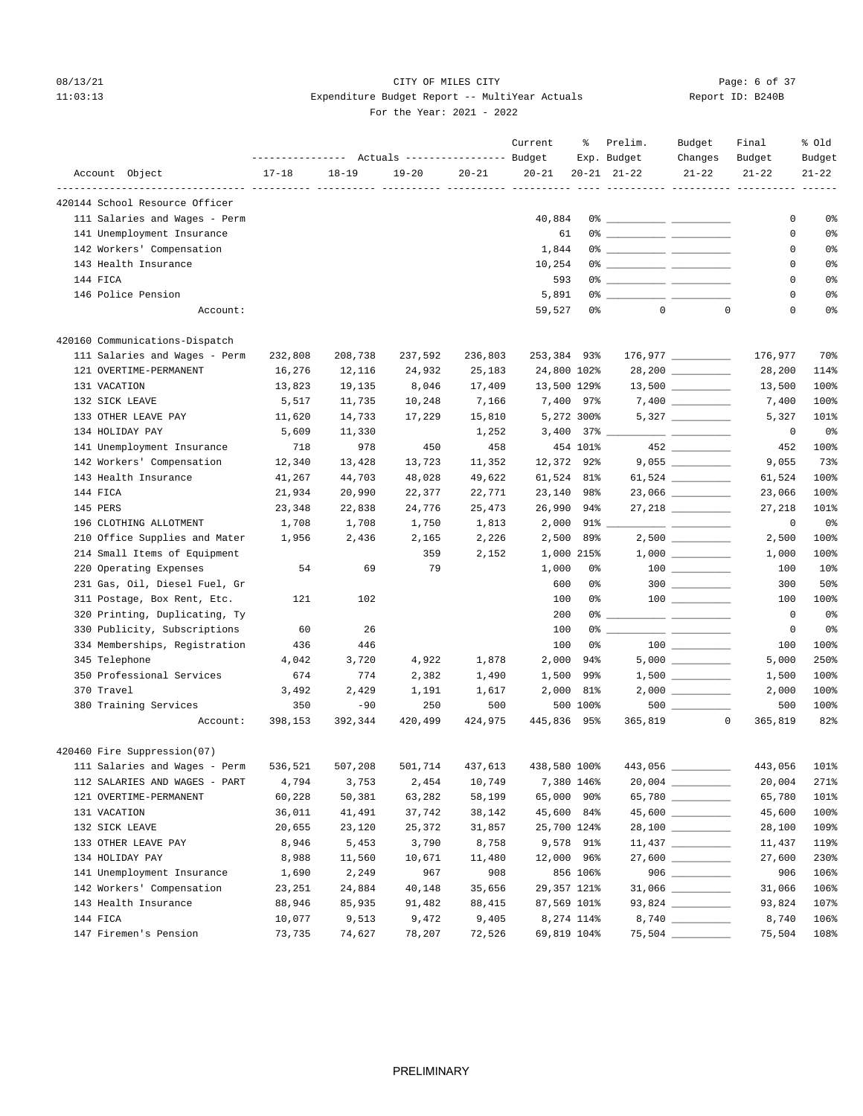## 08/13/21 CITY OF MILES CITY Page: 6 of 37 11:03:13 Expenditure Budget Report -- MultiYear Actuals Report ID: B240B For the Year: 2021 - 2022

|          |                                       |                  |           |                                  |           | Current      | ႜ                     | Prelim.             | Budget                                                                             | Final                  | % Old     |
|----------|---------------------------------------|------------------|-----------|----------------------------------|-----------|--------------|-----------------------|---------------------|------------------------------------------------------------------------------------|------------------------|-----------|
|          |                                       | ---------------- |           | Actuals ----------------- Budget |           |              |                       | Exp. Budget         | Changes                                                                            | Budget                 | Budget    |
|          | Account Object                        | $17 - 18$        | $18 - 19$ | $19 - 20$                        | $20 - 21$ | $20 - 21$    |                       | $20 - 21$ $21 - 22$ | $21 - 22$<br>---- ---------- ---------- --------                                   | $21 - 22$              | $21 - 22$ |
|          | 420144 School Resource Officer        |                  |           |                                  |           |              |                       |                     |                                                                                    |                        |           |
|          | 111 Salaries and Wages - Perm         |                  |           |                                  |           | 40,884       |                       |                     |                                                                                    | 0                      | 0%        |
|          | 141 Unemployment Insurance            |                  |           |                                  |           | 61           |                       |                     |                                                                                    | 0                      | 0%        |
|          | 142 Workers' Compensation             |                  |           |                                  |           | 1,844        |                       |                     |                                                                                    | 0                      | 0%        |
|          | 143 Health Insurance                  |                  |           |                                  |           | 10,254       |                       |                     |                                                                                    | 0                      | 0%        |
|          | 144 FICA                              |                  |           |                                  |           | 593          |                       |                     |                                                                                    | 0                      | 0%        |
|          | 146 Police Pension                    |                  |           |                                  |           | 5,891        |                       |                     |                                                                                    | 0                      | 0%        |
|          | Account:                              |                  |           |                                  |           | 59,527       | 0%                    | $\circ$             |                                                                                    | $\mathbf 0$<br>0       | 0%        |
|          | 420160 Communications-Dispatch        |                  |           |                                  |           |              |                       |                     |                                                                                    |                        |           |
|          | 111 Salaries and Wages - Perm         | 232,808          | 208,738   | 237,592                          | 236,803   | 253,384 93%  |                       |                     | $176,977$ __________                                                               | 176,977                | 70%       |
|          | 121 OVERTIME-PERMANENT                | 16,276           | 12,116    | 24,932                           | 25,183    | 24,800 102%  |                       |                     |                                                                                    | 28,200                 | 114%      |
|          | 131 VACATION                          | 13,823           | 19,135    | 8,046                            | 17,409    | 13,500 129%  |                       |                     | $13,500$ _________                                                                 | 13,500                 | 100%      |
|          | 132 SICK LEAVE                        | 5,517            | 11,735    | 10,248                           | 7,166     |              | 7,400 97%             |                     |                                                                                    | 7,400                  | 100%      |
|          | 133 OTHER LEAVE PAY                   | 11,620           | 14,733    | 17,229                           | 15,810    |              | 5,272 300%            |                     |                                                                                    | 5,327                  | 101%      |
|          | 134 HOLIDAY PAY                       | 5,609            | 11,330    |                                  | 1,252     |              | $3,400$ $37\%$ $\_\_$ |                     |                                                                                    | 0                      | 0%        |
|          | 141 Unemployment Insurance            | 718              | 978       | 450                              | 458       |              | 454 101%              |                     | 452                                                                                | 452                    | 100%      |
|          | 142 Workers' Compensation             | 12,340           | 13,428    | 13,723                           | 11,352    | 12,372       | 92%                   |                     |                                                                                    | 9,055                  | 73%       |
|          | 143 Health Insurance                  | 41,267           | 44,703    | 48,028                           | 49,622    | 61,524 81%   |                       |                     | 61,524 __________                                                                  | 61,524                 | 100%      |
|          | 144 FICA                              | 21,934           | 20,990    | 22,377                           | 22,771    | 23,140       | 98%                   |                     | 23,066 _________                                                                   | 23,066                 | 100%      |
| 145 PERS |                                       | 23,348           | 22,838    | 24,776                           | 25,473    | 26,990       | 94%                   |                     |                                                                                    | 27,218                 | 101%      |
|          | 196 CLOTHING ALLOTMENT                | 1,708            | 1,708     | 1,750                            | 1,813     |              | $2,000$ $91\%$ $\_\_$ |                     | $\overline{\phantom{a}}$ and $\overline{\phantom{a}}$ and $\overline{\phantom{a}}$ | 0                      | 0%        |
|          | 210 Office Supplies and Mater         | 1,956            | 2,436     | 2,165                            | 2,226     | 2,500        | 89%                   |                     |                                                                                    | 2,500                  | 100%      |
|          | 214 Small Items of Equipment          |                  |           | 359                              | 2,152     |              | 1,000 215%            |                     | $1,000$ _________                                                                  | 1,000                  | 100%      |
|          | 220 Operating Expenses                | 54               | 69        | 79                               |           | 1,000        | 0%                    |                     |                                                                                    | 100                    | 10%       |
|          | 231 Gas, Oil, Diesel Fuel, Gr         |                  |           |                                  |           | 600          | 0%                    |                     | $300$                                                                              | 300                    | 50%       |
|          | 311 Postage, Box Rent, Etc.           | 121              | 102       |                                  |           | 100          | 0%                    |                     |                                                                                    | 100                    | 100%      |
|          | 320 Printing, Duplicating, Ty         |                  |           |                                  |           | 200          | 0%                    |                     |                                                                                    | $\circ$                | 0%        |
|          | 330 Publicity, Subscriptions          | 60               | 26        |                                  |           | 100          | 0%                    |                     |                                                                                    | 0                      | 0%        |
|          | 334 Memberships, Registration         | 436              | 446       |                                  |           | 100          | 0%                    |                     |                                                                                    | 100                    | 100%      |
|          | 345 Telephone                         | 4,042            | 3,720     | 4,922                            | 1,878     | 2,000        | 94%                   |                     | $5,000$ __________                                                                 | 5,000                  | 250%      |
|          | 350 Professional Services             | 674              | 774       | 2,382                            | 1,490     | 1,500        | 99%                   |                     |                                                                                    | 1,500                  | 100%      |
|          | 370 Travel                            | 3,492            | 2,429     | 1,191                            | 1,617     | 2,000        | 81%                   |                     |                                                                                    | 2,000                  | 100%      |
|          | 380 Training Services                 | 350              | $-90$     | 250                              | 500       |              | 500 100%              |                     |                                                                                    | 500                    | 100%      |
|          | Account:                              | 398,153          | 392,344   | 420,499                          | 424,975   | 445,836 95%  |                       | 365,819             |                                                                                    | $\mathbf 0$<br>365,819 | 82%       |
|          | 420460 Fire Suppression(07)           |                  |           |                                  |           |              |                       |                     |                                                                                    |                        |           |
|          | 111 Salaries and Wages - Perm 536,521 |                  | 507,208   | 501,714                          | 437,613   | 438,580 100% |                       |                     |                                                                                    | 443,056 101%           |           |
|          | 112 SALARIES AND WAGES - PART         | 4,794            | 3,753     | 2,454                            | 10,749    |              | 7,380 146%            |                     | $20,004$ _________                                                                 | 20,004                 | 271%      |
|          | 121 OVERTIME-PERMANENT                | 60,228           | 50,381    | 63,282                           | 58,199    | 65,000 90%   |                       |                     | 65,780 _________                                                                   | 65,780                 | 101%      |
|          | 131 VACATION                          | 36,011           | 41,491    | 37,742                           | 38,142    | 45,600 84%   |                       |                     | 45,600 _________                                                                   | 45,600                 | 100%      |
|          | 132 SICK LEAVE                        | 20,655           | 23,120    | 25,372                           | 31,857    | 25,700 124%  |                       |                     | 28,100 ________                                                                    | 28,100                 | 109%      |
|          | 133 OTHER LEAVE PAY                   | 8,946            | 5,453     | 3,790                            | 8,758     |              | 9,578 91%             |                     | $11,437$ __________                                                                | 11,437                 | 119%      |
|          | 134 HOLIDAY PAY                       | 8,988            | 11,560    | 10,671                           | 11,480    | 12,000 96%   |                       |                     | $27,600$ __________                                                                | 27,600                 | 230%      |
|          | 141 Unemployment Insurance            | 1,690            | 2,249     | 967                              | 908       |              | 856 106%              |                     |                                                                                    | 906                    | 106%      |
|          | 142 Workers' Compensation             | 23,251           | 24,884    | 40,148                           | 35,656    | 29,357 121%  |                       |                     |                                                                                    | 31,066                 | 106%      |
|          | 143 Health Insurance                  | 88,946           | 85,935    | 91,482                           | 88,415    | 87,569 101%  |                       |                     |                                                                                    | 93,824                 | 107%      |
|          | 144 FICA                              | 10,077           | 9,513     | 9,472                            | 9,405     |              | 8,274 114%            |                     |                                                                                    | 8,740                  | 106%      |
|          | 147 Firemen's Pension                 | 73,735           | 74,627    | 78,207                           | 72,526    | 69,819 104%  |                       |                     |                                                                                    | 75,504                 | 108%      |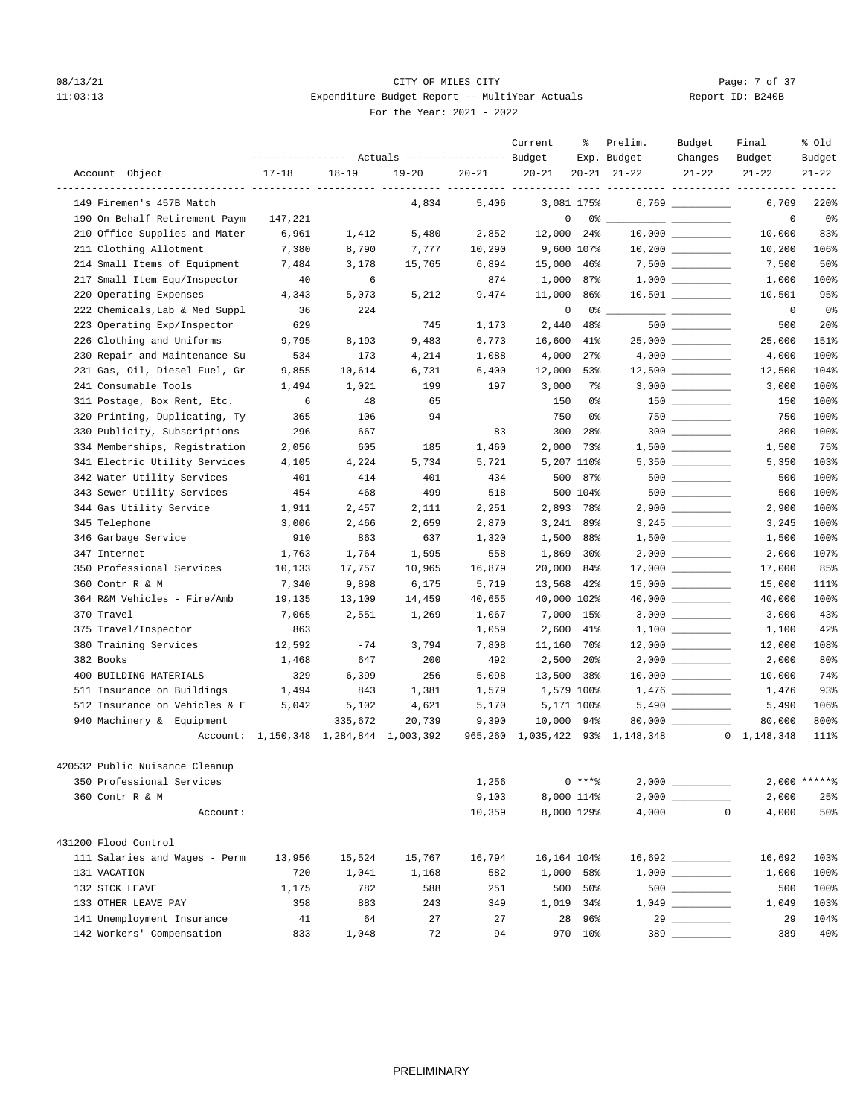# 08/13/21 CITY OF MILES CITY CHECK CITY CONTROL Page: 7 of 37 11:03:13 Expenditure Budget Report -- MultiYear Actuals For the Year: 2021 - 2022

| Report ID: B240B |
|------------------|
|------------------|

|                                                             |                                        |           | --------------- Actuals ---------------- Budget |           | Current     | ఄ               | Prelim.<br>Exp. Budget          | Budget<br>Changes                      | Final<br>Budget     | % Old<br>Budget |
|-------------------------------------------------------------|----------------------------------------|-----------|-------------------------------------------------|-----------|-------------|-----------------|---------------------------------|----------------------------------------|---------------------|-----------------|
| Account Object                                              | $17 - 18$                              | $18 - 19$ | 19-20                                           | $20 - 21$ | $20 - 21$   |                 | $20 - 21$ $21 - 22$             | $21 - 22$                              | $21 - 22$           | $21 - 22$       |
| ---------------- ---------- ---<br>149 Firemen's 457B Match |                                        |           | 4,834                                           | 5,406     |             | 3,081 175%      | ---------- ---------- --------- |                                        | 6,769               | 220%            |
| 190 On Behalf Retirement Paym                               | 147,221                                |           |                                                 |           | $\mathbf 0$ |                 |                                 |                                        | $\mathbf 0$         | 0%              |
| 210 Office Supplies and Mater                               | 6,961                                  | 1,412     | 5,480                                           | 2,852     | 12,000      | 24%             |                                 |                                        | 10,000              | 83%             |
| 211 Clothing Allotment                                      | 7,380                                  | 8,790     | 7,777                                           | 10,290    |             | 9,600 107%      |                                 |                                        | 10,200              | 106%            |
| 214 Small Items of Equipment                                | 7,484                                  | 3,178     | 15,765                                          | 6,894     | 15,000      | 46%             |                                 | 7,500 _________                        | 7,500               | 50%             |
| 217 Small Item Equ/Inspector                                | -40                                    | 6         |                                                 | 874       | 1,000       | 87%             |                                 | $1,000$ __________                     | 1,000               | 100%            |
| 220 Operating Expenses                                      | 4,343                                  | 5,073     | 5,212                                           | 9,474     | 11,000      | 86%             |                                 |                                        | 10,501              | 95%             |
| 222 Chemicals, Lab & Med Suppl                              | 36                                     | 224       |                                                 |           | $\mathbf 0$ | 0 %             |                                 |                                        | 0                   | 0%              |
| 223 Operating Exp/Inspector                                 | 629                                    |           | 745                                             | 1,173     | 2,440       | 48%             |                                 |                                        | 500                 | 20 <sup>8</sup> |
| 226 Clothing and Uniforms                                   | 9,795                                  | 8,193     | 9,483                                           | 6,773     | 16,600      | 41%             |                                 |                                        | 25,000              | 151%            |
| 230 Repair and Maintenance Su                               | 534                                    | 173       | 4,214                                           | 1,088     | 4,000       | 27%             |                                 |                                        | 4,000               | 100%            |
| 231 Gas, Oil, Diesel Fuel, Gr                               | 9,855                                  | 10,614    | 6,731                                           | 6,400     | 12,000      | 53%             |                                 | $12,500$ _________                     | 12,500              | 104%            |
| 241 Consumable Tools                                        | 1,494                                  | 1,021     | 199                                             | 197       | 3,000       | 7%              |                                 |                                        | 3,000               | 100%            |
| 311 Postage, Box Rent, Etc.                                 | 6                                      | 48        | 65                                              |           | 150         | 0%              |                                 | $\begin{tabular}{c} 150 \end{tabular}$ | 150                 | 100%            |
| 320 Printing, Duplicating, Ty                               | 365                                    | 106       | $-94$                                           |           | 750         | 0%              |                                 |                                        | 750                 | 100%            |
| 330 Publicity, Subscriptions                                | 296                                    | 667       |                                                 | 83        | 300         | 28%             |                                 | $300$                                  | 300                 | 100%            |
| 334 Memberships, Registration                               | 2,056                                  | 605       | 185                                             | 1,460     | 2,000       | 73%             |                                 |                                        | 1,500               | 75%             |
| 341 Electric Utility Services                               | 4,105                                  | 4,224     | 5,734                                           | 5,721     |             | 5,207 110%      |                                 | $5,350$ _________                      | 5,350               | 103%            |
| 342 Water Utility Services                                  | 401                                    | 414       | 401                                             | 434       | 500         | 87%             |                                 | $500$                                  | 500                 | 100%            |
| 343 Sewer Utility Services                                  | 454                                    | 468       | 499                                             | 518       |             | 500 104%        |                                 |                                        | 500                 | 100%            |
| 344 Gas Utility Service                                     | 1,911                                  | 2,457     | 2,111                                           | 2,251     | 2,893       | 78%             |                                 | $2,900$ _________                      | 2,900               | 100%            |
| 345 Telephone                                               | 3,006                                  | 2,466     | 2,659                                           | 2,870     | 3,241       | 89%             |                                 |                                        | 3,245               | 100%            |
| 346 Garbage Service                                         | 910                                    | 863       | 637                                             | 1,320     | 1,500       | 88%             |                                 |                                        | 1,500               | 100%            |
| 347 Internet                                                | 1,763                                  | 1,764     | 1,595                                           | 558       | 1,869       | 30 <sup>8</sup> |                                 |                                        | 2,000               | 107%            |
| 350 Professional Services                                   | 10,133                                 | 17,757    | 10,965                                          | 16,879    | 20,000      | 84%             |                                 |                                        | 17,000              | 85%             |
| 360 Contr R & M                                             | 7,340                                  | 9,898     | 6,175                                           | 5,719     | 13,568      | 42%             |                                 | $15,000$ _________                     | 15,000              | 111%            |
| 364 R&M Vehicles - Fire/Amb                                 | 19,135                                 | 13,109    | 14,459                                          | 40,655    | 40,000 102% |                 |                                 |                                        | 40,000              | 100%            |
| 370 Travel                                                  | 7,065                                  | 2,551     | 1,269                                           | 1,067     | 7,000       | 15%             |                                 |                                        | 3,000               | 43%             |
| 375 Travel/Inspector                                        | 863                                    |           |                                                 | 1,059     | 2,600       | 41%             |                                 | $1,100$                                | 1,100               | 42%             |
| 380 Training Services                                       | 12,592                                 | $-74$     | 3,794                                           | 7,808     | 11,160      | 70%             |                                 | $12,000$ _________                     | 12,000              | 108%            |
| 382 Books                                                   | 1,468                                  | 647       | 200                                             | 492       | 2,500       | 20%             |                                 | $2,000$ __________                     | 2,000               | 80%             |
| 400 BUILDING MATERIALS                                      | 329                                    | 6,399     | 256                                             | 5,098     | 13,500 38%  |                 |                                 | $10,000$ _________                     | 10,000              | 74%             |
| 511 Insurance on Buildings                                  | 1,494                                  | 843       | 1,381                                           | 1,579     |             | 1,579 100%      |                                 |                                        | 1,476               | 93%             |
| 512 Insurance on Vehicles & E                               | 5,042                                  | 5,102     | 4,621                                           | 5,170     |             | 5,171 100%      |                                 | $5,490$                                | 5,490               | 106%            |
| 940 Machinery & Equipment                                   |                                        | 335,672   | 20,739                                          | 9,390     | 10,000      | 94%             |                                 |                                        | 80,000              | 800%            |
|                                                             | Account: 1,150,348 1,284,844 1,003,392 |           |                                                 | 965,260   |             |                 | 1,035,422 93% 1,148,348         |                                        | $0 \quad 1,148,348$ | 111%            |
| 420532 Public Nuisance Cleanup                              |                                        |           |                                                 |           |             |                 |                                 |                                        |                     |                 |
| 350 Professional Services                                   |                                        |           |                                                 | 1,256     |             | $0***$ ?        |                                 |                                        |                     | $2,000$ ******  |
| 360 Contr R & M                                             |                                        |           |                                                 | 9,103     |             | 8,000 114%      |                                 |                                        | 2,000               | 25%             |
| Account:                                                    |                                        |           |                                                 | 10,359    |             | 8,000 129%      | 4,000                           | $\Omega$                               | 4,000               | 50%             |
| 431200 Flood Control                                        |                                        |           |                                                 |           |             |                 |                                 |                                        |                     |                 |
| 111 Salaries and Wages - Perm                               | 13,956                                 | 15,524    | 15,767                                          | 16,794    | 16,164 104% |                 |                                 | $16,692$ _________                     | 16,692              | 103%            |
| 131 VACATION                                                | 720                                    | 1,041     | 1,168                                           | 582       | 1,000       | 58%             |                                 |                                        | 1,000               | 100%            |
| 132 SICK LEAVE                                              | 1,175                                  | 782       | 588                                             | 251       | 500         | 50%             |                                 |                                        | 500                 | 100%            |
| 133 OTHER LEAVE PAY                                         | 358                                    | 883       | 243                                             | 349       |             | 1,019 34%       |                                 |                                        | 1,049               | 103%            |
| 141 Unemployment Insurance                                  | 41                                     | 64        | 27                                              | 27        | 28          | 96%             |                                 |                                        | 29                  | 104%            |
| 142 Workers' Compensation                                   | 833                                    | 1,048     | 72                                              | 94        |             | 970 10%         |                                 | $\begin{array}{c}\n 389 \end{array}$   | 389                 | 40%             |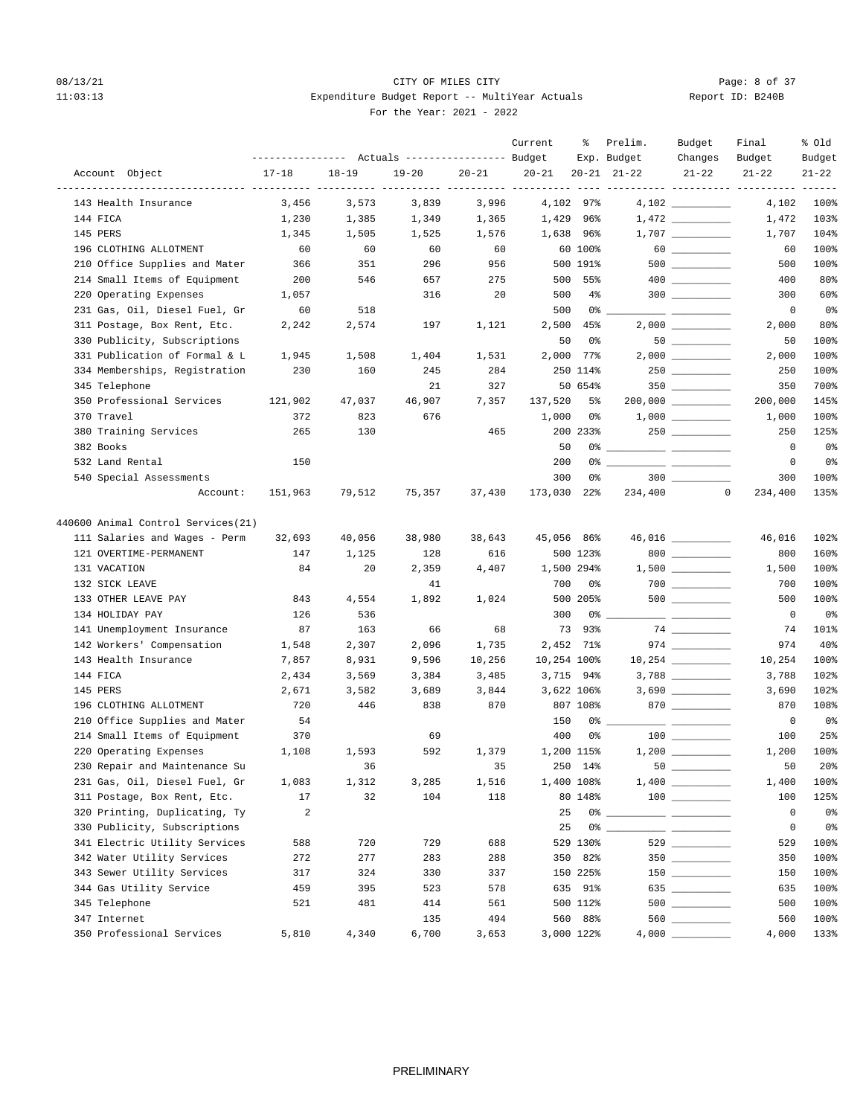# 08/13/21 CITY OF MILES CITY CHECK CITY CONTROL Page: 8 of 37 11:03:13 Expenditure Budget Report -- MultiYear Actuals For the Year: 2021 - 2022

| Report ID: B240B |  |  |
|------------------|--|--|
|                  |  |  |

|                                    |           |           | Actuals ----------------- Budget |           | Current     | ႜ          | Prelim.<br>Exp. Budget | Budget<br>Changes    | Final<br>Budget                 | % old<br>Budget |
|------------------------------------|-----------|-----------|----------------------------------|-----------|-------------|------------|------------------------|----------------------|---------------------------------|-----------------|
| Account Object                     | $17 - 18$ | $18 - 19$ | $19 - 20$                        | $20 - 21$ | $20 - 21$   |            | $20 - 21$ $21 - 22$    | $21 - 22$            | $21 - 22$                       | $21 - 22$       |
| 143 Health Insurance               | 3,456     | 3,573     | 3,839                            | 3,996     | ----------  | 4,102 97%  |                        |                      | ----------- ----------<br>4,102 | 100%            |
| 144 FICA                           | 1,230     | 1,385     | 1,349                            | 1,365     | 1,429       | 96%        |                        |                      | 1,472                           | 103%            |
| 145 PERS                           | 1,345     | 1,505     | 1,525                            | 1,576     | 1,638       | 96%        |                        |                      | 1,707                           | 104%            |
| 196 CLOTHING ALLOTMENT             | 60        | 60        | 60                               | 60        |             | 60 100%    |                        |                      | 60                              | 100%            |
| 210 Office Supplies and Mater      | 366       | 351       | 296                              | 956       |             | 500 191%   |                        |                      | 500                             | 100%            |
| 214 Small Items of Equipment       | 200       | 546       | 657                              | 275       | 500         | 55%        |                        | $400$ _________      | 400                             | 80%             |
| 220 Operating Expenses             | 1,057     |           | 316                              | 20        | 500         | $4\%$      |                        | $300$                | 300                             | 60%             |
| 231 Gas, Oil, Diesel Fuel, Gr      | 60        | 518       |                                  |           | 500         | 0%         |                        |                      | $\mathbf 0$                     | 0%              |
| 311 Postage, Box Rent, Etc.        | 2,242     | 2,574     | 197                              | 1,121     | 2,500       | 45%        |                        |                      | 2,000                           | 80%             |
| 330 Publicity, Subscriptions       |           |           |                                  |           | 50          | 0%         |                        |                      | 50                              | 100%            |
| 331 Publication of Formal & L      | 1,945     | 1,508     | 1,404                            | 1,531     | 2,000       | 77%        |                        |                      | 2,000                           | 100%            |
| 334 Memberships, Registration      | 230       | 160       | 245                              | 284       |             | 250 114%   |                        |                      | 250                             | 100%            |
| 345 Telephone                      |           |           | 21                               | 327       |             | 50 654%    |                        |                      | 350                             | 700%            |
| 350 Professional Services          | 121,902   | 47,037    | 46,907                           | 7,357     | 137,520     | 5%         |                        | $200,000$ __________ | 200,000                         | 145%            |
| 370 Travel                         | 372       | 823       | 676                              |           | 1,000       | 0%         |                        |                      | 1,000                           | 100%            |
| 380 Training Services              | 265       | 130       |                                  | 465       |             | 200 233%   |                        | 250                  | 250                             | 125%            |
| 382 Books                          |           |           |                                  |           | 50          | 0%         |                        |                      | 0                               | 0%              |
| 532 Land Rental                    | 150       |           |                                  |           | 200         | 0%         |                        |                      | 0                               | 0 <sup>o</sup>  |
| 540 Special Assessments            |           |           |                                  |           | 300         | 0%         |                        | $300$                | 300                             | 100%            |
| Account:                           | 151,963   | 79,512    | 75,357                           | 37,430    | 173,030     | 22%        | 234,400                |                      | $\mathbf 0$<br>234,400          | 135%            |
| 440600 Animal Control Services(21) |           |           |                                  |           |             |            |                        |                      |                                 |                 |
| 111 Salaries and Wages - Perm      | 32,693    | 40,056    | 38,980                           | 38,643    | 45,056 86%  |            |                        | 46,016 _________     | 46,016                          | 102%            |
| 121 OVERTIME-PERMANENT             | 147       | 1,125     | 128                              | 616       |             | 500 123%   |                        | 800                  | 800                             | 160%            |
| 131 VACATION                       | 84        | 20        | 2,359                            | 4,407     |             | 1,500 294% |                        |                      | 1,500                           | 100%            |
| 132 SICK LEAVE                     |           |           | 41                               |           | 700         | 0%         |                        | $700$ _________      | 700                             | 100%            |
| 133 OTHER LEAVE PAY                | 843       | 4,554     | 1,892                            | 1,024     |             | 500 205%   |                        |                      | 500                             | 100%            |
| 134 HOLIDAY PAY                    | 126       | 536       |                                  |           | 300         | 0%         |                        | ___ ____________     | $\circ$                         | 0 <sup>o</sup>  |
| 141 Unemployment Insurance         | 87        | 163       | 66                               | 68        | 73          | 93%        |                        |                      | 74                              | 101%            |
| 142 Workers' Compensation          | 1,548     | 2,307     | 2,096                            | 1,735     |             | 2,452 71%  |                        |                      | 974                             | 40%             |
| 143 Health Insurance               | 7,857     | 8,931     | 9,596                            | 10,256    | 10,254 100% |            |                        | $10,254$ __________  | 10,254                          | 100%            |
| 144 FICA                           | 2,434     | 3,569     | 3,384                            | 3,485     |             | 3,715 94%  |                        |                      | 3,788                           | 102%            |
| 145 PERS                           | 2,671     | 3,582     | 3,689                            | 3,844     |             | 3,622 106% |                        |                      | 3,690                           | 102%            |
| 196 CLOTHING ALLOTMENT             | 720       | 446       | 838                              | 870       |             | 807 108%   |                        | $870$ ________       | 870                             | 108%            |
| 210 Office Supplies and Mater      | 54        |           |                                  |           | 150         | 0%         |                        |                      | 0                               | 0%              |
| 214 Small Items of Equipment       | 370       |           | 69                               |           | 400         | 0%         |                        |                      | 100                             | 25%             |
| 220 Operating Expenses             | 1,108     | 1,593     | 592                              | 1,379     |             | 1,200 115% |                        |                      | 1,200                           | 100%            |
| 230 Repair and Maintenance Su      |           | 36        |                                  | 35        |             | 250 14%    | $50$ $\qquad$          |                      | 50                              | 20%             |
| 231 Gas, Oil, Diesel Fuel, Gr      | 1,083     | 1,312     | 3,285                            | 1,516     |             | 1,400 108% |                        |                      | 1,400                           | 100%            |
| 311 Postage, Box Rent, Etc.        | 17        | 32        | 104                              | 118       |             | 80 148%    |                        |                      | 100                             | 125%            |
| 320 Printing, Duplicating, Ty      | 2         |           |                                  |           | 25          | 0%         |                        |                      | 0                               | 0%              |
| 330 Publicity, Subscriptions       |           |           |                                  |           | 25          |            | 0 %                    |                      | 0                               | 0%              |
| 341 Electric Utility Services      | 588       | 720       | 729                              | 688       |             | 529 130%   |                        |                      | 529                             | 100%            |
| 342 Water Utility Services         | 272       | 277       | 283                              | 288       | 350         | 82%        |                        |                      | 350                             | 100%            |
| 343 Sewer Utility Services         | 317       | 324       | 330                              | 337       |             | 150 225%   |                        |                      | 150                             | 100%            |
| 344 Gas Utility Service            | 459       | 395       | 523                              | 578       |             | 635 91%    |                        | 635 __________       | 635                             | 100%            |
| 345 Telephone                      | 521       | 481       | 414                              | 561       |             | 500 112%   |                        |                      | 500                             | 100%            |
| 347 Internet                       |           |           | 135                              | 494       |             | 560 88%    |                        |                      | 560                             | 100%            |
| 350 Professional Services          | 5,810     | 4,340     | 6,700                            | 3,653     |             | 3,000 122% |                        |                      | 4,000                           | 133%            |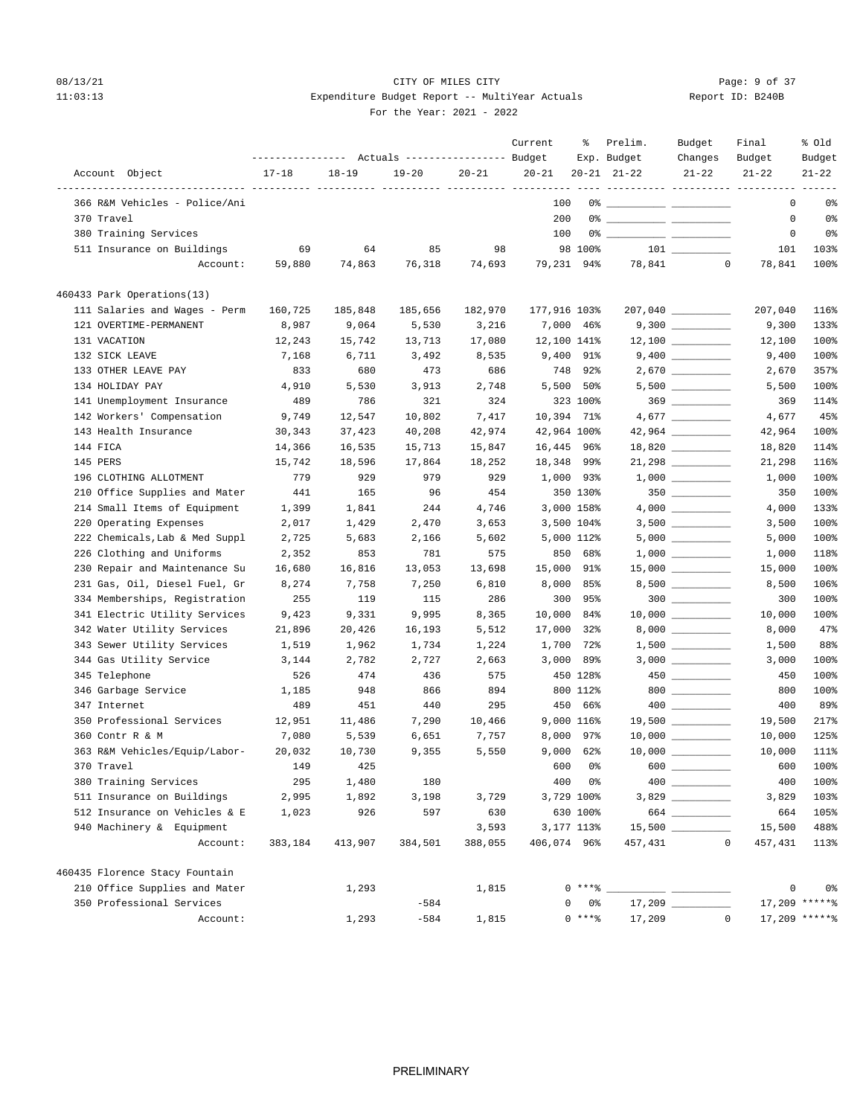## 08/13/21 CITY OF MILES CITY CHECK CITY CONTROL Page: 9 of 37 11:03:13 Expenditure Budget Report -- MultiYear Actuals For the Year: 2021 - 2022

| Report ID: B240B |  |  |  |  |
|------------------|--|--|--|--|
|------------------|--|--|--|--|

|                                |           |           | Actuals ----------------- Budget |           | Current      | ႜ           | Prelim.<br>Exp. Budget                                                                                                                                                                                                                                                                                                 | Budget<br>Changes  | Final<br>Budget | % old<br>Budget |
|--------------------------------|-----------|-----------|----------------------------------|-----------|--------------|-------------|------------------------------------------------------------------------------------------------------------------------------------------------------------------------------------------------------------------------------------------------------------------------------------------------------------------------|--------------------|-----------------|-----------------|
| Account Object                 | $17 - 18$ | $18 - 19$ | $19 - 20$                        | $20 - 21$ | $20 - 21$    |             | $20 - 21$ $21 - 22$                                                                                                                                                                                                                                                                                                    | $21 - 22$          | $21 - 22$       | $21 - 22$       |
|                                |           |           |                                  |           |              |             |                                                                                                                                                                                                                                                                                                                        |                    |                 |                 |
| 366 R&M Vehicles - Police/Ani  |           |           |                                  |           | 100          |             |                                                                                                                                                                                                                                                                                                                        |                    | 0               | 0%              |
| 370 Travel                     |           |           |                                  |           | 200          |             | $0$ $\frac{1}{2}$ $\frac{1}{2}$ $\frac{1}{2}$ $\frac{1}{2}$ $\frac{1}{2}$ $\frac{1}{2}$ $\frac{1}{2}$ $\frac{1}{2}$ $\frac{1}{2}$ $\frac{1}{2}$ $\frac{1}{2}$ $\frac{1}{2}$ $\frac{1}{2}$ $\frac{1}{2}$ $\frac{1}{2}$ $\frac{1}{2}$ $\frac{1}{2}$ $\frac{1}{2}$ $\frac{1}{2}$ $\frac{1}{2}$ $\frac{1}{2}$ $\frac{1}{2$ |                    | 0               | 0%              |
| 380 Training Services          |           |           |                                  |           | 100          |             |                                                                                                                                                                                                                                                                                                                        |                    | 0               | 0%              |
| 511 Insurance on Buildings     | 69        | 64        | 85                               | 98        |              | 98 100%     |                                                                                                                                                                                                                                                                                                                        |                    | 101             | 103%            |
| Account:                       | 59,880    | 74,863    | 76,318                           | 74,693    | 79,231 94%   |             |                                                                                                                                                                                                                                                                                                                        | 78,841 0           | 78,841          | 100%            |
| 460433 Park Operations(13)     |           |           |                                  |           |              |             |                                                                                                                                                                                                                                                                                                                        |                    |                 |                 |
| 111 Salaries and Wages - Perm  | 160,725   | 185,848   | 185,656                          | 182,970   | 177,916 103% |             |                                                                                                                                                                                                                                                                                                                        | 207,040 ________   | 207,040         | 116%            |
| 121 OVERTIME-PERMANENT         | 8,987     | 9,064     | 5,530                            | 3,216     |              | 7,000 46%   |                                                                                                                                                                                                                                                                                                                        |                    | 9,300           | 133%            |
| 131 VACATION                   | 12,243    | 15,742    | 13,713                           | 17,080    | 12,100 141%  |             |                                                                                                                                                                                                                                                                                                                        |                    | 12,100          | 100%            |
| 132 SICK LEAVE                 | 7,168     | 6,711     | 3,492                            | 8,535     |              | 9,400 91%   |                                                                                                                                                                                                                                                                                                                        |                    | 9,400           | 100%            |
| 133 OTHER LEAVE PAY            | 833       | 680       | 473                              | 686       | 748          | 92%         |                                                                                                                                                                                                                                                                                                                        |                    | 2,670           | 357%            |
| 134 HOLIDAY PAY                | 4,910     | 5,530     | 3,913                            | 2,748     |              | 5,500 50%   |                                                                                                                                                                                                                                                                                                                        | $5,500$ _________  | 5,500           | 100%            |
| 141 Unemployment Insurance     | 489       | 786       | 321                              | 324       |              | 323 100%    |                                                                                                                                                                                                                                                                                                                        | $369$ _________    | 369             | 114%            |
| 142 Workers' Compensation      | 9,749     | 12,547    | 10,802                           | 7,417     | 10,394 71%   |             |                                                                                                                                                                                                                                                                                                                        |                    | 4,677           | 45%             |
| 143 Health Insurance           | 30,343    | 37,423    | 40,208                           | 42,974    |              | 42,964 100% |                                                                                                                                                                                                                                                                                                                        | 42,964 _________   | 42,964          | 100%            |
| 144 FICA                       | 14,366    | 16,535    | 15,713                           | 15,847    | 16,445 96%   |             |                                                                                                                                                                                                                                                                                                                        |                    | 18,820          | 114%            |
| 145 PERS                       | 15,742    | 18,596    | 17,864                           | 18,252    | 18,348 99%   |             |                                                                                                                                                                                                                                                                                                                        | $21,298$ _________ | 21,298          | 116%            |
| 196 CLOTHING ALLOTMENT         | 779       | 929       | 979                              | 929       |              | 1,000 93%   |                                                                                                                                                                                                                                                                                                                        |                    | 1,000           | 100%            |
| 210 Office Supplies and Mater  | 441       | 165       | 96                               | 454       |              | 350 130%    |                                                                                                                                                                                                                                                                                                                        | $350$ _________    | 350             | 100%            |
| 214 Small Items of Equipment   | 1,399     | 1,841     | 244                              | 4,746     |              | 3,000 158%  |                                                                                                                                                                                                                                                                                                                        |                    | 4,000           | 133%            |
| 220 Operating Expenses         | 2,017     | 1,429     | 2,470                            | 3,653     |              | 3,500 104%  |                                                                                                                                                                                                                                                                                                                        |                    | 3,500           | 100%            |
| 222 Chemicals, Lab & Med Suppl | 2,725     | 5,683     | 2,166                            | 5,602     |              | 5,000 112%  |                                                                                                                                                                                                                                                                                                                        | $5,000$ _________  | 5,000           | 100%            |
| 226 Clothing and Uniforms      | 2,352     | 853       | 781                              | 575       |              | 850 68%     |                                                                                                                                                                                                                                                                                                                        |                    | 1,000           | 118%            |
| 230 Repair and Maintenance Su  | 16,680    | 16,816    | 13,053                           | 13,698    | 15,000       | 91%         |                                                                                                                                                                                                                                                                                                                        |                    | 15,000          | 100%            |
| 231 Gas, Oil, Diesel Fuel, Gr  | 8,274     | 7,758     | 7,250                            | 6,810     | 8,000        | 85%         |                                                                                                                                                                                                                                                                                                                        | $8,500$ __________ | 8,500           | 106%            |
| 334 Memberships, Registration  | 255       | 119       | 115                              | 286       | 300          | 95%         |                                                                                                                                                                                                                                                                                                                        | $300$              | 300             | 100%            |
| 341 Electric Utility Services  | 9,423     | 9,331     | 9,995                            | 8,365     | 10,000       | 84%         |                                                                                                                                                                                                                                                                                                                        | $10,000$ _________ | 10,000          | 100%            |
| 342 Water Utility Services     | 21,896    | 20,426    | 16,193                           | 5,512     | 17,000       | 32%         |                                                                                                                                                                                                                                                                                                                        |                    | 8,000           | 47%             |
| 343 Sewer Utility Services     | 1,519     | 1,962     | 1,734                            | 1,224     | 1,700        | 72%         |                                                                                                                                                                                                                                                                                                                        |                    | 1,500           | 88%             |
| 344 Gas Utility Service        | 3,144     | 2,782     | 2,727                            | 2,663     | 3,000        | 89%         |                                                                                                                                                                                                                                                                                                                        |                    | 3,000           | 100%            |
| 345 Telephone                  | 526       | 474       | 436                              | 575       |              | 450 128%    |                                                                                                                                                                                                                                                                                                                        | $450$ ________     | 450             | 100%            |
| 346 Garbage Service            | 1,185     | 948       | 866                              | 894       |              | 800 112%    |                                                                                                                                                                                                                                                                                                                        | $800$              | 800             | 100%            |
| 347 Internet                   | 489       | 451       | 440                              | 295       |              | 450 66%     |                                                                                                                                                                                                                                                                                                                        | $400$ _________    | 400             | 89%             |
| 350 Professional Services      | 12,951    | 11,486    | 7,290                            | 10,466    |              | 9,000 116%  |                                                                                                                                                                                                                                                                                                                        | $19,500$ _________ | 19,500          | 217%            |
| 360 Contr R & M                | 7,080     | 5,539     | 6,651                            | 7,757     | 8,000        | 97%         |                                                                                                                                                                                                                                                                                                                        |                    | 10,000          | 125%            |
| 363 R&M Vehicles/Equip/Labor-  | 20,032    | 10,730    | 9,355                            | 5,550     |              | $9,000$ 62% |                                                                                                                                                                                                                                                                                                                        |                    | 10,000          | 111%            |
| 370 Travel                     | 149       | 425       |                                  |           |              | 600 0%      | $600$ $\_\_$                                                                                                                                                                                                                                                                                                           |                    | 600             | 100%            |
| 380 Training Services          | 295       | 1,480     | 180                              |           | 400          | 0%          |                                                                                                                                                                                                                                                                                                                        | 400                | 400             | 100%            |
| 511 Insurance on Buildings     | 2,995     | 1,892     | 3,198                            | 3,729     |              | 3,729 100%  |                                                                                                                                                                                                                                                                                                                        |                    | 3,829           | 103%            |
| 512 Insurance on Vehicles & E  | 1,023     | 926       | 597                              | 630       |              | 630 100%    |                                                                                                                                                                                                                                                                                                                        | 664                | 664             | 105%            |
| 940 Machinery & Equipment      |           |           |                                  | 3,593     |              | 3,177 113%  |                                                                                                                                                                                                                                                                                                                        |                    | 15,500          | 488%            |
| Account:                       | 383,184   | 413,907   | 384,501                          | 388,055   | 406,074 96%  |             | 457,431                                                                                                                                                                                                                                                                                                                | $\mathbb O$        | 457,431         | 113%            |
|                                |           |           |                                  |           |              |             |                                                                                                                                                                                                                                                                                                                        |                    |                 |                 |
| 460435 Florence Stacy Fountain |           |           |                                  |           |              |             |                                                                                                                                                                                                                                                                                                                        |                    |                 |                 |
| 210 Office Supplies and Mater  |           | 1,293     |                                  | 1,815     |              | $0***$ %    |                                                                                                                                                                                                                                                                                                                        |                    | 0               | 0%              |
| 350 Professional Services      |           |           | $-584$                           |           |              | 0%          |                                                                                                                                                                                                                                                                                                                        |                    |                 | 17,209 ******   |
| Account:                       |           | 1,293     | $-584$                           | 1,815     |              | $0***8$     | 17,209                                                                                                                                                                                                                                                                                                                 | $\mathbb O$        |                 | $17,209$ *****% |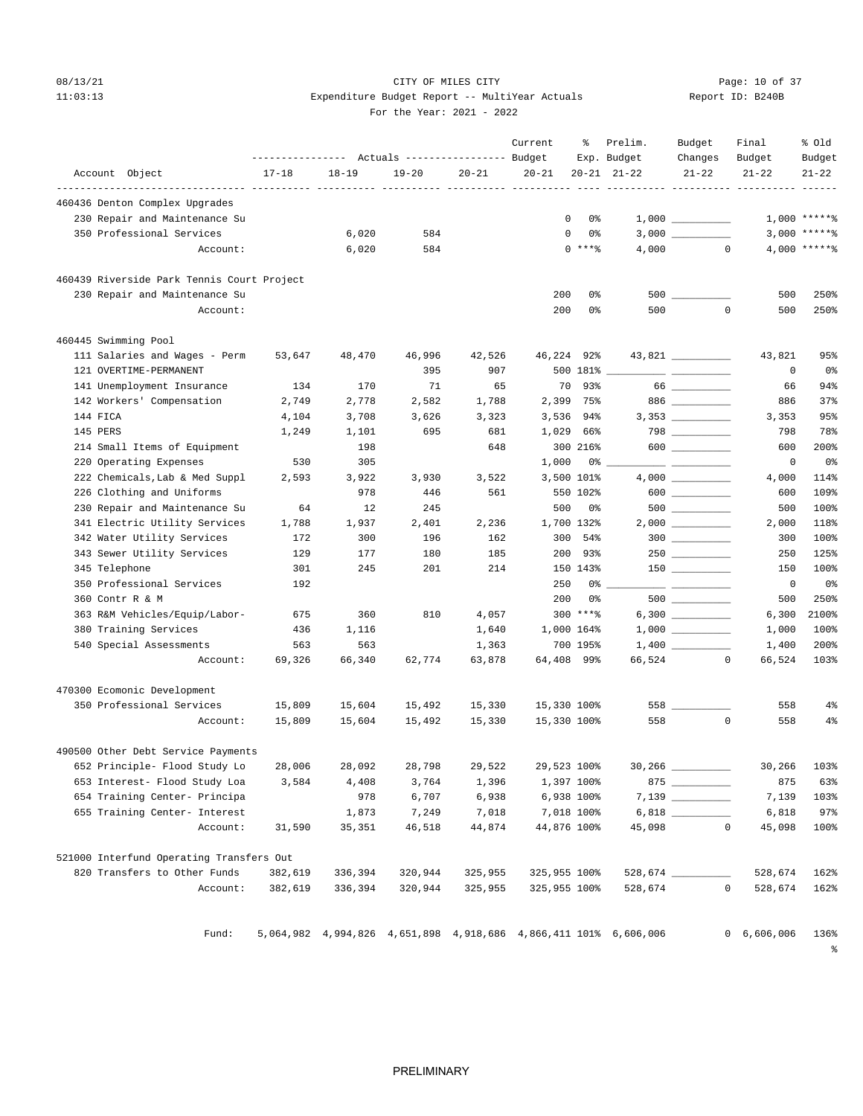## 08/13/21 Page: 10 of 37 11:03:13 Expenditure Budget Report -- MultiYear Actuals For the Year: 2021 - 2022

|                                            |           |           | ---------------    Actuals ----------------    Budget |           | Current               | ႜ                | Prelim.<br>Exp. Budget                                           | Budget<br>Changes                                                                                                                                                                                                                                                                                                                                   | Final<br>Budget | % old<br>Budget       |
|--------------------------------------------|-----------|-----------|-------------------------------------------------------|-----------|-----------------------|------------------|------------------------------------------------------------------|-----------------------------------------------------------------------------------------------------------------------------------------------------------------------------------------------------------------------------------------------------------------------------------------------------------------------------------------------------|-----------------|-----------------------|
| Account Object                             | $17 - 18$ | $18 - 19$ | $19 - 20$                                             | $20 - 21$ | $20 - 21$             |                  | $20 - 21$ $21 - 22$                                              | $21 - 22$                                                                                                                                                                                                                                                                                                                                           | $21 - 22$       | $21 - 22$             |
| 460436 Denton Complex Upgrades             |           |           |                                                       |           | ----- ---------- ---- |                  |                                                                  |                                                                                                                                                                                                                                                                                                                                                     |                 |                       |
| 230 Repair and Maintenance Su              |           |           |                                                       |           |                       | $^{\circ}$<br>0% |                                                                  |                                                                                                                                                                                                                                                                                                                                                     |                 | $1,000$ *****%        |
| 350 Professional Services                  |           | 6,020     | 584                                                   |           | 0                     | 0 %              |                                                                  |                                                                                                                                                                                                                                                                                                                                                     |                 | $3,000$ *****%        |
| Account:                                   |           | 6,020     | 584                                                   |           |                       | $0***8$          | 4,000                                                            | $\circ$                                                                                                                                                                                                                                                                                                                                             |                 | $4,000$ ***** \$      |
| 460439 Riverside Park Tennis Court Project |           |           |                                                       |           |                       |                  |                                                                  |                                                                                                                                                                                                                                                                                                                                                     |                 |                       |
| 230 Repair and Maintenance Su              |           |           |                                                       |           | 200                   | 0%               |                                                                  | 500 000                                                                                                                                                                                                                                                                                                                                             | 500             | 250%                  |
| Account:                                   |           |           |                                                       |           | 200                   | 0%               | 500                                                              | $\mathbf 0$                                                                                                                                                                                                                                                                                                                                         | 500             | 250%                  |
| 460445 Swimming Pool                       |           |           |                                                       |           |                       |                  |                                                                  |                                                                                                                                                                                                                                                                                                                                                     |                 |                       |
| 111 Salaries and Wages - Perm              | 53,647    | 48,470    | 46,996                                                | 42,526    | 46,224 92%            |                  |                                                                  |                                                                                                                                                                                                                                                                                                                                                     | 43,821          | 95%                   |
| 121 OVERTIME-PERMANENT                     |           |           | 395                                                   | 907       |                       | 500 181%         |                                                                  |                                                                                                                                                                                                                                                                                                                                                     | 0               | 0%                    |
| 141 Unemployment Insurance                 | 134       | 170       | 71                                                    | 65        | 70                    | 93%              |                                                                  | 66                                                                                                                                                                                                                                                                                                                                                  | 66              | 94%                   |
| 142 Workers' Compensation                  | 2,749     | 2,778     | 2,582                                                 | 1,788     |                       | 2,399 75%        |                                                                  | $886$                                                                                                                                                                                                                                                                                                                                               | 886             | 37%                   |
| 144 FICA                                   | 4,104     | 3,708     | 3,626                                                 | 3,323     | 3,536                 | 94%              |                                                                  |                                                                                                                                                                                                                                                                                                                                                     | 3,353           | 95%                   |
| 145 PERS                                   | 1,249     | 1,101     | 695                                                   | 681       |                       | 1,029 66%        |                                                                  | $798$ _________                                                                                                                                                                                                                                                                                                                                     | 798             | 78%                   |
| 214 Small Items of Equipment               |           | 198       |                                                       | 648       |                       | 300 216%         |                                                                  | $\begin{picture}(10,10) \put(0,0){\line(1,0){10}} \put(15,0){\line(1,0){10}} \put(15,0){\line(1,0){10}} \put(15,0){\line(1,0){10}} \put(15,0){\line(1,0){10}} \put(15,0){\line(1,0){10}} \put(15,0){\line(1,0){10}} \put(15,0){\line(1,0){10}} \put(15,0){\line(1,0){10}} \put(15,0){\line(1,0){10}} \put(15,0){\line(1,0){10}} \put(15,0){\line(1$ | 600             | 200%                  |
| 220 Operating Expenses                     | 530       | 305       |                                                       |           | 1,000                 | 0%               |                                                                  |                                                                                                                                                                                                                                                                                                                                                     | 0               | 0%                    |
| 222 Chemicals, Lab & Med Suppl             | 2,593     | 3,922     | 3,930                                                 | 3,522     |                       | 3,500 101%       |                                                                  |                                                                                                                                                                                                                                                                                                                                                     | 4,000           | 114%                  |
| 226 Clothing and Uniforms                  |           | 978       | 446                                                   | 561       |                       | 550 102%         |                                                                  | 600 000                                                                                                                                                                                                                                                                                                                                             | 600             | 109%                  |
| 230 Repair and Maintenance Su              | 64        | 12        | 245                                                   |           | 500                   | 0%               |                                                                  |                                                                                                                                                                                                                                                                                                                                                     | 500             | 100%                  |
| 341 Electric Utility Services              | 1,788     | 1,937     | 2,401                                                 | 2,236     |                       | 1,700 132%       |                                                                  |                                                                                                                                                                                                                                                                                                                                                     | 2,000           | 118%                  |
| 342 Water Utility Services                 | 172       | 300       | 196                                                   | 162       | 300                   | 54%              |                                                                  | $300$                                                                                                                                                                                                                                                                                                                                               | 300             | 100%                  |
| 343 Sewer Utility Services                 | 129       | 177       | 180                                                   | 185       |                       | 200 93%          |                                                                  |                                                                                                                                                                                                                                                                                                                                                     | 250             | 125%                  |
| 345 Telephone                              | 301       | 245       | 201                                                   | 214       |                       | 150 143%         |                                                                  |                                                                                                                                                                                                                                                                                                                                                     | 150             | 100%                  |
| 350 Professional Services                  | 192       |           |                                                       |           | 250                   | 0%               |                                                                  |                                                                                                                                                                                                                                                                                                                                                     | 0               | 0%                    |
| 360 Contr R & M                            |           |           |                                                       |           | 200                   | 0%               |                                                                  |                                                                                                                                                                                                                                                                                                                                                     | 500             | 250%                  |
| 363 R&M Vehicles/Equip/Labor-              | 675       | 360       | 810                                                   | 4,057     |                       | 300 ****         |                                                                  |                                                                                                                                                                                                                                                                                                                                                     | 6,300           | 2100%                 |
| 380 Training Services                      | 436       | 1,116     |                                                       | 1,640     |                       | 1,000 164%       |                                                                  |                                                                                                                                                                                                                                                                                                                                                     | 1,000           | 100%                  |
| 540 Special Assessments                    | 563       | 563       |                                                       | 1,363     |                       | 700 195%         |                                                                  |                                                                                                                                                                                                                                                                                                                                                     | 1,400           | 200%                  |
| Account:                                   | 69,326    | 66,340    | 62,774                                                | 63,878    | 64,408 99%            |                  |                                                                  | 66,524<br>0                                                                                                                                                                                                                                                                                                                                         | 66,524          | 103%                  |
| 470300 Ecomonic Development                |           |           |                                                       |           |                       |                  |                                                                  |                                                                                                                                                                                                                                                                                                                                                     |                 |                       |
| 350 Professional Services                  | 15,809    | 15,604    | 15,492                                                | 15,330    | 15,330 100%           |                  |                                                                  |                                                                                                                                                                                                                                                                                                                                                     | 558             | 4%                    |
| Account:                                   | 15,809    | 15,604    | 15,492                                                | 15,330    | 15,330 100%           |                  | 558                                                              | $\mathbf 0$                                                                                                                                                                                                                                                                                                                                         | 558             | $4\%$                 |
| 490500 Other Debt Service Payments         |           |           |                                                       |           |                       |                  |                                                                  |                                                                                                                                                                                                                                                                                                                                                     |                 |                       |
| 652 Principle- Flood Study Lo              | 28,006    | 28,092    | 28,798                                                | 29,522    | 29,523 100%           |                  |                                                                  |                                                                                                                                                                                                                                                                                                                                                     |                 | 30,266 103%           |
| 653 Interest- Flood Study Loa              | 3,584     | 4,408     | 3,764                                                 | 1,396     |                       | 1,397 100%       |                                                                  |                                                                                                                                                                                                                                                                                                                                                     | 875             | 63%                   |
| 654 Training Center- Principa              |           | 978       | 6,707                                                 | 6,938     |                       | 6,938 100%       |                                                                  | 7,139                                                                                                                                                                                                                                                                                                                                               | 7,139           | 103%                  |
| 655 Training Center- Interest              |           | 1,873     | 7,249                                                 | 7,018     |                       | 7,018 100%       |                                                                  |                                                                                                                                                                                                                                                                                                                                                     | 6,818           | 97%                   |
| Account:                                   | 31,590    | 35,351    | 46,518                                                | 44,874    | 44,876 100%           |                  | 45,098                                                           | 0                                                                                                                                                                                                                                                                                                                                                   | 45,098          | 100%                  |
| 521000 Interfund Operating Transfers Out   |           |           |                                                       |           |                       |                  |                                                                  |                                                                                                                                                                                                                                                                                                                                                     |                 |                       |
| 820 Transfers to Other Funds               | 382,619   | 336,394   | 320,944                                               | 325,955   | 325,955 100%          |                  |                                                                  | 528,674                                                                                                                                                                                                                                                                                                                                             | 528,674         | 162%                  |
| Account:                                   | 382,619   | 336,394   | 320,944                                               | 325,955   | 325,955 100%          |                  | 528,674                                                          | $\mathbf 0$                                                                                                                                                                                                                                                                                                                                         | 528,674         | 162%                  |
|                                            |           |           |                                                       |           |                       |                  |                                                                  |                                                                                                                                                                                                                                                                                                                                                     |                 |                       |
| Fund:                                      |           |           |                                                       |           |                       |                  | 5,064,982 4,994,826 4,651,898 4,918,686 4,866,411 101% 6,606,006 |                                                                                                                                                                                                                                                                                                                                                     | 0, 6, 606, 006  | 136%<br>$\frac{8}{9}$ |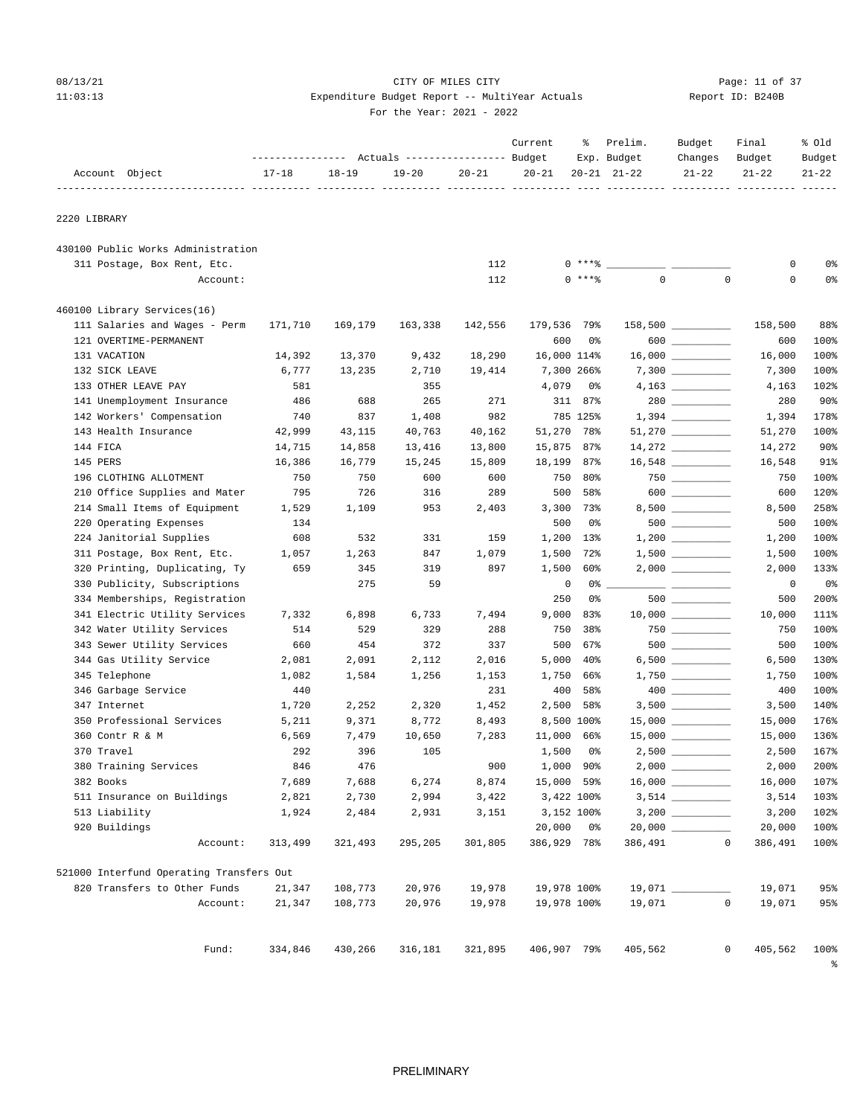## 08/13/21 Page: 11 of 37 11:03:13 Expenditure Budget Report -- MultiYear Actuals Report ID: B240B For the Year: 2021 - 2022

|                                          |           |           | Actuals ----------------- Budget |           | Current     | ႜ          | Prelim.<br>Exp. Budget | Budget<br>Changes                | Final<br>Budget | % Old<br>Budget |
|------------------------------------------|-----------|-----------|----------------------------------|-----------|-------------|------------|------------------------|----------------------------------|-----------------|-----------------|
| Account Object                           | $17 - 18$ | $18 - 19$ | $19 - 20$                        | $20 - 21$ | $20 - 21$   |            | $20 - 21$ $21 - 22$    | $21 - 22$                        | $21 - 22$       | $21 - 22$       |
| 2220 LIBRARY                             |           |           |                                  |           |             |            |                        |                                  |                 |                 |
| 430100 Public Works Administration       |           |           |                                  |           |             |            |                        |                                  |                 |                 |
| 311 Postage, Box Rent, Etc.              |           |           |                                  | 112       |             | 0 ****     |                        |                                  | 0               | 0%              |
| Account:                                 |           |           |                                  | 112       | $\Omega$    | $***$ $8$  | $\mathbf 0$            | $\mathbf{0}$                     | 0               | 0%              |
| 460100 Library Services(16)              |           |           |                                  |           |             |            |                        |                                  |                 |                 |
| 111 Salaries and Wages - Perm            | 171,710   | 169,179   | 163,338                          | 142,556   | 179,536 79% |            |                        | $158,500$ _________              | 158,500         | 88%             |
| 121 OVERTIME-PERMANENT                   |           |           |                                  |           | 600         | 0%         |                        | $600$                            | 600             | 100%            |
| 131 VACATION                             | 14,392    | 13,370    | 9,432                            | 18,290    | 16,000 114% |            |                        | $16,000$ ___________             | 16,000          | 100%            |
| 132 SICK LEAVE                           | 6,777     | 13,235    | 2,710                            | 19,414    |             | 7,300 266% |                        |                                  | 7,300           | 100%            |
| 133 OTHER LEAVE PAY                      | 581       |           | 355                              |           | 4,079       | 0%         |                        |                                  | 4,163           | 102%            |
| 141 Unemployment Insurance               | 486       | 688       | 265                              | 271       | 311         | 87%        |                        |                                  | 280             | 90%             |
| 142 Workers' Compensation                | 740       | 837       | 1,408                            | 982       |             | 785 125%   |                        |                                  | 1,394           | 178%            |
| 143 Health Insurance                     | 42,999    | 43,115    | 40,763                           | 40,162    | 51,270      | 78%        |                        | $51,270$ __________              | 51,270          | 100%            |
| 144 FICA                                 | 14,715    | 14,858    | 13,416                           | 13,800    | 15,875 87%  |            |                        |                                  | 14,272          | 90%             |
| 145 PERS                                 | 16,386    | 16,779    | 15,245                           | 15,809    | 18,199      | 87%        |                        |                                  | 16,548          | 91%             |
| 196 CLOTHING ALLOTMENT                   | 750       | 750       | 600                              | 600       | 750         | 80%        |                        |                                  | 750             | 100%            |
| 210 Office Supplies and Mater            | 795       | 726       | 316                              | 289       | 500         | 58%        |                        | $600$                            | 600             | 120%            |
| 214 Small Items of Equipment             | 1,529     | 1,109     | 953                              | 2,403     | 3,300       | 73%        |                        | 8,500 _________                  | 8,500           | 258%            |
| 220 Operating Expenses                   | 134       |           |                                  |           | 500         | 0%         |                        | $500$ _________                  | 500             | 100%            |
| 224 Janitorial Supplies                  | 608       | 532       | 331                              | 159       | 1,200       | 13%        |                        | $1,200$                          | 1,200           | 100%            |
| 311 Postage, Box Rent, Etc.              | 1,057     | 1,263     | 847                              | 1,079     | 1,500       | 72%        |                        |                                  | 1,500           | 100%            |
| 320 Printing, Duplicating, Ty            | 659       | 345       | 319                              | 897       | 1,500       | 60%        |                        |                                  | 2,000           | 133%            |
| 330 Publicity, Subscriptions             |           | 275       | 59                               |           | 0           | 0%         |                        | <u> De Carlos Company (1995)</u> | 0               | 0%              |
| 334 Memberships, Registration            |           |           |                                  |           | 250         | 0%         |                        |                                  | 500             | 200%            |
| 341 Electric Utility Services            | 7,332     | 6,898     | 6,733                            | 7,494     | 9,000       | 83%        |                        |                                  | 10,000          | 111%            |
| 342 Water Utility Services               | 514       | 529       | 329                              | 288       | 750         | 38%        |                        | $750$ __________                 | 750             | 100%            |
| 343 Sewer Utility Services               | 660       | 454       | 372                              | 337       | 500         | 67%        |                        | $500$ _________                  | 500             | 100%            |
| 344 Gas Utility Service                  | 2,081     | 2,091     | 2,112                            | 2,016     | 5,000       | $40\%$     |                        | $6,500$ ____________             | 6,500           | 130%            |
| 345 Telephone                            | 1,082     | 1,584     | 1,256                            | 1,153     | 1,750       | 66%        |                        |                                  | 1,750           | 100%            |
| 346 Garbage Service                      | 440       |           |                                  | 231       | 400         | 58%        |                        |                                  | 400             | 100%            |
| 347 Internet                             | 1,720     | 2,252     | 2,320                            | 1,452     | 2,500       | 58%        |                        |                                  | 3,500           | 140%            |
| 350 Professional Services                | 5,211     | 9,371     | 8,772                            | 8,493     |             | 8,500 100% |                        |                                  | 15,000          | 176%            |
| 360 Contr R & M                          | 6,569     | 7,479     | 10,650                           | 7,283     | 11,000      | 66%        |                        | 15,000 _________                 | 15,000          | 136%            |
| 370 Travel                               | 292       | 396       | 105                              |           | 1,500       | 0%         |                        |                                  | 2,500           | 167%            |
| 380 Training Services                    | 846       | 476       |                                  | 900       | 1,000 90%   |            | $2,000$ $\_$           |                                  | 2,000           | 200%            |
| 382 Books                                | 7,689     | 7,688     | 6,274                            | 8,874     | 15,000 59%  |            |                        |                                  | 16,000          | 107%            |
| 511 Insurance on Buildings               | 2,821     | 2,730     | 2,994                            | 3,422     | 3,422 100%  |            |                        |                                  | 3,514           | 103%            |
| 513 Liability                            | 1,924     | 2,484     | 2,931                            | 3,151     | 3,152 100%  |            |                        |                                  | 3,200           | 102%            |
| 920 Buildings                            |           |           |                                  |           | $20,000$ 0% |            |                        |                                  | 20,000          | 100%            |
| Account:                                 | 313,499   | 321,493   | 295,205                          | 301,805   | 386,929 78% |            | 386,491                | $\mathbf 0$                      | 386,491         | 100%            |
| 521000 Interfund Operating Transfers Out |           |           |                                  |           |             |            |                        |                                  |                 |                 |
| 820 Transfers to Other Funds             | 21,347    | 108,773   | 20,976                           | 19,978    | 19,978 100% |            |                        | 19,071 _________                 | 19,071          | 95%             |
| Account:                                 | 21,347    | 108,773   | 20,976                           | 19,978    | 19,978 100% |            | 19,071                 | $\circ$                          | 19,071          | 95%             |
|                                          |           |           |                                  |           |             |            |                        |                                  |                 |                 |
| Fund:                                    | 334,846   | 430,266   | 316,181                          | 321,895   | 406,907 79% |            | 405,562                | $\circ$                          | 405,562         | 100%            |

%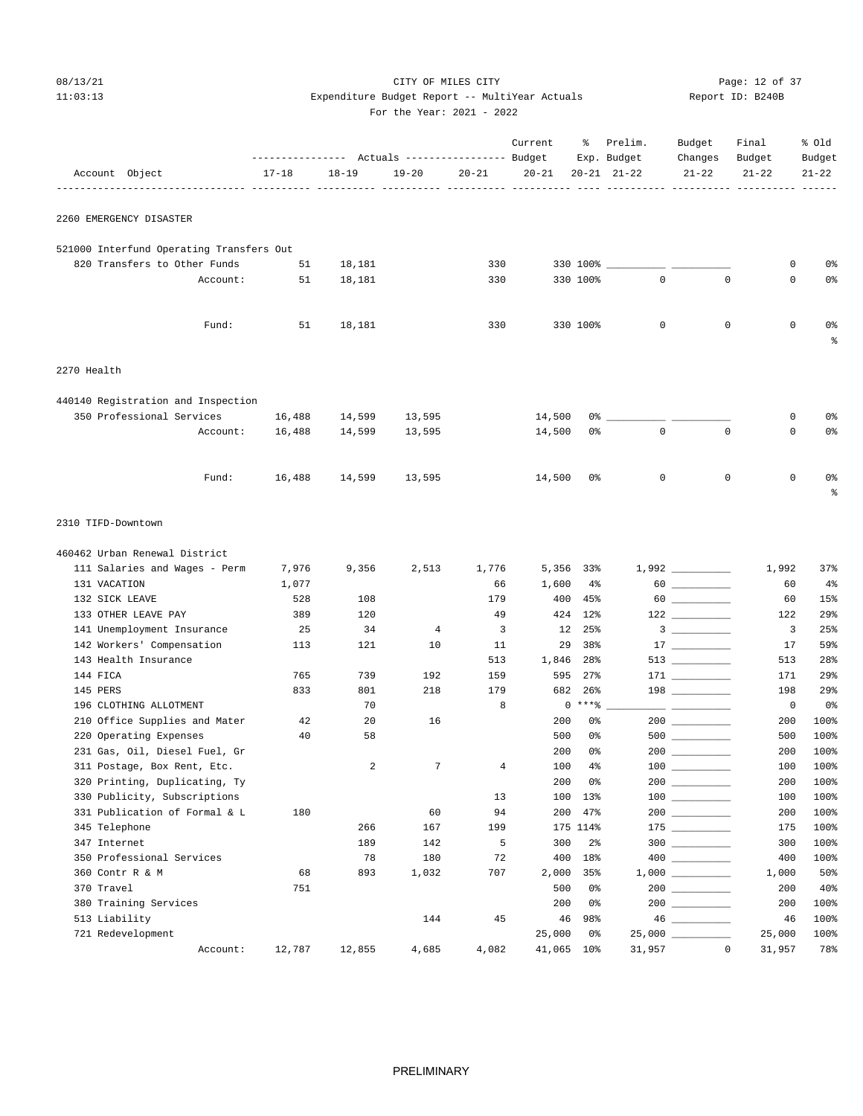## 08/13/21 Page: 12 of 37 11:03:13 Expenditure Budget Report -- MultiYear Actuals Report ID: B240B For the Year: 2021 - 2022

|  | For the Year: $2021 - 20$ |  |  |
|--|---------------------------|--|--|

| Report ID: B240B |  |
|------------------|--|
|                  |  |

|                                          | ---------------    Actuals ----------------    Budget |           |                |                         | Current                       | ႜ               | Prelim.<br>Exp. Budget | Budget<br>Changes                                                                                                                                                                                                                                                                                                                                                                                                                                                          | Final<br>Budget | % old<br>Budget           |
|------------------------------------------|-------------------------------------------------------|-----------|----------------|-------------------------|-------------------------------|-----------------|------------------------|----------------------------------------------------------------------------------------------------------------------------------------------------------------------------------------------------------------------------------------------------------------------------------------------------------------------------------------------------------------------------------------------------------------------------------------------------------------------------|-----------------|---------------------------|
| Account Object                           | $17 - 18$                                             | $18 - 19$ | $19 - 20$      | $20 - 21$               | $20 - 21$<br>----- ---------- |                 | $20 - 21$ $21 - 22$    | $21 - 22$                                                                                                                                                                                                                                                                                                                                                                                                                                                                  | $21 - 22$       | $21 - 22$<br>----- ------ |
| 2260 EMERGENCY DISASTER                  |                                                       |           |                |                         |                               |                 |                        |                                                                                                                                                                                                                                                                                                                                                                                                                                                                            |                 |                           |
| 521000 Interfund Operating Transfers Out |                                                       |           |                |                         |                               |                 |                        |                                                                                                                                                                                                                                                                                                                                                                                                                                                                            |                 |                           |
| 820 Transfers to Other Funds             | 51                                                    | 18,181    |                | 330                     |                               | 330 100%        |                        |                                                                                                                                                                                                                                                                                                                                                                                                                                                                            | 0               | 0%                        |
| Account:                                 | 51                                                    | 18,181    |                | 330                     |                               | 330 100%        | $\mathbf{0}$           | $\mathbf 0$                                                                                                                                                                                                                                                                                                                                                                                                                                                                | $\mathbf 0$     | 0%                        |
| Fund:                                    | 51                                                    | 18,181    |                | 330                     |                               | 330 100%        | $\mathbf 0$            | $\mathbf 0$                                                                                                                                                                                                                                                                                                                                                                                                                                                                | $\mathbf 0$     | 0%<br>ႜ                   |
| 2270 Health                              |                                                       |           |                |                         |                               |                 |                        |                                                                                                                                                                                                                                                                                                                                                                                                                                                                            |                 |                           |
| 440140 Registration and Inspection       |                                                       |           |                |                         |                               |                 |                        |                                                                                                                                                                                                                                                                                                                                                                                                                                                                            |                 |                           |
| 350 Professional Services                | 16,488                                                | 14,599    | 13,595         |                         | 14,500                        | 0%              |                        |                                                                                                                                                                                                                                                                                                                                                                                                                                                                            | 0               | 0%                        |
| Account:                                 | 16,488                                                | 14,599    | 13,595         |                         | 14,500                        | 0%              | $\mathbf{0}$           | $\mathbf 0$                                                                                                                                                                                                                                                                                                                                                                                                                                                                | $\mathbf 0$     | 0%                        |
| Fund:                                    | 16,488                                                | 14,599    | 13,595         |                         | 14,500                        | 0%              | $\mathbf 0$            | $\mathbf 0$                                                                                                                                                                                                                                                                                                                                                                                                                                                                | $\mathbf 0$     | 0%<br>ႜ                   |
| 2310 TIFD-Downtown                       |                                                       |           |                |                         |                               |                 |                        |                                                                                                                                                                                                                                                                                                                                                                                                                                                                            |                 |                           |
| 460462 Urban Renewal District            |                                                       |           |                |                         |                               |                 |                        |                                                                                                                                                                                                                                                                                                                                                                                                                                                                            |                 |                           |
| 111 Salaries and Wages - Perm            | 7,976                                                 | 9,356     | 2,513          | 1,776                   |                               | 5,356 33%       |                        |                                                                                                                                                                                                                                                                                                                                                                                                                                                                            | 1,992           | 37%                       |
| 131 VACATION                             | 1,077                                                 |           |                | 66                      | 1,600                         | $4\%$           |                        |                                                                                                                                                                                                                                                                                                                                                                                                                                                                            | 60              | 4%                        |
| 132 SICK LEAVE                           | 528                                                   | 108       |                | 179                     | 400                           | 45%             |                        |                                                                                                                                                                                                                                                                                                                                                                                                                                                                            | 60              | 15%                       |
| 133 OTHER LEAVE PAY                      | 389                                                   | 120       |                | 49                      |                               | 424 12%         |                        | $122$ ________                                                                                                                                                                                                                                                                                                                                                                                                                                                             | 122             | 29%                       |
| 141 Unemployment Insurance               | 25                                                    | 34        | $\overline{4}$ | $\overline{\mathbf{3}}$ | 12                            | 25%             |                        | $\overline{\mathbf{3}}$ $\overline{\phantom{1}}$                                                                                                                                                                                                                                                                                                                                                                                                                           | 3               | 25%                       |
| 142 Workers' Compensation                | 113                                                   | 121       | 10             | 11                      | 29                            | 38%             |                        |                                                                                                                                                                                                                                                                                                                                                                                                                                                                            | 17              | 59%                       |
| 143 Health Insurance<br>144 FICA         | 765                                                   | 739       | 192            | 513<br>159              | 1,846<br>595                  | 28%<br>$27\%$   |                        | $171$ ________                                                                                                                                                                                                                                                                                                                                                                                                                                                             | 513<br>171      | 28%<br>29%                |
| 145 PERS                                 | 833                                                   | 801       | 218            | 179                     | 682                           | 26%             |                        | $198$ ________                                                                                                                                                                                                                                                                                                                                                                                                                                                             | 198             | 29%                       |
| 196 CLOTHING ALLOTMENT                   |                                                       | 70        |                | 8                       |                               | $0***8$         |                        | $\frac{1}{2} \left( \frac{1}{2} \right) \left( \frac{1}{2} \right) \left( \frac{1}{2} \right) \left( \frac{1}{2} \right) \left( \frac{1}{2} \right) \left( \frac{1}{2} \right) \left( \frac{1}{2} \right) \left( \frac{1}{2} \right) \left( \frac{1}{2} \right) \left( \frac{1}{2} \right) \left( \frac{1}{2} \right) \left( \frac{1}{2} \right) \left( \frac{1}{2} \right) \left( \frac{1}{2} \right) \left( \frac{1}{2} \right) \left( \frac{1}{2} \right) \left( \frac$ | $\overline{0}$  | 0 <sub>8</sub>            |
| 210 Office Supplies and Mater            | 42                                                    | 20        | 16             |                         | 200                           | 0%              |                        |                                                                                                                                                                                                                                                                                                                                                                                                                                                                            | 200             | 100%                      |
| 220 Operating Expenses                   | 40                                                    | 58        |                |                         | 500                           | 0%              |                        |                                                                                                                                                                                                                                                                                                                                                                                                                                                                            | 500             | 100%                      |
| 231 Gas, Oil, Diesel Fuel, Gr            |                                                       |           |                |                         | 200                           | 0%              |                        |                                                                                                                                                                                                                                                                                                                                                                                                                                                                            | 200             | 100%                      |
| 311 Postage, Box Rent, Etc.              |                                                       | 2         | 7              | $\overline{4}$          | 100                           | $4\%$           |                        | $\begin{array}{c} 100 \\ - \end{array}$                                                                                                                                                                                                                                                                                                                                                                                                                                    | 100             | 100%                      |
| 320 Printing, Duplicating, Ty            |                                                       |           |                |                         | 200                           | 0%              |                        |                                                                                                                                                                                                                                                                                                                                                                                                                                                                            | 200             | 100%                      |
| 330 Publicity, Subscriptions             |                                                       |           |                | 13                      | 100                           | 13%             |                        | $\begin{array}{c}\n100 \quad \text{---} \\ \end{array}$                                                                                                                                                                                                                                                                                                                                                                                                                    | 100             | 100%                      |
| 331 Publication of Formal & L            | 180                                                   |           | 60             | 94                      | 200                           | 47%             |                        |                                                                                                                                                                                                                                                                                                                                                                                                                                                                            | 200             | 100%                      |
| 345 Telephone                            |                                                       | 266       | 167            | 199                     |                               | 175 114%        |                        |                                                                                                                                                                                                                                                                                                                                                                                                                                                                            | 175             | 100%                      |
| 347 Internet                             |                                                       | 189       | 142            | 5                       | 300                           | $2\frac{6}{9}$  |                        | $300$                                                                                                                                                                                                                                                                                                                                                                                                                                                                      | 300             | 100%                      |
| 350 Professional Services                |                                                       | 78        | 180            | 72                      | 400                           | 18%             |                        | 400 000                                                                                                                                                                                                                                                                                                                                                                                                                                                                    | 400             | 100%                      |
| 360 Contr R & M                          | 68                                                    | 893       | 1,032          | 707                     | 2,000                         | 35%             |                        | 200                                                                                                                                                                                                                                                                                                                                                                                                                                                                        | 1,000           | 50%                       |
| 370 Travel<br>380 Training Services      | 751                                                   |           |                |                         | 500<br>200                    | 0%<br>0%        |                        |                                                                                                                                                                                                                                                                                                                                                                                                                                                                            | 200<br>200      | 40%<br>100%               |
| 513 Liability                            |                                                       |           | 144            | 45                      | 46                            | 98%             |                        | $46 \ \underline{\hspace{1cm}}$                                                                                                                                                                                                                                                                                                                                                                                                                                            | 46              | 100%                      |
| 721 Redevelopment                        |                                                       |           |                |                         | 25,000                        | 0%              |                        |                                                                                                                                                                                                                                                                                                                                                                                                                                                                            | 25,000          | 100%                      |
| Account:                                 | 12,787                                                | 12,855    | 4,685          | 4,082                   | 41,065                        | 10 <sup>°</sup> | 31,957                 | $\mathbb O$                                                                                                                                                                                                                                                                                                                                                                                                                                                                | 31,957          | 78%                       |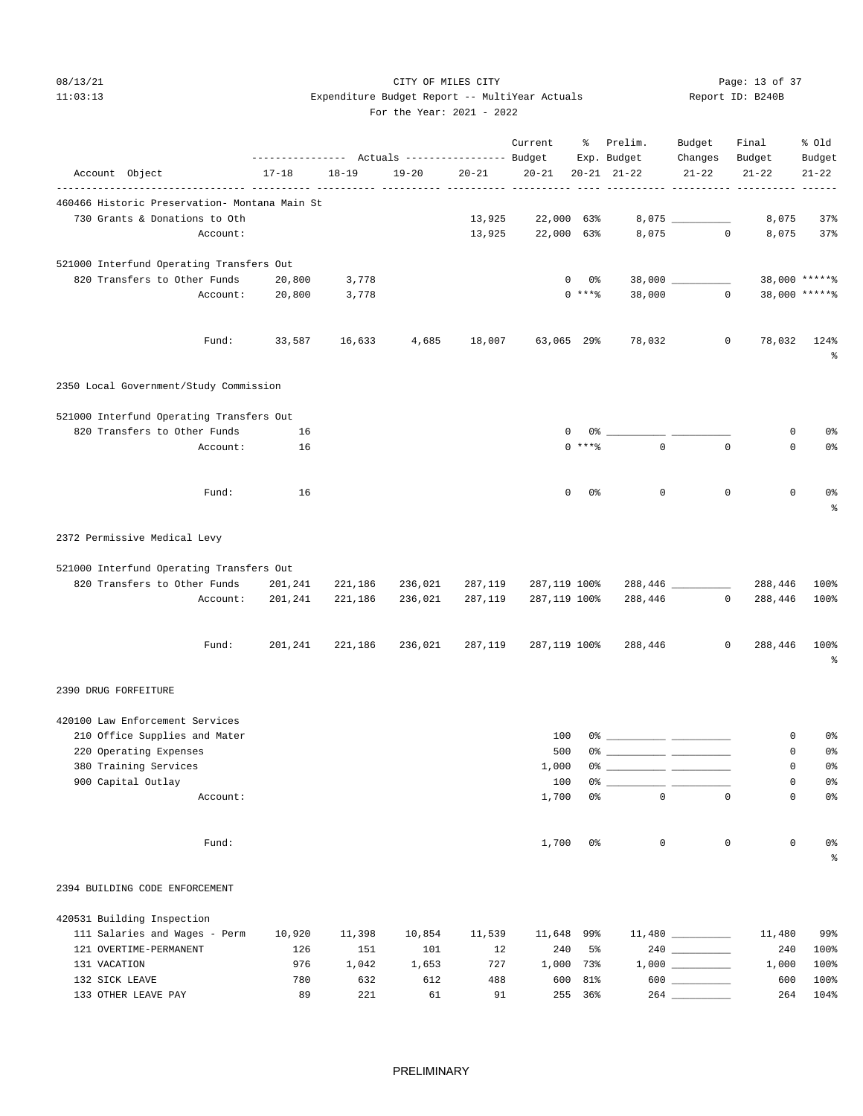## 08/13/21 Page: 13 of 37 11:03:13 Expenditure Budget Report -- MultiYear Actuals For the Year: 2021 - 2022

|                                               |                 |           |                 |           | Current                       |                | % Prelim.<br>Exp. Budget | Budget<br>Changes Budget | Final     | % old<br>Budget   |
|-----------------------------------------------|-----------------|-----------|-----------------|-----------|-------------------------------|----------------|--------------------------|--------------------------|-----------|-------------------|
| Account Object                                | $17 - 18$       | $18 - 19$ | $19 - 20$       | $20 - 21$ | $20 - 21$ $20 - 21$ $21 - 22$ |                |                          | $21 - 22$                | $21 - 22$ | $21 - 22$         |
| 460466 Historic Preservation- Montana Main St |                 |           |                 |           |                               |                |                          |                          |           |                   |
| 730 Grants & Donations to Oth                 |                 |           |                 | 13,925    | 22,000 63%                    |                |                          |                          | 8,075     | 37%               |
| Account:                                      |                 |           |                 | 13,925    | 22,000 63%                    |                |                          | $8,075$ 0                | 8,075     | 37%               |
| 521000 Interfund Operating Transfers Out      |                 |           |                 |           |                               |                |                          |                          |           |                   |
| 820 Transfers to Other Funds                  | 20,800          | 3,778     |                 |           |                               | 0 %<br>0       |                          |                          |           | 38,000 ******     |
|                                               | Account: 20,800 | 3,778     |                 |           |                               | $0$ ****       | 38,000                   | $\overline{0}$           |           | 38,000 ******     |
| Fund:                                         | 33,587 16,633   |           | 4,685           | 18,007    | 63,065 29%                    |                | 78,032                   | $\overline{0}$           |           | 78,032 124%<br>နွ |
| 2350 Local Government/Study Commission        |                 |           |                 |           |                               |                |                          |                          |           |                   |
| 521000 Interfund Operating Transfers Out      |                 |           |                 |           |                               |                |                          |                          |           |                   |
| 820 Transfers to Other Funds                  | 16              |           |                 |           |                               | 0              |                          |                          | 0         | 0%                |
| Account:                                      | 16              |           |                 |           |                               | $0$ ****       | $\Omega$                 | $\Omega$                 | $\Omega$  | 0%                |
| Fund:                                         | 16              |           |                 |           |                               | $\Omega$<br>0응 | $\mathbf{0}$             | $\Omega$                 | 0         | 0%<br>$\approx$   |
| 2372 Permissive Medical Levy                  |                 |           |                 |           |                               |                |                          |                          |           |                   |
| 521000 Interfund Operating Transfers Out      |                 |           |                 |           |                               |                |                          |                          |           |                   |
| 820 Transfers to Other Funds                  | 201,241         | 221,186   | 236,021         | 287,119   | 287,119 100%                  |                |                          | 288,446 _________        | 288,446   | 100%              |
| Account:                                      | 201,241         | 221,186   | 236,021         | 287,119   | 287,119 100%                  |                | 288,446                  | $\overline{0}$           | 288,446   | 100%              |
| Fund:                                         | 201,241         |           | 221,186 236,021 | 287,119   | 287,119 100%                  |                | 288,446                  | $\circ$                  | 288,446   | 100%<br>နွ        |
| 2390 DRUG FORFEITURE                          |                 |           |                 |           |                               |                |                          |                          |           |                   |
| 420100 Law Enforcement Services               |                 |           |                 |           |                               |                |                          |                          |           |                   |
| 210 Office Supplies and Mater                 |                 |           |                 |           | 100                           |                |                          |                          | 0         | 0%                |
| 220 Operating Expenses                        |                 |           |                 |           | 500                           | 0%             |                          |                          | 0         | 0%                |
| 380 Training Services                         |                 |           |                 |           | 1,000                         |                |                          |                          | 0         | 0%                |
| 900 Capital Outlay<br>Account:                |                 |           |                 |           | 100<br>1,700                  | 0%             | $\mathbf{0}$             | $\Omega$                 | 0<br>0    | 0%<br>0%          |
|                                               |                 |           |                 |           |                               |                |                          |                          |           |                   |
| Fund:                                         |                 |           |                 |           | 1,700                         | 0%             | 0                        | 0                        | 0         | 0%<br>နွ          |
| 2394 BUILDING CODE ENFORCEMENT                |                 |           |                 |           |                               |                |                          |                          |           |                   |
| 420531 Building Inspection                    |                 |           |                 |           |                               |                |                          |                          |           |                   |
| 111 Salaries and Wages - Perm                 | 10,920          | 11,398    | 10,854          | 11,539    | 11,648                        | 99%            |                          |                          | 11,480    | 99%               |
| 121 OVERTIME-PERMANENT                        | 126             | 151       | 101             | 12        | 240                           | 5%             |                          |                          | 240       | 100%              |
| 131 VACATION                                  | 976             | 1,042     | 1,653           | 727       | 1,000                         | 73%            |                          |                          | 1,000     | 100%              |
| 132 SICK LEAVE                                | 780             | 632       | 612             | 488       | 600                           | 81%            |                          | $600$                    | 600       | 100%              |
| 133 OTHER LEAVE PAY                           | 89              | 221       | 61              | 91        |                               | 255 36%        |                          |                          | 264       | 104%              |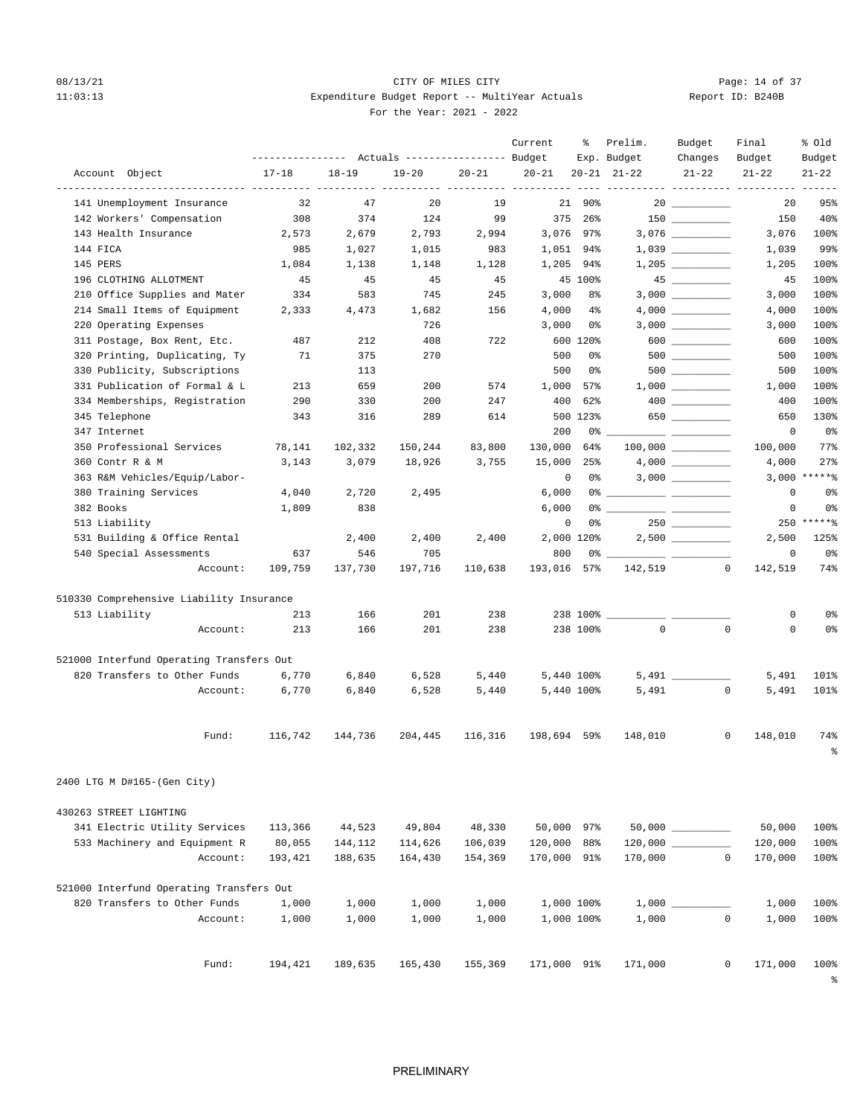## 08/13/21 Page: 14 of 37 11:03:13 Expenditure Budget Report -- MultiYear Actuals For the Year: 2021 - 2022

| Report ID: B240B |  |  |
|------------------|--|--|
|                  |  |  |

|                                                   | ---------------- |           | Actuals ----------------- Budget |           | Current     | ႜ                 | Prelim.<br>Exp. Budget | Budget<br>Changes     | Final<br>Budget            | % 01d<br>Budget |
|---------------------------------------------------|------------------|-----------|----------------------------------|-----------|-------------|-------------------|------------------------|-----------------------|----------------------------|-----------------|
| Account Object                                    | $17 - 18$        | $18 - 19$ | $19 - 20$                        | $20 - 21$ | $20 - 21$   | $20 - 21$         | $21 - 22$              | $21 - 22$             | $21 - 22$                  | $21 - 22$       |
| --------------- ---<br>141 Unemployment Insurance | 32               | 47        | 20                               | 19        |             | 21<br>90%         |                        | $20$ _________        | ----- ------<br>20         | 95%             |
| 142 Workers' Compensation                         | 308              | 374       | 124                              | 99        | 375         | $26$ <sup>2</sup> |                        |                       | 150                        | 40%             |
| 143 Health Insurance                              | 2,573            | 2,679     | 2,793                            | 2,994     | 3,076       | 97%               |                        |                       | 3,076                      | 100%            |
| 144 FICA                                          | 985              | 1,027     | 1,015                            | 983       | 1,051       | 94%               |                        |                       | 1,039                      | 99%             |
| 145 PERS                                          | 1,084            | 1,138     | 1,148                            | 1,128     | 1,205       | 94%               |                        | $1,205$ __________    | 1,205                      | 100%            |
| 196 CLOTHING ALLOTMENT                            | 45               | 45        | 45                               | 45        |             | 45 100%           |                        | 45                    | 45                         | 100%            |
| 210 Office Supplies and Mater                     | 334              | 583       | 745                              | 245       | 3,000       | 8%                |                        |                       | 3,000                      | 100%            |
| 214 Small Items of Equipment                      | 2,333            | 4,473     | 1,682                            | 156       | 4,000       | $4\%$             |                        |                       | 4,000                      | 100%            |
| 220 Operating Expenses                            |                  |           | 726                              |           | 3,000       | 0%                |                        |                       | 3,000                      | 100%            |
| 311 Postage, Box Rent, Etc.                       | 487              | 212       | 408                              | 722       |             | 600 120%          |                        | $600$                 | 600                        | 100%            |
| 320 Printing, Duplicating, Ty                     | 71               | 375       | 270                              |           | 500         | 0%                |                        |                       | 500                        | 100%            |
| 330 Publicity, Subscriptions                      |                  | 113       |                                  |           | 500         | 0%                |                        | $500$ _________       | 500                        | 100%            |
| 331 Publication of Formal & L                     | 213              | 659       | 200                              | 574       | 1,000       | 57%               |                        |                       | 1,000                      | 100%            |
| 334 Memberships, Registration                     | 290              | 330       | 200                              | 247       | 400         | 62%               |                        |                       | 400                        | 100%            |
| 345 Telephone                                     | 343              | 316       | 289                              | 614       |             | 500 123%          |                        | 650                   | 650                        | 130%            |
| 347 Internet                                      |                  |           |                                  |           | 200         | 0 %               |                        | __ ___________        | 0                          | 0%              |
| 350 Professional Services                         | 78,141           | 102,332   | 150,244                          | 83,800    | 130,000     | 64%               |                        | $100,000$ ___________ | 100,000                    | 77%             |
| 360 Contr R & M                                   | 3,143            | 3,079     | 18,926                           | 3,755     | 15,000      | 25%               |                        | 4,000                 | 4,000                      | 27%             |
| 363 R&M Vehicles/Equip/Labor-                     |                  |           |                                  |           |             | $\mathbf 0$<br>0% |                        |                       |                            | $3,000$ *****%  |
| 380 Training Services                             | 4,040            | 2,720     | 2,495                            |           | 6,000       | 0%                |                        |                       | $\mathbf 0$                | 0%              |
| 382 Books                                         | 1,809            | 838       |                                  |           | 6,000       | 0%                |                        |                       | 0                          | 0%              |
| 513 Liability                                     |                  |           |                                  |           |             | $\mathsf 0$<br>0% |                        | $250$                 |                            | 250 ******      |
| 531 Building & Office Rental                      |                  | 2,400     | 2,400                            | 2,400     |             | 2,000 120%        |                        | 2,500                 | 2,500                      | 125%            |
| 540 Special Assessments                           | 637              | 546       | 705                              |           | 800         | 0% -              |                        |                       | $\mathbf 0$                | 0 <sup>°</sup>  |
| Account:                                          | 109,759          | 137,730   | 197,716                          | 110,638   | 193,016     | 57%               | 142,519                |                       | $\overline{0}$<br>142,519  | 74%             |
| 510330 Comprehensive Liability Insurance          |                  |           |                                  |           |             |                   |                        |                       |                            |                 |
| 513 Liability                                     | 213              | 166       | 201                              | 238       |             | 238 100%          |                        |                       | 0                          | 0%              |
| Account:                                          | 213              | 166       | 201                              | 238       |             | 238 100%          | $\mathbf{0}$           |                       | $\mathbf 0$<br>$\mathbf 0$ | 0%              |
| 521000 Interfund Operating Transfers Out          |                  |           |                                  |           |             |                   |                        |                       |                            |                 |
| 820 Transfers to Other Funds                      | 6,770            | 6,840     | 6,528                            | 5,440     |             | 5,440 100%        |                        | $5,491$ _________     | 5,491                      | 101%            |
| Account:                                          | 6,770            | 6,840     | 6,528                            | 5,440     |             | 5,440 100%        | 5,491                  |                       | $\mathbf 0$<br>5,491       | 101%            |
| Fund:                                             | 116,742          | 144,736   | 204,445                          | 116,316   | 198,694 59% |                   | 148,010                |                       | $\mathbf{0}$<br>148,010    | 74%             |
|                                                   |                  |           |                                  |           |             |                   |                        |                       |                            | န္              |
| 2400 LTG M D#165-(Gen City)                       |                  |           |                                  |           |             |                   |                        |                       |                            |                 |
| 430263 STREET LIGHTING                            |                  |           |                                  |           |             |                   |                        |                       |                            |                 |
| 341 Electric Utility Services                     | 113,366          | 44,523    | 49,804                           | 48,330    |             | 50,000 97%        |                        |                       | 50,000                     | 100%            |
| 533 Machinery and Equipment R                     | 80,055           | 144,112   | 114,626                          | 106,039   | 120,000 88% |                   |                        |                       | 120,000                    | 100%            |
| Account:                                          | 193,421          | 188,635   | 164,430                          | 154,369   | 170,000 91% |                   | 170,000                |                       | $\mathbf 0$<br>170,000     | 100%            |
| 521000 Interfund Operating Transfers Out          |                  |           |                                  |           |             |                   |                        |                       |                            |                 |
| 820 Transfers to Other Funds                      | 1,000            | 1,000     | 1,000                            | 1,000     |             | 1,000 100%        |                        |                       | 1,000                      | 100%            |
| Account:                                          | 1,000            | 1,000     | 1,000                            | 1,000     |             | 1,000 100%        | 1,000                  |                       | $\mathbf 0$<br>1,000       | 100%            |
|                                                   |                  |           |                                  |           |             |                   |                        |                       |                            |                 |
| Fund:                                             | 194,421          | 189,635   | 165,430                          | 155,369   | 171,000 91% |                   | 171,000                |                       | 0<br>171,000               | 100%<br>ి       |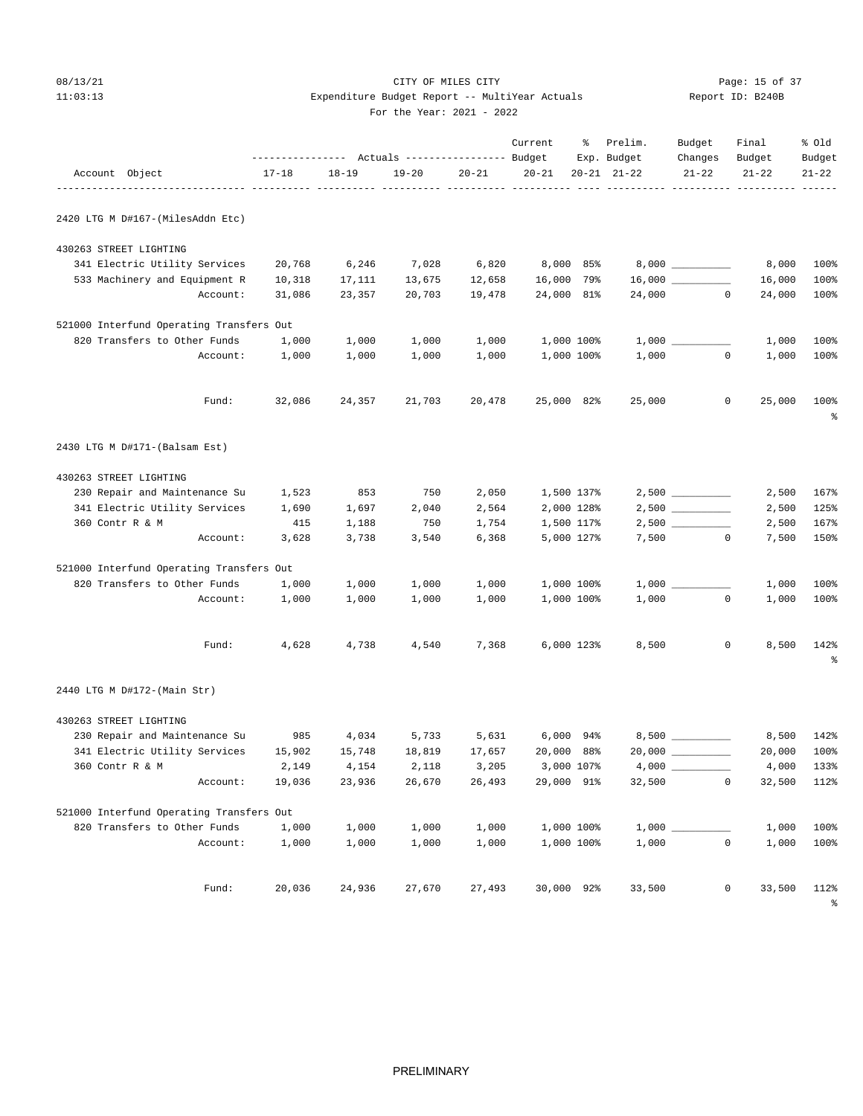## 08/13/21 Page: 15 of 37 11:03:13 Expenditure Budget Report -- MultiYear Actuals Report ID: B240B For the Year: 2021 - 2022

Current % Prelim. Budget Final % Old

|                                          | --------------- Actuals ---------------- Budget |           |           |           |            |                | Exp. Budget         | Changes                 | Budget    | Budget                     |
|------------------------------------------|-------------------------------------------------|-----------|-----------|-----------|------------|----------------|---------------------|-------------------------|-----------|----------------------------|
| Account Object                           | $17 - 18$                                       | $18 - 19$ | $19 - 20$ | $20 - 21$ | $20 - 21$  |                | $20 - 21$ $21 - 22$ | $21 - 22$               | $21 - 22$ | $21 - 22$                  |
| 2420 LTG M D#167-(MilesAddn Etc)         |                                                 |           |           |           |            |                |                     |                         |           |                            |
| 430263 STREET LIGHTING                   |                                                 |           |           |           |            |                |                     |                         |           |                            |
| 341 Electric Utility Services            | 20,768                                          | 6,246     | 7,028     | 6,820     |            | 8,000 85%      |                     |                         | 8,000     | 100%                       |
| 533 Machinery and Equipment R            | 10,318                                          | 17,111    | 13,675    | 12,658    | 16,000 79% |                |                     | $16,000$ __________     | 16,000    | 100%                       |
| Account:                                 | 31,086                                          | 23,357    | 20,703    | 19,478    | 24,000 81% |                |                     | 24,000 0                | 24,000    | 100%                       |
| 521000 Interfund Operating Transfers Out |                                                 |           |           |           |            |                |                     |                         |           |                            |
| 820 Transfers to Other Funds             | 1,000                                           | 1,000     | 1,000     | 1,000     |            | 1,000 100%     |                     |                         | 1,000     | 100%                       |
| Account:                                 | 1,000                                           | 1,000     | 1,000     | 1,000     |            | 1,000 100%     | 1,000               | $\mathbf{0}$            | 1,000     | 100%                       |
| Fund:                                    | 32,086                                          | 24,357    | 21,703    | 20,478    | 25,000 82% |                | 25,000              | $\mathbf 0$             | 25,000    | 100%<br>$\epsilon$         |
| 2430 LTG M D#171-(Balsam Est)            |                                                 |           |           |           |            |                |                     |                         |           |                            |
| 430263 STREET LIGHTING                   |                                                 |           |           |           |            |                |                     |                         |           |                            |
| 230 Repair and Maintenance Su            | 1,523                                           | 853       | 750       | 2,050     |            | 1,500 137%     |                     |                         | 2,500     | 167%                       |
| 341 Electric Utility Services            | 1,690                                           | 1,697     | 2,040     | 2,564     |            | 2,000 128%     |                     |                         | 2,500     | 125%                       |
| 360 Contr R & M                          | 415                                             | 1,188     | 750       | 1,754     |            | 1,500 117%     |                     |                         | 2,500     | 167%                       |
| Account:                                 | 3,628                                           | 3,738     | 3,540     | 6,368     |            | 5,000 127%     | 7,500               | $\mathbf{0}$            | 7,500     | 150%                       |
| 521000 Interfund Operating Transfers Out |                                                 |           |           |           |            |                |                     |                         |           |                            |
| 820 Transfers to Other Funds             | 1,000                                           | 1,000     | 1,000     | 1,000     |            | 1,000 100%     |                     |                         | 1,000     | 100%                       |
| Account:                                 | 1,000                                           | 1,000     | 1,000     | 1,000     |            | 1,000 100%     |                     | 1,000<br>$\overline{0}$ | 1,000     | 100%                       |
| Fund:                                    | 4,628                                           | 4,738     | 4,540     | 7,368     |            | 6,000 123%     | 8,500               | $\mathbf{0}$            | 8,500     | 142%<br>$\rm _{o}^{\circ}$ |
| 2440 LTG M D#172-(Main Str)              |                                                 |           |           |           |            |                |                     |                         |           |                            |
| 430263 STREET LIGHTING                   |                                                 |           |           |           |            |                |                     |                         |           |                            |
| 230 Repair and Maintenance Su            | 985                                             | 4,034     | 5,733     | 5,631     |            | $6,000$ $94\%$ |                     |                         | 8,500     | 142%                       |

| 230 Repart and maintenance su            | フロコ    | ±,∪J±  | 3,133  | <b>J, UJL</b> | 0,000 2516    | 0,000  |         | 0,000  | エサムで |
|------------------------------------------|--------|--------|--------|---------------|---------------|--------|---------|--------|------|
| 341 Electric Utility Services            | 15,902 | 15,748 | 18,819 | 17,657        | 20,000 88%    | 20,000 |         | 20,000 | 100% |
| 360 Contr R & M                          | 2,149  | 4,154  | 2,118  | 3,205         | 3,000 107%    | 4.000  |         | 4,000  | 133% |
| Account:                                 | 19,036 | 23,936 | 26,670 | 26,493        | 29,000 91%    | 32,500 | 0       | 32,500 | 112% |
| 521000 Interfund Operating Transfers Out |        |        |        |               |               |        |         |        |      |
| 820 Transfers to Other Funds             | 1,000  | 1,000  | 1,000  | 1,000         | 1,000 100%    | 1.000  |         | 1,000  | 100% |
| Account:                                 | 1,000  | 1,000  | 1,000  | 1,000         | 1,000 100%    | 1,000  | 0       | 1,000  | 100% |
|                                          |        |        |        |               |               |        |         |        |      |
| Fund:                                    | 20,036 | 24,936 | 27,670 | 27,493        | 30,000<br>92% | 33,500 | $\circ$ | 33,500 | 112% |
|                                          |        |        |        |               |               |        |         |        |      |

%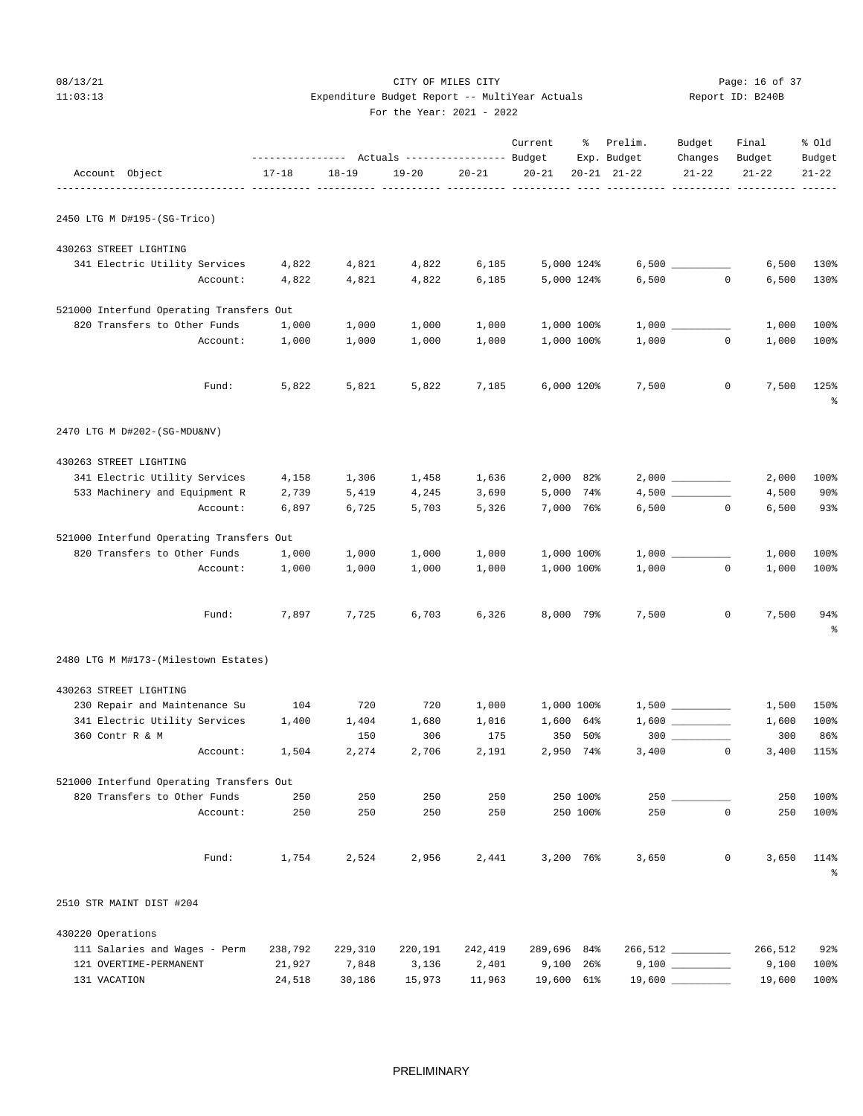## 08/13/21 Page: 16 of 37 11:03:13 Expenditure Budget Report -- MultiYear Actuals Report ID: B240B For the Year: 2021 - 2022

|                                           |                | --------------- Actuals ---------------- Budget |                |                | Current     | ိ                        | Prelim.<br>Exp. Budget | Budget<br>Changes | Final<br>Budget | % old<br>Budget |
|-------------------------------------------|----------------|-------------------------------------------------|----------------|----------------|-------------|--------------------------|------------------------|-------------------|-----------------|-----------------|
| Account Object                            | $17 - 18$      | $18 - 19$                                       | $19 - 20$      | $20 - 21$      | $20 - 21$   |                          | $20 - 21$ $21 - 22$    | $21 - 22$         | $21 - 22$       | $21 - 22$       |
| 2450 LTG M D#195-(SG-Trico)               |                |                                                 |                |                |             |                          |                        |                   |                 |                 |
|                                           |                |                                                 |                |                |             |                          |                        |                   |                 |                 |
| 430263 STREET LIGHTING                    |                |                                                 |                |                |             |                          |                        |                   |                 |                 |
| 341 Electric Utility Services<br>Account: | 4,822<br>4,822 | 4,821<br>4,821                                  | 4,822<br>4,822 | 6,185<br>6,185 |             | 5,000 124%<br>5,000 124% | 6,500                  | $\circ$           | 6,500<br>6,500  | 130%<br>130%    |
|                                           |                |                                                 |                |                |             |                          |                        |                   |                 |                 |
| 521000 Interfund Operating Transfers Out  |                |                                                 |                |                |             |                          |                        |                   |                 |                 |
| 820 Transfers to Other Funds              | 1,000          | 1,000                                           | 1,000          | 1,000          |             | 1,000 100%               |                        |                   | 1,000           | 100%            |
| Account:                                  | 1,000          | 1,000                                           | 1,000          | 1,000          |             | 1,000 100%               |                        | 1,000<br>$\circ$  | 1,000           | 100%            |
| Fund:                                     | 5,822          | 5,821                                           | 5,822          | 7,185          |             | 6,000 120%               | 7,500                  | 0                 | 7,500           | 125%<br>နွ      |
| 2470 LTG M D#202-(SG-MDU&NV)              |                |                                                 |                |                |             |                          |                        |                   |                 |                 |
| 430263 STREET LIGHTING                    |                |                                                 |                |                |             |                          |                        |                   |                 |                 |
| 341 Electric Utility Services             | 4,158          | 1,306                                           | 1,458          | 1,636          |             | 2,000 82%                |                        |                   | 2,000           | 100%            |
| 533 Machinery and Equipment R             | 2,739          | 5,419                                           | 4,245          | 3,690          |             | 5,000 74%                |                        |                   | 4,500           | $90\%$          |
| Account:                                  | 6,897          | 6,725                                           | 5,703          | 5,326          |             | 7,000 76%                |                        | 6,500<br>$\circ$  | 6,500           | 93%             |
| 521000 Interfund Operating Transfers Out  |                |                                                 |                |                |             |                          |                        |                   |                 |                 |
| 820 Transfers to Other Funds              | 1,000          | 1,000                                           | 1,000          | 1,000          |             | 1,000 100%               |                        |                   | 1,000           | 100%            |
| Account:                                  | 1,000          | 1,000                                           | 1,000          | 1,000          |             | 1,000 100%               | 1,000                  | $\circ$           | 1,000           | 100%            |
| Fund:                                     | 7,897          | 7,725                                           | 6,703          | 6,326          |             | 8,000 79%                | 7,500                  | $\mathbf 0$       | 7,500           | 94%<br>န္       |
| 2480 LTG M M#173-(Milestown Estates)      |                |                                                 |                |                |             |                          |                        |                   |                 |                 |
| 430263 STREET LIGHTING                    |                |                                                 |                |                |             |                          |                        |                   |                 |                 |
| 230 Repair and Maintenance Su             | 104            | 720                                             | 720            | 1,000          |             | 1,000 100%               |                        |                   | 1,500           | 150%            |
| 341 Electric Utility Services             | 1,400          | 1,404                                           | 1,680          | 1,016          |             | 1,600 64%                |                        |                   | 1,600           | 100%            |
| 360 Contr R & M                           |                | 150                                             | 306            | 175            | 350         | 50%                      |                        | $300$             | 300             | 86%             |
| Account:                                  | 1,504          | 2,274                                           | 2,706          | 2,191          |             | 2,950 74%                | 3,400                  | $^{\circ}$        | 3,400           | 115%            |
| 521000 Interfund Operating Transfers Out  |                |                                                 |                |                |             |                          |                        |                   |                 |                 |
| 820 Transfers to Other Funds              | 250            | 250                                             | 250            | 250            |             | 250 100%                 |                        |                   | 250             | 100%            |
| Account:                                  | 250            | 250                                             | 250            | 250            |             | 250 100%                 | 250                    | $\mathbf 0$       | 250             | 100%            |
| Fund:                                     | 1,754          | 2,524                                           | 2,956          | 2,441          |             | 3,200 76%                | 3,650                  | $\mathbb O$       | 3,650           | 114%<br>န္      |
| 2510 STR MAINT DIST #204                  |                |                                                 |                |                |             |                          |                        |                   |                 |                 |
| 430220 Operations                         |                |                                                 |                |                |             |                          |                        |                   |                 |                 |
| 111 Salaries and Wages - Perm             | 238,792        | 229,310                                         | 220,191        | 242,419        | 289,696 84% |                          |                        | 266,512 ________  | 266,512         | 92%             |
| 121 OVERTIME-PERMANENT                    | 21,927         | 7,848                                           | 3,136          | 2,401          | 9,100       | 26%                      |                        |                   | 9,100           | 100%            |
| 131 VACATION                              | 24,518         | 30,186                                          | 15,973         | 11,963         | 19,600 61%  |                          |                        |                   | 19,600          | 100%            |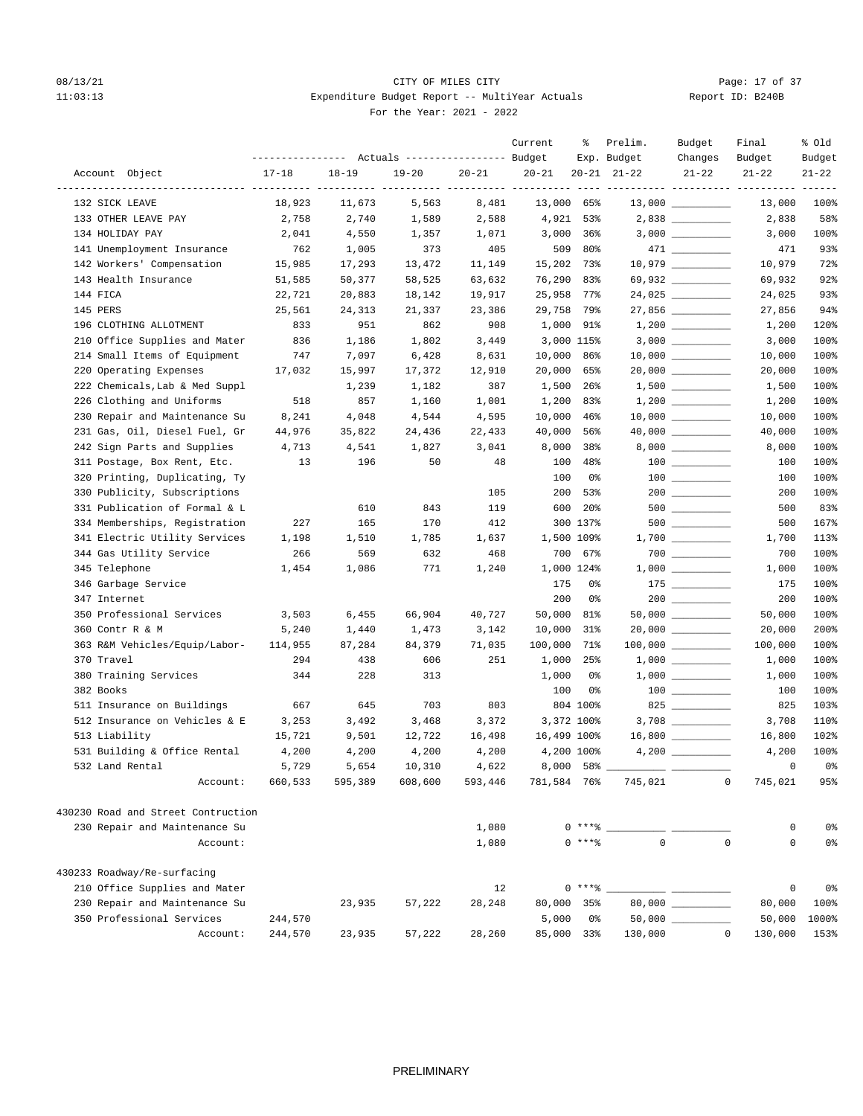## 08/13/21 Page: 17 of 37 11:03:13 Expenditure Budget Report -- MultiYear Actuals For the Year: 2021 - 2022

| Report ID: B240B |  |  |
|------------------|--|--|
|                  |  |  |

|                                    |                  |                  | ---------------    Actuals ----------------    Budget |                  | Current                   | ៖          | Prelim.<br>Exp. Budget | Budget<br>Changes   | Final<br>Budget             | % old<br>Budget |
|------------------------------------|------------------|------------------|-------------------------------------------------------|------------------|---------------------------|------------|------------------------|---------------------|-----------------------------|-----------------|
| Account Object                     | $17 - 18$        | $18 - 19$        | $19 - 20$                                             | $20 - 21$        | $20 - 21$                 |            | $20 - 21$ $21 - 22$    | $21 - 22$           | $21 - 22$                   | $21 - 22$       |
| 132 SICK LEAVE                     | 18,923           | 11,673           | 5,563                                                 | 8,481            | ---- ----------<br>13,000 | 65%        |                        |                     | 13,000                      | 100%            |
| 133 OTHER LEAVE PAY                | 2,758            | 2,740            | 1,589                                                 | 2,588            | 4,921                     | 53%        |                        |                     | 2,838                       | 58%             |
| 134 HOLIDAY PAY                    | 2,041            | 4,550            | 1,357                                                 | 1,071            | 3,000                     | 36%        |                        |                     | 3,000                       | 100%            |
| 141 Unemployment Insurance         | 762              | 1,005            | 373                                                   | 405              | 509                       | 80%        |                        |                     | 471                         | 93%             |
| 142 Workers' Compensation          | 15,985           | 17,293           | 13,472                                                | 11,149           | 15,202                    | 73%        |                        |                     | 10,979                      | 72%             |
| 143 Health Insurance               | 51,585           | 50,377           | 58,525                                                | 63,632           | 76,290                    | 83%        |                        | 69,932 __________   | 69,932                      | 92%             |
| 144 FICA                           | 22,721           | 20,883           | 18,142                                                | 19,917           | 25,958                    | 77%        |                        | 24,025              | 24,025                      | 93%             |
| 145 PERS                           | 25,561           | 24,313           | 21,337                                                | 23,386           | 29,758                    | 79%        |                        |                     | 27,856                      | 94%             |
| 196 CLOTHING ALLOTMENT             | 833              | 951              | 862                                                   | 908              | 1,000                     | 91%        |                        |                     | 1,200                       | 120%            |
| 210 Office Supplies and Mater      | 836              | 1,186            | 1,802                                                 | 3,449            |                           | 3,000 115% |                        |                     | 3,000                       | 100%            |
| 214 Small Items of Equipment       | 747              | 7,097            | 6,428                                                 | 8,631            | 10,000                    | 86%        |                        |                     | 10,000                      | 100%            |
| 220 Operating Expenses             | 17,032           | 15,997           | 17,372                                                | 12,910           | 20,000                    | 65%        |                        | $20,000$ __________ | 20,000                      | 100%            |
| 222 Chemicals, Lab & Med Suppl     |                  | 1,239            | 1,182                                                 | 387              | 1,500                     | 26%        |                        |                     | 1,500                       | 100%            |
| 226 Clothing and Uniforms          | 518              | 857              | 1,160                                                 | 1,001            | 1,200                     | 83%        |                        |                     | 1,200                       | 100%            |
| 230 Repair and Maintenance Su      | 8,241            | 4,048            | 4,544                                                 | 4,595            | 10,000                    | 46%        |                        |                     | 10,000                      | 100%            |
| 231 Gas, Oil, Diesel Fuel, Gr      | 44,976           | 35,822           | 24,436                                                | 22,433           | 40,000                    | 56%        |                        |                     | 40,000                      | 100%            |
| 242 Sign Parts and Supplies        | 4,713            | 4,541            | 1,827                                                 | 3,041            | 8,000                     | 38%        |                        |                     | 8,000                       | 100%            |
| 311 Postage, Box Rent, Etc.        | 13               | 196              | 50                                                    | 48               | 100                       | 48%        |                        |                     | 100                         | 100%            |
| 320 Printing, Duplicating, Ty      |                  |                  |                                                       |                  | 100                       | 0%         |                        |                     | 100                         | 100%            |
| 330 Publicity, Subscriptions       |                  |                  |                                                       | 105              | 200                       | 53%        |                        |                     | 200                         | 100%            |
| 331 Publication of Formal & L      |                  | 610              | 843                                                   | 119              | 600                       | 20%        |                        | 500 000             | 500                         | 83%             |
| 334 Memberships, Registration      | 227              | 165              | 170                                                   | 412              |                           | 300 137%   |                        |                     | 500                         | 167%            |
| 341 Electric Utility Services      | 1,198            | 1,510            | 1,785                                                 | 1,637            |                           | 1,500 109% |                        |                     | 1,700                       | 113%            |
| 344 Gas Utility Service            | 266              | 569              | 632                                                   | 468              |                           | 700 67%    |                        |                     | 700                         | 100%            |
| 345 Telephone                      | 1,454            | 1,086            | 771                                                   | 1,240            |                           | 1,000 124% |                        |                     | 1,000                       | 100%            |
| 346 Garbage Service                |                  |                  |                                                       |                  | 175                       | 0%         |                        |                     | 175                         | 100%            |
| 347 Internet                       |                  |                  |                                                       |                  | 200                       | 0%         |                        |                     | 200                         | 100%            |
| 350 Professional Services          | 3,503            | 6,455            | 66,904                                                | 40,727           | 50,000                    | 81%        |                        |                     | 50,000                      | 100%            |
| 360 Contr R & M                    | 5,240            | 1,440            | 1,473                                                 | 3,142            | 10,000                    | 31%        |                        |                     | 20,000                      | 200%            |
| 363 R&M Vehicles/Equip/Labor-      | 114,955          | 87,284           | 84,379                                                | 71,035           | 100,000                   | 71%        |                        |                     | 100,000                     | 100%            |
| 370 Travel                         | 294              | 438              | 606                                                   | 251              | 1,000                     | 25%        |                        |                     | 1,000                       | 100%            |
| 380 Training Services              | 344              | 228              | 313                                                   |                  | 1,000                     | 0%         |                        |                     | 1,000                       | 100%            |
| 382 Books                          |                  |                  |                                                       |                  | 100                       | 0%         |                        |                     | 100                         | 100%            |
| 511 Insurance on Buildings         | 667              | 645              | 703                                                   | 803              |                           | 804 100%   |                        | 825                 | 825                         | 103%            |
| 512 Insurance on Vehicles & E      |                  |                  |                                                       |                  |                           | 3,372 100% |                        |                     |                             |                 |
| 513 Liability                      | 3,253            | 3,492<br>9,501   | 3,468                                                 | 3,372            | 16,499 100%               |            |                        |                     | 3,708                       | 110%<br>102%    |
|                                    | 15,721           |                  | 12,722                                                | 16,498           |                           |            |                        |                     | 16,800                      |                 |
| 531 Building & Office Rental       | 4,200            | 4,200            | 4,200                                                 | 4,200            |                           | 4,200 100% |                        |                     | 4,200                       | 100%            |
| 532 Land Rental<br>Account:        | 5,729<br>660,533 | 5,654<br>595,389 | 10,310<br>608,600                                     | 4,622<br>593,446 | 8,000<br>781,584 76%      | 58%        | 745,021                |                     | 0<br>$\mathsf 0$<br>745,021 | 0%<br>95%       |
|                                    |                  |                  |                                                       |                  |                           |            |                        |                     |                             |                 |
| 430230 Road and Street Contruction |                  |                  |                                                       |                  |                           |            |                        |                     |                             |                 |
| 230 Repair and Maintenance Su      |                  |                  |                                                       | 1,080            |                           | $0***$ $*$ |                        |                     | 0                           | 0%              |
| Account:                           |                  |                  |                                                       | 1,080            |                           | $0$ ****   | $\mathbf{0}$           |                     | $\Omega$<br>0               | 0%              |
| 430233 Roadway/Re-surfacing        |                  |                  |                                                       |                  |                           |            |                        |                     |                             |                 |
| 210 Office Supplies and Mater      |                  |                  |                                                       | 12               |                           | $0***$ $*$ |                        |                     | 0                           | 0%              |
| 230 Repair and Maintenance Su      |                  | 23,935           | 57,222                                                | 28,248           |                           | 80,000 35% |                        | 80,000 _________    | 80,000                      | 100%            |
| 350 Professional Services          | 244,570          |                  |                                                       |                  | 5,000                     | 0%         |                        |                     | 50,000                      | 1000%           |
| Account:                           | 244,570          | 23,935           | 57,222                                                | 28,260           |                           | 85,000 33% | 130,000                |                     | $\mathbb O$<br>130,000      | 153%            |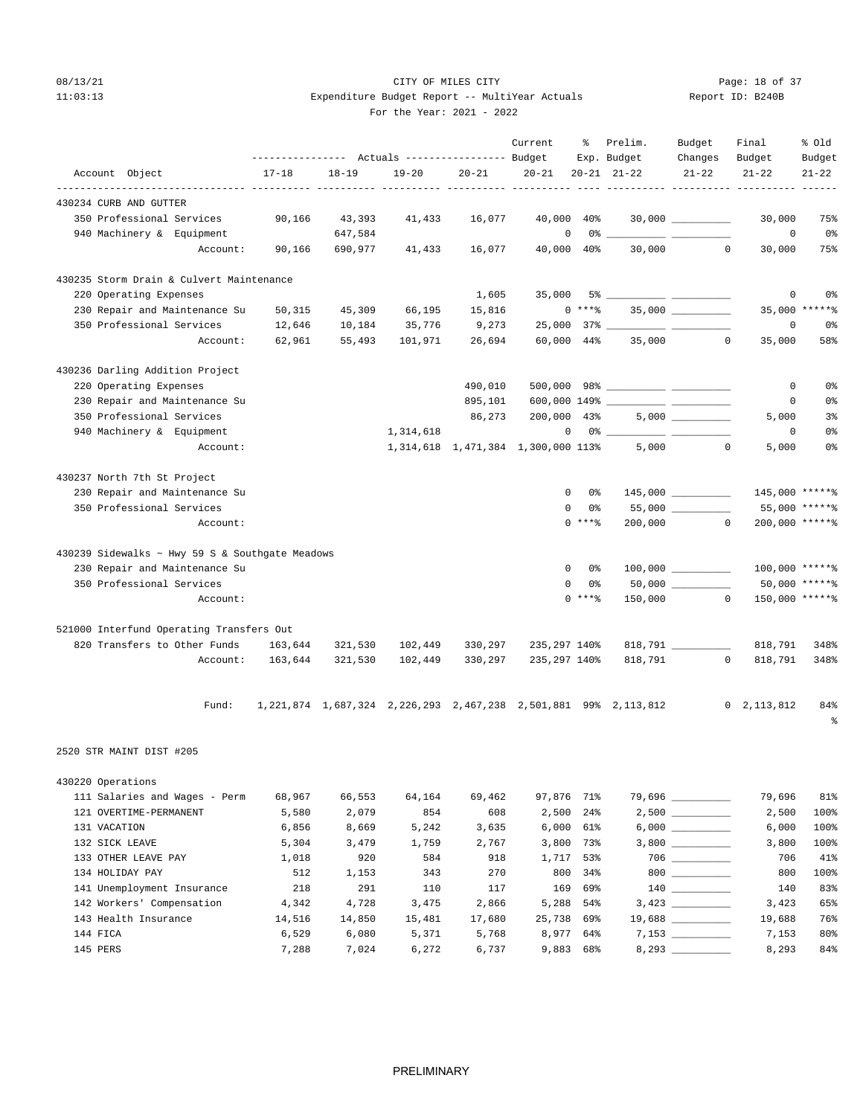## 08/13/21 Page: 18 of 37 11:03:13 Expenditure Budget Report -- MultiYear Actuals Report ID: B240B For the Year: 2021 - 2022

| Report ID: B240B |  |
|------------------|--|
|                  |  |

|  | For the Year: $2021 - 20$ |  |  |
|--|---------------------------|--|--|
|  |                           |  |  |

|                                                 |           |                |           |           | Current                            |                      | % Prelim.<br>Exp. Budget | Budget<br>Changes                                                                                                                                                                                                                                                                                                                                   | Final<br>Budget                                                             | % Old<br>Budget |
|-------------------------------------------------|-----------|----------------|-----------|-----------|------------------------------------|----------------------|--------------------------|-----------------------------------------------------------------------------------------------------------------------------------------------------------------------------------------------------------------------------------------------------------------------------------------------------------------------------------------------------|-----------------------------------------------------------------------------|-----------------|
| Account Object                                  | $17 - 18$ | $18 - 19$      | $19 - 20$ | $20 - 21$ | $20 - 21$                          |                      | $20 - 21$ $21 - 22$      | $21 - 22$                                                                                                                                                                                                                                                                                                                                           | $21 - 22$                                                                   | $21 - 22$       |
| 430234 CURB AND GUTTER                          |           |                |           |           |                                    |                      |                          |                                                                                                                                                                                                                                                                                                                                                     |                                                                             |                 |
| 350 Professional Services                       | 90,166    | 43,393         | 41,433    | 16,077    | 40,000 40%                         |                      |                          | $30,000$ _________                                                                                                                                                                                                                                                                                                                                  | 30,000                                                                      | 75%             |
| 940 Machinery & Equipment                       |           | 647,584        |           |           | 0                                  |                      | $0\%$ __                 |                                                                                                                                                                                                                                                                                                                                                     | $\overline{0}$                                                              | 0%              |
| Account:                                        |           | 90,166 690,977 | 41,433    | 16,077    | 40,000 40%                         |                      |                          | 30,000<br>$\circ$                                                                                                                                                                                                                                                                                                                                   | 30,000                                                                      | 75%             |
| 430235 Storm Drain & Culvert Maintenance        |           |                |           |           |                                    |                      |                          |                                                                                                                                                                                                                                                                                                                                                     |                                                                             |                 |
| 220 Operating Expenses                          |           |                |           | 1,605     |                                    |                      |                          |                                                                                                                                                                                                                                                                                                                                                     | 0                                                                           | 0%              |
| 230 Repair and Maintenance Su                   | 50,315    | 45,309         | 66,195    | 15,816    |                                    | $0***$ $*$           |                          | $35,000$ ___________                                                                                                                                                                                                                                                                                                                                |                                                                             | 35,000 ******   |
| 350 Professional Services                       | 12,646    | 10,184         | 35,776    | 9,273     |                                    |                      |                          |                                                                                                                                                                                                                                                                                                                                                     | 0                                                                           | 0%              |
| Account:                                        | 62,961    | 55,493         | 101,971   | 26,694    | 60,000 44%                         |                      |                          | 35,000 0                                                                                                                                                                                                                                                                                                                                            | 35,000                                                                      | 58%             |
| 430236 Darling Addition Project                 |           |                |           |           |                                    |                      |                          |                                                                                                                                                                                                                                                                                                                                                     |                                                                             |                 |
| 220 Operating Expenses                          |           |                |           | 490,010   |                                    |                      |                          |                                                                                                                                                                                                                                                                                                                                                     | 0                                                                           | 0%              |
| 230 Repair and Maintenance Su                   |           |                |           | 895,101   |                                    |                      |                          |                                                                                                                                                                                                                                                                                                                                                     | 0                                                                           | 0%              |
| 350 Professional Services                       |           |                |           | 86,273    | 200,000 43%                        |                      |                          |                                                                                                                                                                                                                                                                                                                                                     | 5,000                                                                       | 3%              |
| 940 Machinery & Equipment                       |           |                | 1,314,618 |           |                                    | $0 \t 0$ % ___       |                          |                                                                                                                                                                                                                                                                                                                                                     | 0                                                                           | 0%              |
| Account:                                        |           |                |           |           | 1,314,618 1,471,384 1,300,000 113% |                      | 5,000                    | $\Omega$                                                                                                                                                                                                                                                                                                                                            | 5,000                                                                       | 0%              |
| 430237 North 7th St Project                     |           |                |           |           |                                    |                      |                          |                                                                                                                                                                                                                                                                                                                                                     |                                                                             |                 |
| 230 Repair and Maintenance Su                   |           |                |           |           |                                    | $\mathbf{0}$<br>- 0% |                          | 145,000 _________                                                                                                                                                                                                                                                                                                                                   | 145,000 *****%                                                              |                 |
| 350 Professional Services                       |           |                |           |           | 0                                  | 0%                   |                          | $55,000$ _________                                                                                                                                                                                                                                                                                                                                  |                                                                             | 55,000 ******   |
| Account:                                        |           |                |           |           |                                    | $0***8$              | 200,000                  | $\overline{0}$                                                                                                                                                                                                                                                                                                                                      | 200,000 ******                                                              |                 |
| 430239 Sidewalks ~ Hwy 59 S & Southgate Meadows |           |                |           |           |                                    |                      |                          |                                                                                                                                                                                                                                                                                                                                                     |                                                                             |                 |
| 230 Repair and Maintenance Su                   |           |                |           |           | 0                                  | 0 %                  |                          | $100,000$ _________                                                                                                                                                                                                                                                                                                                                 | 100,000 ******                                                              |                 |
| 350 Professional Services                       |           |                |           |           | 0                                  | 0%                   |                          |                                                                                                                                                                                                                                                                                                                                                     |                                                                             | 50,000 ******   |
| Account:                                        |           |                |           |           |                                    | $0$ *** $%$          |                          | 150,000 0                                                                                                                                                                                                                                                                                                                                           | 150,000 *****%                                                              |                 |
| 521000 Interfund Operating Transfers Out        |           |                |           |           |                                    |                      |                          |                                                                                                                                                                                                                                                                                                                                                     |                                                                             |                 |
| 820 Transfers to Other Funds                    | 163,644   | 321,530        | 102,449   | 330,297   | 235,297 140%                       |                      |                          |                                                                                                                                                                                                                                                                                                                                                     | 818,791                                                                     | 348%            |
| Account:                                        | 163,644   | 321,530        | 102,449   | 330,297   | 235,297 140%                       |                      |                          | 818,791 0                                                                                                                                                                                                                                                                                                                                           | 818,791                                                                     | 348%            |
|                                                 |           |                |           |           |                                    |                      |                          |                                                                                                                                                                                                                                                                                                                                                     | 1,221,874 1,687,324 2,226,293 2,467,238 2,501,881 99% 2,113,812 0 2,113,812 |                 |
| Fund:                                           |           |                |           |           |                                    |                      |                          |                                                                                                                                                                                                                                                                                                                                                     |                                                                             | 84%<br>ి        |
| 2520 STR MAINT DIST #205                        |           |                |           |           |                                    |                      |                          |                                                                                                                                                                                                                                                                                                                                                     |                                                                             |                 |
| 430220 Operations                               |           |                |           |           |                                    |                      |                          |                                                                                                                                                                                                                                                                                                                                                     |                                                                             |                 |
| 111 Salaries and Wages - Perm                   | 68,967    | 66,553         | 64,164    | 69,462    | 97,876 71%                         |                      |                          | 79,696 _________                                                                                                                                                                                                                                                                                                                                    | 79,696                                                                      | 81%             |
| 121 OVERTIME-PERMANENT                          | 5,580     | 2,079          | 854       | 608       | 2,500                              | $24\%$               |                          |                                                                                                                                                                                                                                                                                                                                                     | 2,500                                                                       | 100%            |
| 131 VACATION                                    | 6,856     | 8,669          | 5,242     | 3,635     |                                    | $6,000$ $61\%$       |                          |                                                                                                                                                                                                                                                                                                                                                     | 6,000                                                                       | 100%            |
| 132 SICK LEAVE                                  | 5,304     | 3,479          | 1,759     | 2,767     | 3,800                              | 73%                  |                          |                                                                                                                                                                                                                                                                                                                                                     | 3,800                                                                       | 100%            |
| 133 OTHER LEAVE PAY                             | 1,018     | 920            | 584       | 918       |                                    | 1,717 53%            |                          |                                                                                                                                                                                                                                                                                                                                                     | 706                                                                         | 41%             |
| 134 HOLIDAY PAY                                 | 512       | 1,153          | 343       | 270       | 800                                | 34%                  |                          | $\begin{picture}(10,10) \put(0,0){\line(1,0){10}} \put(15,0){\line(1,0){10}} \put(15,0){\line(1,0){10}} \put(15,0){\line(1,0){10}} \put(15,0){\line(1,0){10}} \put(15,0){\line(1,0){10}} \put(15,0){\line(1,0){10}} \put(15,0){\line(1,0){10}} \put(15,0){\line(1,0){10}} \put(15,0){\line(1,0){10}} \put(15,0){\line(1,0){10}} \put(15,0){\line(1$ | 800                                                                         | 100%            |
| 141 Unemployment Insurance                      | 218       | 291            | 110       | 117       | 169                                | 69%                  |                          | $\begin{tabular}{c} 140 \end{tabular} \begin{tabular}{c} \includegraphics[width=0.45\textwidth]{figs/140}\end{tabular}$                                                                                                                                                                                                                             | 140                                                                         | 83%             |
| 142 Workers' Compensation                       | 4,342     | 4,728          | 3,475     | 2,866     |                                    | 5,288 54%            |                          |                                                                                                                                                                                                                                                                                                                                                     | 3,423                                                                       | 65%             |
| 143 Health Insurance                            | 14,516    | 14,850         | 15,481    | 17,680    | 25,738                             | 69%                  |                          |                                                                                                                                                                                                                                                                                                                                                     | 19,688                                                                      | 76%             |
| 144 FICA                                        | 6,529     | 6,080          | 5,371     | 5,768     |                                    | 8,977 64%            |                          |                                                                                                                                                                                                                                                                                                                                                     | 7,153                                                                       | 80%             |
| 145 PERS                                        | 7,288     | 7,024          | 6,272     | 6,737     |                                    | 9,883 68%            |                          | 8,293                                                                                                                                                                                                                                                                                                                                               | 8,293                                                                       | 84%             |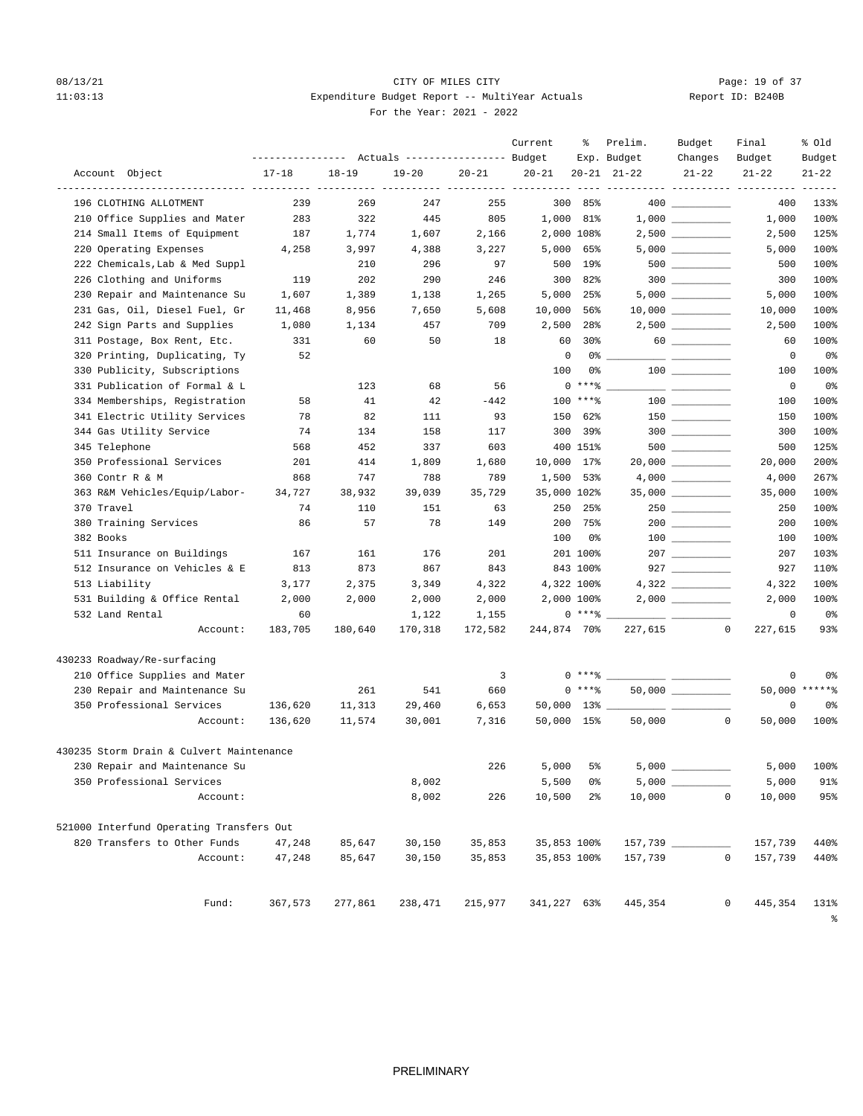## 08/13/21 **CITY OF MILES CITY CITY CITY Page: 19 of 37** 11:03:13 Expenditure Budget Report -- MultiYear Actuals For the Year: 2021 - 2022

| Report ID: B240B |  |  |
|------------------|--|--|
|                  |  |  |

| Actuals ----------------- Budget<br>Exp. Budget<br>Changes<br>Budget<br>Budget<br>Account Object<br>$17 - 18$<br>$18 - 19$<br>$19 - 20$<br>$20 - 21$<br>$20 - 21$<br>$20 - 21$ $21 - 22$<br>$21 - 22$<br>$21 - 22$<br>$21 - 22$<br>196 CLOTHING ALLOTMENT<br>239<br>269<br>247<br>255<br>300 85%<br>133%<br>400<br>100%<br>210 Office Supplies and Mater<br>283<br>322<br>445<br>805<br>1,000<br>81%<br>1,000<br>214 Small Items of Equipment<br>187<br>1,774<br>2,000 108%<br>125%<br>1,607<br>2,166<br>2,500<br>$5,000$ __________<br>220 Operating Expenses<br>4,258<br>3,997<br>3,227<br>5,000<br>65%<br>100%<br>4,388<br>5,000<br>$500$ ________<br>222 Chemicals, Lab & Med Suppl<br>210<br>296<br>97<br>500<br>$19$ %<br>500<br>100%<br>226 Clothing and Uniforms<br>119<br>202<br>290<br>246<br>300<br>82%<br>$300$<br>300<br>100%<br>100%<br>230 Repair and Maintenance Su<br>1,607<br>1,389<br>1,138<br>1,265<br>5,000<br>25%<br>5,000<br>231 Gas, Oil, Diesel Fuel, Gr<br>$10,000$ _________<br>100%<br>8,956<br>5,608<br>10,000<br>10,000<br>11,468<br>7,650<br>56%<br>242 Sign Parts and Supplies<br>1,080<br>457<br>709<br>2,500<br>28%<br>100%<br>1,134<br>2,500<br>311 Postage, Box Rent, Etc.<br>100%<br>331<br>60<br>50<br>18<br>60<br>$30\%$<br>60<br>320 Printing, Duplicating, Ty<br>52<br>0<br>0%<br>0%<br>0<br>100<br>0 <sup>°</sup><br>100%<br>330 Publicity, Subscriptions<br>100<br>$0***8$<br>$\frac{1}{1-\frac{1}{1-\frac{1}{1-\frac{1}{1-\frac{1}{1-\frac{1}{1-\frac{1}{1-\frac{1}{1-\frac{1}{1-\frac{1}{1-\frac{1}{1-\frac{1}{1-\frac{1}{1-\frac{1}{1-\frac{1}{1-\frac{1}{1-\frac{1}{1-\frac{1}{1-\frac{1}{1-\frac{1}{1-\frac{1}{1-\frac{1}{1-\frac{1}{1-\frac{1}{1-\frac{1}{1-\frac{1}{1-\frac{1}{1-\frac{1}{1-\frac{1}{1-\frac{1}{1-\frac{1}{1-\frac{1}{1-\frac{1}{1-\frac{1}{1-\frac{1}{1-\frac{1}{1-\frac{1$<br>0<br>0%<br>331 Publication of Formal & L<br>123<br>68<br>56<br>100 ****<br>100%<br>334 Memberships, Registration<br>41<br>42<br>$-442$<br>100<br>58<br>$150$ ________<br>341 Electric Utility Services<br>78<br>82<br>111<br>93<br>150<br>62%<br>150<br>100%<br>344 Gas Utility Service<br>74<br>134<br>158<br>117<br>300<br>39%<br>$300$ ________<br>300<br>100%<br>125%<br>345 Telephone<br>568<br>452<br>337<br>603<br>400 151%<br>500<br>201<br>200%<br>350 Professional Services<br>414<br>1,809<br>1,680<br>10,000 17%<br>20,000<br>267%<br>360 Contr R & M<br>868<br>747<br>788<br>789<br>1,500<br>53%<br>4,000<br>363 R&M Vehicles/Equip/Labor-<br>34,727<br>38,932<br>39,039<br>35,729<br>35,000 102%<br>100%<br>35,000<br>370 Travel<br>74<br>110<br>151<br>63<br>250<br>25%<br>$250$ _________<br>250<br>100%<br>100%<br>380 Training Services<br>86<br>57<br>78<br>149<br>200<br>75%<br>200<br>100%<br>382 Books<br>100<br>0%<br>100<br>$207$ ________<br>201 100%<br>103%<br>511 Insurance on Buildings<br>167<br>161<br>176<br>201<br>207<br>$927$ _________<br>512 Insurance on Vehicles & E<br>813<br>873<br>867<br>843<br>843 100%<br>927<br>110%<br>513 Liability<br>3,177<br>2,375<br>3,349<br>4,322<br>4,322 100%<br>100%<br>4,322<br>100%<br>531 Building & Office Rental<br>2,000<br>2,000<br>2,000<br>2,000<br>2,000 100%<br>2,000<br>$0***$ $*$<br>$\mathbf 0$<br>0 <sup>°</sup><br>532 Land Rental<br>60<br>1,122<br>1,155<br>244,874 70%<br>93%<br>183,705<br>180,640<br>170,318<br>227,615<br>227,615<br>Account:<br>172,582<br>$\circ$<br>430233 Roadway/Re-surfacing<br>210 Office Supplies and Mater<br>3<br>$0***8$<br>0<br>0%<br>$\frac{1}{1-\alpha}=\frac{1}{1-\alpha}=\frac{1}{1-\alpha}=\frac{1}{1-\alpha}=\frac{1}{1-\alpha}=\frac{1}{1-\alpha}=\frac{1}{1-\alpha}=\frac{1}{1-\alpha}=\frac{1}{1-\alpha}=\frac{1}{1-\alpha}=\frac{1}{1-\alpha}=\frac{1}{1-\alpha}=\frac{1}{1-\alpha}=\frac{1}{1-\alpha}=\frac{1}{1-\alpha}=\frac{1}{1-\alpha}=\frac{1}{1-\alpha}=\frac{1}{1-\alpha}=\frac{1}{1-\alpha}=\frac{1}{1-\alpha}=\frac{1}{1-\alpha}=\frac{1}{1-\alpha}=\frac{1}{1-\alpha}=\frac{1}{1-\alpha}=\frac{1$<br>230 Repair and Maintenance Su<br>$0***8$<br>50,000 ******<br>261<br>541<br>660<br>350 Professional Services<br>136,620<br>11,313<br>29,460<br>6,653<br>$50,000$ 13% $\_$<br>0<br>0%<br>50,000 15%<br>$^{\circ}$<br>100%<br>Account:<br>136,620<br>11,574<br>30,001<br>7,316<br>50,000<br>50,000<br>430235 Storm Drain & Culvert Maintenance<br>230 Repair and Maintenance Su<br>226<br>5,000<br>5 <sup>8</sup><br>$5,000$ $\_$<br>5,000 100%<br>350 Professional Services<br>8,002<br>5,000<br>91%<br>5,500<br>0%<br>10,500<br>10,000<br>$\mathbf 0$<br>10,000<br>95%<br>Account:<br>8,002<br>226<br>2 <sup>°</sup><br>521000 Interfund Operating Transfers Out<br>820 Transfers to Other Funds<br>47,248<br>85,647<br>30,150<br>35,853<br>35,853 100%<br>$157,739$ __________<br>157,739<br>440%<br>157,739<br>$\mathbf{0}$<br>Account:<br>47,248<br>85,647<br>30,150<br>35,853<br>35,853 100%<br>157,739<br>440%<br>341,227 63%<br>0 |       |         |         |         |         | Current | ႜ | Prelim. | Budget | Final   | % Old |
|------------------------------------------------------------------------------------------------------------------------------------------------------------------------------------------------------------------------------------------------------------------------------------------------------------------------------------------------------------------------------------------------------------------------------------------------------------------------------------------------------------------------------------------------------------------------------------------------------------------------------------------------------------------------------------------------------------------------------------------------------------------------------------------------------------------------------------------------------------------------------------------------------------------------------------------------------------------------------------------------------------------------------------------------------------------------------------------------------------------------------------------------------------------------------------------------------------------------------------------------------------------------------------------------------------------------------------------------------------------------------------------------------------------------------------------------------------------------------------------------------------------------------------------------------------------------------------------------------------------------------------------------------------------------------------------------------------------------------------------------------------------------------------------------------------------------------------------------------------------------------------------------------------------------------------------------------------------------------------------------------------------------------------------------------------------------------------------------------------------------------------------------------------------------------------------------------------------------------------------------------------------------------------------------------------------------------------------------------------------------------------------------------------------------------------------------------------------------------------------------------------------------------------------------------------------------------------------------------------------------------------------------------------------------------------------------------------------------------------------------------------------------------------------------------------------------------------------------------------------------------------------------------------------------------------------------------------------------------------------------------------------------------------------------------------------------------------------------------------------------------------------------------------------------------------------------------------------------------------------------------------------------------------------------------------------------------------------------------------------------------------------------------------------------------------------------------------------------------------------------------------------------------------------------------------------------------------------------------------------------------------------------------------------------------------------------------------------------------------------------------------------------------------------------------------------------------------------------------------------------------------------------------------------------------------------------------------------------------------------------------------------------------------------------------------------------------------------------------------------------------------------------------------------------------------------------------------------------------------------------------------------------------------------------------------------------------------------------------------------------------------------------------------------------------------------------------------------------------------------------------------------------------------------------------------------------------------------------------------------------------------------------------------------------------------------------------------------------------------------------------------------------------------------------------------------------------------------------------------------------------------------------------------------------------------------------|-------|---------|---------|---------|---------|---------|---|---------|--------|---------|-------|
|                                                                                                                                                                                                                                                                                                                                                                                                                                                                                                                                                                                                                                                                                                                                                                                                                                                                                                                                                                                                                                                                                                                                                                                                                                                                                                                                                                                                                                                                                                                                                                                                                                                                                                                                                                                                                                                                                                                                                                                                                                                                                                                                                                                                                                                                                                                                                                                                                                                                                                                                                                                                                                                                                                                                                                                                                                                                                                                                                                                                                                                                                                                                                                                                                                                                                                                                                                                                                                                                                                                                                                                                                                                                                                                                                                                                                                                                                                                                                                                                                                                                                                                                                                                                                                                                                                                                                                                                                                                                                                                                                                                                                                                                                                                                                                                                                                                                                                                                                |       |         |         |         |         |         |   |         |        |         |       |
|                                                                                                                                                                                                                                                                                                                                                                                                                                                                                                                                                                                                                                                                                                                                                                                                                                                                                                                                                                                                                                                                                                                                                                                                                                                                                                                                                                                                                                                                                                                                                                                                                                                                                                                                                                                                                                                                                                                                                                                                                                                                                                                                                                                                                                                                                                                                                                                                                                                                                                                                                                                                                                                                                                                                                                                                                                                                                                                                                                                                                                                                                                                                                                                                                                                                                                                                                                                                                                                                                                                                                                                                                                                                                                                                                                                                                                                                                                                                                                                                                                                                                                                                                                                                                                                                                                                                                                                                                                                                                                                                                                                                                                                                                                                                                                                                                                                                                                                                                |       |         |         |         |         |         |   |         |        |         |       |
|                                                                                                                                                                                                                                                                                                                                                                                                                                                                                                                                                                                                                                                                                                                                                                                                                                                                                                                                                                                                                                                                                                                                                                                                                                                                                                                                                                                                                                                                                                                                                                                                                                                                                                                                                                                                                                                                                                                                                                                                                                                                                                                                                                                                                                                                                                                                                                                                                                                                                                                                                                                                                                                                                                                                                                                                                                                                                                                                                                                                                                                                                                                                                                                                                                                                                                                                                                                                                                                                                                                                                                                                                                                                                                                                                                                                                                                                                                                                                                                                                                                                                                                                                                                                                                                                                                                                                                                                                                                                                                                                                                                                                                                                                                                                                                                                                                                                                                                                                |       |         |         |         |         |         |   |         |        |         |       |
|                                                                                                                                                                                                                                                                                                                                                                                                                                                                                                                                                                                                                                                                                                                                                                                                                                                                                                                                                                                                                                                                                                                                                                                                                                                                                                                                                                                                                                                                                                                                                                                                                                                                                                                                                                                                                                                                                                                                                                                                                                                                                                                                                                                                                                                                                                                                                                                                                                                                                                                                                                                                                                                                                                                                                                                                                                                                                                                                                                                                                                                                                                                                                                                                                                                                                                                                                                                                                                                                                                                                                                                                                                                                                                                                                                                                                                                                                                                                                                                                                                                                                                                                                                                                                                                                                                                                                                                                                                                                                                                                                                                                                                                                                                                                                                                                                                                                                                                                                |       |         |         |         |         |         |   |         |        |         |       |
|                                                                                                                                                                                                                                                                                                                                                                                                                                                                                                                                                                                                                                                                                                                                                                                                                                                                                                                                                                                                                                                                                                                                                                                                                                                                                                                                                                                                                                                                                                                                                                                                                                                                                                                                                                                                                                                                                                                                                                                                                                                                                                                                                                                                                                                                                                                                                                                                                                                                                                                                                                                                                                                                                                                                                                                                                                                                                                                                                                                                                                                                                                                                                                                                                                                                                                                                                                                                                                                                                                                                                                                                                                                                                                                                                                                                                                                                                                                                                                                                                                                                                                                                                                                                                                                                                                                                                                                                                                                                                                                                                                                                                                                                                                                                                                                                                                                                                                                                                |       |         |         |         |         |         |   |         |        |         |       |
|                                                                                                                                                                                                                                                                                                                                                                                                                                                                                                                                                                                                                                                                                                                                                                                                                                                                                                                                                                                                                                                                                                                                                                                                                                                                                                                                                                                                                                                                                                                                                                                                                                                                                                                                                                                                                                                                                                                                                                                                                                                                                                                                                                                                                                                                                                                                                                                                                                                                                                                                                                                                                                                                                                                                                                                                                                                                                                                                                                                                                                                                                                                                                                                                                                                                                                                                                                                                                                                                                                                                                                                                                                                                                                                                                                                                                                                                                                                                                                                                                                                                                                                                                                                                                                                                                                                                                                                                                                                                                                                                                                                                                                                                                                                                                                                                                                                                                                                                                |       |         |         |         |         |         |   |         |        |         |       |
|                                                                                                                                                                                                                                                                                                                                                                                                                                                                                                                                                                                                                                                                                                                                                                                                                                                                                                                                                                                                                                                                                                                                                                                                                                                                                                                                                                                                                                                                                                                                                                                                                                                                                                                                                                                                                                                                                                                                                                                                                                                                                                                                                                                                                                                                                                                                                                                                                                                                                                                                                                                                                                                                                                                                                                                                                                                                                                                                                                                                                                                                                                                                                                                                                                                                                                                                                                                                                                                                                                                                                                                                                                                                                                                                                                                                                                                                                                                                                                                                                                                                                                                                                                                                                                                                                                                                                                                                                                                                                                                                                                                                                                                                                                                                                                                                                                                                                                                                                |       |         |         |         |         |         |   |         |        |         |       |
|                                                                                                                                                                                                                                                                                                                                                                                                                                                                                                                                                                                                                                                                                                                                                                                                                                                                                                                                                                                                                                                                                                                                                                                                                                                                                                                                                                                                                                                                                                                                                                                                                                                                                                                                                                                                                                                                                                                                                                                                                                                                                                                                                                                                                                                                                                                                                                                                                                                                                                                                                                                                                                                                                                                                                                                                                                                                                                                                                                                                                                                                                                                                                                                                                                                                                                                                                                                                                                                                                                                                                                                                                                                                                                                                                                                                                                                                                                                                                                                                                                                                                                                                                                                                                                                                                                                                                                                                                                                                                                                                                                                                                                                                                                                                                                                                                                                                                                                                                |       |         |         |         |         |         |   |         |        |         |       |
|                                                                                                                                                                                                                                                                                                                                                                                                                                                                                                                                                                                                                                                                                                                                                                                                                                                                                                                                                                                                                                                                                                                                                                                                                                                                                                                                                                                                                                                                                                                                                                                                                                                                                                                                                                                                                                                                                                                                                                                                                                                                                                                                                                                                                                                                                                                                                                                                                                                                                                                                                                                                                                                                                                                                                                                                                                                                                                                                                                                                                                                                                                                                                                                                                                                                                                                                                                                                                                                                                                                                                                                                                                                                                                                                                                                                                                                                                                                                                                                                                                                                                                                                                                                                                                                                                                                                                                                                                                                                                                                                                                                                                                                                                                                                                                                                                                                                                                                                                |       |         |         |         |         |         |   |         |        |         |       |
|                                                                                                                                                                                                                                                                                                                                                                                                                                                                                                                                                                                                                                                                                                                                                                                                                                                                                                                                                                                                                                                                                                                                                                                                                                                                                                                                                                                                                                                                                                                                                                                                                                                                                                                                                                                                                                                                                                                                                                                                                                                                                                                                                                                                                                                                                                                                                                                                                                                                                                                                                                                                                                                                                                                                                                                                                                                                                                                                                                                                                                                                                                                                                                                                                                                                                                                                                                                                                                                                                                                                                                                                                                                                                                                                                                                                                                                                                                                                                                                                                                                                                                                                                                                                                                                                                                                                                                                                                                                                                                                                                                                                                                                                                                                                                                                                                                                                                                                                                |       |         |         |         |         |         |   |         |        |         |       |
|                                                                                                                                                                                                                                                                                                                                                                                                                                                                                                                                                                                                                                                                                                                                                                                                                                                                                                                                                                                                                                                                                                                                                                                                                                                                                                                                                                                                                                                                                                                                                                                                                                                                                                                                                                                                                                                                                                                                                                                                                                                                                                                                                                                                                                                                                                                                                                                                                                                                                                                                                                                                                                                                                                                                                                                                                                                                                                                                                                                                                                                                                                                                                                                                                                                                                                                                                                                                                                                                                                                                                                                                                                                                                                                                                                                                                                                                                                                                                                                                                                                                                                                                                                                                                                                                                                                                                                                                                                                                                                                                                                                                                                                                                                                                                                                                                                                                                                                                                |       |         |         |         |         |         |   |         |        |         |       |
|                                                                                                                                                                                                                                                                                                                                                                                                                                                                                                                                                                                                                                                                                                                                                                                                                                                                                                                                                                                                                                                                                                                                                                                                                                                                                                                                                                                                                                                                                                                                                                                                                                                                                                                                                                                                                                                                                                                                                                                                                                                                                                                                                                                                                                                                                                                                                                                                                                                                                                                                                                                                                                                                                                                                                                                                                                                                                                                                                                                                                                                                                                                                                                                                                                                                                                                                                                                                                                                                                                                                                                                                                                                                                                                                                                                                                                                                                                                                                                                                                                                                                                                                                                                                                                                                                                                                                                                                                                                                                                                                                                                                                                                                                                                                                                                                                                                                                                                                                |       |         |         |         |         |         |   |         |        |         |       |
|                                                                                                                                                                                                                                                                                                                                                                                                                                                                                                                                                                                                                                                                                                                                                                                                                                                                                                                                                                                                                                                                                                                                                                                                                                                                                                                                                                                                                                                                                                                                                                                                                                                                                                                                                                                                                                                                                                                                                                                                                                                                                                                                                                                                                                                                                                                                                                                                                                                                                                                                                                                                                                                                                                                                                                                                                                                                                                                                                                                                                                                                                                                                                                                                                                                                                                                                                                                                                                                                                                                                                                                                                                                                                                                                                                                                                                                                                                                                                                                                                                                                                                                                                                                                                                                                                                                                                                                                                                                                                                                                                                                                                                                                                                                                                                                                                                                                                                                                                |       |         |         |         |         |         |   |         |        |         |       |
|                                                                                                                                                                                                                                                                                                                                                                                                                                                                                                                                                                                                                                                                                                                                                                                                                                                                                                                                                                                                                                                                                                                                                                                                                                                                                                                                                                                                                                                                                                                                                                                                                                                                                                                                                                                                                                                                                                                                                                                                                                                                                                                                                                                                                                                                                                                                                                                                                                                                                                                                                                                                                                                                                                                                                                                                                                                                                                                                                                                                                                                                                                                                                                                                                                                                                                                                                                                                                                                                                                                                                                                                                                                                                                                                                                                                                                                                                                                                                                                                                                                                                                                                                                                                                                                                                                                                                                                                                                                                                                                                                                                                                                                                                                                                                                                                                                                                                                                                                |       |         |         |         |         |         |   |         |        |         |       |
|                                                                                                                                                                                                                                                                                                                                                                                                                                                                                                                                                                                                                                                                                                                                                                                                                                                                                                                                                                                                                                                                                                                                                                                                                                                                                                                                                                                                                                                                                                                                                                                                                                                                                                                                                                                                                                                                                                                                                                                                                                                                                                                                                                                                                                                                                                                                                                                                                                                                                                                                                                                                                                                                                                                                                                                                                                                                                                                                                                                                                                                                                                                                                                                                                                                                                                                                                                                                                                                                                                                                                                                                                                                                                                                                                                                                                                                                                                                                                                                                                                                                                                                                                                                                                                                                                                                                                                                                                                                                                                                                                                                                                                                                                                                                                                                                                                                                                                                                                |       |         |         |         |         |         |   |         |        |         |       |
|                                                                                                                                                                                                                                                                                                                                                                                                                                                                                                                                                                                                                                                                                                                                                                                                                                                                                                                                                                                                                                                                                                                                                                                                                                                                                                                                                                                                                                                                                                                                                                                                                                                                                                                                                                                                                                                                                                                                                                                                                                                                                                                                                                                                                                                                                                                                                                                                                                                                                                                                                                                                                                                                                                                                                                                                                                                                                                                                                                                                                                                                                                                                                                                                                                                                                                                                                                                                                                                                                                                                                                                                                                                                                                                                                                                                                                                                                                                                                                                                                                                                                                                                                                                                                                                                                                                                                                                                                                                                                                                                                                                                                                                                                                                                                                                                                                                                                                                                                |       |         |         |         |         |         |   |         |        |         |       |
|                                                                                                                                                                                                                                                                                                                                                                                                                                                                                                                                                                                                                                                                                                                                                                                                                                                                                                                                                                                                                                                                                                                                                                                                                                                                                                                                                                                                                                                                                                                                                                                                                                                                                                                                                                                                                                                                                                                                                                                                                                                                                                                                                                                                                                                                                                                                                                                                                                                                                                                                                                                                                                                                                                                                                                                                                                                                                                                                                                                                                                                                                                                                                                                                                                                                                                                                                                                                                                                                                                                                                                                                                                                                                                                                                                                                                                                                                                                                                                                                                                                                                                                                                                                                                                                                                                                                                                                                                                                                                                                                                                                                                                                                                                                                                                                                                                                                                                                                                |       |         |         |         |         |         |   |         |        |         |       |
|                                                                                                                                                                                                                                                                                                                                                                                                                                                                                                                                                                                                                                                                                                                                                                                                                                                                                                                                                                                                                                                                                                                                                                                                                                                                                                                                                                                                                                                                                                                                                                                                                                                                                                                                                                                                                                                                                                                                                                                                                                                                                                                                                                                                                                                                                                                                                                                                                                                                                                                                                                                                                                                                                                                                                                                                                                                                                                                                                                                                                                                                                                                                                                                                                                                                                                                                                                                                                                                                                                                                                                                                                                                                                                                                                                                                                                                                                                                                                                                                                                                                                                                                                                                                                                                                                                                                                                                                                                                                                                                                                                                                                                                                                                                                                                                                                                                                                                                                                |       |         |         |         |         |         |   |         |        |         |       |
|                                                                                                                                                                                                                                                                                                                                                                                                                                                                                                                                                                                                                                                                                                                                                                                                                                                                                                                                                                                                                                                                                                                                                                                                                                                                                                                                                                                                                                                                                                                                                                                                                                                                                                                                                                                                                                                                                                                                                                                                                                                                                                                                                                                                                                                                                                                                                                                                                                                                                                                                                                                                                                                                                                                                                                                                                                                                                                                                                                                                                                                                                                                                                                                                                                                                                                                                                                                                                                                                                                                                                                                                                                                                                                                                                                                                                                                                                                                                                                                                                                                                                                                                                                                                                                                                                                                                                                                                                                                                                                                                                                                                                                                                                                                                                                                                                                                                                                                                                |       |         |         |         |         |         |   |         |        |         |       |
|                                                                                                                                                                                                                                                                                                                                                                                                                                                                                                                                                                                                                                                                                                                                                                                                                                                                                                                                                                                                                                                                                                                                                                                                                                                                                                                                                                                                                                                                                                                                                                                                                                                                                                                                                                                                                                                                                                                                                                                                                                                                                                                                                                                                                                                                                                                                                                                                                                                                                                                                                                                                                                                                                                                                                                                                                                                                                                                                                                                                                                                                                                                                                                                                                                                                                                                                                                                                                                                                                                                                                                                                                                                                                                                                                                                                                                                                                                                                                                                                                                                                                                                                                                                                                                                                                                                                                                                                                                                                                                                                                                                                                                                                                                                                                                                                                                                                                                                                                |       |         |         |         |         |         |   |         |        |         |       |
|                                                                                                                                                                                                                                                                                                                                                                                                                                                                                                                                                                                                                                                                                                                                                                                                                                                                                                                                                                                                                                                                                                                                                                                                                                                                                                                                                                                                                                                                                                                                                                                                                                                                                                                                                                                                                                                                                                                                                                                                                                                                                                                                                                                                                                                                                                                                                                                                                                                                                                                                                                                                                                                                                                                                                                                                                                                                                                                                                                                                                                                                                                                                                                                                                                                                                                                                                                                                                                                                                                                                                                                                                                                                                                                                                                                                                                                                                                                                                                                                                                                                                                                                                                                                                                                                                                                                                                                                                                                                                                                                                                                                                                                                                                                                                                                                                                                                                                                                                |       |         |         |         |         |         |   |         |        |         |       |
|                                                                                                                                                                                                                                                                                                                                                                                                                                                                                                                                                                                                                                                                                                                                                                                                                                                                                                                                                                                                                                                                                                                                                                                                                                                                                                                                                                                                                                                                                                                                                                                                                                                                                                                                                                                                                                                                                                                                                                                                                                                                                                                                                                                                                                                                                                                                                                                                                                                                                                                                                                                                                                                                                                                                                                                                                                                                                                                                                                                                                                                                                                                                                                                                                                                                                                                                                                                                                                                                                                                                                                                                                                                                                                                                                                                                                                                                                                                                                                                                                                                                                                                                                                                                                                                                                                                                                                                                                                                                                                                                                                                                                                                                                                                                                                                                                                                                                                                                                |       |         |         |         |         |         |   |         |        |         |       |
|                                                                                                                                                                                                                                                                                                                                                                                                                                                                                                                                                                                                                                                                                                                                                                                                                                                                                                                                                                                                                                                                                                                                                                                                                                                                                                                                                                                                                                                                                                                                                                                                                                                                                                                                                                                                                                                                                                                                                                                                                                                                                                                                                                                                                                                                                                                                                                                                                                                                                                                                                                                                                                                                                                                                                                                                                                                                                                                                                                                                                                                                                                                                                                                                                                                                                                                                                                                                                                                                                                                                                                                                                                                                                                                                                                                                                                                                                                                                                                                                                                                                                                                                                                                                                                                                                                                                                                                                                                                                                                                                                                                                                                                                                                                                                                                                                                                                                                                                                |       |         |         |         |         |         |   |         |        |         |       |
|                                                                                                                                                                                                                                                                                                                                                                                                                                                                                                                                                                                                                                                                                                                                                                                                                                                                                                                                                                                                                                                                                                                                                                                                                                                                                                                                                                                                                                                                                                                                                                                                                                                                                                                                                                                                                                                                                                                                                                                                                                                                                                                                                                                                                                                                                                                                                                                                                                                                                                                                                                                                                                                                                                                                                                                                                                                                                                                                                                                                                                                                                                                                                                                                                                                                                                                                                                                                                                                                                                                                                                                                                                                                                                                                                                                                                                                                                                                                                                                                                                                                                                                                                                                                                                                                                                                                                                                                                                                                                                                                                                                                                                                                                                                                                                                                                                                                                                                                                |       |         |         |         |         |         |   |         |        |         |       |
|                                                                                                                                                                                                                                                                                                                                                                                                                                                                                                                                                                                                                                                                                                                                                                                                                                                                                                                                                                                                                                                                                                                                                                                                                                                                                                                                                                                                                                                                                                                                                                                                                                                                                                                                                                                                                                                                                                                                                                                                                                                                                                                                                                                                                                                                                                                                                                                                                                                                                                                                                                                                                                                                                                                                                                                                                                                                                                                                                                                                                                                                                                                                                                                                                                                                                                                                                                                                                                                                                                                                                                                                                                                                                                                                                                                                                                                                                                                                                                                                                                                                                                                                                                                                                                                                                                                                                                                                                                                                                                                                                                                                                                                                                                                                                                                                                                                                                                                                                |       |         |         |         |         |         |   |         |        |         |       |
|                                                                                                                                                                                                                                                                                                                                                                                                                                                                                                                                                                                                                                                                                                                                                                                                                                                                                                                                                                                                                                                                                                                                                                                                                                                                                                                                                                                                                                                                                                                                                                                                                                                                                                                                                                                                                                                                                                                                                                                                                                                                                                                                                                                                                                                                                                                                                                                                                                                                                                                                                                                                                                                                                                                                                                                                                                                                                                                                                                                                                                                                                                                                                                                                                                                                                                                                                                                                                                                                                                                                                                                                                                                                                                                                                                                                                                                                                                                                                                                                                                                                                                                                                                                                                                                                                                                                                                                                                                                                                                                                                                                                                                                                                                                                                                                                                                                                                                                                                |       |         |         |         |         |         |   |         |        |         |       |
|                                                                                                                                                                                                                                                                                                                                                                                                                                                                                                                                                                                                                                                                                                                                                                                                                                                                                                                                                                                                                                                                                                                                                                                                                                                                                                                                                                                                                                                                                                                                                                                                                                                                                                                                                                                                                                                                                                                                                                                                                                                                                                                                                                                                                                                                                                                                                                                                                                                                                                                                                                                                                                                                                                                                                                                                                                                                                                                                                                                                                                                                                                                                                                                                                                                                                                                                                                                                                                                                                                                                                                                                                                                                                                                                                                                                                                                                                                                                                                                                                                                                                                                                                                                                                                                                                                                                                                                                                                                                                                                                                                                                                                                                                                                                                                                                                                                                                                                                                |       |         |         |         |         |         |   |         |        |         |       |
|                                                                                                                                                                                                                                                                                                                                                                                                                                                                                                                                                                                                                                                                                                                                                                                                                                                                                                                                                                                                                                                                                                                                                                                                                                                                                                                                                                                                                                                                                                                                                                                                                                                                                                                                                                                                                                                                                                                                                                                                                                                                                                                                                                                                                                                                                                                                                                                                                                                                                                                                                                                                                                                                                                                                                                                                                                                                                                                                                                                                                                                                                                                                                                                                                                                                                                                                                                                                                                                                                                                                                                                                                                                                                                                                                                                                                                                                                                                                                                                                                                                                                                                                                                                                                                                                                                                                                                                                                                                                                                                                                                                                                                                                                                                                                                                                                                                                                                                                                |       |         |         |         |         |         |   |         |        |         |       |
|                                                                                                                                                                                                                                                                                                                                                                                                                                                                                                                                                                                                                                                                                                                                                                                                                                                                                                                                                                                                                                                                                                                                                                                                                                                                                                                                                                                                                                                                                                                                                                                                                                                                                                                                                                                                                                                                                                                                                                                                                                                                                                                                                                                                                                                                                                                                                                                                                                                                                                                                                                                                                                                                                                                                                                                                                                                                                                                                                                                                                                                                                                                                                                                                                                                                                                                                                                                                                                                                                                                                                                                                                                                                                                                                                                                                                                                                                                                                                                                                                                                                                                                                                                                                                                                                                                                                                                                                                                                                                                                                                                                                                                                                                                                                                                                                                                                                                                                                                |       |         |         |         |         |         |   |         |        |         |       |
|                                                                                                                                                                                                                                                                                                                                                                                                                                                                                                                                                                                                                                                                                                                                                                                                                                                                                                                                                                                                                                                                                                                                                                                                                                                                                                                                                                                                                                                                                                                                                                                                                                                                                                                                                                                                                                                                                                                                                                                                                                                                                                                                                                                                                                                                                                                                                                                                                                                                                                                                                                                                                                                                                                                                                                                                                                                                                                                                                                                                                                                                                                                                                                                                                                                                                                                                                                                                                                                                                                                                                                                                                                                                                                                                                                                                                                                                                                                                                                                                                                                                                                                                                                                                                                                                                                                                                                                                                                                                                                                                                                                                                                                                                                                                                                                                                                                                                                                                                |       |         |         |         |         |         |   |         |        |         |       |
|                                                                                                                                                                                                                                                                                                                                                                                                                                                                                                                                                                                                                                                                                                                                                                                                                                                                                                                                                                                                                                                                                                                                                                                                                                                                                                                                                                                                                                                                                                                                                                                                                                                                                                                                                                                                                                                                                                                                                                                                                                                                                                                                                                                                                                                                                                                                                                                                                                                                                                                                                                                                                                                                                                                                                                                                                                                                                                                                                                                                                                                                                                                                                                                                                                                                                                                                                                                                                                                                                                                                                                                                                                                                                                                                                                                                                                                                                                                                                                                                                                                                                                                                                                                                                                                                                                                                                                                                                                                                                                                                                                                                                                                                                                                                                                                                                                                                                                                                                |       |         |         |         |         |         |   |         |        |         |       |
|                                                                                                                                                                                                                                                                                                                                                                                                                                                                                                                                                                                                                                                                                                                                                                                                                                                                                                                                                                                                                                                                                                                                                                                                                                                                                                                                                                                                                                                                                                                                                                                                                                                                                                                                                                                                                                                                                                                                                                                                                                                                                                                                                                                                                                                                                                                                                                                                                                                                                                                                                                                                                                                                                                                                                                                                                                                                                                                                                                                                                                                                                                                                                                                                                                                                                                                                                                                                                                                                                                                                                                                                                                                                                                                                                                                                                                                                                                                                                                                                                                                                                                                                                                                                                                                                                                                                                                                                                                                                                                                                                                                                                                                                                                                                                                                                                                                                                                                                                |       |         |         |         |         |         |   |         |        |         |       |
|                                                                                                                                                                                                                                                                                                                                                                                                                                                                                                                                                                                                                                                                                                                                                                                                                                                                                                                                                                                                                                                                                                                                                                                                                                                                                                                                                                                                                                                                                                                                                                                                                                                                                                                                                                                                                                                                                                                                                                                                                                                                                                                                                                                                                                                                                                                                                                                                                                                                                                                                                                                                                                                                                                                                                                                                                                                                                                                                                                                                                                                                                                                                                                                                                                                                                                                                                                                                                                                                                                                                                                                                                                                                                                                                                                                                                                                                                                                                                                                                                                                                                                                                                                                                                                                                                                                                                                                                                                                                                                                                                                                                                                                                                                                                                                                                                                                                                                                                                |       |         |         |         |         |         |   |         |        |         |       |
|                                                                                                                                                                                                                                                                                                                                                                                                                                                                                                                                                                                                                                                                                                                                                                                                                                                                                                                                                                                                                                                                                                                                                                                                                                                                                                                                                                                                                                                                                                                                                                                                                                                                                                                                                                                                                                                                                                                                                                                                                                                                                                                                                                                                                                                                                                                                                                                                                                                                                                                                                                                                                                                                                                                                                                                                                                                                                                                                                                                                                                                                                                                                                                                                                                                                                                                                                                                                                                                                                                                                                                                                                                                                                                                                                                                                                                                                                                                                                                                                                                                                                                                                                                                                                                                                                                                                                                                                                                                                                                                                                                                                                                                                                                                                                                                                                                                                                                                                                |       |         |         |         |         |         |   |         |        |         |       |
|                                                                                                                                                                                                                                                                                                                                                                                                                                                                                                                                                                                                                                                                                                                                                                                                                                                                                                                                                                                                                                                                                                                                                                                                                                                                                                                                                                                                                                                                                                                                                                                                                                                                                                                                                                                                                                                                                                                                                                                                                                                                                                                                                                                                                                                                                                                                                                                                                                                                                                                                                                                                                                                                                                                                                                                                                                                                                                                                                                                                                                                                                                                                                                                                                                                                                                                                                                                                                                                                                                                                                                                                                                                                                                                                                                                                                                                                                                                                                                                                                                                                                                                                                                                                                                                                                                                                                                                                                                                                                                                                                                                                                                                                                                                                                                                                                                                                                                                                                |       |         |         |         |         |         |   |         |        |         |       |
|                                                                                                                                                                                                                                                                                                                                                                                                                                                                                                                                                                                                                                                                                                                                                                                                                                                                                                                                                                                                                                                                                                                                                                                                                                                                                                                                                                                                                                                                                                                                                                                                                                                                                                                                                                                                                                                                                                                                                                                                                                                                                                                                                                                                                                                                                                                                                                                                                                                                                                                                                                                                                                                                                                                                                                                                                                                                                                                                                                                                                                                                                                                                                                                                                                                                                                                                                                                                                                                                                                                                                                                                                                                                                                                                                                                                                                                                                                                                                                                                                                                                                                                                                                                                                                                                                                                                                                                                                                                                                                                                                                                                                                                                                                                                                                                                                                                                                                                                                |       |         |         |         |         |         |   |         |        |         |       |
|                                                                                                                                                                                                                                                                                                                                                                                                                                                                                                                                                                                                                                                                                                                                                                                                                                                                                                                                                                                                                                                                                                                                                                                                                                                                                                                                                                                                                                                                                                                                                                                                                                                                                                                                                                                                                                                                                                                                                                                                                                                                                                                                                                                                                                                                                                                                                                                                                                                                                                                                                                                                                                                                                                                                                                                                                                                                                                                                                                                                                                                                                                                                                                                                                                                                                                                                                                                                                                                                                                                                                                                                                                                                                                                                                                                                                                                                                                                                                                                                                                                                                                                                                                                                                                                                                                                                                                                                                                                                                                                                                                                                                                                                                                                                                                                                                                                                                                                                                |       |         |         |         |         |         |   |         |        |         |       |
|                                                                                                                                                                                                                                                                                                                                                                                                                                                                                                                                                                                                                                                                                                                                                                                                                                                                                                                                                                                                                                                                                                                                                                                                                                                                                                                                                                                                                                                                                                                                                                                                                                                                                                                                                                                                                                                                                                                                                                                                                                                                                                                                                                                                                                                                                                                                                                                                                                                                                                                                                                                                                                                                                                                                                                                                                                                                                                                                                                                                                                                                                                                                                                                                                                                                                                                                                                                                                                                                                                                                                                                                                                                                                                                                                                                                                                                                                                                                                                                                                                                                                                                                                                                                                                                                                                                                                                                                                                                                                                                                                                                                                                                                                                                                                                                                                                                                                                                                                |       |         |         |         |         |         |   |         |        |         |       |
|                                                                                                                                                                                                                                                                                                                                                                                                                                                                                                                                                                                                                                                                                                                                                                                                                                                                                                                                                                                                                                                                                                                                                                                                                                                                                                                                                                                                                                                                                                                                                                                                                                                                                                                                                                                                                                                                                                                                                                                                                                                                                                                                                                                                                                                                                                                                                                                                                                                                                                                                                                                                                                                                                                                                                                                                                                                                                                                                                                                                                                                                                                                                                                                                                                                                                                                                                                                                                                                                                                                                                                                                                                                                                                                                                                                                                                                                                                                                                                                                                                                                                                                                                                                                                                                                                                                                                                                                                                                                                                                                                                                                                                                                                                                                                                                                                                                                                                                                                |       |         |         |         |         |         |   |         |        |         |       |
|                                                                                                                                                                                                                                                                                                                                                                                                                                                                                                                                                                                                                                                                                                                                                                                                                                                                                                                                                                                                                                                                                                                                                                                                                                                                                                                                                                                                                                                                                                                                                                                                                                                                                                                                                                                                                                                                                                                                                                                                                                                                                                                                                                                                                                                                                                                                                                                                                                                                                                                                                                                                                                                                                                                                                                                                                                                                                                                                                                                                                                                                                                                                                                                                                                                                                                                                                                                                                                                                                                                                                                                                                                                                                                                                                                                                                                                                                                                                                                                                                                                                                                                                                                                                                                                                                                                                                                                                                                                                                                                                                                                                                                                                                                                                                                                                                                                                                                                                                |       |         |         |         |         |         |   |         |        |         |       |
|                                                                                                                                                                                                                                                                                                                                                                                                                                                                                                                                                                                                                                                                                                                                                                                                                                                                                                                                                                                                                                                                                                                                                                                                                                                                                                                                                                                                                                                                                                                                                                                                                                                                                                                                                                                                                                                                                                                                                                                                                                                                                                                                                                                                                                                                                                                                                                                                                                                                                                                                                                                                                                                                                                                                                                                                                                                                                                                                                                                                                                                                                                                                                                                                                                                                                                                                                                                                                                                                                                                                                                                                                                                                                                                                                                                                                                                                                                                                                                                                                                                                                                                                                                                                                                                                                                                                                                                                                                                                                                                                                                                                                                                                                                                                                                                                                                                                                                                                                |       |         |         |         |         |         |   |         |        |         |       |
|                                                                                                                                                                                                                                                                                                                                                                                                                                                                                                                                                                                                                                                                                                                                                                                                                                                                                                                                                                                                                                                                                                                                                                                                                                                                                                                                                                                                                                                                                                                                                                                                                                                                                                                                                                                                                                                                                                                                                                                                                                                                                                                                                                                                                                                                                                                                                                                                                                                                                                                                                                                                                                                                                                                                                                                                                                                                                                                                                                                                                                                                                                                                                                                                                                                                                                                                                                                                                                                                                                                                                                                                                                                                                                                                                                                                                                                                                                                                                                                                                                                                                                                                                                                                                                                                                                                                                                                                                                                                                                                                                                                                                                                                                                                                                                                                                                                                                                                                                |       |         |         |         |         |         |   |         |        |         |       |
|                                                                                                                                                                                                                                                                                                                                                                                                                                                                                                                                                                                                                                                                                                                                                                                                                                                                                                                                                                                                                                                                                                                                                                                                                                                                                                                                                                                                                                                                                                                                                                                                                                                                                                                                                                                                                                                                                                                                                                                                                                                                                                                                                                                                                                                                                                                                                                                                                                                                                                                                                                                                                                                                                                                                                                                                                                                                                                                                                                                                                                                                                                                                                                                                                                                                                                                                                                                                                                                                                                                                                                                                                                                                                                                                                                                                                                                                                                                                                                                                                                                                                                                                                                                                                                                                                                                                                                                                                                                                                                                                                                                                                                                                                                                                                                                                                                                                                                                                                |       |         |         |         |         |         |   |         |        |         |       |
|                                                                                                                                                                                                                                                                                                                                                                                                                                                                                                                                                                                                                                                                                                                                                                                                                                                                                                                                                                                                                                                                                                                                                                                                                                                                                                                                                                                                                                                                                                                                                                                                                                                                                                                                                                                                                                                                                                                                                                                                                                                                                                                                                                                                                                                                                                                                                                                                                                                                                                                                                                                                                                                                                                                                                                                                                                                                                                                                                                                                                                                                                                                                                                                                                                                                                                                                                                                                                                                                                                                                                                                                                                                                                                                                                                                                                                                                                                                                                                                                                                                                                                                                                                                                                                                                                                                                                                                                                                                                                                                                                                                                                                                                                                                                                                                                                                                                                                                                                |       |         |         |         |         |         |   |         |        |         |       |
|                                                                                                                                                                                                                                                                                                                                                                                                                                                                                                                                                                                                                                                                                                                                                                                                                                                                                                                                                                                                                                                                                                                                                                                                                                                                                                                                                                                                                                                                                                                                                                                                                                                                                                                                                                                                                                                                                                                                                                                                                                                                                                                                                                                                                                                                                                                                                                                                                                                                                                                                                                                                                                                                                                                                                                                                                                                                                                                                                                                                                                                                                                                                                                                                                                                                                                                                                                                                                                                                                                                                                                                                                                                                                                                                                                                                                                                                                                                                                                                                                                                                                                                                                                                                                                                                                                                                                                                                                                                                                                                                                                                                                                                                                                                                                                                                                                                                                                                                                |       |         |         |         |         |         |   |         |        |         |       |
|                                                                                                                                                                                                                                                                                                                                                                                                                                                                                                                                                                                                                                                                                                                                                                                                                                                                                                                                                                                                                                                                                                                                                                                                                                                                                                                                                                                                                                                                                                                                                                                                                                                                                                                                                                                                                                                                                                                                                                                                                                                                                                                                                                                                                                                                                                                                                                                                                                                                                                                                                                                                                                                                                                                                                                                                                                                                                                                                                                                                                                                                                                                                                                                                                                                                                                                                                                                                                                                                                                                                                                                                                                                                                                                                                                                                                                                                                                                                                                                                                                                                                                                                                                                                                                                                                                                                                                                                                                                                                                                                                                                                                                                                                                                                                                                                                                                                                                                                                | Fund: | 367,573 | 277,861 | 238,471 | 215,977 |         |   | 445,354 |        | 445,354 | 131%  |

%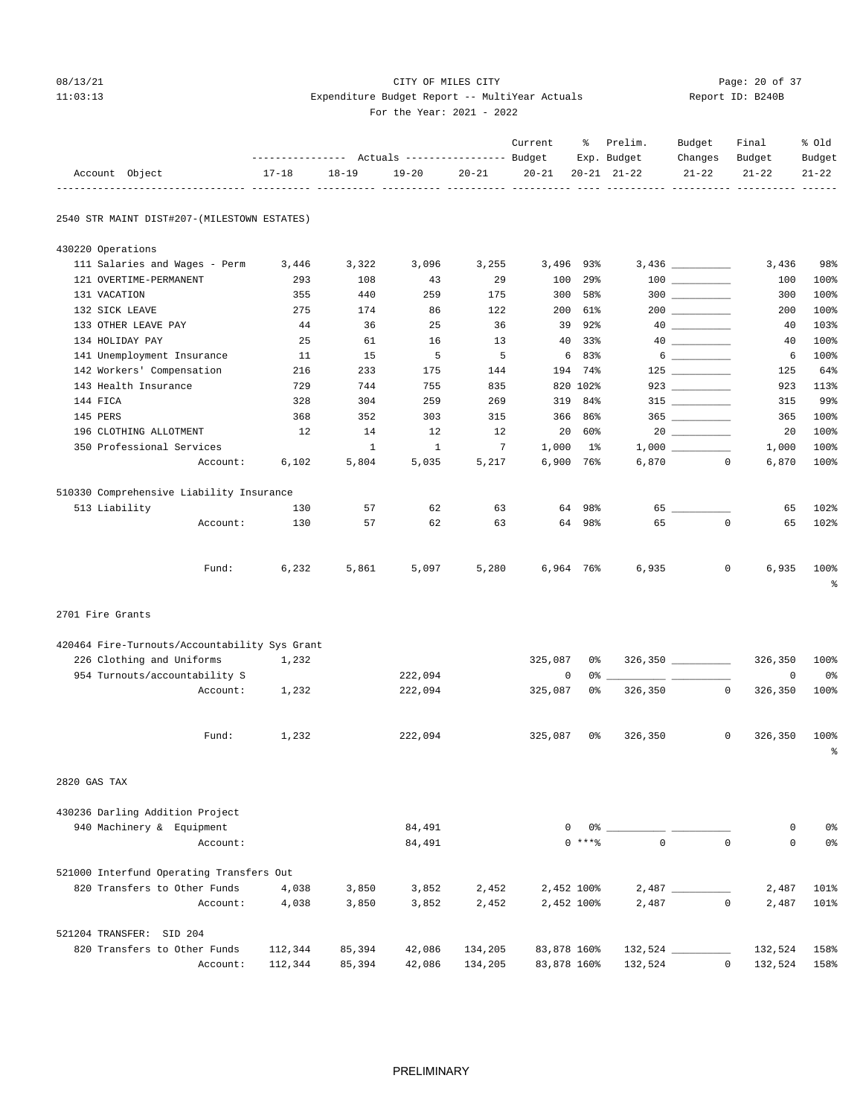## 08/13/21 CITY OF MILES CITY Page: 20 of 37 11:03:13 Expenditure Budget Report -- MultiYear Actuals Report ID: B240B For the Year: 2021 - 2022

-------------------------------- ---------- ---------- ---------- ---------- ---------- ---- ---------- ---------- ---------- ------

 Current % Prelim. Budget Final % Old ------------------ Actuals ----------------- Budget Exp. Budget Changes Budget Budget<br>17-18 18-19 19-20 20-21 20-21 20-21 21-22 21-22 21-22 21-22  $17-18 \qquad 18-19 \qquad 19-20 \qquad 20-21 \qquad 20-21 \qquad 20-21 \qquad 21-22 \qquad 21-22 \qquad 21-22 \qquad 21-22$ 

2540 STR MAINT DIST#207-(MILESTOWN ESTATES)

| 430220 Operations                             |         |              |                  |         |             |                 |             |                                                                                                                                                                                                                                                                                                                                                                     |             |           |
|-----------------------------------------------|---------|--------------|------------------|---------|-------------|-----------------|-------------|---------------------------------------------------------------------------------------------------------------------------------------------------------------------------------------------------------------------------------------------------------------------------------------------------------------------------------------------------------------------|-------------|-----------|
| 111 Salaries and Wages - Perm                 | 3,446   | 3,322        | 3,096            | 3,255   | 3,496       | 93%             |             |                                                                                                                                                                                                                                                                                                                                                                     | 3,436       | 98%       |
| 121 OVERTIME-PERMANENT                        | 293     | 108          | 43               | 29      | 100         | 29 <sub>8</sub> |             | $\begin{tabular}{c} 100 \end{tabular}$                                                                                                                                                                                                                                                                                                                              | 100         | 100%      |
| 131 VACATION                                  | 355     | 440          | 259              | 175     | 300         | 58%             | $300$       |                                                                                                                                                                                                                                                                                                                                                                     | 300         | 100%      |
| 132 SICK LEAVE                                | 275     | 174          | 86               | 122     | 200         | 61%             |             |                                                                                                                                                                                                                                                                                                                                                                     | 200         | 100%      |
| 133 OTHER LEAVE PAY                           | 44      | 36           | 25               | 36      | 39          | 92%             |             |                                                                                                                                                                                                                                                                                                                                                                     | 40          | 103%      |
| 134 HOLIDAY PAY                               | 25      | 61           | 16               | 13      | 40          | 33%             |             |                                                                                                                                                                                                                                                                                                                                                                     | 40          | 100%      |
| 141 Unemployment Insurance                    | 11      | 15           | 5                | 5       | 6           | 83%             |             | $\begin{picture}(20,20) \put(0,0){\vector(1,0){100}} \put(15,0){\vector(1,0){100}} \put(15,0){\vector(1,0){100}} \put(15,0){\vector(1,0){100}} \put(15,0){\vector(1,0){100}} \put(15,0){\vector(1,0){100}} \put(15,0){\vector(1,0){100}} \put(15,0){\vector(1,0){100}} \put(15,0){\vector(1,0){100}} \put(15,0){\vector(1,0){100}} \put(15,0){\vector(1,0){100}} \$ | 6           | 100%      |
| 142 Workers' Compensation                     | 216     | 233          | 175              | 144     | 194         | 74%             | $125$       |                                                                                                                                                                                                                                                                                                                                                                     | 125         | 64%       |
| 143 Health Insurance                          | 729     | 744          | 755              | 835     |             | 820 102%        |             | 923 and $\sim$                                                                                                                                                                                                                                                                                                                                                      | 923         | 113%      |
| 144 FICA                                      | 328     | 304          | 259              | 269     | 319         | 84%             |             |                                                                                                                                                                                                                                                                                                                                                                     | 315         | 99%       |
| 145 PERS                                      | 368     | 352          | 303              | 315     | 366         | 86%             |             |                                                                                                                                                                                                                                                                                                                                                                     | 365         | 100%      |
| 196 CLOTHING ALLOTMENT                        | 12      | 14           | 12               | 12      | 20          | 60%             |             |                                                                                                                                                                                                                                                                                                                                                                     | 20          | 100%      |
| 350 Professional Services                     |         | $\mathbf{1}$ | 1                | 7       | 1,000       | $1\%$           |             |                                                                                                                                                                                                                                                                                                                                                                     | 1,000       | 100%      |
| Account:                                      | 6,102   | 5,804        | 5,035            | 5,217   | 6,900 76%   |                 | 6,870       | $\Omega$                                                                                                                                                                                                                                                                                                                                                            | 6,870       | 100%      |
| 510330 Comprehensive Liability Insurance      |         |              |                  |         |             |                 |             |                                                                                                                                                                                                                                                                                                                                                                     |             |           |
| 513 Liability                                 | 130     | 57           | 62               | 63      | 64          | 98%             |             |                                                                                                                                                                                                                                                                                                                                                                     | 65          | 102%      |
| Account:                                      | 130     | 57           | 62               | 63      |             | 64 98%          | 65          | $\Omega$                                                                                                                                                                                                                                                                                                                                                            | 65          | 102%      |
|                                               |         |              |                  |         |             |                 |             |                                                                                                                                                                                                                                                                                                                                                                     |             |           |
| Fund:                                         | 6,232   | 5,861        | 5,097            | 5,280   | 6,964 76%   |                 | 6,935       | $\mathbf{0}$                                                                                                                                                                                                                                                                                                                                                        | 6,935       | 100%      |
|                                               |         |              |                  |         |             |                 |             |                                                                                                                                                                                                                                                                                                                                                                     |             | ႜ         |
| 2701 Fire Grants                              |         |              |                  |         |             |                 |             |                                                                                                                                                                                                                                                                                                                                                                     |             |           |
| 420464 Fire-Turnouts/Accountability Sys Grant |         |              |                  |         |             |                 |             |                                                                                                                                                                                                                                                                                                                                                                     |             |           |
| 226 Clothing and Uniforms                     | 1,232   |              |                  |         | 325,087     | 0%              |             |                                                                                                                                                                                                                                                                                                                                                                     | 326,350     | 100%      |
| 954 Turnouts/accountability S                 |         |              | 222,094          |         | 0           | 0 %             |             |                                                                                                                                                                                                                                                                                                                                                                     | $\mathbf 0$ | 0%        |
| Account:                                      | 1,232   |              | 222,094          |         | 325,087     | 0%              | 326,350     | $\mathbf{0}$                                                                                                                                                                                                                                                                                                                                                        | 326,350     | 100%      |
|                                               |         |              |                  |         |             |                 |             |                                                                                                                                                                                                                                                                                                                                                                     |             |           |
| Fund:                                         | 1,232   |              | 222,094          |         | 325,087     | 0%              | 326,350     | $\mathbf{0}$                                                                                                                                                                                                                                                                                                                                                        | 326,350     | 100%      |
|                                               |         |              |                  |         |             |                 |             |                                                                                                                                                                                                                                                                                                                                                                     |             | $\approx$ |
| 2820 GAS TAX                                  |         |              |                  |         |             |                 |             |                                                                                                                                                                                                                                                                                                                                                                     |             |           |
| 430236 Darling Addition Project               |         |              |                  |         |             |                 |             |                                                                                                                                                                                                                                                                                                                                                                     |             |           |
| 940 Machinery & Equipment                     |         |              | 84,491           |         | 0           | 0%              |             |                                                                                                                                                                                                                                                                                                                                                                     | 0           | 0%        |
| Account:                                      |         |              | 84,491           |         |             | $0$ ****        | $\mathbf 0$ | $\mathbf{0}$                                                                                                                                                                                                                                                                                                                                                        | $\mathbf 0$ | 0%        |
| 521000 Interfund Operating Transfers Out      |         |              |                  |         |             |                 |             |                                                                                                                                                                                                                                                                                                                                                                     |             |           |
| 820 Transfers to Other Funds                  | 4,038   | 3,850        | 3,852            | 2,452   | 2,452 100%  |                 |             |                                                                                                                                                                                                                                                                                                                                                                     | 2,487       | 101%      |
| Account:                                      | 4,038   | 3,850        | 3,852            | 2,452   | 2,452 100%  |                 | 2,487       | $\mathbf{0}$                                                                                                                                                                                                                                                                                                                                                        | 2,487       | 101%      |
|                                               |         |              |                  |         |             |                 |             |                                                                                                                                                                                                                                                                                                                                                                     |             |           |
| 521204 TRANSFER: SID 204                      |         |              |                  |         |             |                 |             |                                                                                                                                                                                                                                                                                                                                                                     |             |           |
| 820 Transfers to Other Funds                  | 112,344 | 85,394       | 42,086<br>42,086 | 134,205 | 83,878 160% |                 |             |                                                                                                                                                                                                                                                                                                                                                                     | 132,524     | 158%      |
| Account:                                      | 112,344 | 85,394       |                  | 134,205 | 83,878 160% |                 | 132,524     | 0                                                                                                                                                                                                                                                                                                                                                                   | 132,524     | 158%      |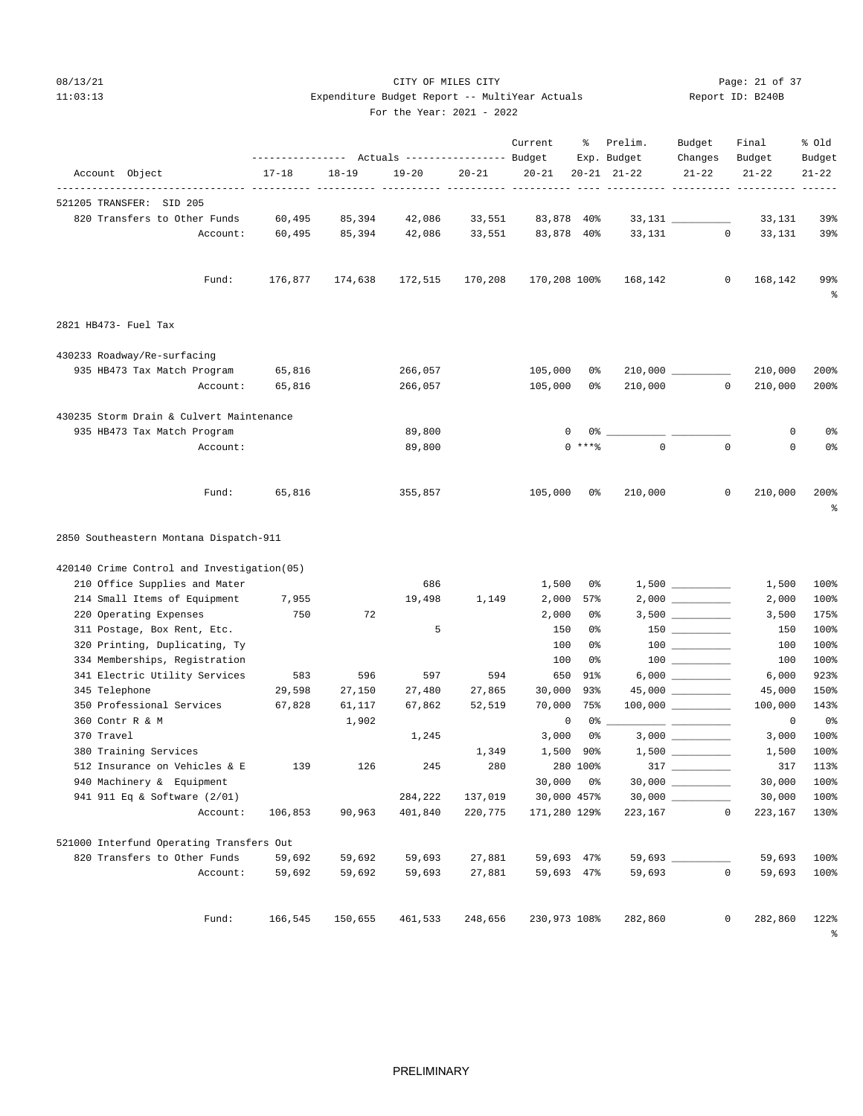# 08/13/21 Page: 21 of 37 11:03:13 Expenditure Budget Report -- MultiYear Actuals Report ID: B240B

Account Object 17-18 18-19 19-20 20-21 20-21 20-21 21-22 21-22 21-22 21-22

---------------- Actuals ----------------- Budget Exp. Budget Changes Budget Budget

Current % Prelim. Budget Final % Old

### For the Year: 2021 - 2022

| 521205 TRANSFER: SID 205                                  |          |         |         |         |         |                       |                |                     |              |                  |                                                                                                                        |
|-----------------------------------------------------------|----------|---------|---------|---------|---------|-----------------------|----------------|---------------------|--------------|------------------|------------------------------------------------------------------------------------------------------------------------|
| 820 Transfers to Other Funds                              |          | 60,495  | 85,394  | 42,086  | 33,551  | 83,878 40%            |                | 33,131              |              | 33,131           | 39%                                                                                                                    |
|                                                           | Account: | 60,495  | 85,394  | 42,086  | 33,551  | 83,878 40%            |                | 33,131              | $\mathbf{0}$ | 33,131           | 39%                                                                                                                    |
|                                                           | Fund:    | 176,877 | 174,638 | 172,515 | 170,208 | 170,208 100%          |                | 168,142             | $\circ$      | 168,142          | 99%<br>ಕಿ                                                                                                              |
| 2821 HB473- Fuel Tax                                      |          |         |         |         |         |                       |                |                     |              |                  |                                                                                                                        |
| 430233 Roadway/Re-surfacing                               |          |         |         |         |         |                       |                |                     |              |                  |                                                                                                                        |
| 935 HB473 Tax Match Program                               |          | 65,816  |         | 266,057 |         | 105,000               | 0%             |                     |              | 210,000          | 200%                                                                                                                   |
|                                                           | Account: | 65,816  |         | 266,057 |         | 105,000               | 0%             | 210,000             | $\Omega$     | 210,000          | 200%                                                                                                                   |
| 430235 Storm Drain & Culvert Maintenance                  |          |         |         |         |         |                       |                |                     |              |                  |                                                                                                                        |
| 935 HB473 Tax Match Program                               |          |         |         | 89,800  |         |                       | 0%             |                     |              | 0                | 0 <sub>8</sub>                                                                                                         |
|                                                           | Account: |         |         | 89,800  |         |                       | $0$ ****       | $\Omega$            | $\Omega$     | $\mathbf 0$      | 0 <sub>8</sub>                                                                                                         |
|                                                           |          |         |         | 355,857 |         | 105,000               | 0%             | 210,000             | $\mathbf 0$  | 210,000          | 200%                                                                                                                   |
|                                                           | Fund:    | 65,816  |         |         |         |                       |                |                     |              |                  |                                                                                                                        |
| 2850 Southeastern Montana Dispatch-911                    |          |         |         |         |         |                       |                |                     |              |                  |                                                                                                                        |
| 420140 Crime Control and Investigation(05)                |          |         |         |         |         |                       |                |                     |              |                  | 昙                                                                                                                      |
| 210 Office Supplies and Mater                             |          |         |         | 686     |         | 1,500                 | 0%             | 1,500               |              | 1,500            | 100%                                                                                                                   |
| 214 Small Items of Equipment                              |          | 7,955   |         | 19,498  | 1,149   | 2,000                 | 57%            |                     |              | 2,000            |                                                                                                                        |
| 220 Operating Expenses                                    |          | 750     | 72      |         |         | 2,000                 | 0%             |                     |              | 3,500            |                                                                                                                        |
| 311 Postage, Box Rent, Etc.                               |          |         |         | 5       |         | 150                   | 0%             | $150$               |              | 150              |                                                                                                                        |
| 320 Printing, Duplicating, Ty                             |          |         |         |         |         | 100                   | 0 <sup>°</sup> |                     |              | 100              |                                                                                                                        |
| 334 Memberships, Registration                             |          |         |         |         |         | 100                   | 0 <sup>°</sup> |                     |              | 100              |                                                                                                                        |
| 341 Electric Utility Services                             |          | 583     | 596     | 597     | 594     | 650                   | 91%            |                     |              | 6,000            |                                                                                                                        |
| 345 Telephone                                             |          | 29,598  | 27,150  | 27,480  | 27,865  | 30,000                | 93%            |                     |              | 45,000           |                                                                                                                        |
| 350 Professional Services                                 |          | 67,828  | 61,117  | 67,862  | 52,519  | 70,000                | 75%            |                     |              | 100,000          |                                                                                                                        |
| 360 Contr R & M                                           |          |         | 1,902   |         |         | $\mathsf 0$           | $0\,$          |                     |              | $\mathsf{O}$     |                                                                                                                        |
| 370 Travel                                                |          |         |         | 1,245   |         | 3,000                 | 0%             |                     |              | 3,000            |                                                                                                                        |
| 380 Training Services                                     |          |         |         |         | 1,349   | 1,500 90%             |                |                     |              | 1,500            |                                                                                                                        |
| 512 Insurance on Vehicles & E                             |          | 139     | 126     | 245     | 280     |                       | 280 100%       | $317$ _________     |              | 317              |                                                                                                                        |
| 940 Machinery & Equipment<br>941 911 Eq & Software (2/01) |          |         |         | 284,222 | 137,019 | 30,000<br>30,000 457% | 0%             | $30,000$ __________ |              | 30,000<br>30,000 | 100%<br>175%<br>100%<br>100%<br>100%<br>923%<br>150%<br>143%<br>0 <sub>8</sub><br>100%<br>100%<br>113%<br>100%<br>100% |

820 Transfers to Other Funds 59,692 59,692 59,693 27,881 59,693 47% 59,693 \_\_\_\_\_\_\_\_\_\_ 59,693 100%

%

Account: 59,692 59,692 59,693 27,881 59,693 47% 59,693 0 59,693 100%

Fund: 166,545 150,655 461,533 248,656 230,973 108% 282,860 0 282,860 122%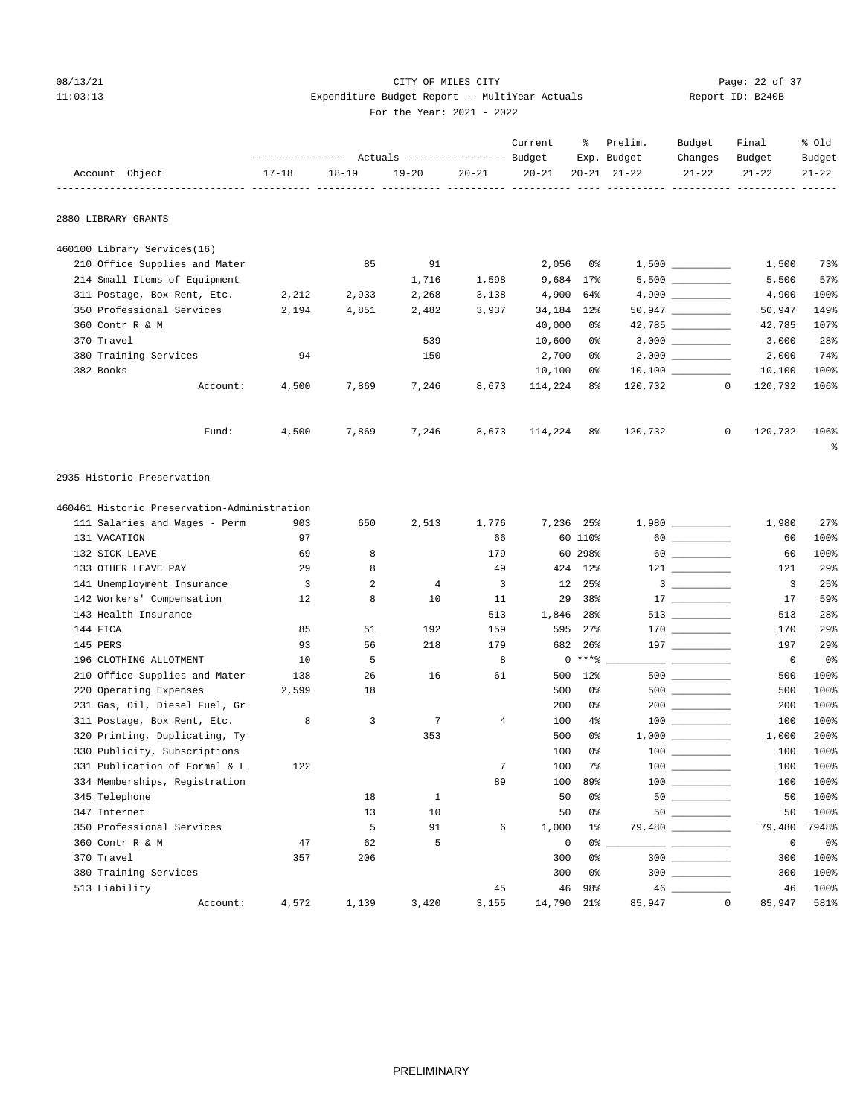## 08/13/21 Page: 22 of 37 11:03:13 Expenditure Budget Report -- MultiYear Actuals Report ID: B240B For the Year: 2021 - 2022

|                                             |                         |           | FOI LIE IEAL· 2021 - 2022                                   |       |                     |         |                     |                                |                         |                 |
|---------------------------------------------|-------------------------|-----------|-------------------------------------------------------------|-------|---------------------|---------|---------------------|--------------------------------|-------------------------|-----------------|
|                                             |                         |           | --------------- Actuals ---------------- Budget Exp. Budget |       | Current             | ိ       | Prelim.             | Budget<br>Changes              | Final<br>Budget         | % old<br>Budget |
| Account Object                              | $17 - 18$               | $18 - 19$ | $19 - 20$                                                   |       | $20 - 21$ $20 - 21$ |         | $20 - 21$ $21 - 22$ | $21 - 22$                      | $21 - 22$               | $21 - 22$       |
| 2880 LIBRARY GRANTS                         |                         |           |                                                             |       |                     |         |                     |                                |                         |                 |
| 460100 Library Services(16)                 |                         |           |                                                             |       |                     |         |                     |                                |                         |                 |
| 210 Office Supplies and Mater               |                         | 85        | 91                                                          |       | 2,056               | 0 %     |                     |                                | 1,500                   | 73%             |
| 214 Small Items of Equipment                |                         |           | 1,716                                                       | 1,598 | 9,684 17%           |         |                     |                                | 5,500                   | 57%             |
| 311 Postage, Box Rent, Etc.                 | 2,212                   | 2,933     | 2,268                                                       | 3,138 | 4,900 64%           |         |                     | 4,900                          | 4,900                   | 100%            |
| 350 Professional Services                   | 2,194                   | 4,851     | 2,482                                                       | 3,937 | 34, 184 12%         |         |                     | $50,947$ __________            | 50,947                  | 149%            |
| 360 Contr R & M                             |                         |           |                                                             |       | 40,000              | 0응      |                     |                                | 42,785                  | 107%            |
| 370 Travel                                  |                         |           | 539                                                         |       | 10,600              | 0 %     |                     | 3,000                          | 3,000                   | 28%             |
| 380 Training Services                       | 94                      |           | 150                                                         |       | 2,700               | 0 %     |                     |                                | 2,000                   | 74%             |
| 382 Books                                   |                         |           |                                                             |       | 10,100              | 0 %     |                     |                                | 10,100                  | 100%            |
| Account:                                    | 4,500                   | 7,869     | 7,246                                                       | 8,673 | 114,224             | 8%      |                     | 120,732 0                      | 120,732                 | 106%            |
| Fund:                                       | 4,500                   | 7,869     | 7,246                                                       | 8,673 | 114,224 8%          |         | 120,732             |                                | 120,732<br>$\mathbf{0}$ | 106%<br>ႜ       |
| 2935 Historic Preservation                  |                         |           |                                                             |       |                     |         |                     |                                |                         |                 |
| 460461 Historic Preservation-Administration |                         |           |                                                             |       |                     |         |                     |                                |                         |                 |
| 111 Salaries and Wages - Perm               | 903                     | 650       | 2,513                                                       | 1,776 | 7,236 25%           |         |                     | 1,980                          | 1,980                   | 27%             |
| 131 VACATION                                | 97                      |           |                                                             | 66    |                     | 60 110% |                     | $60$                           | 60                      | 100%            |
| 132 SICK LEAVE                              | 69                      | 8         |                                                             | 179   |                     | 60 298% |                     |                                | 60                      | 100%            |
| 133 OTHER LEAVE PAY                         | 29                      | 8         |                                                             | 49    |                     | 424 12% |                     |                                | 121                     | 29%             |
| 141 Unemployment Insurance                  | $\overline{\mathbf{3}}$ | 2         | $\overline{4}$                                              | 3     | 12                  | 25%     |                     | $3 \left( \frac{1}{2} \right)$ | 3                       | 25%             |
| 142 Workers' Compensation                   | 12                      | 8         | 10                                                          | 11    | 29                  | 38%     |                     | 17                             | 17                      | 59%             |
| 143 Health Insurance                        |                         |           |                                                             | 513   | 1,846 28%           |         |                     | 513 _________                  | 513                     | 28%             |

 144 FICA 85 51 192 159 595 27% 170 \_\_\_\_\_\_\_\_\_\_ 170 29% 145 PERS 93 56 218 179 682 26% 197 \_\_\_\_\_\_\_\_\_\_ 197 29% 196 CLOTHING ALLOTMENT 10 10 5 8 0 \*\*\*\* 3 20 20 0 8<br>210 Office Supplies and Mater 138 26 16 61 500 12\* 500 202 500 500 100\*

220 Operating Expenses 2,599 18 500 0% 500 \_\_\_\_\_\_\_\_\_ 500 100% 231 Gas, Oil, Diesel Fuel, Gr<br>
201 Os 200 0% 200 \_\_\_\_\_\_\_\_\_\_\_\_\_ 200 100%<br>
201 Dostage, Box Rent, Etc. 200 3 200 7 4 100 4% 100 \_\_\_\_\_\_\_\_\_\_ 100 100%

 320 Printing, Duplicating, Ty 353 500 0% 1,000 \_\_\_\_\_\_\_\_\_\_ 1,000 200% 330 Publicity, Subscriptions 100 100% 100 0% 100 \_\_\_\_\_\_\_\_\_ 100 100% 331 Publication of Formal & L  $122$  7 100 7% 100 \_\_\_\_\_\_\_\_ 100 100% 334 Memberships, Registration 18 18 1 200 100 89% 100 200 100% 100 39% 100 200 100% 100 345 Telephone 345 Telephone

347 Internet 13 13 10 50 0% 50 \_\_\_\_\_\_\_\_ 50 100% 350 Professional Services 5 91 6 1,000 1% 79,480 \_\_\_\_\_\_\_\_\_\_ 79,480 7948%

 370 Travel 357 206 300 0% 300 \_\_\_\_\_\_\_\_\_\_ 300 100% 380 Training Services 300 0% 300 \_\_\_\_\_\_\_\_\_\_ 300 100% 513 Liability 45 46 98% 46 \_\_\_\_\_\_\_\_\_\_ 46 100%

Account: 4,572 1,139 3,420 3,155 14,790 21% 85,947 0 85,947 581%

210 Office Supplies and Mater 138 26 16 61 500 12% 500 \_\_\_\_\_\_\_\_\_\_\_\_\_\_\_\_\_\_\_\_\_\_\_\_\_<br>220 Operating Expenses 2,599 18 500 500 10% 500

311 Postage, Box Rent, Etc. 8 3 3 7 4 100 4% 100 \_\_\_\_\_\_\_\_\_\_\_\_\_\_\_\_\_\_\_\_\_\_\_\_\_\_\_\_\_\_\_\_

345 Telephone 18 18 18 1 50 0 1 50 <u>- 1</u>

360 Contr R & M 47 62 5 0 0% \_\_\_\_\_\_\_\_\_\_ \_\_\_\_\_\_\_\_\_\_ 0 0%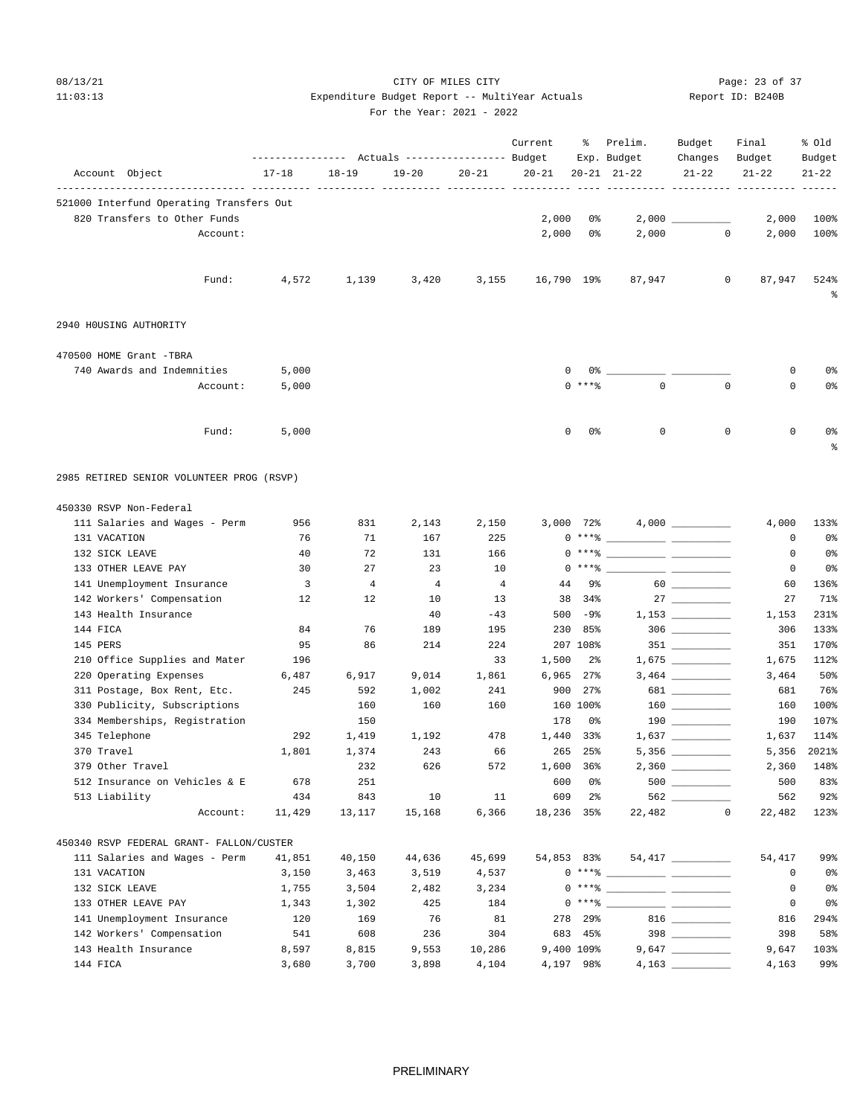# 08/13/21 Page: 23 of 37 11:03:13 Expenditure Budget Report -- MultiYear Actuals Report ID: B240B

---------------- Actuals ----------------- Budget Exp. Budget Changes Budget Budget

Current % Prelim. Budget Final % Old

### For the Year: 2021 - 2022

| Account Object                                    | $17 - 18$               | $18 - 19$      | $19 - 20$      | $20 - 21$      | $20 - 21$  |                 | $20 - 21$ $21 - 22$                                                                                                                                                                                                                                                                                                      | $21 - 22$                                                                                                                                                                                                                                                                                                                                                    | 21-22        | $21 - 22$      |
|---------------------------------------------------|-------------------------|----------------|----------------|----------------|------------|-----------------|--------------------------------------------------------------------------------------------------------------------------------------------------------------------------------------------------------------------------------------------------------------------------------------------------------------------------|--------------------------------------------------------------------------------------------------------------------------------------------------------------------------------------------------------------------------------------------------------------------------------------------------------------------------------------------------------------|--------------|----------------|
| 521000 Interfund Operating Transfers Out          |                         |                |                |                |            |                 |                                                                                                                                                                                                                                                                                                                          |                                                                                                                                                                                                                                                                                                                                                              |              |                |
| 820 Transfers to Other Funds                      |                         |                |                |                | 2,000      | 0%              |                                                                                                                                                                                                                                                                                                                          | 2,000                                                                                                                                                                                                                                                                                                                                                        | 2,000        | 100%           |
| Account:                                          |                         |                |                |                | 2,000      | 0%              | 2,000                                                                                                                                                                                                                                                                                                                    | $\circ$                                                                                                                                                                                                                                                                                                                                                      | 2,000        | 100%           |
| Fund:                                             | 4,572                   | 1,139          | 3,420          | 3,155          | 16,790 19% |                 | 87,947                                                                                                                                                                                                                                                                                                                   | $\mathbf 0$                                                                                                                                                                                                                                                                                                                                                  | 87,947       | 524%<br>ಕಿ     |
| 2940 HOUSING AUTHORITY                            |                         |                |                |                |            |                 |                                                                                                                                                                                                                                                                                                                          |                                                                                                                                                                                                                                                                                                                                                              |              |                |
| 470500 HOME Grant -TBRA                           |                         |                |                |                |            |                 |                                                                                                                                                                                                                                                                                                                          |                                                                                                                                                                                                                                                                                                                                                              |              |                |
| 740 Awards and Indemnities                        | 5,000                   |                |                |                | 0          | 0%              |                                                                                                                                                                                                                                                                                                                          |                                                                                                                                                                                                                                                                                                                                                              | 0            | 0 <sub>8</sub> |
| Account:                                          | 5,000                   |                |                |                | $\Omega$   | $***$ $%$       | $\mathbf 0$                                                                                                                                                                                                                                                                                                              | $\mathbf 0$                                                                                                                                                                                                                                                                                                                                                  | $\mathbf 0$  | 0%             |
| Fund:                                             | 5,000                   |                |                |                | 0          | 0%              | 0                                                                                                                                                                                                                                                                                                                        | $\mathbf 0$                                                                                                                                                                                                                                                                                                                                                  | $\mathbf 0$  | 0 <sub>8</sub> |
|                                                   |                         |                |                |                |            |                 |                                                                                                                                                                                                                                                                                                                          |                                                                                                                                                                                                                                                                                                                                                              |              | ႜ              |
| 2985 RETIRED SENIOR VOLUNTEER PROG (RSVP)         |                         |                |                |                |            |                 |                                                                                                                                                                                                                                                                                                                          |                                                                                                                                                                                                                                                                                                                                                              |              |                |
| 450330 RSVP Non-Federal                           |                         |                |                |                |            |                 |                                                                                                                                                                                                                                                                                                                          |                                                                                                                                                                                                                                                                                                                                                              |              |                |
| 111 Salaries and Wages - Perm                     | 956                     | 831            | 2,143          | 2,150          |            | 3,000 72%       |                                                                                                                                                                                                                                                                                                                          | $4,000$ _________                                                                                                                                                                                                                                                                                                                                            | 4,000        | 133%           |
| 131 VACATION                                      | 76                      | 71             | 167            | 225            |            |                 | $0***$ $\frac{1}{2}$ $\frac{1}{2}$ $\frac{1}{2}$ $\frac{1}{2}$ $\frac{1}{2}$ $\frac{1}{2}$ $\frac{1}{2}$ $\frac{1}{2}$ $\frac{1}{2}$ $\frac{1}{2}$ $\frac{1}{2}$ $\frac{1}{2}$ $\frac{1}{2}$ $\frac{1}{2}$ $\frac{1}{2}$ $\frac{1}{2}$ $\frac{1}{2}$ $\frac{1}{2}$ $\frac{1}{2}$ $\frac{1}{2}$ $\frac{1}{2}$ $\frac{1}{$ |                                                                                                                                                                                                                                                                                                                                                              | 0            | 0%             |
| 132 SICK LEAVE                                    | 40                      | 72             | 131            | 166            |            |                 | $0***$ $\frac{1}{2}$ $\frac{1}{2}$ $\frac{1}{2}$ $\frac{1}{2}$ $\frac{1}{2}$ $\frac{1}{2}$ $\frac{1}{2}$ $\frac{1}{2}$ $\frac{1}{2}$ $\frac{1}{2}$ $\frac{1}{2}$ $\frac{1}{2}$ $\frac{1}{2}$ $\frac{1}{2}$ $\frac{1}{2}$ $\frac{1}{2}$ $\frac{1}{2}$ $\frac{1}{2}$ $\frac{1}{2}$ $\frac{1}{2}$ $\frac{1}{2}$ $\frac{1}{$ |                                                                                                                                                                                                                                                                                                                                                              | 0            | 0%             |
| 133 OTHER LEAVE PAY                               | 30                      | 27             | 23             | 10             |            |                 | $0***$ $\frac{1}{2}$ $\frac{1}{2}$ $\frac{1}{2}$ $\frac{1}{2}$ $\frac{1}{2}$ $\frac{1}{2}$ $\frac{1}{2}$ $\frac{1}{2}$ $\frac{1}{2}$ $\frac{1}{2}$ $\frac{1}{2}$ $\frac{1}{2}$ $\frac{1}{2}$ $\frac{1}{2}$ $\frac{1}{2}$ $\frac{1}{2}$ $\frac{1}{2}$ $\frac{1}{2}$ $\frac{1}{2}$ $\frac{1}{2}$ $\frac{1}{2}$ $\frac{1}{$ |                                                                                                                                                                                                                                                                                                                                                              | 0            | 0 <sub>8</sub> |
| 141 Unemployment Insurance                        | $\overline{\mathbf{3}}$ | $\overline{4}$ | $\overline{4}$ | $\overline{4}$ | 44         | 9%              |                                                                                                                                                                                                                                                                                                                          |                                                                                                                                                                                                                                                                                                                                                              | 60           | 136%           |
| 142 Workers' Compensation                         | 12                      | 12             | 10             | 13             | 38         | 34%             |                                                                                                                                                                                                                                                                                                                          |                                                                                                                                                                                                                                                                                                                                                              | 27           | 71%            |
| 143 Health Insurance                              |                         |                | 40             | $-43$          | 500        | -98             |                                                                                                                                                                                                                                                                                                                          |                                                                                                                                                                                                                                                                                                                                                              | 1,153        | 231%           |
| 144 FICA                                          | 84                      | 76             | 189            | 195            |            | 230 85%         |                                                                                                                                                                                                                                                                                                                          | $306 \begin{tabular}{l} \hline \rule{0.2cm}{0.1cm} \rule{0.2cm}{0.1cm} \rule{0.2cm}{0.1cm} \rule{0.2cm}{0.1cm} \rule{0.2cm}{0.1cm} \rule{0.2cm}{0.1cm} \rule{0.2cm}{0.1cm} \rule{0.2cm}{0.1cm} \rule{0.2cm}{0.1cm} \rule{0.2cm}{0.1cm} \rule{0.2cm}{0.1cm} \rule{0.2cm}{0.1cm} \rule{0.2cm}{0.1cm} \rule{0.2cm}{0.1cm} \rule{0.2cm}{0.1cm} \rule{0.2cm}{0.1$ | 306          | 133%           |
| 145 PERS                                          | 95                      | 86             | 214            | 224            |            | 207 108%        |                                                                                                                                                                                                                                                                                                                          |                                                                                                                                                                                                                                                                                                                                                              | 351          | 170%           |
| 210 Office Supplies and Mater                     | 196                     |                |                | 33             | 1,500      | $2\frac{6}{9}$  |                                                                                                                                                                                                                                                                                                                          |                                                                                                                                                                                                                                                                                                                                                              | 1,675        | 112%           |
| 220 Operating Expenses                            | 6,487                   | 6,917          | 9,014          | 1,861          |            | 6,965 27%       |                                                                                                                                                                                                                                                                                                                          |                                                                                                                                                                                                                                                                                                                                                              | 3,464        | 50%            |
| 311 Postage, Box Rent, Etc.                       | 245                     | 592            | 1,002          | 241            | 900        | $27\%$          |                                                                                                                                                                                                                                                                                                                          | 681                                                                                                                                                                                                                                                                                                                                                          | 681          | 76%            |
| 330 Publicity, Subscriptions                      |                         | 160            | 160            | 160            |            | 160 100%        |                                                                                                                                                                                                                                                                                                                          |                                                                                                                                                                                                                                                                                                                                                              | 160          | 100%           |
| 334 Memberships, Registration                     |                         | 150            |                |                | 178        | 0%              |                                                                                                                                                                                                                                                                                                                          | $\begin{tabular}{c} 190 \end{tabular}$                                                                                                                                                                                                                                                                                                                       | 190          | 107%           |
| 345 Telephone                                     | 292                     | 1,419          | 1,192          | 478            |            | 1,440 33%       |                                                                                                                                                                                                                                                                                                                          |                                                                                                                                                                                                                                                                                                                                                              | 1,637        | 114%           |
| 370 Travel                                        | 1,801                   | 1,374          | 243            | 66             |            | 265 25%         |                                                                                                                                                                                                                                                                                                                          | $5,356$ __________                                                                                                                                                                                                                                                                                                                                           | 5,356        | 2021%          |
| 379 Other Travel<br>512 Insurance on Vehicles & E | 678                     | 232<br>251     | 626            | 572            | 600        | 1,600 36%<br>0% |                                                                                                                                                                                                                                                                                                                          | $500$ ___________                                                                                                                                                                                                                                                                                                                                            | 2,360<br>500 | 148%<br>83%    |
| 513 Liability                                     | 434                     | 843            | 10             | 11             | 609        | $2\frac{6}{9}$  |                                                                                                                                                                                                                                                                                                                          |                                                                                                                                                                                                                                                                                                                                                              | 562          | 92%            |
| Account:                                          | 11,429                  | 13,117         | 15,168         | 6,366          | 18,236 35% |                 | 22,482                                                                                                                                                                                                                                                                                                                   | $562 \ \ \underline{\hspace{1.5cm}}$<br>0                                                                                                                                                                                                                                                                                                                    |              | 22,482 123%    |
| 450340 RSVP FEDERAL GRANT- FALLON/CUSTER          |                         |                |                |                |            |                 |                                                                                                                                                                                                                                                                                                                          |                                                                                                                                                                                                                                                                                                                                                              |              |                |
| 111 Salaries and Wages - Perm                     | 41,851                  | 40,150         | 44,636         | 45,699         | 54,853 83% |                 |                                                                                                                                                                                                                                                                                                                          |                                                                                                                                                                                                                                                                                                                                                              | 54,417       | 99%            |
| 131 VACATION                                      | 3,150                   | 3,463          | 3,519          | 4,537          |            |                 |                                                                                                                                                                                                                                                                                                                          |                                                                                                                                                                                                                                                                                                                                                              | $\circ$      | 0 <sub>8</sub> |
| 132 SICK LEAVE                                    | 1,755                   | 3,504          | 2,482          | 3,234          |            |                 |                                                                                                                                                                                                                                                                                                                          |                                                                                                                                                                                                                                                                                                                                                              | 0            | 0 <sub>8</sub> |
| 133 OTHER LEAVE PAY                               | 1,343                   | 1,302          | 425            | 184            |            | $0***8$         |                                                                                                                                                                                                                                                                                                                          |                                                                                                                                                                                                                                                                                                                                                              | $\mathbf 0$  | 0 <sub>8</sub> |

 141 Unemployment Insurance 120 169 76 81 278 29% 816 \_\_\_\_\_\_\_\_\_\_ 816 294% 142 Workers' Compensation 541 608 236 304 683 45% 398 \_\_\_\_\_\_\_\_\_\_ 398 58% 143 Health Insurance 8,597 8,815 9,553 10,286 9,400 109% 9,647 \_\_\_\_\_\_\_\_\_\_ 9,647 103% 144 FICA 3,680 3,700 3,898 4,104 4,197 98% 4,163 \_\_\_\_\_\_\_\_\_\_ 4,163 99%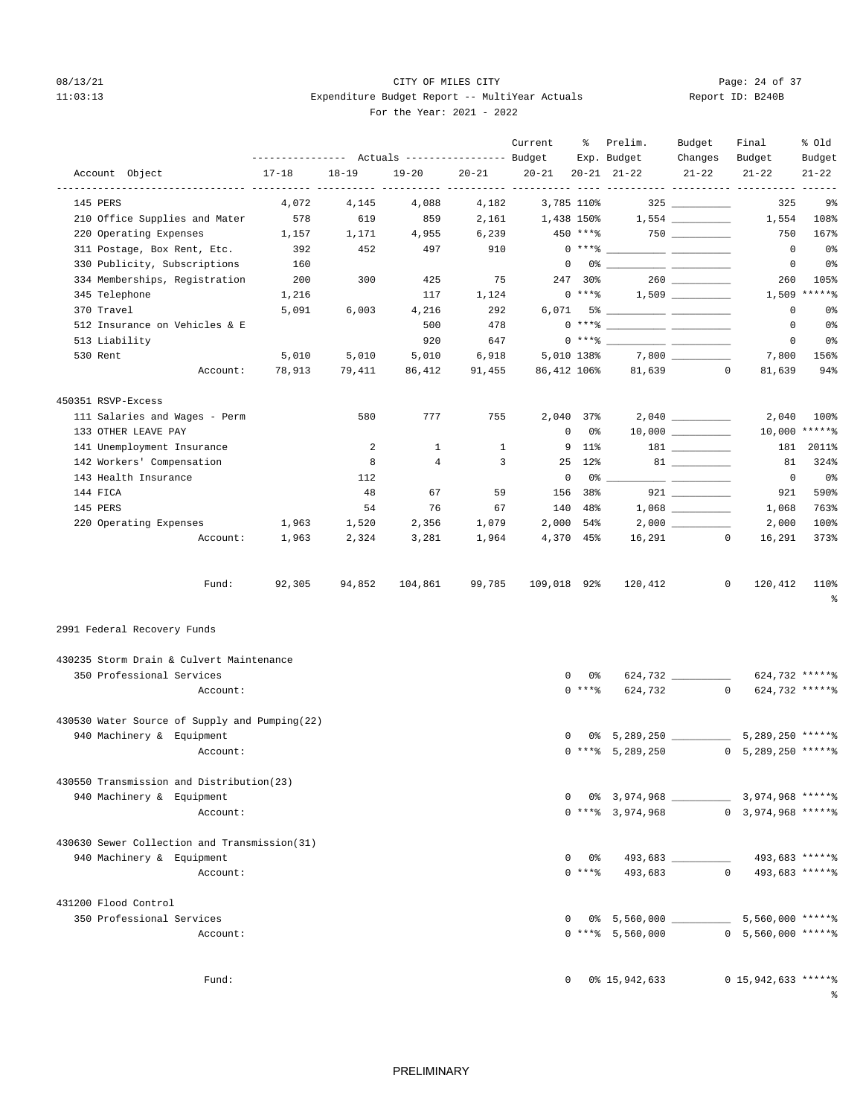## 08/13/21 Page: 24 of 37 11:03:13 Expenditure Budget Report -- MultiYear Actuals For the Year: 2021 - 2022

| Report ID: B240B |  |  |  |
|------------------|--|--|--|
|------------------|--|--|--|

|                                               |                                                       |           |                |                         | Current      | ፟ዼ            | Prelim.                                                                                                                                                                                                                                                                                                                  | Budget          | Final                     | % old          |
|-----------------------------------------------|-------------------------------------------------------|-----------|----------------|-------------------------|--------------|---------------|--------------------------------------------------------------------------------------------------------------------------------------------------------------------------------------------------------------------------------------------------------------------------------------------------------------------------|-----------------|---------------------------|----------------|
|                                               | ---------------    Actuals ----------------    Budget |           |                |                         |              |               | Exp. Budget                                                                                                                                                                                                                                                                                                              | Changes         | Budget                    | Budget         |
| Account Object                                | $17 - 18$                                             | $18 - 19$ | $19 - 20$      | $20 - 21$               | $20 - 21$    |               | $20 - 21$ $21 - 22$                                                                                                                                                                                                                                                                                                      | $21 - 22$       | $21 - 22$                 | $21 - 22$      |
| 145 PERS                                      | 4,072                                                 | 4,145     | 4,088          | 4,182                   | 3,785 110%   |               |                                                                                                                                                                                                                                                                                                                          |                 | 325                       | 9%             |
| 210 Office Supplies and Mater                 | 578                                                   | 619       | 859            | 2,161                   | 1,438 150%   |               |                                                                                                                                                                                                                                                                                                                          | 1,554           | 1,554                     | 108%           |
| 220 Operating Expenses                        | 1,157                                                 | 1,171     | 4,955          | 6,239                   | 450 ****     |               |                                                                                                                                                                                                                                                                                                                          |                 | 750                       | 167%           |
| 311 Postage, Box Rent, Etc.                   | 392                                                   | 452       | 497            | 910                     |              | $0***8$       |                                                                                                                                                                                                                                                                                                                          |                 | $\overline{0}$            | 0%             |
| 330 Publicity, Subscriptions                  | 160                                                   |           |                |                         | $^{\circ}$   |               |                                                                                                                                                                                                                                                                                                                          |                 | $\overline{0}$            | 0%             |
| 334 Memberships, Registration                 | 200                                                   | 300       | 425            | 75                      |              | 247 30%       |                                                                                                                                                                                                                                                                                                                          |                 | 260                       | 105%           |
| 345 Telephone                                 | 1,216                                                 |           | 117            | 1,124                   |              | $0***$ $****$ |                                                                                                                                                                                                                                                                                                                          |                 |                           | $1,509$ *****% |
| 370 Travel                                    | 5,091                                                 | 6,003     | 4,216          | 292                     |              |               |                                                                                                                                                                                                                                                                                                                          |                 | $\mathbf{0}$              | 0%             |
| 512 Insurance on Vehicles & E                 |                                                       |           | 500            | 478                     |              |               | $0***$ $\frac{1}{2}$ $\frac{1}{2}$ $\frac{1}{2}$ $\frac{1}{2}$ $\frac{1}{2}$ $\frac{1}{2}$ $\frac{1}{2}$ $\frac{1}{2}$ $\frac{1}{2}$ $\frac{1}{2}$ $\frac{1}{2}$ $\frac{1}{2}$ $\frac{1}{2}$ $\frac{1}{2}$ $\frac{1}{2}$ $\frac{1}{2}$ $\frac{1}{2}$ $\frac{1}{2}$ $\frac{1}{2}$ $\frac{1}{2}$ $\frac{1}{2}$ $\frac{1}{$ |                 | $^{\circ}$                | 0 <sup>8</sup> |
| 513 Liability                                 |                                                       |           | 920            | 647                     |              |               | $0***$ $\frac{20}{100}$                                                                                                                                                                                                                                                                                                  |                 | $\overline{0}$            | 0%             |
| 530 Rent                                      | 5,010                                                 | 5,010     | 5,010          | 6,918                   |              | 5,010 138%    |                                                                                                                                                                                                                                                                                                                          |                 | 7,800                     | 156%           |
| Account:                                      | 78,913                                                | 79,411    | 86,412         | 91,455                  |              |               | 86,412 106% 81,639 0                                                                                                                                                                                                                                                                                                     |                 | 81,639                    | 94%            |
| 450351 RSVP-Excess                            |                                                       |           |                |                         |              |               |                                                                                                                                                                                                                                                                                                                          |                 |                           |                |
| 111 Salaries and Wages - Perm                 |                                                       | 580       | 777            | 755                     |              | 2,040 37%     |                                                                                                                                                                                                                                                                                                                          |                 | 2,040                     | 100%           |
| 133 OTHER LEAVE PAY                           |                                                       |           |                |                         | $\mathbf 0$  | 0%            |                                                                                                                                                                                                                                                                                                                          |                 |                           | 10,000 ******  |
| 141 Unemployment Insurance                    |                                                       | 2         | $\mathbf{1}$   | $\mathbf{1}$            |              | 9 11%         |                                                                                                                                                                                                                                                                                                                          | $181$ _________ | 181                       | 2011%          |
| 142 Workers' Compensation                     |                                                       | 8         | $\overline{4}$ | $\overline{\mathbf{3}}$ |              | 25 12%        |                                                                                                                                                                                                                                                                                                                          |                 | 81                        | 324%           |
| 143 Health Insurance                          |                                                       | 112       |                |                         | $^{\circ}$   | 0%            |                                                                                                                                                                                                                                                                                                                          |                 | $\overline{\phantom{0}}$  | 0 <sup>8</sup> |
| 144 FICA                                      |                                                       | 48        | 67             | 59                      | 156          | 38%           |                                                                                                                                                                                                                                                                                                                          |                 | 921                       | 590%           |
| 145 PERS                                      |                                                       | 54        | 76             | 67                      |              | 140 48%       |                                                                                                                                                                                                                                                                                                                          |                 | 1,068                     | 763%           |
|                                               | 1,963                                                 | 1,520     | 2,356          | 1,079                   |              | $2,000$ 54%   |                                                                                                                                                                                                                                                                                                                          |                 | 2,000                     | 100%           |
| 220 Operating Expenses<br>Account:            |                                                       |           |                |                         |              | 4,370 45%     |                                                                                                                                                                                                                                                                                                                          | $16,291$ 0      |                           | 373%           |
|                                               | 1,963                                                 | 2,324     | 3,281          | 1,964                   |              |               |                                                                                                                                                                                                                                                                                                                          |                 | 16,291                    |                |
| Fund:                                         | 92,305                                                | 94,852    | 104,861        | 99,785                  | 109,018 92%  |               | 120,412                                                                                                                                                                                                                                                                                                                  | $\circ$         | 120,412                   | 110%<br>နွ     |
| 2991 Federal Recovery Funds                   |                                                       |           |                |                         |              |               |                                                                                                                                                                                                                                                                                                                          |                 |                           |                |
| 430235 Storm Drain & Culvert Maintenance      |                                                       |           |                |                         |              |               |                                                                                                                                                                                                                                                                                                                          |                 |                           |                |
| 350 Professional Services                     |                                                       |           |                |                         | 0            | 0 %           |                                                                                                                                                                                                                                                                                                                          |                 | 624,732 ******            |                |
| Account:                                      |                                                       |           |                |                         |              | $0***$        |                                                                                                                                                                                                                                                                                                                          |                 | 624,732 0 624,732 ******  |                |
| 430530 Water Source of Supply and Pumping(22) |                                                       |           |                |                         |              |               |                                                                                                                                                                                                                                                                                                                          |                 |                           |                |
| 940 Machinery & Equipment                     |                                                       |           |                |                         |              |               | 0 0% 5,289,250 5,289,250 ******                                                                                                                                                                                                                                                                                          |                 |                           |                |
| Account:                                      |                                                       |           |                |                         |              |               | $0$ ***\ 5,289,250                                                                                                                                                                                                                                                                                                       |                 | $0, 5, 289, 250$ ***** \$ |                |
|                                               |                                                       |           |                |                         |              |               |                                                                                                                                                                                                                                                                                                                          |                 |                           |                |
| 430550 Transmission and Distribution(23)      |                                                       |           |                |                         |              |               |                                                                                                                                                                                                                                                                                                                          |                 |                           |                |
| 940 Machinery & Equipment                     |                                                       |           |                |                         |              |               |                                                                                                                                                                                                                                                                                                                          |                 |                           |                |
| Account:                                      |                                                       |           |                |                         |              |               | $0$ **** 3.974.968 0 3.974.968 ******                                                                                                                                                                                                                                                                                    |                 |                           |                |
| 430630 Sewer Collection and Transmission(31)  |                                                       |           |                |                         |              |               |                                                                                                                                                                                                                                                                                                                          |                 |                           |                |
| 940 Machinery & Equipment                     |                                                       |           |                |                         | $\mathbf{0}$ |               | 0% 493,683 493,683 ******                                                                                                                                                                                                                                                                                                |                 |                           |                |
| Account:                                      |                                                       |           |                |                         |              |               | $0$ **** 493,683 0 493,683 ******                                                                                                                                                                                                                                                                                        |                 |                           |                |
| 431200 Flood Control                          |                                                       |           |                |                         |              |               |                                                                                                                                                                                                                                                                                                                          |                 |                           |                |
| 350 Professional Services                     |                                                       |           |                |                         | $\mathbf{0}$ |               | 0% 5,560,000 5,560,000 ******                                                                                                                                                                                                                                                                                            |                 |                           |                |
| Account:                                      |                                                       |           |                |                         |              |               | $0$ **** 5,560,000 0 5,560,000 ******                                                                                                                                                                                                                                                                                    |                 |                           |                |
|                                               |                                                       |           |                |                         |              |               |                                                                                                                                                                                                                                                                                                                          |                 |                           |                |
|                                               |                                                       |           |                |                         |              |               |                                                                                                                                                                                                                                                                                                                          |                 |                           |                |
| Fund:                                         |                                                       |           |                |                         |              |               | $0$ $0\frac{15}{942}$ , 633                                                                                                                                                                                                                                                                                              |                 | $0$ 15,942,633 ***** %    | ႜ              |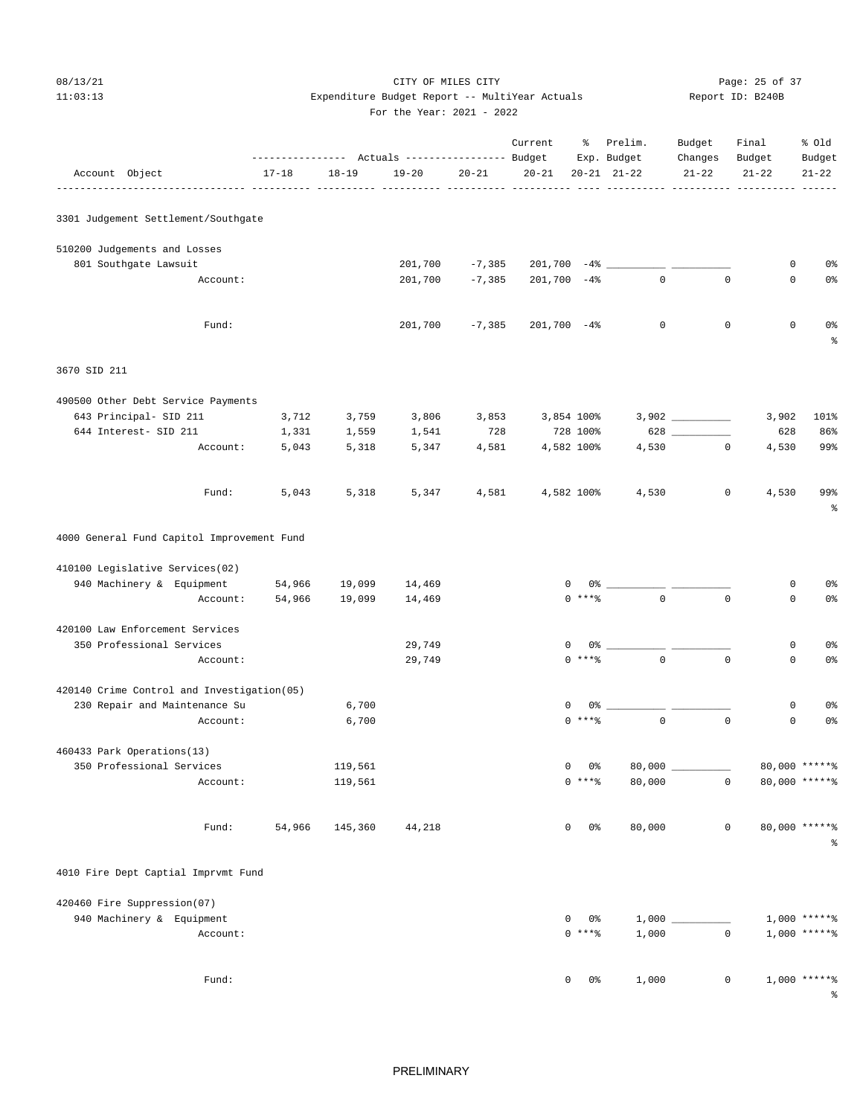# 08/13/21 Page: 25 of 37 11:03:13 Expenditure Budget Report -- MultiYear Actuals Report ID: B240B

|  | For the Year: 2021 - 2022 |  |  |
|--|---------------------------|--|--|
|  |                           |  |  |

|              |                              |                                            | --------------- Actuals ---------------- Budget |           |           |           | Current           |                | % Prelim.<br>Exp. Budget | Budget<br>Changes | Final<br>Budget | % 01d<br>Budget    |
|--------------|------------------------------|--------------------------------------------|-------------------------------------------------|-----------|-----------|-----------|-------------------|----------------|--------------------------|-------------------|-----------------|--------------------|
|              | Account Object               |                                            | $17 - 18$                                       | $18 - 19$ | $19 - 20$ | $20 - 21$ | $20 - 21$         |                | $20 - 21$ $21 - 22$      | $21 - 22$         | $21 - 22$       | $21 - 22$          |
|              |                              | 3301 Judgement Settlement/Southgate        |                                                 |           |           |           |                   |                |                          |                   |                 |                    |
|              | 510200 Judgements and Losses |                                            |                                                 |           |           |           |                   |                |                          |                   |                 |                    |
|              | 801 Southgate Lawsuit        |                                            |                                                 |           | 201,700   | $-7,385$  | $201,700 -48$ $-$ |                |                          |                   | 0               | 0 <sup>°</sup>     |
|              |                              | Account:                                   |                                                 |           | 201,700   | $-7,385$  | $201,700 -48$     |                | $\mathbf{0}$             | $\Omega$          | $\mathbf 0$     | 0 <sup>°</sup>     |
|              |                              | Fund:                                      |                                                 |           | 201,700   | $-7,385$  | $201,700 -48$     |                | $\mathbb O$              | $\mathbf 0$       | 0               | 0%<br>န့           |
| 3670 SID 211 |                              |                                            |                                                 |           |           |           |                   |                |                          |                   |                 |                    |
|              |                              | 490500 Other Debt Service Payments         |                                                 |           |           |           |                   |                |                          |                   |                 |                    |
|              | 643 Principal- SID 211       |                                            | 3,712                                           | 3,759     | 3,806     | 3,853     |                   | 3,854 100%     |                          |                   | 3,902           | 101%               |
|              | 644 Interest- SID 211        |                                            | 1,331                                           | 1,559     | 1,541     | 728       |                   | 728 100%       |                          | 628               | 628             | 86%                |
|              |                              | Account:                                   | 5,043                                           | 5,318     | 5,347     | 4,581     |                   | 4,582 100%     | 4,530                    | $\mathbf 0$       | 4,530           | 99%                |
|              |                              | Fund:                                      | 5,043                                           | 5,318     | 5,347     | 4,581     |                   | 4,582 100%     | 4,530                    | $\mathbf 0$       | 4,530           | 99%<br>န္          |
|              |                              | 4000 General Fund Capitol Improvement Fund |                                                 |           |           |           |                   |                |                          |                   |                 |                    |
|              |                              | 410100 Legislative Services(02)            |                                                 |           |           |           |                   |                |                          |                   |                 |                    |
|              | 940 Machinery & Equipment    |                                            | 54,966                                          | 19,099    | 14,469    |           | 0                 |                | $0\%$ __                 |                   | 0               | 0 <sup>o</sup>     |
|              |                              | Account:                                   | 54,966                                          | 19,099    | 14,469    |           |                   | $0***8$        | $\mathbf{0}$             | $\mathbf 0$       | $\mathbf 0$     | $0\,$              |
|              |                              | 420100 Law Enforcement Services            |                                                 |           |           |           |                   |                |                          |                   |                 |                    |
|              | 350 Professional Services    |                                            |                                                 |           | 29,749    |           | 0                 | 0 <sup>8</sup> |                          |                   | 0               | 0%                 |
|              |                              | Account:                                   |                                                 |           | 29,749    |           |                   | $0***8$        | $\mathbf{0}$             | $\mathbf 0$       | $\mathbf 0$     | 0 <sup>°</sup>     |
|              |                              | 420140 Crime Control and Investigation(05) |                                                 |           |           |           |                   |                |                          |                   |                 |                    |
|              |                              | 230 Repair and Maintenance Su              |                                                 | 6,700     |           |           | 0                 | $0\%$ _        |                          |                   | 0               | 0 <sup>°</sup>     |
|              |                              | Account:                                   |                                                 | 6,700     |           |           |                   | $0***8$        | $\mathsf 0$              | $\mathbf 0$       | $\mathsf 0$     | $0\,$              |
|              | 460433 Park Operations(13)   |                                            |                                                 |           |           |           |                   |                |                          |                   |                 |                    |
|              | 350 Professional Services    |                                            |                                                 | 119,561   |           |           | $\Omega$          | 0%             |                          | 80,000 _________  |                 | 80,000 ******      |
|              |                              | Account:                                   |                                                 | 119,561   |           |           |                   | $0$ *** $8$    | 80,000                   | $\mathbf{0}$      |                 | 80,000 ******      |
|              |                              | Fund:                                      | 54,966                                          | 145,360   | 44,218    |           | 0                 | 0%             | 80,000                   | $\mathbf 0$       |                 | 80,000 ******<br>ႜ |

4010 Fire Dept Captial Imprvmt Fund

| 420460 Fire Suppression(07) |                    |       |              |                   |
|-----------------------------|--------------------|-------|--------------|-------------------|
| 940 Machinery & Equipment   | 0%<br>$\mathbf{0}$ | 1,000 |              | $1,000$ *****%    |
| Account:                    | $0***8$            | 1,000 | 0            | $1,000$ *****%    |
| Fund:                       | 0%<br>$^{\circ}$   | 1,000 | $\mathbf{0}$ | 1,000 ******<br>⊱ |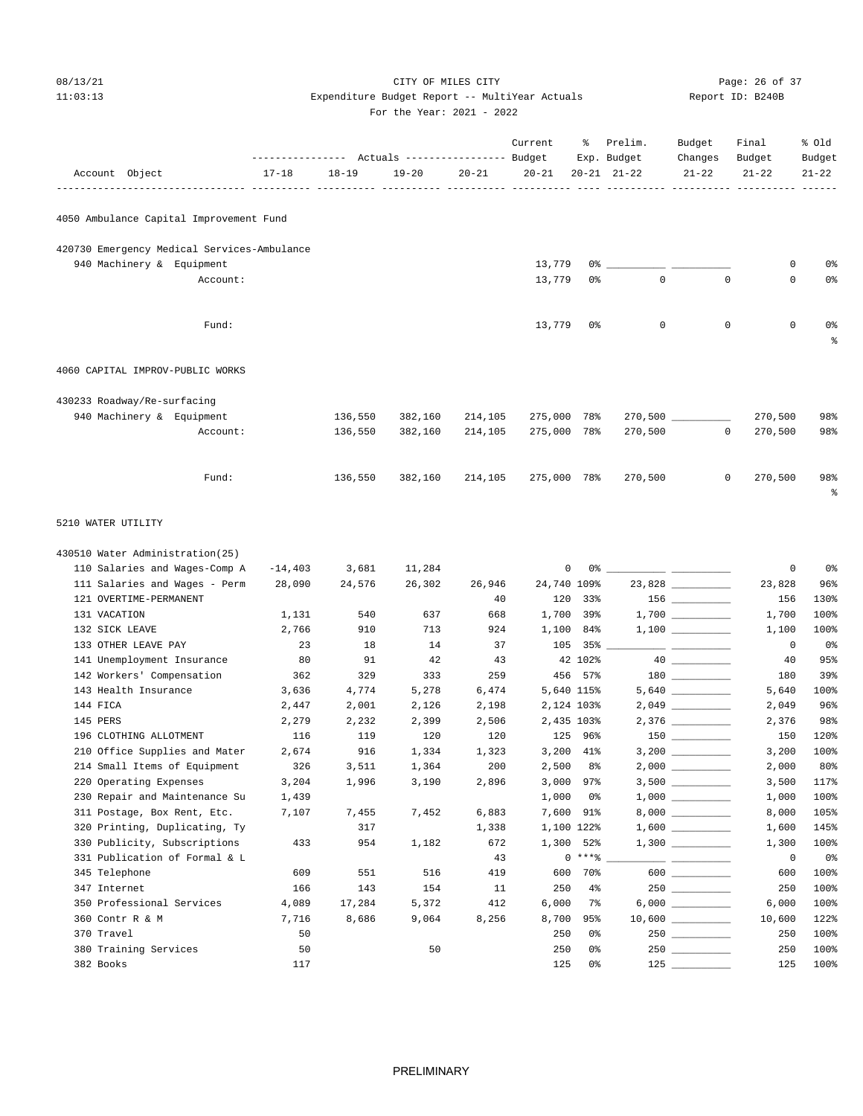08/13/21 Page: 26 of 37 11:03:13 Expenditure Budget Report -- MultiYear Actuals For the Year: 2021 - 2022

| Report ID: B240B |  |  |  |
|------------------|--|--|--|
|------------------|--|--|--|

|                                                   | --------------- Actuals ---------------- Budget |                |                |                | Current     | ႜ                        | Prelim.<br>Exp. Budget | Budget<br>Changes                                                                                                                                                                                                                                                                                                                                                                                                                                                          | Final<br>Budget | % Old<br>Budget |
|---------------------------------------------------|-------------------------------------------------|----------------|----------------|----------------|-------------|--------------------------|------------------------|----------------------------------------------------------------------------------------------------------------------------------------------------------------------------------------------------------------------------------------------------------------------------------------------------------------------------------------------------------------------------------------------------------------------------------------------------------------------------|-----------------|-----------------|
| Account Object                                    | $17 - 18$                                       | $18 - 19$      | $19 - 20$      | $20 - 21$      | $20 - 21$   |                          | $20 - 21$ $21 - 22$    | $21 - 22$                                                                                                                                                                                                                                                                                                                                                                                                                                                                  | $21 - 22$       | $21 - 22$       |
| 4050 Ambulance Capital Improvement Fund           |                                                 |                |                |                |             |                          |                        |                                                                                                                                                                                                                                                                                                                                                                                                                                                                            |                 |                 |
| 420730 Emergency Medical Services-Ambulance       |                                                 |                |                |                |             |                          |                        |                                                                                                                                                                                                                                                                                                                                                                                                                                                                            |                 |                 |
| 940 Machinery & Equipment                         |                                                 |                |                |                | 13,779      | 0 %                      |                        |                                                                                                                                                                                                                                                                                                                                                                                                                                                                            | 0               | 0%              |
| Account:                                          |                                                 |                |                |                | 13,779      | 0%                       | $\mathbf{0}$           | $\mathbf 0$                                                                                                                                                                                                                                                                                                                                                                                                                                                                | 0               | 0%              |
| Fund:                                             |                                                 |                |                |                | 13,779      | 0%                       | 0                      | $\mathbf 0$                                                                                                                                                                                                                                                                                                                                                                                                                                                                | $\mathbf 0$     | 0%<br>ႜ         |
| 4060 CAPITAL IMPROV-PUBLIC WORKS                  |                                                 |                |                |                |             |                          |                        |                                                                                                                                                                                                                                                                                                                                                                                                                                                                            |                 |                 |
| 430233 Roadway/Re-surfacing                       |                                                 |                |                |                |             |                          |                        |                                                                                                                                                                                                                                                                                                                                                                                                                                                                            |                 |                 |
| 940 Machinery & Equipment                         |                                                 | 136,550        | 382,160        | 214,105        | 275,000     | 78%                      |                        |                                                                                                                                                                                                                                                                                                                                                                                                                                                                            | 270,500         | 98%             |
| Account:                                          |                                                 | 136,550        | 382,160        | 214,105        | 275,000     | 78%                      | 270,500                | $\mathbf{0}$                                                                                                                                                                                                                                                                                                                                                                                                                                                               | 270,500         | 98%             |
| Fund:                                             |                                                 | 136,550        | 382,160        | 214,105        | 275,000 78% |                          | 270,500                | $\circ$                                                                                                                                                                                                                                                                                                                                                                                                                                                                    | 270,500         | 98%<br>ႜ        |
| 5210 WATER UTILITY                                |                                                 |                |                |                |             |                          |                        |                                                                                                                                                                                                                                                                                                                                                                                                                                                                            |                 |                 |
| 430510 Water Administration(25)                   |                                                 |                |                |                |             |                          |                        |                                                                                                                                                                                                                                                                                                                                                                                                                                                                            |                 |                 |
| 110 Salaries and Wages-Comp A                     | $-14,403$                                       | 3,681          | 11,284         |                | 0           | 0%                       |                        |                                                                                                                                                                                                                                                                                                                                                                                                                                                                            | 0               | 0%              |
| 111 Salaries and Wages - Perm                     | 28,090                                          | 24,576         | 26,302         | 26,946         | 24,740 109% |                          |                        | 23,828                                                                                                                                                                                                                                                                                                                                                                                                                                                                     | 23,828          | 96%             |
| 121 OVERTIME-PERMANENT                            |                                                 |                |                | 40             | 120         | 33%                      |                        |                                                                                                                                                                                                                                                                                                                                                                                                                                                                            | 156             | 130%            |
| 131 VACATION                                      | 1,131                                           | 540            | 637            | 668            | 1,700       | 39%                      |                        |                                                                                                                                                                                                                                                                                                                                                                                                                                                                            | 1,700           | 100%            |
| 132 SICK LEAVE                                    | 2,766                                           | 910            | 713            | 924            | 1,100       | 84%                      |                        |                                                                                                                                                                                                                                                                                                                                                                                                                                                                            | 1,100           | 100%            |
| 133 OTHER LEAVE PAY                               | 23                                              | 18             | 14             | 37             | 105         | 35%                      |                        | __ ________                                                                                                                                                                                                                                                                                                                                                                                                                                                                | $\circ$         | 0 <sup>8</sup>  |
| 141 Unemployment Insurance                        | 80                                              | 91             | 42             | 43             |             | 42 102%                  |                        |                                                                                                                                                                                                                                                                                                                                                                                                                                                                            | 40              | 95%             |
| 142 Workers' Compensation<br>143 Health Insurance | 362                                             | 329            | 333            | 259            |             | 456 57%                  |                        |                                                                                                                                                                                                                                                                                                                                                                                                                                                                            | 180             | 39%             |
| 144 FICA                                          | 3,636<br>2,447                                  | 4,774<br>2,001 | 5,278<br>2,126 | 6,474<br>2,198 |             | 5,640 115%<br>2,124 103% |                        |                                                                                                                                                                                                                                                                                                                                                                                                                                                                            | 5,640<br>2,049  | 100%<br>96%     |
| 145 PERS                                          | 2,279                                           | 2,232          | 2,399          | 2,506          |             | 2,435 103%               |                        |                                                                                                                                                                                                                                                                                                                                                                                                                                                                            | 2,376           | 98%             |
| 196 CLOTHING ALLOTMENT                            | 116                                             | 119            | 120            | 120            | 125         | 96%                      |                        | 150 000                                                                                                                                                                                                                                                                                                                                                                                                                                                                    | 150             | 120%            |
| 210 Office Supplies and Mater                     | 2,674                                           | 916            | 1,334          | 1,323          |             | 3,200 41%                |                        |                                                                                                                                                                                                                                                                                                                                                                                                                                                                            | 3,200           | 100%            |
| 214 Small Items of Equipment                      | 326                                             | 3,511          | 1,364          | 200            | 2,500       | 8%                       |                        |                                                                                                                                                                                                                                                                                                                                                                                                                                                                            | 2,000           | 80%             |
| 220 Operating Expenses                            | 3,204                                           | 1,996          | 3,190          | 2,896          | 3,000       | 97%                      |                        |                                                                                                                                                                                                                                                                                                                                                                                                                                                                            | 3,500           | 117%            |
| 230 Repair and Maintenance Su                     | 1,439                                           |                |                |                | 1,000       | 0%                       |                        |                                                                                                                                                                                                                                                                                                                                                                                                                                                                            | 1,000           | 100%            |
| 311 Postage, Box Rent, Etc.                       | 7,107                                           | 7,455          | 7,452          | 6,883          | 7,600       | 91%                      |                        |                                                                                                                                                                                                                                                                                                                                                                                                                                                                            | 8,000           | 105%            |
| 320 Printing, Duplicating, Ty                     |                                                 | 317            |                | 1,338          |             | 1,100 122%               |                        |                                                                                                                                                                                                                                                                                                                                                                                                                                                                            | 1,600           | 145%            |
| 330 Publicity, Subscriptions                      | 433                                             | 954            | 1,182          | 672            | 1,300       | 52%                      |                        |                                                                                                                                                                                                                                                                                                                                                                                                                                                                            | 1,300           | 100%            |
| 331 Publication of Formal & L                     |                                                 |                |                | 43             |             | $0***8$                  |                        | $\frac{1}{2} \left( \frac{1}{2} \right) \left( \frac{1}{2} \right) \left( \frac{1}{2} \right) \left( \frac{1}{2} \right) \left( \frac{1}{2} \right) \left( \frac{1}{2} \right) \left( \frac{1}{2} \right) \left( \frac{1}{2} \right) \left( \frac{1}{2} \right) \left( \frac{1}{2} \right) \left( \frac{1}{2} \right) \left( \frac{1}{2} \right) \left( \frac{1}{2} \right) \left( \frac{1}{2} \right) \left( \frac{1}{2} \right) \left( \frac{1}{2} \right) \left( \frac$ | 0               | 0%              |
| 345 Telephone                                     | 609                                             | 551            | 516            | 419            | 600         | 70%                      |                        | $600$                                                                                                                                                                                                                                                                                                                                                                                                                                                                      | 600             | 100%            |
| 347 Internet                                      | 166                                             | 143            | 154            | 11             | 250         | $4\%$                    |                        | $250$ __________                                                                                                                                                                                                                                                                                                                                                                                                                                                           | 250             | 100%            |
| 350 Professional Services                         | 4,089                                           | 17,284         | 5,372          | 412            | 6,000       | 7%                       |                        | $6,000$ __________                                                                                                                                                                                                                                                                                                                                                                                                                                                         | 6,000           | 100%            |
| 360 Contr R & M                                   | 7,716                                           | 8,686          | 9,064          | 8,256          | 8,700       | 95%                      |                        |                                                                                                                                                                                                                                                                                                                                                                                                                                                                            | 10,600          | 122%            |
| 370 Travel                                        | 50                                              |                |                |                | 250         | 0%                       |                        | $250$                                                                                                                                                                                                                                                                                                                                                                                                                                                                      | 250             | 100%            |
| 380 Training Services<br>382 Books                | 50<br>117                                       |                | 50             |                | 250<br>125  | 0%<br>0%                 |                        |                                                                                                                                                                                                                                                                                                                                                                                                                                                                            | 250<br>125      | 100%<br>100%    |
|                                                   |                                                 |                |                |                |             |                          |                        |                                                                                                                                                                                                                                                                                                                                                                                                                                                                            |                 |                 |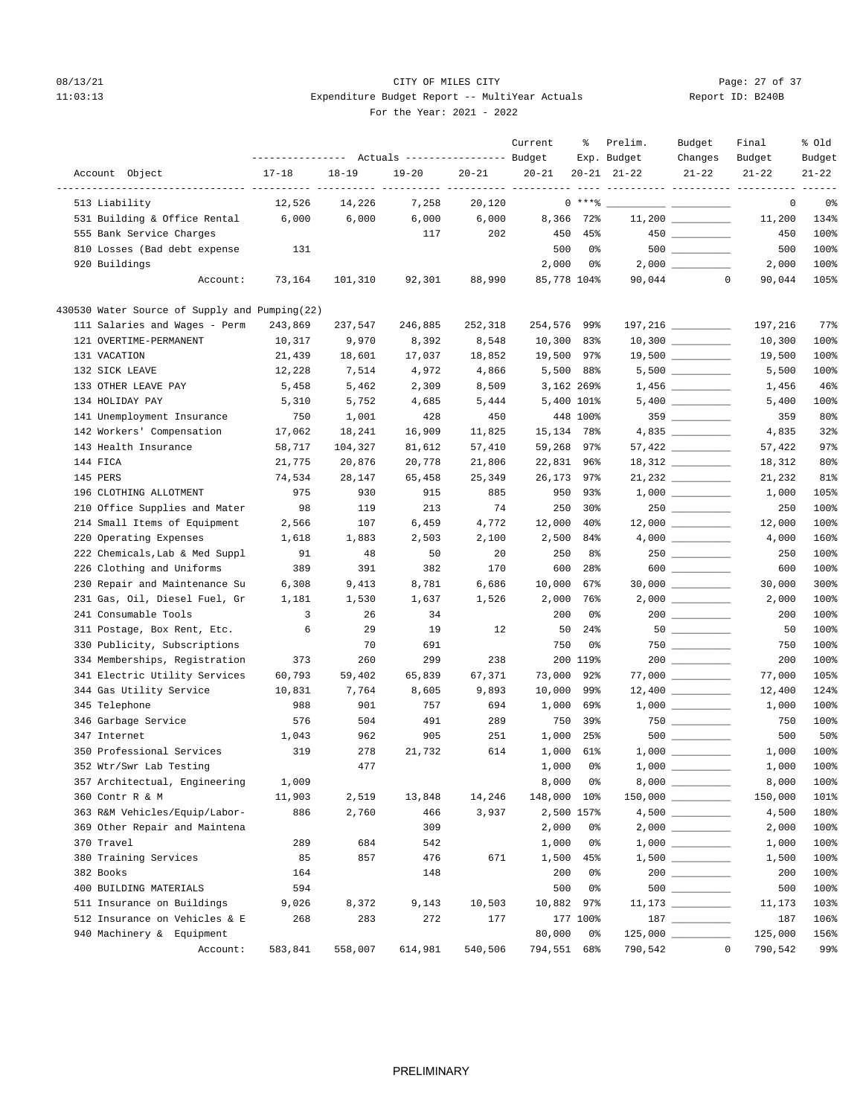## 08/13/21 Page: 27 of 37 11:03:13 Expenditure Budget Report -- MultiYear Actuals For the Year: 2021 - 2022

| Report ID: B240B |  |  |
|------------------|--|--|
|                  |  |  |

|                                                | --------------- Actuals ---------------- Budget |           |           |           | Current          | ႜ               | Prelim.<br>Exp. Budget | Budget<br>Changes   | Final<br>Budget                     | % old<br>Budget |
|------------------------------------------------|-------------------------------------------------|-----------|-----------|-----------|------------------|-----------------|------------------------|---------------------|-------------------------------------|-----------------|
| Account Object                                 | $17 - 18$                                       | $18 - 19$ | $19 - 20$ | $20 - 21$ | $20 - 21$        |                 | $20 - 21$ $21 - 22$    | $21 - 22$           | $21 - 22$                           | $21 - 22$       |
| ---------------- ------------<br>513 Liability | 12,526                                          | 14,226    | 7,258     | 20,120    | ----- ---------- | $0***$ $*$      |                        |                     | ---------- ---------- --------<br>0 | 0%              |
| 531 Building & Office Rental                   | 6,000                                           | 6,000     | 6,000     | 6,000     | 8,366            | 72%             |                        |                     | 11,200                              | 134%            |
| 555 Bank Service Charges                       |                                                 |           | 117       | 202       | 450              | 45%             |                        |                     | 450                                 | 100%            |
| 810 Losses (Bad debt expense                   | 131                                             |           |           |           | 500              | 0%              |                        | $500$ ________      | 500                                 | 100%            |
| 920 Buildings                                  |                                                 |           |           |           | 2,000            | 0%              |                        |                     | 2,000                               | 100%            |
| Account:                                       | 73,164                                          | 101,310   | 92,301    | 88,990    |                  | 85,778 104%     | 90,044                 | $\mathbf 0$         | 90,044                              | 105%            |
| 430530 Water Source of Supply and Pumping(22)  |                                                 |           |           |           |                  |                 |                        |                     |                                     |                 |
| 111 Salaries and Wages - Perm                  | 243,869                                         | 237,547   | 246,885   | 252,318   | 254,576          | 99%             |                        | 197,216 _________   | 197,216                             | $77$ $%$        |
| 121 OVERTIME-PERMANENT                         | 10,317                                          | 9,970     | 8,392     | 8,548     | 10,300           | 83%             |                        |                     | 10,300                              | 100%            |
| 131 VACATION                                   | 21,439                                          | 18,601    | 17,037    | 18,852    | 19,500           | 97%             |                        | $19,500$ _________  | 19,500                              | 100%            |
| 132 SICK LEAVE                                 | 12,228                                          | 7,514     | 4,972     | 4,866     | 5,500            | 88%             |                        |                     | 5,500                               | 100%            |
| 133 OTHER LEAVE PAY                            | 5,458                                           | 5,462     | 2,309     | 8,509     |                  | 3,162 269%      |                        |                     | 1,456                               | 46%             |
| 134 HOLIDAY PAY                                | 5,310                                           | 5,752     | 4,685     | 5,444     |                  | 5,400 101%      |                        |                     | 5,400                               | 100%            |
| 141 Unemployment Insurance                     | 750                                             | 1,001     | 428       | 450       |                  | 448 100%        |                        | $359$               | 359                                 | 80%             |
| 142 Workers' Compensation                      | 17,062                                          | 18,241    | 16,909    | 11,825    | 15,134           | 78%             |                        |                     | 4,835                               | 32%             |
| 143 Health Insurance                           | 58,717                                          | 104,327   | 81,612    | 57,410    | 59,268           | 97%             |                        |                     | 57,422                              | 97%             |
| 144 FICA                                       | 21,775                                          | 20,876    | 20,778    | 21,806    | 22,831           | 96%             |                        |                     | 18,312                              | 80%             |
| 145 PERS                                       | 74,534                                          | 28,147    | 65,458    | 25,349    | 26,173           | 97%             |                        | $21,232$ _________  | 21,232                              | 81%             |
| 196 CLOTHING ALLOTMENT                         | 975                                             | 930       | 915       | 885       | 950              | 93%             |                        | $1,000$ __________  | 1,000                               | 105%            |
| 210 Office Supplies and Mater                  | 98                                              | 119       | 213       | 74        | 250              | $30\%$          |                        |                     | 250                                 | 100%            |
| 214 Small Items of Equipment                   | 2,566                                           | 107       | 6,459     | 4,772     | 12,000           | 40 <sup>°</sup> |                        | $12,000$ __________ | 12,000                              | 100%            |
| 220 Operating Expenses                         | 1,618                                           | 1,883     | 2,503     | 2,100     | 2,500            | 84%             |                        |                     | 4,000                               | 160%            |
| 222 Chemicals, Lab & Med Suppl                 | 91                                              | 48        | 50        | 20        | 250              | 8%              |                        | $250$ __________    | 250                                 | 100%            |
| 226 Clothing and Uniforms                      | 389                                             | 391       | 382       | 170       | 600              | 28 <sup>8</sup> |                        | $600$               | 600                                 | 100%            |
| 230 Repair and Maintenance Su                  | 6,308                                           | 9,413     | 8,781     | 6,686     | 10,000           | 67%             |                        | $30,000$ __________ | 30,000                              | 300%            |
| 231 Gas, Oil, Diesel Fuel, Gr                  | 1,181                                           | 1,530     | 1,637     | 1,526     | 2,000            | 76%             |                        | $2,000$ _________   | 2,000                               | 100%            |
| 241 Consumable Tools                           | 3                                               | 26        | 34        |           | 200              | 0%              |                        | $200$ __________    | 200                                 | 100%            |
| 311 Postage, Box Rent, Etc.                    | 6                                               | 29        | 19        | 12        | 50               | 24%             |                        |                     | 50                                  | 100%            |
| 330 Publicity, Subscriptions                   |                                                 | 70        | 691       |           | 750              | 0%              |                        | $750$ _________     | 750                                 | 100%            |
| 334 Memberships, Registration                  | 373                                             | 260       | 299       | 238       |                  | 200 119%        |                        |                     | 200                                 | 100%            |
| 341 Electric Utility Services                  | 60,793                                          | 59,402    | 65,839    | 67,371    | 73,000           | 92%             |                        |                     | 77,000                              | 105%            |
| 344 Gas Utility Service                        | 10,831                                          | 7,764     | 8,605     | 9,893     | 10,000           | 99%             |                        |                     | 12,400                              | 124%            |
| 345 Telephone                                  | 988                                             | 901       | 757       | 694       | 1,000            | 69%             |                        |                     | 1,000                               | 100%            |
| 346 Garbage Service                            | 576                                             | 504       | 491       | 289       | 750              | 39%             |                        | $750$ _________     | 750                                 | 100%            |
| 347 Internet                                   | 1,043                                           | 962       | 905       | 251       | 1,000            | 25%             |                        |                     | 500                                 | 50%             |
| 350 Professional Services                      | 319                                             | 278       | 21,732    | 614       | 1,000            | 61%             |                        |                     | 1,000                               | 100%            |
| 352 Wtr/Swr Lab Testing                        |                                                 | 477       |           |           | 1,000            | 0%              |                        |                     | 1,000                               | 100%            |
| 357 Architectual, Engineering                  | 1,009                                           |           |           |           | 8,000            | 0%              |                        |                     | 8,000                               | 100%            |
| 360 Contr R & M                                | 11,903                                          | 2,519     | 13,848    | 14,246    | 148,000          | 10%             |                        |                     | 150,000                             | 101%            |
| 363 R&M Vehicles/Equip/Labor-                  | 886                                             | 2,760     | 466       | 3,937     |                  | 2,500 157%      |                        |                     | 4,500                               | 180%            |
| 369 Other Repair and Maintena                  |                                                 |           | 309       |           | 2,000            | 0%              |                        |                     | 2,000                               | 100%            |
| 370 Travel                                     | 289                                             | 684       | 542       |           | 1,000            | 0%              |                        |                     | 1,000                               | 100%            |
| 380 Training Services                          | 85                                              | 857       | 476       | 671       | 1,500            | 45%             |                        |                     | 1,500                               | 100%            |
| 382 Books                                      | 164                                             |           | 148       |           | 200              | 0%              |                        | $200$               | 200                                 | 100%            |
| 400 BUILDING MATERIALS                         | 594                                             |           |           |           | 500              | 0%              |                        |                     | 500                                 | 100%            |
| 511 Insurance on Buildings                     | 9,026                                           | 8,372     | 9,143     | 10,503    | 10,882           | 97%             |                        | $11,173$ _________  | 11,173                              | 103%            |
| 512 Insurance on Vehicles & E                  | 268                                             | 283       | 272       | 177       |                  | 177 100%        |                        |                     | 187                                 | 106%            |
| 940 Machinery & Equipment                      |                                                 |           |           |           | 80,000           | 0%              |                        |                     | 125,000                             | 156%            |
| Account:                                       | 583,841                                         | 558,007   | 614,981   | 540,506   | 794,551 68%      |                 | 790,542                | $\mathbf{0}$        | 790,542                             | 99%             |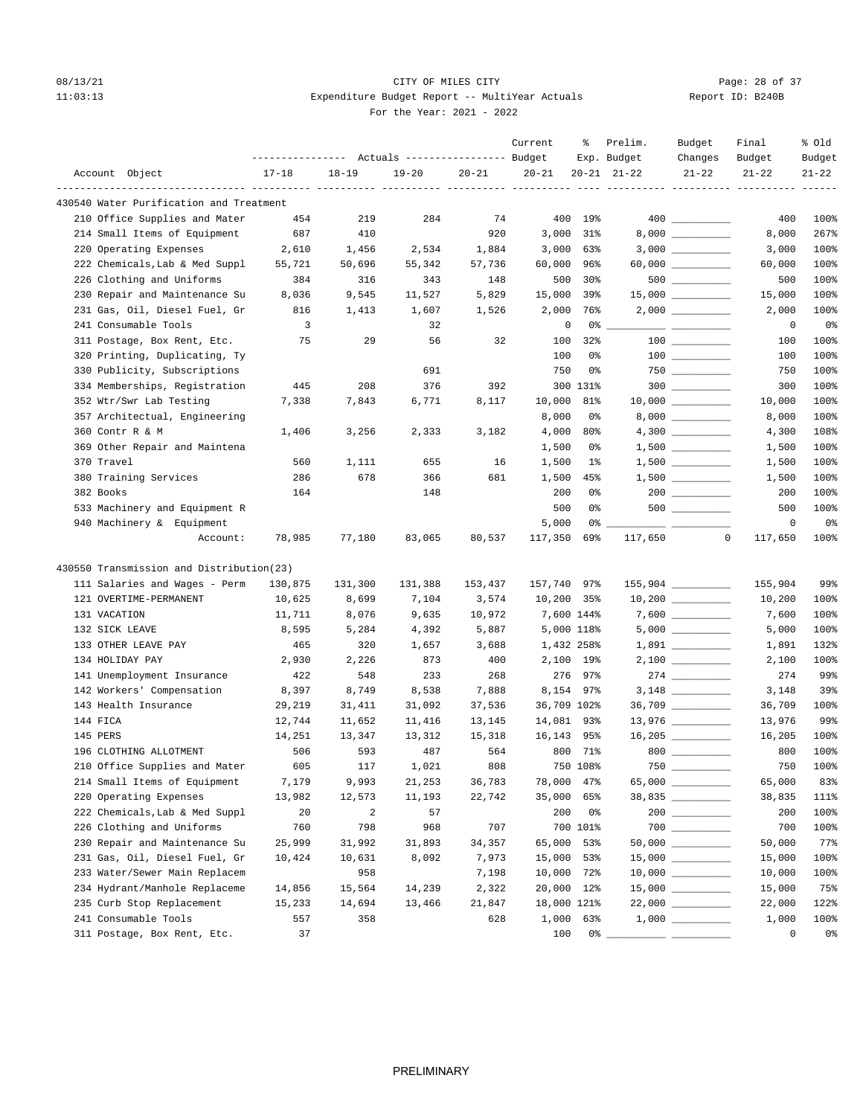## 08/13/21 Page: 28 of 37 11:03:13 Expenditure Budget Report -- MultiYear Actuals For the Year: 2021 - 2022

| Report ID: B240B |  |
|------------------|--|
|                  |  |

| Account Object<br>$17 - 18$<br>$18 - 19$<br>$19 - 20$<br>$20 - 21$<br>$20 - 21$<br>$20 - 21$ $21 - 22$<br>$21 - 22$<br>$21 - 22$<br>$21 - 22$<br>----------- ---------- ---------<br>430540 Water Purification and Treatment<br>210 Office Supplies and Mater<br>219<br>284<br>74<br>400 19%<br>100%<br>454<br>400<br>214 Small Items of Equipment<br>687<br>410<br>920<br>3,000<br>31%<br>8,000<br>267%<br>220 Operating Expenses<br>2,610<br>1,456<br>2,534<br>1,884<br>3,000<br>63%<br>3,000<br>100%<br>222 Chemicals, Lab & Med Suppl<br>55,721<br>50,696<br>55,342<br>57,736<br>60,000<br>96%<br>100%<br>60,000<br>226 Clothing and Uniforms<br>384<br>316<br>343<br>148<br>500<br>30%<br>500<br>100%<br>$15,000$ _________<br>230 Repair and Maintenance Su<br>9,545<br>5,829<br>15,000<br>15,000<br>100%<br>8,036<br>11,527<br>39%<br>231 Gas, Oil, Diesel Fuel, Gr<br>816<br>1,413<br>1,607<br>1,526<br>2,000<br>76%<br>2,000<br>100%<br>241 Consumable Tools<br>3<br>32<br>0<br>0%<br>0%<br>0<br>32<br>100%<br>311 Postage, Box Rent, Etc.<br>75<br>29<br>56<br>100<br>32%<br>100<br>100%<br>320 Printing, Duplicating, Ty<br>100<br>0%<br>100<br>750<br>330 Publicity, Subscriptions<br>691<br>0%<br>750<br>100%<br>$300$ ________<br>334 Memberships, Registration<br>445<br>208<br>376<br>392<br>300 131%<br>300<br>100%<br>$10,000$ _________<br>352 Wtr/Swr Lab Testing<br>100%<br>7,338<br>7,843<br>6,771<br>8,117<br>10,000<br>81%<br>10,000<br>357 Architectual, Engineering<br>8,000<br>100%<br>0%<br>8,000<br>360 Contr R & M<br>3,256<br>2,333<br>3,182<br>4,000<br>80%<br>4,300<br>108%<br>1,406<br>$1,500$<br>369 Other Repair and Maintena<br>1,500<br>100%<br>0%<br>1,500<br>370 Travel<br>560<br>1,111<br>655<br>16<br>1,500<br>1,500<br>100%<br>1%<br>380 Training Services<br>681<br>100%<br>286<br>678<br>366<br>1,500<br>45%<br>1,500<br>$200$ _________<br>382 Books<br>148<br>200<br>100%<br>164<br>0%<br>200<br>$500$ _________<br>100%<br>533 Machinery and Equipment R<br>500<br>0%<br>500<br>940 Machinery & Equipment<br>5,000<br>0<br>0%<br>0% -<br>78,985<br>77,180<br>83,065<br>80,537<br>117,350<br>69%<br>117,650<br>0<br>117,650<br>100%<br>Account:<br>430550 Transmission and Distribution(23)<br>99%<br>111 Salaries and Wages - Perm<br>157,740 97%<br>130,875<br>131,300<br>131,388<br>153,437<br>155,904<br>$10,200$ _________<br>121 OVERTIME-PERMANENT<br>$10,200$ 35%<br>10,625<br>8,699<br>7,104<br>3,574<br>10,200<br>7,600 144%<br>$7,600$ __________<br>131 VACATION<br>11,711<br>8,076<br>9,635<br>10,972<br>7,600<br>100%<br>132 SICK LEAVE<br>8,595<br>5,284<br>4,392<br>5,887<br>5,000 118%<br>5,000<br>133 OTHER LEAVE PAY<br>465<br>320<br>1,657<br>3,688<br>1,432 258%<br>132%<br>1,891<br>400<br>100%<br>134 HOLIDAY PAY<br>2,930<br>2,226<br>873<br>2,100 19%<br>$2,100$ _________<br>2,100<br>141 Unemployment Insurance<br>422<br>548<br>233<br>268<br>276 97%<br>274<br>142 Workers' Compensation<br>8,397<br>8,749<br>8,538<br>7,888<br>8,154 97%<br>3,148<br>39%<br>$36,709$ _________<br>143 Health Insurance<br>29,219<br>31,411<br>31,092<br>37,536<br>36,709 102%<br>36,709<br>100%<br>13,976 _________<br>144 FICA<br>12,744<br>11,652<br>14,081 93%<br>99%<br>11,416<br>13,145<br>13,976<br>16,205 _________<br>145 PERS<br>14,251<br>13,347<br>16,143 95%<br>100%<br>13,312<br>15,318<br>16,205<br>564<br>800 71%<br>100%<br>196 CLOTHING ALLOTMENT<br>506<br>593<br>487<br>800<br>100%<br>605<br>117<br>1,021<br>808<br>750 108%<br>$750$ $\_\_$<br>750<br>210 Office Supplies and Mater<br>214 Small Items of Equipment<br>7,179<br>9,993<br>36,783<br>78,000 47%<br>65,000<br>83%<br>21,253<br>220 Operating Expenses<br>12,573<br>22,742<br>35,000 65%<br>38,835 __________<br>13,982<br>11,193<br>38,835<br>111%<br>222 Chemicals, Lab & Med Suppl<br>$\overline{a}$<br>57<br>200<br>$200$<br>200<br>100%<br>20<br>0%<br>$700$<br>226 Clothing and Uniforms<br>760<br>798<br>707<br>700 101%<br>700<br>100%<br>968<br>230 Repair and Maintenance Su<br>65,000<br>77%<br>25,999<br>31,992<br>31,893<br>34,357<br>53%<br>50,000<br>231 Gas, Oil, Diesel Fuel, Gr<br>8,092<br>7,973<br>100%<br>10,424<br>10,631<br>15,000 53%<br>15,000<br>233 Water/Sewer Main Replacem<br>7,198<br>100%<br>958<br>10,000 72%<br>10,000<br>234 Hydrant/Manhole Replaceme<br>14,239<br>14,856<br>15,564<br>2,322<br>20,000 12%<br>15,000<br>75%<br>235 Curb Stop Replacement<br>15,233<br>14,694<br>13,466<br>21,847<br>18,000 121%<br>22,000<br>122%<br>241 Consumable Tools<br>100%<br>557<br>358<br>628<br>1,000<br>63%<br>1,000<br>311 Postage, Box Rent, Etc.<br>0<br>0%<br>37<br>100<br>0% |  | --------------- Actuals ---------------- Budget |  | Current | ႜ | Prelim.<br>Exp. Budget | Budget<br>Changes | Final<br>Budget | % old<br>Budget |
|----------------------------------------------------------------------------------------------------------------------------------------------------------------------------------------------------------------------------------------------------------------------------------------------------------------------------------------------------------------------------------------------------------------------------------------------------------------------------------------------------------------------------------------------------------------------------------------------------------------------------------------------------------------------------------------------------------------------------------------------------------------------------------------------------------------------------------------------------------------------------------------------------------------------------------------------------------------------------------------------------------------------------------------------------------------------------------------------------------------------------------------------------------------------------------------------------------------------------------------------------------------------------------------------------------------------------------------------------------------------------------------------------------------------------------------------------------------------------------------------------------------------------------------------------------------------------------------------------------------------------------------------------------------------------------------------------------------------------------------------------------------------------------------------------------------------------------------------------------------------------------------------------------------------------------------------------------------------------------------------------------------------------------------------------------------------------------------------------------------------------------------------------------------------------------------------------------------------------------------------------------------------------------------------------------------------------------------------------------------------------------------------------------------------------------------------------------------------------------------------------------------------------------------------------------------------------------------------------------------------------------------------------------------------------------------------------------------------------------------------------------------------------------------------------------------------------------------------------------------------------------------------------------------------------------------------------------------------------------------------------------------------------------------------------------------------------------------------------------------------------------------------------------------------------------------------------------------------------------------------------------------------------------------------------------------------------------------------------------------------------------------------------------------------------------------------------------------------------------------------------------------------------------------------------------------------------------------------------------------------------------------------------------------------------------------------------------------------------------------------------------------------------------------------------------------------------------------------------------------------------------------------------------------------------------------------------------------------------------------------------------------------------------------------------------------------------------------------------------------------------------------------------------------------------------------------------------------------------------------------------------------------------------------------------------------------------------------------------------------------------------------------------------------------------------------------------------------------------------------------------------------------------------------------------------------------------------------------------------------------------------------------------------------|--|-------------------------------------------------|--|---------|---|------------------------|-------------------|-----------------|-----------------|
|                                                                                                                                                                                                                                                                                                                                                                                                                                                                                                                                                                                                                                                                                                                                                                                                                                                                                                                                                                                                                                                                                                                                                                                                                                                                                                                                                                                                                                                                                                                                                                                                                                                                                                                                                                                                                                                                                                                                                                                                                                                                                                                                                                                                                                                                                                                                                                                                                                                                                                                                                                                                                                                                                                                                                                                                                                                                                                                                                                                                                                                                                                                                                                                                                                                                                                                                                                                                                                                                                                                                                                                                                                                                                                                                                                                                                                                                                                                                                                                                                                                                                                                                                                                                                                                                                                                                                                                                                                                                                                                                                                                                                                                                |  |                                                 |  |         |   |                        |                   |                 |                 |
|                                                                                                                                                                                                                                                                                                                                                                                                                                                                                                                                                                                                                                                                                                                                                                                                                                                                                                                                                                                                                                                                                                                                                                                                                                                                                                                                                                                                                                                                                                                                                                                                                                                                                                                                                                                                                                                                                                                                                                                                                                                                                                                                                                                                                                                                                                                                                                                                                                                                                                                                                                                                                                                                                                                                                                                                                                                                                                                                                                                                                                                                                                                                                                                                                                                                                                                                                                                                                                                                                                                                                                                                                                                                                                                                                                                                                                                                                                                                                                                                                                                                                                                                                                                                                                                                                                                                                                                                                                                                                                                                                                                                                                                                |  |                                                 |  |         |   |                        |                   |                 |                 |
|                                                                                                                                                                                                                                                                                                                                                                                                                                                                                                                                                                                                                                                                                                                                                                                                                                                                                                                                                                                                                                                                                                                                                                                                                                                                                                                                                                                                                                                                                                                                                                                                                                                                                                                                                                                                                                                                                                                                                                                                                                                                                                                                                                                                                                                                                                                                                                                                                                                                                                                                                                                                                                                                                                                                                                                                                                                                                                                                                                                                                                                                                                                                                                                                                                                                                                                                                                                                                                                                                                                                                                                                                                                                                                                                                                                                                                                                                                                                                                                                                                                                                                                                                                                                                                                                                                                                                                                                                                                                                                                                                                                                                                                                |  |                                                 |  |         |   |                        |                   |                 |                 |
|                                                                                                                                                                                                                                                                                                                                                                                                                                                                                                                                                                                                                                                                                                                                                                                                                                                                                                                                                                                                                                                                                                                                                                                                                                                                                                                                                                                                                                                                                                                                                                                                                                                                                                                                                                                                                                                                                                                                                                                                                                                                                                                                                                                                                                                                                                                                                                                                                                                                                                                                                                                                                                                                                                                                                                                                                                                                                                                                                                                                                                                                                                                                                                                                                                                                                                                                                                                                                                                                                                                                                                                                                                                                                                                                                                                                                                                                                                                                                                                                                                                                                                                                                                                                                                                                                                                                                                                                                                                                                                                                                                                                                                                                |  |                                                 |  |         |   |                        |                   |                 |                 |
|                                                                                                                                                                                                                                                                                                                                                                                                                                                                                                                                                                                                                                                                                                                                                                                                                                                                                                                                                                                                                                                                                                                                                                                                                                                                                                                                                                                                                                                                                                                                                                                                                                                                                                                                                                                                                                                                                                                                                                                                                                                                                                                                                                                                                                                                                                                                                                                                                                                                                                                                                                                                                                                                                                                                                                                                                                                                                                                                                                                                                                                                                                                                                                                                                                                                                                                                                                                                                                                                                                                                                                                                                                                                                                                                                                                                                                                                                                                                                                                                                                                                                                                                                                                                                                                                                                                                                                                                                                                                                                                                                                                                                                                                |  |                                                 |  |         |   |                        |                   |                 |                 |
|                                                                                                                                                                                                                                                                                                                                                                                                                                                                                                                                                                                                                                                                                                                                                                                                                                                                                                                                                                                                                                                                                                                                                                                                                                                                                                                                                                                                                                                                                                                                                                                                                                                                                                                                                                                                                                                                                                                                                                                                                                                                                                                                                                                                                                                                                                                                                                                                                                                                                                                                                                                                                                                                                                                                                                                                                                                                                                                                                                                                                                                                                                                                                                                                                                                                                                                                                                                                                                                                                                                                                                                                                                                                                                                                                                                                                                                                                                                                                                                                                                                                                                                                                                                                                                                                                                                                                                                                                                                                                                                                                                                                                                                                |  |                                                 |  |         |   |                        |                   |                 |                 |
|                                                                                                                                                                                                                                                                                                                                                                                                                                                                                                                                                                                                                                                                                                                                                                                                                                                                                                                                                                                                                                                                                                                                                                                                                                                                                                                                                                                                                                                                                                                                                                                                                                                                                                                                                                                                                                                                                                                                                                                                                                                                                                                                                                                                                                                                                                                                                                                                                                                                                                                                                                                                                                                                                                                                                                                                                                                                                                                                                                                                                                                                                                                                                                                                                                                                                                                                                                                                                                                                                                                                                                                                                                                                                                                                                                                                                                                                                                                                                                                                                                                                                                                                                                                                                                                                                                                                                                                                                                                                                                                                                                                                                                                                |  |                                                 |  |         |   |                        |                   |                 |                 |
|                                                                                                                                                                                                                                                                                                                                                                                                                                                                                                                                                                                                                                                                                                                                                                                                                                                                                                                                                                                                                                                                                                                                                                                                                                                                                                                                                                                                                                                                                                                                                                                                                                                                                                                                                                                                                                                                                                                                                                                                                                                                                                                                                                                                                                                                                                                                                                                                                                                                                                                                                                                                                                                                                                                                                                                                                                                                                                                                                                                                                                                                                                                                                                                                                                                                                                                                                                                                                                                                                                                                                                                                                                                                                                                                                                                                                                                                                                                                                                                                                                                                                                                                                                                                                                                                                                                                                                                                                                                                                                                                                                                                                                                                |  |                                                 |  |         |   |                        |                   |                 |                 |
|                                                                                                                                                                                                                                                                                                                                                                                                                                                                                                                                                                                                                                                                                                                                                                                                                                                                                                                                                                                                                                                                                                                                                                                                                                                                                                                                                                                                                                                                                                                                                                                                                                                                                                                                                                                                                                                                                                                                                                                                                                                                                                                                                                                                                                                                                                                                                                                                                                                                                                                                                                                                                                                                                                                                                                                                                                                                                                                                                                                                                                                                                                                                                                                                                                                                                                                                                                                                                                                                                                                                                                                                                                                                                                                                                                                                                                                                                                                                                                                                                                                                                                                                                                                                                                                                                                                                                                                                                                                                                                                                                                                                                                                                |  |                                                 |  |         |   |                        |                   |                 |                 |
|                                                                                                                                                                                                                                                                                                                                                                                                                                                                                                                                                                                                                                                                                                                                                                                                                                                                                                                                                                                                                                                                                                                                                                                                                                                                                                                                                                                                                                                                                                                                                                                                                                                                                                                                                                                                                                                                                                                                                                                                                                                                                                                                                                                                                                                                                                                                                                                                                                                                                                                                                                                                                                                                                                                                                                                                                                                                                                                                                                                                                                                                                                                                                                                                                                                                                                                                                                                                                                                                                                                                                                                                                                                                                                                                                                                                                                                                                                                                                                                                                                                                                                                                                                                                                                                                                                                                                                                                                                                                                                                                                                                                                                                                |  |                                                 |  |         |   |                        |                   |                 |                 |
|                                                                                                                                                                                                                                                                                                                                                                                                                                                                                                                                                                                                                                                                                                                                                                                                                                                                                                                                                                                                                                                                                                                                                                                                                                                                                                                                                                                                                                                                                                                                                                                                                                                                                                                                                                                                                                                                                                                                                                                                                                                                                                                                                                                                                                                                                                                                                                                                                                                                                                                                                                                                                                                                                                                                                                                                                                                                                                                                                                                                                                                                                                                                                                                                                                                                                                                                                                                                                                                                                                                                                                                                                                                                                                                                                                                                                                                                                                                                                                                                                                                                                                                                                                                                                                                                                                                                                                                                                                                                                                                                                                                                                                                                |  |                                                 |  |         |   |                        |                   |                 |                 |
|                                                                                                                                                                                                                                                                                                                                                                                                                                                                                                                                                                                                                                                                                                                                                                                                                                                                                                                                                                                                                                                                                                                                                                                                                                                                                                                                                                                                                                                                                                                                                                                                                                                                                                                                                                                                                                                                                                                                                                                                                                                                                                                                                                                                                                                                                                                                                                                                                                                                                                                                                                                                                                                                                                                                                                                                                                                                                                                                                                                                                                                                                                                                                                                                                                                                                                                                                                                                                                                                                                                                                                                                                                                                                                                                                                                                                                                                                                                                                                                                                                                                                                                                                                                                                                                                                                                                                                                                                                                                                                                                                                                                                                                                |  |                                                 |  |         |   |                        |                   |                 |                 |
|                                                                                                                                                                                                                                                                                                                                                                                                                                                                                                                                                                                                                                                                                                                                                                                                                                                                                                                                                                                                                                                                                                                                                                                                                                                                                                                                                                                                                                                                                                                                                                                                                                                                                                                                                                                                                                                                                                                                                                                                                                                                                                                                                                                                                                                                                                                                                                                                                                                                                                                                                                                                                                                                                                                                                                                                                                                                                                                                                                                                                                                                                                                                                                                                                                                                                                                                                                                                                                                                                                                                                                                                                                                                                                                                                                                                                                                                                                                                                                                                                                                                                                                                                                                                                                                                                                                                                                                                                                                                                                                                                                                                                                                                |  |                                                 |  |         |   |                        |                   |                 |                 |
|                                                                                                                                                                                                                                                                                                                                                                                                                                                                                                                                                                                                                                                                                                                                                                                                                                                                                                                                                                                                                                                                                                                                                                                                                                                                                                                                                                                                                                                                                                                                                                                                                                                                                                                                                                                                                                                                                                                                                                                                                                                                                                                                                                                                                                                                                                                                                                                                                                                                                                                                                                                                                                                                                                                                                                                                                                                                                                                                                                                                                                                                                                                                                                                                                                                                                                                                                                                                                                                                                                                                                                                                                                                                                                                                                                                                                                                                                                                                                                                                                                                                                                                                                                                                                                                                                                                                                                                                                                                                                                                                                                                                                                                                |  |                                                 |  |         |   |                        |                   |                 |                 |
|                                                                                                                                                                                                                                                                                                                                                                                                                                                                                                                                                                                                                                                                                                                                                                                                                                                                                                                                                                                                                                                                                                                                                                                                                                                                                                                                                                                                                                                                                                                                                                                                                                                                                                                                                                                                                                                                                                                                                                                                                                                                                                                                                                                                                                                                                                                                                                                                                                                                                                                                                                                                                                                                                                                                                                                                                                                                                                                                                                                                                                                                                                                                                                                                                                                                                                                                                                                                                                                                                                                                                                                                                                                                                                                                                                                                                                                                                                                                                                                                                                                                                                                                                                                                                                                                                                                                                                                                                                                                                                                                                                                                                                                                |  |                                                 |  |         |   |                        |                   |                 |                 |
|                                                                                                                                                                                                                                                                                                                                                                                                                                                                                                                                                                                                                                                                                                                                                                                                                                                                                                                                                                                                                                                                                                                                                                                                                                                                                                                                                                                                                                                                                                                                                                                                                                                                                                                                                                                                                                                                                                                                                                                                                                                                                                                                                                                                                                                                                                                                                                                                                                                                                                                                                                                                                                                                                                                                                                                                                                                                                                                                                                                                                                                                                                                                                                                                                                                                                                                                                                                                                                                                                                                                                                                                                                                                                                                                                                                                                                                                                                                                                                                                                                                                                                                                                                                                                                                                                                                                                                                                                                                                                                                                                                                                                                                                |  |                                                 |  |         |   |                        |                   |                 |                 |
|                                                                                                                                                                                                                                                                                                                                                                                                                                                                                                                                                                                                                                                                                                                                                                                                                                                                                                                                                                                                                                                                                                                                                                                                                                                                                                                                                                                                                                                                                                                                                                                                                                                                                                                                                                                                                                                                                                                                                                                                                                                                                                                                                                                                                                                                                                                                                                                                                                                                                                                                                                                                                                                                                                                                                                                                                                                                                                                                                                                                                                                                                                                                                                                                                                                                                                                                                                                                                                                                                                                                                                                                                                                                                                                                                                                                                                                                                                                                                                                                                                                                                                                                                                                                                                                                                                                                                                                                                                                                                                                                                                                                                                                                |  |                                                 |  |         |   |                        |                   |                 |                 |
|                                                                                                                                                                                                                                                                                                                                                                                                                                                                                                                                                                                                                                                                                                                                                                                                                                                                                                                                                                                                                                                                                                                                                                                                                                                                                                                                                                                                                                                                                                                                                                                                                                                                                                                                                                                                                                                                                                                                                                                                                                                                                                                                                                                                                                                                                                                                                                                                                                                                                                                                                                                                                                                                                                                                                                                                                                                                                                                                                                                                                                                                                                                                                                                                                                                                                                                                                                                                                                                                                                                                                                                                                                                                                                                                                                                                                                                                                                                                                                                                                                                                                                                                                                                                                                                                                                                                                                                                                                                                                                                                                                                                                                                                |  |                                                 |  |         |   |                        |                   |                 |                 |
|                                                                                                                                                                                                                                                                                                                                                                                                                                                                                                                                                                                                                                                                                                                                                                                                                                                                                                                                                                                                                                                                                                                                                                                                                                                                                                                                                                                                                                                                                                                                                                                                                                                                                                                                                                                                                                                                                                                                                                                                                                                                                                                                                                                                                                                                                                                                                                                                                                                                                                                                                                                                                                                                                                                                                                                                                                                                                                                                                                                                                                                                                                                                                                                                                                                                                                                                                                                                                                                                                                                                                                                                                                                                                                                                                                                                                                                                                                                                                                                                                                                                                                                                                                                                                                                                                                                                                                                                                                                                                                                                                                                                                                                                |  |                                                 |  |         |   |                        |                   |                 |                 |
|                                                                                                                                                                                                                                                                                                                                                                                                                                                                                                                                                                                                                                                                                                                                                                                                                                                                                                                                                                                                                                                                                                                                                                                                                                                                                                                                                                                                                                                                                                                                                                                                                                                                                                                                                                                                                                                                                                                                                                                                                                                                                                                                                                                                                                                                                                                                                                                                                                                                                                                                                                                                                                                                                                                                                                                                                                                                                                                                                                                                                                                                                                                                                                                                                                                                                                                                                                                                                                                                                                                                                                                                                                                                                                                                                                                                                                                                                                                                                                                                                                                                                                                                                                                                                                                                                                                                                                                                                                                                                                                                                                                                                                                                |  |                                                 |  |         |   |                        |                   |                 |                 |
|                                                                                                                                                                                                                                                                                                                                                                                                                                                                                                                                                                                                                                                                                                                                                                                                                                                                                                                                                                                                                                                                                                                                                                                                                                                                                                                                                                                                                                                                                                                                                                                                                                                                                                                                                                                                                                                                                                                                                                                                                                                                                                                                                                                                                                                                                                                                                                                                                                                                                                                                                                                                                                                                                                                                                                                                                                                                                                                                                                                                                                                                                                                                                                                                                                                                                                                                                                                                                                                                                                                                                                                                                                                                                                                                                                                                                                                                                                                                                                                                                                                                                                                                                                                                                                                                                                                                                                                                                                                                                                                                                                                                                                                                |  |                                                 |  |         |   |                        |                   |                 |                 |
|                                                                                                                                                                                                                                                                                                                                                                                                                                                                                                                                                                                                                                                                                                                                                                                                                                                                                                                                                                                                                                                                                                                                                                                                                                                                                                                                                                                                                                                                                                                                                                                                                                                                                                                                                                                                                                                                                                                                                                                                                                                                                                                                                                                                                                                                                                                                                                                                                                                                                                                                                                                                                                                                                                                                                                                                                                                                                                                                                                                                                                                                                                                                                                                                                                                                                                                                                                                                                                                                                                                                                                                                                                                                                                                                                                                                                                                                                                                                                                                                                                                                                                                                                                                                                                                                                                                                                                                                                                                                                                                                                                                                                                                                |  |                                                 |  |         |   |                        |                   |                 |                 |
|                                                                                                                                                                                                                                                                                                                                                                                                                                                                                                                                                                                                                                                                                                                                                                                                                                                                                                                                                                                                                                                                                                                                                                                                                                                                                                                                                                                                                                                                                                                                                                                                                                                                                                                                                                                                                                                                                                                                                                                                                                                                                                                                                                                                                                                                                                                                                                                                                                                                                                                                                                                                                                                                                                                                                                                                                                                                                                                                                                                                                                                                                                                                                                                                                                                                                                                                                                                                                                                                                                                                                                                                                                                                                                                                                                                                                                                                                                                                                                                                                                                                                                                                                                                                                                                                                                                                                                                                                                                                                                                                                                                                                                                                |  |                                                 |  |         |   |                        |                   |                 |                 |
|                                                                                                                                                                                                                                                                                                                                                                                                                                                                                                                                                                                                                                                                                                                                                                                                                                                                                                                                                                                                                                                                                                                                                                                                                                                                                                                                                                                                                                                                                                                                                                                                                                                                                                                                                                                                                                                                                                                                                                                                                                                                                                                                                                                                                                                                                                                                                                                                                                                                                                                                                                                                                                                                                                                                                                                                                                                                                                                                                                                                                                                                                                                                                                                                                                                                                                                                                                                                                                                                                                                                                                                                                                                                                                                                                                                                                                                                                                                                                                                                                                                                                                                                                                                                                                                                                                                                                                                                                                                                                                                                                                                                                                                                |  |                                                 |  |         |   |                        |                   |                 |                 |
|                                                                                                                                                                                                                                                                                                                                                                                                                                                                                                                                                                                                                                                                                                                                                                                                                                                                                                                                                                                                                                                                                                                                                                                                                                                                                                                                                                                                                                                                                                                                                                                                                                                                                                                                                                                                                                                                                                                                                                                                                                                                                                                                                                                                                                                                                                                                                                                                                                                                                                                                                                                                                                                                                                                                                                                                                                                                                                                                                                                                                                                                                                                                                                                                                                                                                                                                                                                                                                                                                                                                                                                                                                                                                                                                                                                                                                                                                                                                                                                                                                                                                                                                                                                                                                                                                                                                                                                                                                                                                                                                                                                                                                                                |  |                                                 |  |         |   |                        |                   |                 |                 |
|                                                                                                                                                                                                                                                                                                                                                                                                                                                                                                                                                                                                                                                                                                                                                                                                                                                                                                                                                                                                                                                                                                                                                                                                                                                                                                                                                                                                                                                                                                                                                                                                                                                                                                                                                                                                                                                                                                                                                                                                                                                                                                                                                                                                                                                                                                                                                                                                                                                                                                                                                                                                                                                                                                                                                                                                                                                                                                                                                                                                                                                                                                                                                                                                                                                                                                                                                                                                                                                                                                                                                                                                                                                                                                                                                                                                                                                                                                                                                                                                                                                                                                                                                                                                                                                                                                                                                                                                                                                                                                                                                                                                                                                                |  |                                                 |  |         |   |                        |                   |                 |                 |
|                                                                                                                                                                                                                                                                                                                                                                                                                                                                                                                                                                                                                                                                                                                                                                                                                                                                                                                                                                                                                                                                                                                                                                                                                                                                                                                                                                                                                                                                                                                                                                                                                                                                                                                                                                                                                                                                                                                                                                                                                                                                                                                                                                                                                                                                                                                                                                                                                                                                                                                                                                                                                                                                                                                                                                                                                                                                                                                                                                                                                                                                                                                                                                                                                                                                                                                                                                                                                                                                                                                                                                                                                                                                                                                                                                                                                                                                                                                                                                                                                                                                                                                                                                                                                                                                                                                                                                                                                                                                                                                                                                                                                                                                |  |                                                 |  |         |   |                        |                   |                 |                 |
|                                                                                                                                                                                                                                                                                                                                                                                                                                                                                                                                                                                                                                                                                                                                                                                                                                                                                                                                                                                                                                                                                                                                                                                                                                                                                                                                                                                                                                                                                                                                                                                                                                                                                                                                                                                                                                                                                                                                                                                                                                                                                                                                                                                                                                                                                                                                                                                                                                                                                                                                                                                                                                                                                                                                                                                                                                                                                                                                                                                                                                                                                                                                                                                                                                                                                                                                                                                                                                                                                                                                                                                                                                                                                                                                                                                                                                                                                                                                                                                                                                                                                                                                                                                                                                                                                                                                                                                                                                                                                                                                                                                                                                                                |  |                                                 |  |         |   |                        |                   |                 | 100%            |
|                                                                                                                                                                                                                                                                                                                                                                                                                                                                                                                                                                                                                                                                                                                                                                                                                                                                                                                                                                                                                                                                                                                                                                                                                                                                                                                                                                                                                                                                                                                                                                                                                                                                                                                                                                                                                                                                                                                                                                                                                                                                                                                                                                                                                                                                                                                                                                                                                                                                                                                                                                                                                                                                                                                                                                                                                                                                                                                                                                                                                                                                                                                                                                                                                                                                                                                                                                                                                                                                                                                                                                                                                                                                                                                                                                                                                                                                                                                                                                                                                                                                                                                                                                                                                                                                                                                                                                                                                                                                                                                                                                                                                                                                |  |                                                 |  |         |   |                        |                   |                 | 100%            |
|                                                                                                                                                                                                                                                                                                                                                                                                                                                                                                                                                                                                                                                                                                                                                                                                                                                                                                                                                                                                                                                                                                                                                                                                                                                                                                                                                                                                                                                                                                                                                                                                                                                                                                                                                                                                                                                                                                                                                                                                                                                                                                                                                                                                                                                                                                                                                                                                                                                                                                                                                                                                                                                                                                                                                                                                                                                                                                                                                                                                                                                                                                                                                                                                                                                                                                                                                                                                                                                                                                                                                                                                                                                                                                                                                                                                                                                                                                                                                                                                                                                                                                                                                                                                                                                                                                                                                                                                                                                                                                                                                                                                                                                                |  |                                                 |  |         |   |                        |                   |                 |                 |
|                                                                                                                                                                                                                                                                                                                                                                                                                                                                                                                                                                                                                                                                                                                                                                                                                                                                                                                                                                                                                                                                                                                                                                                                                                                                                                                                                                                                                                                                                                                                                                                                                                                                                                                                                                                                                                                                                                                                                                                                                                                                                                                                                                                                                                                                                                                                                                                                                                                                                                                                                                                                                                                                                                                                                                                                                                                                                                                                                                                                                                                                                                                                                                                                                                                                                                                                                                                                                                                                                                                                                                                                                                                                                                                                                                                                                                                                                                                                                                                                                                                                                                                                                                                                                                                                                                                                                                                                                                                                                                                                                                                                                                                                |  |                                                 |  |         |   |                        |                   |                 |                 |
|                                                                                                                                                                                                                                                                                                                                                                                                                                                                                                                                                                                                                                                                                                                                                                                                                                                                                                                                                                                                                                                                                                                                                                                                                                                                                                                                                                                                                                                                                                                                                                                                                                                                                                                                                                                                                                                                                                                                                                                                                                                                                                                                                                                                                                                                                                                                                                                                                                                                                                                                                                                                                                                                                                                                                                                                                                                                                                                                                                                                                                                                                                                                                                                                                                                                                                                                                                                                                                                                                                                                                                                                                                                                                                                                                                                                                                                                                                                                                                                                                                                                                                                                                                                                                                                                                                                                                                                                                                                                                                                                                                                                                                                                |  |                                                 |  |         |   |                        |                   |                 |                 |
|                                                                                                                                                                                                                                                                                                                                                                                                                                                                                                                                                                                                                                                                                                                                                                                                                                                                                                                                                                                                                                                                                                                                                                                                                                                                                                                                                                                                                                                                                                                                                                                                                                                                                                                                                                                                                                                                                                                                                                                                                                                                                                                                                                                                                                                                                                                                                                                                                                                                                                                                                                                                                                                                                                                                                                                                                                                                                                                                                                                                                                                                                                                                                                                                                                                                                                                                                                                                                                                                                                                                                                                                                                                                                                                                                                                                                                                                                                                                                                                                                                                                                                                                                                                                                                                                                                                                                                                                                                                                                                                                                                                                                                                                |  |                                                 |  |         |   |                        |                   |                 | 99%             |
|                                                                                                                                                                                                                                                                                                                                                                                                                                                                                                                                                                                                                                                                                                                                                                                                                                                                                                                                                                                                                                                                                                                                                                                                                                                                                                                                                                                                                                                                                                                                                                                                                                                                                                                                                                                                                                                                                                                                                                                                                                                                                                                                                                                                                                                                                                                                                                                                                                                                                                                                                                                                                                                                                                                                                                                                                                                                                                                                                                                                                                                                                                                                                                                                                                                                                                                                                                                                                                                                                                                                                                                                                                                                                                                                                                                                                                                                                                                                                                                                                                                                                                                                                                                                                                                                                                                                                                                                                                                                                                                                                                                                                                                                |  |                                                 |  |         |   |                        |                   |                 |                 |
|                                                                                                                                                                                                                                                                                                                                                                                                                                                                                                                                                                                                                                                                                                                                                                                                                                                                                                                                                                                                                                                                                                                                                                                                                                                                                                                                                                                                                                                                                                                                                                                                                                                                                                                                                                                                                                                                                                                                                                                                                                                                                                                                                                                                                                                                                                                                                                                                                                                                                                                                                                                                                                                                                                                                                                                                                                                                                                                                                                                                                                                                                                                                                                                                                                                                                                                                                                                                                                                                                                                                                                                                                                                                                                                                                                                                                                                                                                                                                                                                                                                                                                                                                                                                                                                                                                                                                                                                                                                                                                                                                                                                                                                                |  |                                                 |  |         |   |                        |                   |                 |                 |
|                                                                                                                                                                                                                                                                                                                                                                                                                                                                                                                                                                                                                                                                                                                                                                                                                                                                                                                                                                                                                                                                                                                                                                                                                                                                                                                                                                                                                                                                                                                                                                                                                                                                                                                                                                                                                                                                                                                                                                                                                                                                                                                                                                                                                                                                                                                                                                                                                                                                                                                                                                                                                                                                                                                                                                                                                                                                                                                                                                                                                                                                                                                                                                                                                                                                                                                                                                                                                                                                                                                                                                                                                                                                                                                                                                                                                                                                                                                                                                                                                                                                                                                                                                                                                                                                                                                                                                                                                                                                                                                                                                                                                                                                |  |                                                 |  |         |   |                        |                   |                 |                 |
|                                                                                                                                                                                                                                                                                                                                                                                                                                                                                                                                                                                                                                                                                                                                                                                                                                                                                                                                                                                                                                                                                                                                                                                                                                                                                                                                                                                                                                                                                                                                                                                                                                                                                                                                                                                                                                                                                                                                                                                                                                                                                                                                                                                                                                                                                                                                                                                                                                                                                                                                                                                                                                                                                                                                                                                                                                                                                                                                                                                                                                                                                                                                                                                                                                                                                                                                                                                                                                                                                                                                                                                                                                                                                                                                                                                                                                                                                                                                                                                                                                                                                                                                                                                                                                                                                                                                                                                                                                                                                                                                                                                                                                                                |  |                                                 |  |         |   |                        |                   |                 |                 |
|                                                                                                                                                                                                                                                                                                                                                                                                                                                                                                                                                                                                                                                                                                                                                                                                                                                                                                                                                                                                                                                                                                                                                                                                                                                                                                                                                                                                                                                                                                                                                                                                                                                                                                                                                                                                                                                                                                                                                                                                                                                                                                                                                                                                                                                                                                                                                                                                                                                                                                                                                                                                                                                                                                                                                                                                                                                                                                                                                                                                                                                                                                                                                                                                                                                                                                                                                                                                                                                                                                                                                                                                                                                                                                                                                                                                                                                                                                                                                                                                                                                                                                                                                                                                                                                                                                                                                                                                                                                                                                                                                                                                                                                                |  |                                                 |  |         |   |                        |                   |                 |                 |
|                                                                                                                                                                                                                                                                                                                                                                                                                                                                                                                                                                                                                                                                                                                                                                                                                                                                                                                                                                                                                                                                                                                                                                                                                                                                                                                                                                                                                                                                                                                                                                                                                                                                                                                                                                                                                                                                                                                                                                                                                                                                                                                                                                                                                                                                                                                                                                                                                                                                                                                                                                                                                                                                                                                                                                                                                                                                                                                                                                                                                                                                                                                                                                                                                                                                                                                                                                                                                                                                                                                                                                                                                                                                                                                                                                                                                                                                                                                                                                                                                                                                                                                                                                                                                                                                                                                                                                                                                                                                                                                                                                                                                                                                |  |                                                 |  |         |   |                        |                   |                 |                 |
|                                                                                                                                                                                                                                                                                                                                                                                                                                                                                                                                                                                                                                                                                                                                                                                                                                                                                                                                                                                                                                                                                                                                                                                                                                                                                                                                                                                                                                                                                                                                                                                                                                                                                                                                                                                                                                                                                                                                                                                                                                                                                                                                                                                                                                                                                                                                                                                                                                                                                                                                                                                                                                                                                                                                                                                                                                                                                                                                                                                                                                                                                                                                                                                                                                                                                                                                                                                                                                                                                                                                                                                                                                                                                                                                                                                                                                                                                                                                                                                                                                                                                                                                                                                                                                                                                                                                                                                                                                                                                                                                                                                                                                                                |  |                                                 |  |         |   |                        |                   |                 |                 |
|                                                                                                                                                                                                                                                                                                                                                                                                                                                                                                                                                                                                                                                                                                                                                                                                                                                                                                                                                                                                                                                                                                                                                                                                                                                                                                                                                                                                                                                                                                                                                                                                                                                                                                                                                                                                                                                                                                                                                                                                                                                                                                                                                                                                                                                                                                                                                                                                                                                                                                                                                                                                                                                                                                                                                                                                                                                                                                                                                                                                                                                                                                                                                                                                                                                                                                                                                                                                                                                                                                                                                                                                                                                                                                                                                                                                                                                                                                                                                                                                                                                                                                                                                                                                                                                                                                                                                                                                                                                                                                                                                                                                                                                                |  |                                                 |  |         |   |                        |                   |                 |                 |
|                                                                                                                                                                                                                                                                                                                                                                                                                                                                                                                                                                                                                                                                                                                                                                                                                                                                                                                                                                                                                                                                                                                                                                                                                                                                                                                                                                                                                                                                                                                                                                                                                                                                                                                                                                                                                                                                                                                                                                                                                                                                                                                                                                                                                                                                                                                                                                                                                                                                                                                                                                                                                                                                                                                                                                                                                                                                                                                                                                                                                                                                                                                                                                                                                                                                                                                                                                                                                                                                                                                                                                                                                                                                                                                                                                                                                                                                                                                                                                                                                                                                                                                                                                                                                                                                                                                                                                                                                                                                                                                                                                                                                                                                |  |                                                 |  |         |   |                        |                   |                 |                 |
|                                                                                                                                                                                                                                                                                                                                                                                                                                                                                                                                                                                                                                                                                                                                                                                                                                                                                                                                                                                                                                                                                                                                                                                                                                                                                                                                                                                                                                                                                                                                                                                                                                                                                                                                                                                                                                                                                                                                                                                                                                                                                                                                                                                                                                                                                                                                                                                                                                                                                                                                                                                                                                                                                                                                                                                                                                                                                                                                                                                                                                                                                                                                                                                                                                                                                                                                                                                                                                                                                                                                                                                                                                                                                                                                                                                                                                                                                                                                                                                                                                                                                                                                                                                                                                                                                                                                                                                                                                                                                                                                                                                                                                                                |  |                                                 |  |         |   |                        |                   |                 |                 |
|                                                                                                                                                                                                                                                                                                                                                                                                                                                                                                                                                                                                                                                                                                                                                                                                                                                                                                                                                                                                                                                                                                                                                                                                                                                                                                                                                                                                                                                                                                                                                                                                                                                                                                                                                                                                                                                                                                                                                                                                                                                                                                                                                                                                                                                                                                                                                                                                                                                                                                                                                                                                                                                                                                                                                                                                                                                                                                                                                                                                                                                                                                                                                                                                                                                                                                                                                                                                                                                                                                                                                                                                                                                                                                                                                                                                                                                                                                                                                                                                                                                                                                                                                                                                                                                                                                                                                                                                                                                                                                                                                                                                                                                                |  |                                                 |  |         |   |                        |                   |                 |                 |
|                                                                                                                                                                                                                                                                                                                                                                                                                                                                                                                                                                                                                                                                                                                                                                                                                                                                                                                                                                                                                                                                                                                                                                                                                                                                                                                                                                                                                                                                                                                                                                                                                                                                                                                                                                                                                                                                                                                                                                                                                                                                                                                                                                                                                                                                                                                                                                                                                                                                                                                                                                                                                                                                                                                                                                                                                                                                                                                                                                                                                                                                                                                                                                                                                                                                                                                                                                                                                                                                                                                                                                                                                                                                                                                                                                                                                                                                                                                                                                                                                                                                                                                                                                                                                                                                                                                                                                                                                                                                                                                                                                                                                                                                |  |                                                 |  |         |   |                        |                   |                 |                 |
|                                                                                                                                                                                                                                                                                                                                                                                                                                                                                                                                                                                                                                                                                                                                                                                                                                                                                                                                                                                                                                                                                                                                                                                                                                                                                                                                                                                                                                                                                                                                                                                                                                                                                                                                                                                                                                                                                                                                                                                                                                                                                                                                                                                                                                                                                                                                                                                                                                                                                                                                                                                                                                                                                                                                                                                                                                                                                                                                                                                                                                                                                                                                                                                                                                                                                                                                                                                                                                                                                                                                                                                                                                                                                                                                                                                                                                                                                                                                                                                                                                                                                                                                                                                                                                                                                                                                                                                                                                                                                                                                                                                                                                                                |  |                                                 |  |         |   |                        |                   |                 |                 |
|                                                                                                                                                                                                                                                                                                                                                                                                                                                                                                                                                                                                                                                                                                                                                                                                                                                                                                                                                                                                                                                                                                                                                                                                                                                                                                                                                                                                                                                                                                                                                                                                                                                                                                                                                                                                                                                                                                                                                                                                                                                                                                                                                                                                                                                                                                                                                                                                                                                                                                                                                                                                                                                                                                                                                                                                                                                                                                                                                                                                                                                                                                                                                                                                                                                                                                                                                                                                                                                                                                                                                                                                                                                                                                                                                                                                                                                                                                                                                                                                                                                                                                                                                                                                                                                                                                                                                                                                                                                                                                                                                                                                                                                                |  |                                                 |  |         |   |                        |                   |                 |                 |
|                                                                                                                                                                                                                                                                                                                                                                                                                                                                                                                                                                                                                                                                                                                                                                                                                                                                                                                                                                                                                                                                                                                                                                                                                                                                                                                                                                                                                                                                                                                                                                                                                                                                                                                                                                                                                                                                                                                                                                                                                                                                                                                                                                                                                                                                                                                                                                                                                                                                                                                                                                                                                                                                                                                                                                                                                                                                                                                                                                                                                                                                                                                                                                                                                                                                                                                                                                                                                                                                                                                                                                                                                                                                                                                                                                                                                                                                                                                                                                                                                                                                                                                                                                                                                                                                                                                                                                                                                                                                                                                                                                                                                                                                |  |                                                 |  |         |   |                        |                   |                 |                 |
|                                                                                                                                                                                                                                                                                                                                                                                                                                                                                                                                                                                                                                                                                                                                                                                                                                                                                                                                                                                                                                                                                                                                                                                                                                                                                                                                                                                                                                                                                                                                                                                                                                                                                                                                                                                                                                                                                                                                                                                                                                                                                                                                                                                                                                                                                                                                                                                                                                                                                                                                                                                                                                                                                                                                                                                                                                                                                                                                                                                                                                                                                                                                                                                                                                                                                                                                                                                                                                                                                                                                                                                                                                                                                                                                                                                                                                                                                                                                                                                                                                                                                                                                                                                                                                                                                                                                                                                                                                                                                                                                                                                                                                                                |  |                                                 |  |         |   |                        |                   |                 |                 |
|                                                                                                                                                                                                                                                                                                                                                                                                                                                                                                                                                                                                                                                                                                                                                                                                                                                                                                                                                                                                                                                                                                                                                                                                                                                                                                                                                                                                                                                                                                                                                                                                                                                                                                                                                                                                                                                                                                                                                                                                                                                                                                                                                                                                                                                                                                                                                                                                                                                                                                                                                                                                                                                                                                                                                                                                                                                                                                                                                                                                                                                                                                                                                                                                                                                                                                                                                                                                                                                                                                                                                                                                                                                                                                                                                                                                                                                                                                                                                                                                                                                                                                                                                                                                                                                                                                                                                                                                                                                                                                                                                                                                                                                                |  |                                                 |  |         |   |                        |                   |                 |                 |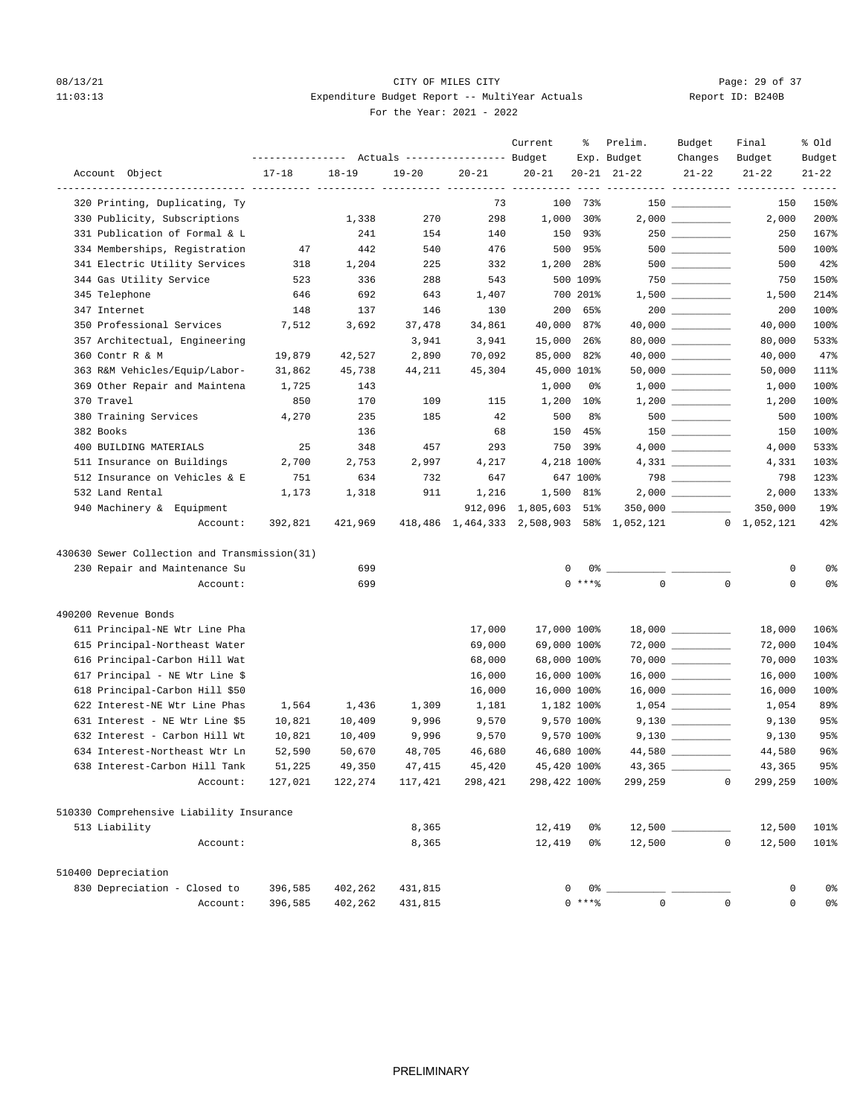## 08/13/21 Page: 29 of 37 11:03:13 Expenditure Budget Report -- MultiYear Actuals For the Year: 2021 - 2022

| Report ID: B240B |
|------------------|
|------------------|

|                                              |           |           |           | Actuals ----------------- Budget | Current                | ႜ          | Prelim.<br>Exp. Budget                                | Budget<br>Changes    | Final<br>Budget                       | % old<br>Budget |
|----------------------------------------------|-----------|-----------|-----------|----------------------------------|------------------------|------------|-------------------------------------------------------|----------------------|---------------------------------------|-----------------|
| Account Object                               | $17 - 18$ | $18 - 19$ | $19 - 20$ | $20 - 21$                        | $20 - 21$              |            | $20 - 21$ $21 - 22$                                   | $21 - 22$            | $21 - 22$                             | $21 - 22$       |
| 320 Printing, Duplicating, Ty                |           |           |           | 73                               | ____ __________<br>100 | 73%        |                                                       |                      | -------- ---------- ----------<br>150 | 150%            |
| 330 Publicity, Subscriptions                 |           | 1,338     | 270       | 298                              | 1,000                  | 30%        |                                                       |                      | 2,000                                 | 200%            |
| 331 Publication of Formal & L                |           | 241       | 154       | 140                              | 150                    | 93%        |                                                       |                      | 250                                   | 167%            |
| 334 Memberships, Registration                | 47        | 442       | 540       | 476                              | 500                    | 95%        |                                                       | $500$ _________      | 500                                   | 100%            |
| 341 Electric Utility Services                | 318       | 1,204     | 225       | 332                              | 1,200                  | 28%        |                                                       | $500$ _________      | 500                                   | 42%             |
| 344 Gas Utility Service                      | 523       | 336       | 288       | 543                              |                        | 500 109%   |                                                       |                      | 750                                   | 150%            |
| 345 Telephone                                | 646       | 692       | 643       | 1,407                            |                        | 700 201%   |                                                       |                      | 1,500                                 | 214%            |
| 347 Internet                                 | 148       | 137       | 146       | 130                              | 200                    | 65%        |                                                       |                      | 200                                   | 100%            |
| 350 Professional Services                    | 7,512     | 3,692     | 37,478    | 34,861                           | 40,000                 | 87%        |                                                       | 40,000 __________    | 40,000                                | 100%            |
| 357 Architectual, Engineering                |           |           | 3,941     | 3,941                            | 15,000                 | 26%        |                                                       |                      | 80,000                                | 533%            |
| 360 Contr R & M                              | 19,879    | 42,527    | 2,890     | 70,092                           | 85,000                 | 82%        |                                                       |                      | 40,000                                | 47%             |
| 363 R&M Vehicles/Equip/Labor-                | 31,862    | 45,738    | 44,211    | 45,304                           | 45,000 101%            |            |                                                       |                      | 50,000                                | 111%            |
| 369 Other Repair and Maintena                | 1,725     | 143       |           |                                  | 1,000                  | 0%         |                                                       |                      | 1,000                                 | 100%            |
| 370 Travel                                   | 850       | 170       | 109       | 115                              | 1,200                  | $10\%$     |                                                       |                      | 1,200                                 | 100%            |
| 380 Training Services                        | 4,270     | 235       | 185       | 42                               | 500                    | 8%         |                                                       | $500$ ________       | 500                                   | 100%            |
| 382 Books                                    |           | 136       |           | 68                               | 150                    | 45%        |                                                       |                      | 150                                   | 100%            |
| 400 BUILDING MATERIALS                       | 25        | 348       | 457       | 293                              | 750                    | 39%        |                                                       |                      | 4,000                                 | 533%            |
| 511 Insurance on Buildings                   | 2,700     | 2,753     | 2,997     | 4,217                            |                        | 4,218 100% |                                                       |                      | 4,331                                 | 103%            |
| 512 Insurance on Vehicles & E                | 751       | 634       | 732       | 647                              |                        | 647 100%   |                                                       |                      | 798                                   | 123%            |
| 532 Land Rental                              | 1,173     | 1,318     | 911       | 1,216                            |                        | 1,500 81%  |                                                       |                      | 2,000                                 | 133%            |
| 940 Machinery & Equipment                    |           |           |           | 912,096                          | 1,805,603 51%          |            |                                                       |                      | 350,000                               | 19%             |
| Account:                                     | 392,821   | 421,969   |           |                                  |                        |            | 418,486 1,464,333 2,508,903 58% 1,052,121 0 1,052,121 |                      |                                       | 42%             |
| 430630 Sewer Collection and Transmission(31) |           |           |           |                                  |                        |            |                                                       |                      |                                       |                 |
| 230 Repair and Maintenance Su                |           | 699       |           |                                  | 0                      | 0%         |                                                       |                      | 0                                     | 0%              |
| Account:                                     |           | 699       |           |                                  |                        | $0$ ****   | $\mathbf 0$                                           | $\mathbf 0$          | 0                                     | 0%              |
| 490200 Revenue Bonds                         |           |           |           |                                  |                        |            |                                                       |                      |                                       |                 |
| 611 Principal-NE Wtr Line Pha                |           |           |           | 17,000                           | 17,000 100%            |            |                                                       |                      | 18,000                                | 106%            |
| 615 Principal-Northeast Water                |           |           |           | 69,000                           | 69,000 100%            |            |                                                       |                      | 72,000                                | 104%            |
| 616 Principal-Carbon Hill Wat                |           |           |           | 68,000                           | 68,000 100%            |            |                                                       | $70,000$ ___________ | 70,000                                | 103%            |
| 617 Principal - NE Wtr Line \$               |           |           |           | 16,000                           | 16,000 100%            |            |                                                       | $16,000$ ________    | 16,000                                | 100%            |
| 618 Principal-Carbon Hill \$50               |           |           |           | 16,000                           | 16,000 100%            |            |                                                       | $16,000$ _________   | 16,000                                | 100%            |
| 622 Interest-NE Wtr Line Phas                | 1,564     | 1,436     | 1,309     | 1,181                            |                        | 1,182 100% |                                                       | $1,054$ _________    | 1,054                                 | 89%             |
| 631 Interest - NE Wtr Line \$5               | 10,821    | 10,409    | 9,996     | 9,570                            |                        | 9,570 100% |                                                       | $9,130$ __________   | 9,130                                 | 95%             |
| 632 Interest - Carbon Hill Wt                | 10,821    | 10,409    | 9,996     | 9,570                            |                        | 9,570 100% |                                                       |                      | 9,130                                 | 95%             |
| 634 Interest-Northeast Wtr Ln                | 52,590    | 50,670    | 48,705    | 46,680                           | 46,680 100%            |            |                                                       |                      | 44,580                                | 96%             |
| 638 Interest-Carbon Hill Tank                | 51,225    | 49,350    | 47,415    | 45,420                           | 45,420 100%            |            | 43,365                                                |                      | 43,365                                | 95%             |
| Account:                                     | 127,021   | 122,274   | 117,421   | 298,421                          | 298,422 100%           |            | 299,259                                               | $\mathbf 0$          | 299,259                               | 100%            |
| 510330 Comprehensive Liability Insurance     |           |           |           |                                  |                        |            |                                                       |                      |                                       |                 |
| 513 Liability                                |           |           | 8,365     |                                  | 12,419                 | 0%         |                                                       |                      | 12,500                                | 101%            |
| Account:                                     |           |           | 8,365     |                                  | 12,419                 | 0%         | 12,500                                                | $\mathbf 0$          | 12,500                                | 101%            |
| 510400 Depreciation                          |           |           |           |                                  |                        |            |                                                       |                      |                                       |                 |
| 830 Depreciation - Closed to                 | 396,585   | 402,262   | 431,815   |                                  | 0                      |            |                                                       |                      | 0                                     | 0%              |
| Account:                                     | 396,585   | 402,262   | 431,815   |                                  |                        | $0***$ $*$ | $\mathbf{0}$                                          | $\mathsf 0$          | 0                                     | 0%              |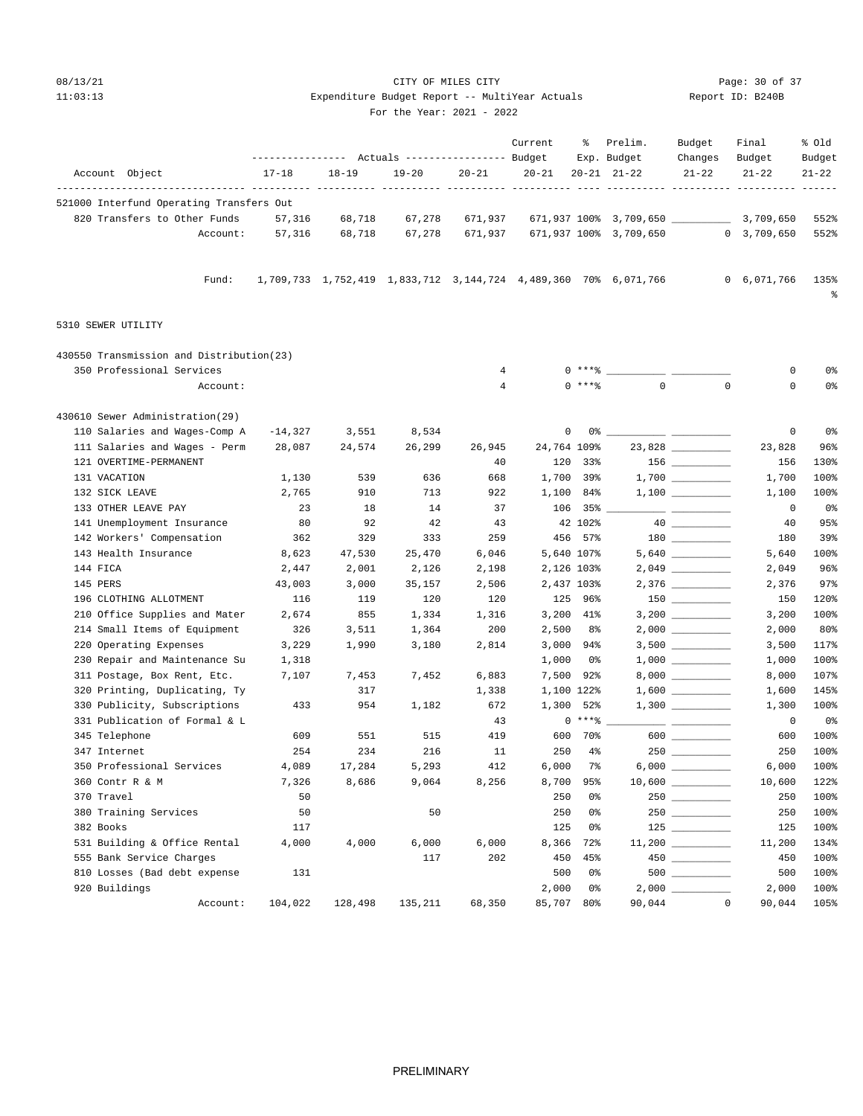# 08/13/21 Page: 30 of 37 11:03:13 Expenditure Budget Report -- MultiYear Actuals Report ID: B240B

 Current % Prelim. Budget Final % Old ---------------- Actuals ----------------- Budget Exp. Budget Changes Budget Budget

| For the Year: 2021 - 2022 |  |
|---------------------------|--|

|                    | Account Object                                                          | $17 - 18$ | $18 - 19$                                                       | $19 - 20$ | $20 - 21$      | $20 - 21$   |                       | $20 - 21$ $21 - 22$       | $21 - 22$   | $21 - 22$      | $21 - 22$      |
|--------------------|-------------------------------------------------------------------------|-----------|-----------------------------------------------------------------|-----------|----------------|-------------|-----------------------|---------------------------|-------------|----------------|----------------|
|                    | ------------- ---------- --<br>521000 Interfund Operating Transfers Out |           |                                                                 |           |                |             |                       |                           |             |                |                |
|                    | 820 Transfers to Other Funds                                            | 57,316    | 68,718                                                          | 67,278    | 671,937        |             |                       | 671,937 100% 3,709,650 __ |             | 3,709,650      | 552%           |
|                    | Account:                                                                | 57,316    | 68,718                                                          | 67,278    | 671,937        |             |                       | 671,937 100% 3,709,650    |             | 0, 3, 709, 650 | 552%           |
|                    | Fund:                                                                   |           | 1,709,733 1,752,419 1,833,712 3,144,724 4,489,360 70% 6,071,766 |           |                |             |                       |                           |             | 0, 6, 071, 766 | 135%<br>န့     |
| 5310 SEWER UTILITY |                                                                         |           |                                                                 |           |                |             |                       |                           |             |                |                |
|                    | 430550 Transmission and Distribution(23)                                |           |                                                                 |           |                |             |                       |                           |             |                |                |
|                    | 350 Professional Services                                               |           |                                                                 |           | $\overline{4}$ |             | $0***8$               |                           |             | $\mathbf 0$    | 0%             |
|                    | Account:                                                                |           |                                                                 |           | $\overline{4}$ |             | 0 ****                | $\mathbf 0$               | $\mathbf 0$ | $\circ$        | 0 <sup>°</sup> |
|                    | 430610 Sewer Administration(29)                                         |           |                                                                 |           |                |             |                       |                           |             |                |                |
|                    | 110 Salaries and Wages-Comp A                                           | $-14,327$ | 3,551                                                           | 8,534     |                | 0           | 0%                    |                           |             | 0              | 0 <sup>°</sup> |
|                    | 111 Salaries and Wages - Perm                                           | 28,087    | 24,574                                                          | 26,299    | 26,945         | 24,764 109% |                       |                           | 23,828      | 23,828         | 96%            |
|                    | 121 OVERTIME-PERMANENT                                                  |           |                                                                 |           | 40             | 120         | 33%                   |                           |             | 156            | 130%           |
| 131 VACATION       |                                                                         | 1,130     | 539                                                             | 636       | 668            | 1,700       | 39%                   |                           |             | 1,700          | 100%           |
|                    | 132 SICK LEAVE                                                          | 2,765     | 910                                                             | 713       | 922            | 1,100       | 84%                   |                           |             | 1,100          | 100%           |
|                    | 133 OTHER LEAVE PAY                                                     | 23        | 18                                                              | 14        | 37             | 106         | 35%                   |                           |             | 0              | 0 <sup>°</sup> |
|                    | 141 Unemployment Insurance                                              | 80        | 92                                                              | 42        | 43             |             | 42 102%               |                           |             | 40             | 95%            |
|                    | 142 Workers' Compensation                                               | 362       | 329                                                             | 333       | 259            |             | 456 57%               |                           |             | 180            | 39%            |
|                    | 143 Health Insurance                                                    | 8,623     | 47,530                                                          | 25,470    | 6,046          |             | 5,640 107%            |                           |             | 5,640          | 100%           |
| 144 FICA           |                                                                         | 2,447     | 2,001                                                           | 2,126     | 2,198          | 2,126 103%  |                       |                           |             | 2,049          | 96%            |
| 145 PERS           |                                                                         | 43,003    | 3,000                                                           | 35,157    | 2,506          | 2,437 103%  |                       |                           |             | 2,376          | 97%            |
|                    | 196 CLOTHING ALLOTMENT                                                  | 116       | 119                                                             | 120       | 120            | 125         | 96%                   |                           | $150$       | 150            | 120%           |
|                    | 210 Office Supplies and Mater                                           | 2,674     | 855                                                             | 1,334     | 1,316          | 3,200       | 41%                   |                           |             | 3,200          | 100%           |
|                    | 214 Small Items of Equipment                                            | 326       | 3,511                                                           | 1,364     | 200            | 2,500       | 8%                    |                           |             | 2,000          | 80%            |
|                    | 220 Operating Expenses                                                  | 3,229     | 1,990                                                           | 3,180     | 2,814          | 3,000       | 94%                   |                           |             | 3,500          | 117%           |
|                    | 230 Repair and Maintenance Su                                           | 1,318     |                                                                 |           |                | 1,000       | 0%                    |                           |             | 1,000          | 100%           |
|                    | 311 Postage, Box Rent, Etc.                                             | 7,107     | 7,453                                                           | 7,452     | 6,883          | 7,500       | 92%                   |                           |             | 8,000          | 107%           |
|                    | 320 Printing, Duplicating, Ty                                           |           | 317                                                             |           | 1,338          | 1,100 122%  |                       |                           |             | 1,600          | 145%           |
|                    | 330 Publicity, Subscriptions                                            | 433       | 954                                                             | 1,182     | 672            | 1,300       | 52%                   |                           |             | 1,300          | 100%           |
|                    | 331 Publication of Formal & L                                           |           |                                                                 |           | 43             |             | $0***8$               |                           |             | 0              | 0%             |
|                    | 345 Telephone                                                           | 609       | 551                                                             | 515       | 419            | 600         | 70%                   |                           | $600$       | 600            | 100%           |
| 347 Internet       |                                                                         | 254       | 234                                                             | 216       | 11             | 250         | $4\%$                 |                           |             | 250            | 100%           |
|                    | 350 Professional Services                                               | 4,089     | 17,284                                                          | 5,293     | 412            | 6,000       | 7%                    |                           |             | 6,000          | 100%           |
|                    | 360 Contr R & M                                                         | 7,326     | 8,686                                                           | 9,064     | 8,256          | 8,700       | 95%                   |                           |             | 10,600         | 122%           |
| 370 Travel         |                                                                         | 50        |                                                                 |           |                | 250         | 0%                    |                           |             | 250            | 100%           |
|                    | 380 Training Services                                                   | 50        |                                                                 | 50        |                | 250         | 0%                    |                           |             | 250            | 100%           |
| 382 Books          |                                                                         | 117       |                                                                 |           |                | 125         | 0 <sup>8</sup>        |                           |             | 125            | 100%           |
|                    | 531 Building & Office Rental                                            | 4,000     | 4,000                                                           | 6,000     | 6,000          | 8,366       | 72%                   |                           |             | 11,200         | 134%           |
|                    | 555 Bank Service Charges                                                |           |                                                                 | 117       | 202            | 450         | 45%<br>0 <sup>°</sup> |                           |             | 450            | 100%           |
|                    | 810 Losses (Bad debt expense                                            | 131       |                                                                 |           |                | 500         |                       | 500                       |             | 500            | 100%           |

 920 Buildings 2,000 0% 2,000 \_\_\_\_\_\_\_\_\_\_ 2,000 100% Account: 104,022 128,498 135,211 68,350 85,707 80% 90,044 0 90,044 105%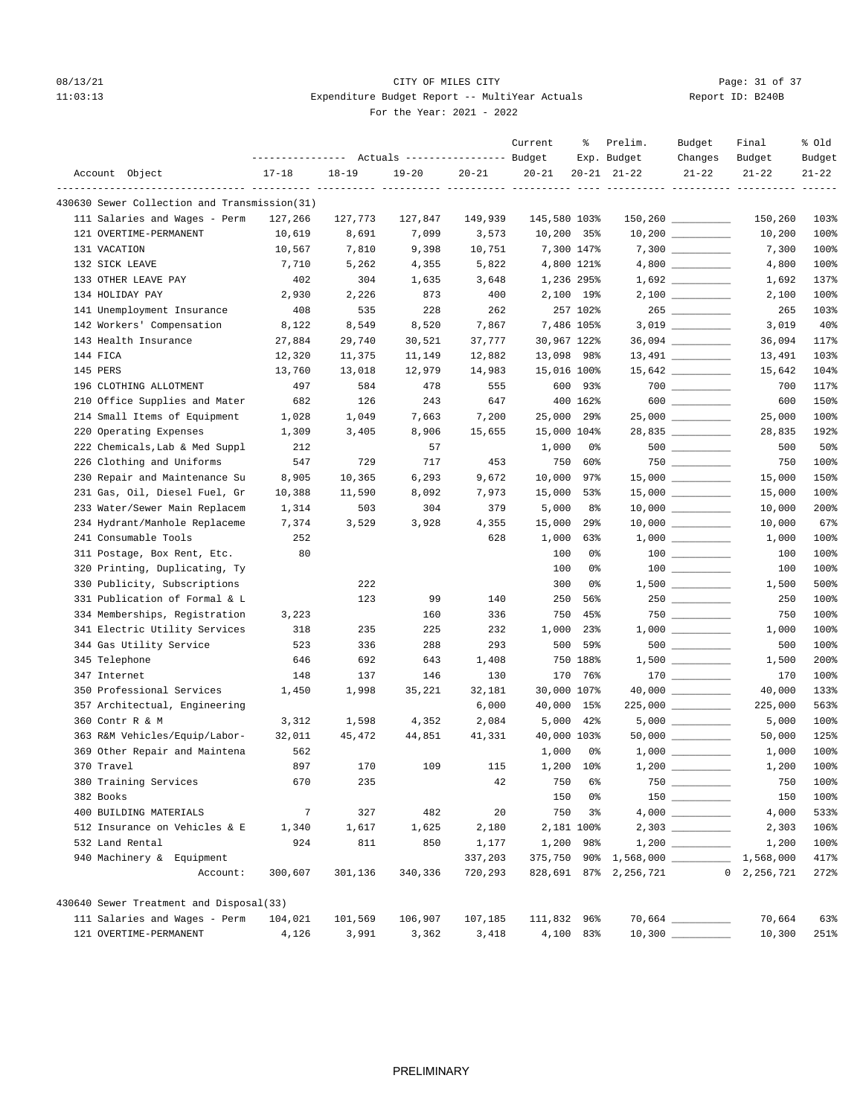## 08/13/21 Page: 31 of 37 11:03:13 Expenditure Budget Report -- MultiYear Actuals For the Year: 2021 - 2022

| Report ID: B240B |  |  |  |  |
|------------------|--|--|--|--|
|------------------|--|--|--|--|

|                 |                                              | ---------------- |           | Actuals ----------------- Budget |           | Current              | ႜ                 | Prelim.<br>Exp. Budget | Budget<br>Changes                       | Final<br>Budget | % Old<br>Budget |
|-----------------|----------------------------------------------|------------------|-----------|----------------------------------|-----------|----------------------|-------------------|------------------------|-----------------------------------------|-----------------|-----------------|
| Account Object  |                                              | $17 - 18$        | $18 - 19$ | $19 - 20$                        | $20 - 21$ | $20 - 21$            |                   | $20 - 21$ $21 - 22$    | $21 - 22$                               | $21 - 22$       | $21 - 22$       |
|                 |                                              |                  |           | ----- ----                       |           | ---- ---------- ---- |                   | ------- -----          | ----- ---                               |                 |                 |
|                 | 430630 Sewer Collection and Transmission(31) |                  |           |                                  |           |                      |                   |                        |                                         |                 |                 |
|                 | 111 Salaries and Wages - Perm                | 127,266          | 127,773   | 127,847                          | 149,939   | 145,580 103%         |                   |                        | $150, 260$ _________                    | 150,260         | 103%            |
|                 | 121 OVERTIME-PERMANENT                       | 10,619           | 8,691     | 7,099                            | 3,573     |                      | 10,200 35%        |                        |                                         | 10,200          | 100%            |
| 131 VACATION    |                                              | 10,567           | 7,810     | 9,398                            | 10,751    |                      | 7,300 147%        |                        |                                         | 7,300           | 100%            |
| 132 SICK LEAVE  |                                              | 7,710            | 5,262     | 4,355                            | 5,822     |                      | 4,800 121%        |                        |                                         | 4,800           | 100%            |
|                 | 133 OTHER LEAVE PAY                          | 402              | 304       | 1,635                            | 3,648     |                      | 1,236 295%        |                        |                                         | 1,692           | 137%            |
| 134 HOLIDAY PAY |                                              | 2,930            | 2,226     | 873                              | 400       |                      | 2,100 19%         |                        |                                         | 2,100           | 100%            |
|                 | 141 Unemployment Insurance                   | 408              | 535       | 228                              | 262       |                      | 257 102%          |                        | $265$                                   | 265             | 103%            |
|                 | 142 Workers' Compensation                    | 8,122            | 8,549     | 8,520                            | 7,867     |                      | 7,486 105%        |                        |                                         | 3,019           | 40%             |
|                 | 143 Health Insurance                         | 27,884           | 29,740    | 30,521                           | 37,777    |                      | 30,967 122%       |                        | $36,094$ ___________                    | 36,094          | 117%            |
| 144 FICA        |                                              | 12,320           | 11,375    | 11,149                           | 12,882    |                      | 13,098 98%        |                        | $13,491$ _________                      | 13,491          | 103%            |
| 145 PERS        |                                              | 13,760           | 13,018    | 12,979                           | 14,983    |                      | 15,016 100%       |                        |                                         | 15,642          | 104%            |
|                 | 196 CLOTHING ALLOTMENT                       | 497              | 584       | 478                              | 555       | 600                  | 93%               |                        | $700$ __________                        | 700             | 117%            |
|                 | 210 Office Supplies and Mater                | 682              | 126       | 243                              | 647       |                      | 400 162%          |                        | 600                                     | 600             | 150%            |
|                 | 214 Small Items of Equipment                 | 1,028            | 1,049     | 7,663                            | 7,200     | 25,000               | $29$ <sup>8</sup> |                        | $25,000$ __________                     | 25,000          | 100%            |
|                 | 220 Operating Expenses                       | 1,309            | 3,405     | 8,906                            | 15,655    |                      | 15,000 104%       |                        | 28,835                                  | 28,835          | 192%            |
|                 | 222 Chemicals, Lab & Med Suppl               | 212              |           | 57                               |           | 1,000                | 0%                |                        | $500$ __________                        | 500             | 50%             |
|                 | 226 Clothing and Uniforms                    | 547              | 729       | 717                              | 453       | 750                  | 60%               |                        |                                         | 750             | 100%            |
|                 | 230 Repair and Maintenance Su                | 8,905            | 10,365    | 6,293                            | 9,672     | 10,000               | 97%               |                        | $15,000$ _________                      | 15,000          | 150%            |
|                 | 231 Gas, Oil, Diesel Fuel, Gr                | 10,388           | 11,590    | 8,092                            | 7,973     | 15,000               | 53%               |                        |                                         | 15,000          | 100%            |
|                 | 233 Water/Sewer Main Replacem                | 1,314            | 503       | 304                              | 379       | 5,000                | 8%                |                        |                                         | 10,000          | 200%            |
|                 | 234 Hydrant/Manhole Replaceme                | 7,374            | 3,529     | 3,928                            | 4,355     | 15,000               | $29$ <sup>8</sup> |                        | $10,000$ _________                      | 10,000          | 67%             |
|                 | 241 Consumable Tools                         | 252              |           |                                  | 628       | 1,000                | 63%               |                        |                                         | 1,000           | 100%            |
|                 | 311 Postage, Box Rent, Etc.                  | 80               |           |                                  |           | 100                  | 0%                |                        |                                         | 100             | 100%            |
|                 | 320 Printing, Duplicating, Ty                |                  |           |                                  |           | 100                  | 0%                |                        | $\begin{array}{c} 100 \\ - \end{array}$ | 100             | 100%            |
|                 | 330 Publicity, Subscriptions                 |                  | 222       |                                  |           | 300                  | 0%                |                        | $1,500$ __________                      | 1,500           | 500%            |
|                 | 331 Publication of Formal & L                |                  | 123       | 99                               | 140       | 250                  | 56%               |                        | $250$ _________                         | 250             | 100%            |
|                 | 334 Memberships, Registration                | 3,223            |           | 160                              | 336       | 750                  | 45%               |                        | $750$                                   | 750             | 100%            |
|                 | 341 Electric Utility Services                | 318              | 235       | 225                              | 232       | 1,000                | 23%               |                        |                                         | 1,000           | 100%            |
|                 | 344 Gas Utility Service                      | 523              | 336       | 288                              | 293       | 500                  | 59%               |                        | $500$ ___________                       | 500             | 100%            |
| 345 Telephone   |                                              | 646              | 692       | 643                              | 1,408     |                      | 750 188%          |                        | $1,500$ __________                      | 1,500           | 200%            |
| 347 Internet    |                                              | 148              | 137       | 146                              | 130       | 170                  | 76%               |                        | $170$ ________                          | 170             | 100%            |
|                 | 350 Professional Services                    | 1,450            | 1,998     | 35,221                           | 32,181    |                      | 30,000 107%       |                        | $40,000$ __________                     | 40,000          | 133%            |
|                 | 357 Architectual, Engineering                |                  |           |                                  | 6,000     | 40,000               | 15%               |                        | $225,000$ __________                    | 225,000         | 563%            |
| 360 Contr R & M |                                              | 3,312            | 1,598     | 4,352                            | 2,084     | 5,000                | 42%               |                        |                                         | 5,000           | 100%            |
|                 | 363 R&M Vehicles/Equip/Labor-                | 32,011           | 45,472    | 44,851                           | 41,331    |                      | 40,000 103%       |                        | $50,000$ __________                     | 50,000          | 125%            |
|                 | 369 Other Repair and Maintena                | 562              |           |                                  |           | 1,000                | 0%                |                        |                                         | 1,000           | 100%            |
| 370 Travel      |                                              | 897              | 170       | 109                              | 115       | 1,200                | 10%               |                        |                                         | 1,200           | 100%            |
|                 | 380 Training Services                        | 670              | 235       |                                  | 42        | 750                  | 6%                |                        | $750$                                   | 750             | 100%            |
| 382 Books       |                                              |                  |           |                                  |           | 150                  | 0%                |                        |                                         | 150             | 100%            |
|                 | 400 BUILDING MATERIALS                       | 7                | 327       | 482                              | 20        | 750                  | 3 <sup>°</sup>    |                        |                                         | 4,000           | 533%            |
|                 | 512 Insurance on Vehicles & E                | 1,340            | 1,617     | 1,625                            | 2,180     |                      | 2,181 100%        |                        |                                         | 2,303           | 106%            |
| 532 Land Rental |                                              | 924              | 811       | 850                              | 1,177     | 1,200                | 98%               |                        | $1,200$                                 | 1,200           | 100%            |
|                 | 940 Machinery & Equipment                    |                  |           |                                  | 337,203   |                      |                   | 375,750 90% 1,568,000  |                                         | 1,568,000       | 417%            |
|                 | Account:                                     | 300,607          | 301,136   | 340,336                          | 720,293   |                      |                   | 828,691 87% 2,256,721  |                                         | 0, 2, 256, 721  | 272%            |
|                 | 430640 Sewer Treatment and Disposal(33)      |                  |           |                                  |           |                      |                   |                        |                                         |                 |                 |
|                 | 111 Salaries and Wages - Perm                | 104,021          | 101,569   | 106,907                          | 107,185   | 111,832 96%          |                   |                        |                                         | 70,664          | 63%             |
|                 | 121 OVERTIME-PERMANENT                       | 4,126            | 3,991     | 3,362                            | 3,418     |                      | 4,100 83%         |                        |                                         | 10,300          | 251%            |
|                 |                                              |                  |           |                                  |           |                      |                   |                        |                                         |                 |                 |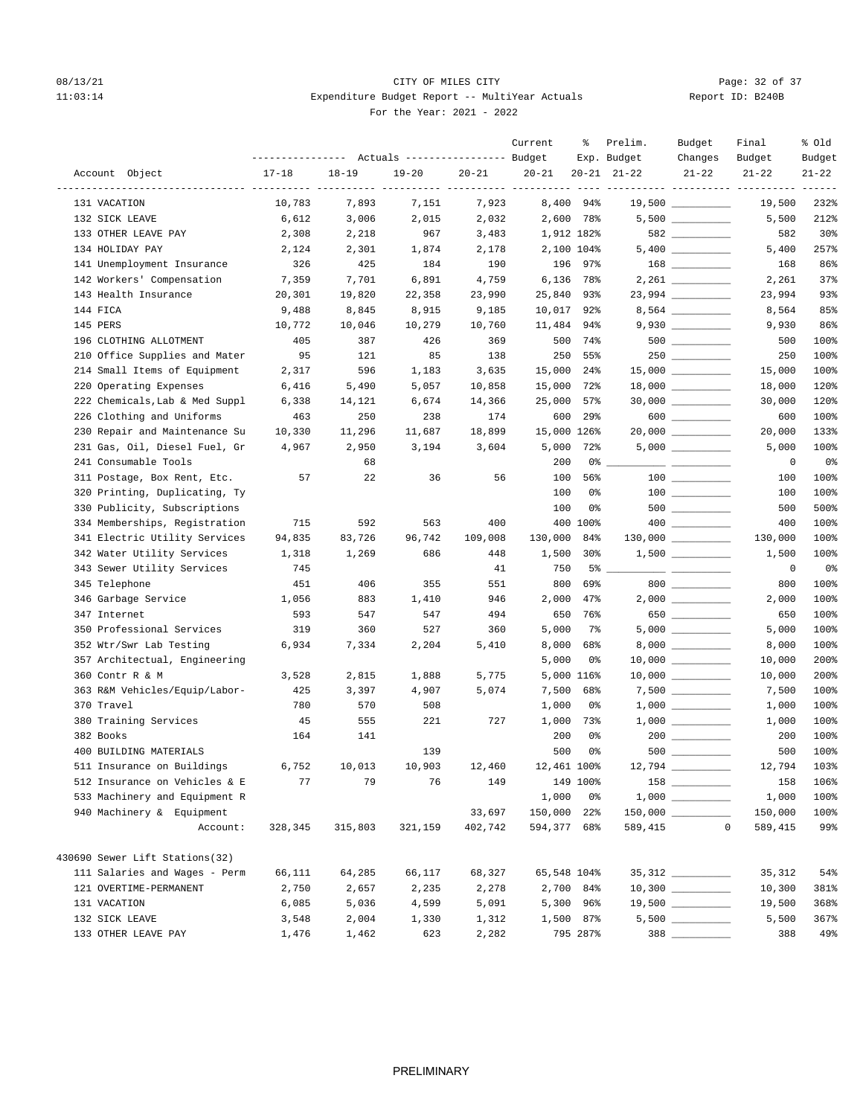# 08/13/21 Page: 32 of 37 11:03:14 Expenditure Budget Report -- MultiYear Actuals For the Year: 2021 - 2022

| Report ID: B240B |  |  |
|------------------|--|--|
|                  |  |  |

|                                |           |           | --------------- Actuals ---------------- Budget |           | Current     | ႜ                 | Prelim.<br>Exp. Budget | Budget<br>Changes                                                                                                                                                                                                                                                                                                                                   | Final<br>Budget            | % Old<br>Budget |
|--------------------------------|-----------|-----------|-------------------------------------------------|-----------|-------------|-------------------|------------------------|-----------------------------------------------------------------------------------------------------------------------------------------------------------------------------------------------------------------------------------------------------------------------------------------------------------------------------------------------------|----------------------------|-----------------|
| Account Object                 | $17 - 18$ | $18 - 19$ | $19 - 20$                                       | $20 - 21$ | $20 - 21$   |                   | $20 - 21$ $21 - 22$    | $21 - 22$                                                                                                                                                                                                                                                                                                                                           | $21 - 22$                  | $21 - 22$       |
| 131 VACATION                   | 10,783    | 7,893     | 7,151                                           | 7,923     |             | 8,400 94%         |                        | $19,500$ __________                                                                                                                                                                                                                                                                                                                                 | ----- ----------<br>19,500 | 232%            |
| 132 SICK LEAVE                 | 6,612     | 3,006     | 2,015                                           | 2,032     |             | 2,600 78%         |                        | $5,500$ __________                                                                                                                                                                                                                                                                                                                                  | 5,500                      | 212%            |
| 133 OTHER LEAVE PAY            | 2,308     | 2,218     | 967                                             | 3,483     |             | 1,912 182%        |                        | $582$                                                                                                                                                                                                                                                                                                                                               | 582                        | 30%             |
| 134 HOLIDAY PAY                | 2,124     | 2,301     | 1,874                                           | 2,178     |             | 2,100 104%        |                        |                                                                                                                                                                                                                                                                                                                                                     | 5,400                      | 257%            |
| 141 Unemployment Insurance     | 326       | 425       | 184                                             | 190       | 196         | 97%               |                        | $168$ _________                                                                                                                                                                                                                                                                                                                                     | 168                        | 86%             |
| 142 Workers' Compensation      | 7,359     | 7,701     | 6,891                                           | 4,759     | 6,136       | 78%               |                        |                                                                                                                                                                                                                                                                                                                                                     | 2,261                      | 37%             |
| 143 Health Insurance           | 20,301    | 19,820    | 22,358                                          | 23,990    | 25,840      | 93%               |                        |                                                                                                                                                                                                                                                                                                                                                     | 23,994                     | 93%             |
| 144 FICA                       | 9,488     | 8,845     | 8,915                                           | 9,185     | 10,017      | $92\%$            |                        |                                                                                                                                                                                                                                                                                                                                                     | 8,564                      | 85%             |
| 145 PERS                       | 10,772    | 10,046    | 10,279                                          | 10,760    | 11,484      | 94%               |                        | $9,930$ __________                                                                                                                                                                                                                                                                                                                                  | 9,930                      | 86%             |
| 196 CLOTHING ALLOTMENT         | 405       | 387       | 426                                             | 369       | 500         | 74%               |                        | $500$ _________                                                                                                                                                                                                                                                                                                                                     | 500                        | 100%            |
| 210 Office Supplies and Mater  | 95        | 121       | 85                                              | 138       | 250         | 55%               |                        |                                                                                                                                                                                                                                                                                                                                                     | 250                        | 100%            |
| 214 Small Items of Equipment   | 2,317     | 596       | 1,183                                           | 3,635     | 15,000      | 24%               |                        | $15,000$ ___________                                                                                                                                                                                                                                                                                                                                | 15,000                     | 100%            |
| 220 Operating Expenses         | 6,416     | 5,490     | 5,057                                           | 10,858    | 15,000      | 72%               |                        |                                                                                                                                                                                                                                                                                                                                                     | 18,000                     | 120%            |
| 222 Chemicals, Lab & Med Suppl | 6,338     | 14,121    | 6,674                                           | 14,366    | 25,000      | 57%               |                        | $30,000$ __________                                                                                                                                                                                                                                                                                                                                 | 30,000                     | 120%            |
| 226 Clothing and Uniforms      | 463       | 250       | 238                                             | 174       | 600         | $29$ <sup>8</sup> |                        | $600$                                                                                                                                                                                                                                                                                                                                               | 600                        | 100%            |
| 230 Repair and Maintenance Su  | 10,330    | 11,296    | 11,687                                          | 18,899    |             | 15,000 126%       |                        | $20,000$ __________                                                                                                                                                                                                                                                                                                                                 | 20,000                     | 133%            |
| 231 Gas, Oil, Diesel Fuel, Gr  | 4,967     | 2,950     | 3,194                                           | 3,604     | 5,000       | 72%               |                        | $5,000$ __________                                                                                                                                                                                                                                                                                                                                  | 5,000                      | 100%            |
| 241 Consumable Tools           |           | 68        |                                                 |           | 200         |                   | 0 %                    |                                                                                                                                                                                                                                                                                                                                                     | 0                          | $0\,$           |
| 311 Postage, Box Rent, Etc.    | 57        | 22        | 36                                              | 56        | 100         | 56%               |                        | $\begin{array}{c} 100 \\ - \end{array}$                                                                                                                                                                                                                                                                                                             | 100                        | 100%            |
| 320 Printing, Duplicating, Ty  |           |           |                                                 |           | 100         | 0%                |                        | $100$ ________                                                                                                                                                                                                                                                                                                                                      | 100                        | 100%            |
| 330 Publicity, Subscriptions   |           |           |                                                 |           | 100         | 0%                |                        | $500$ ________                                                                                                                                                                                                                                                                                                                                      | 500                        | 500%            |
| 334 Memberships, Registration  | 715       | 592       | 563                                             | 400       |             | 400 100%          |                        | $\begin{picture}(20,20) \put(0,0){\line(1,0){10}} \put(15,0){\line(1,0){10}} \put(15,0){\line(1,0){10}} \put(15,0){\line(1,0){10}} \put(15,0){\line(1,0){10}} \put(15,0){\line(1,0){10}} \put(15,0){\line(1,0){10}} \put(15,0){\line(1,0){10}} \put(15,0){\line(1,0){10}} \put(15,0){\line(1,0){10}} \put(15,0){\line(1,0){10}} \put(15,0){\line(1$ | 400                        | 100%            |
|                                |           |           |                                                 |           | 130,000     |                   |                        |                                                                                                                                                                                                                                                                                                                                                     | 130,000                    | 100%            |
| 341 Electric Utility Services  | 94,835    | 83,726    | 96,742                                          | 109,008   |             | 84%               |                        |                                                                                                                                                                                                                                                                                                                                                     |                            | 100%            |
| 342 Water Utility Services     | 1,318     | 1,269     | 686                                             | 448       | 1,500       | $30\%$            |                        |                                                                                                                                                                                                                                                                                                                                                     | 1,500                      |                 |
| 343 Sewer Utility Services     | 745       |           |                                                 | 41        | 750<br>800  |                   | 5% 1                   |                                                                                                                                                                                                                                                                                                                                                     | $\mathbf 0$                | 0%              |
| 345 Telephone                  | 451       | 406       | 355                                             | 551       |             | 69%               |                        | 800                                                                                                                                                                                                                                                                                                                                                 | 800                        | 100%            |
| 346 Garbage Service            | 1,056     | 883       | 1,410                                           | 946       | 2,000       | 47%               |                        | $2,000$ __________                                                                                                                                                                                                                                                                                                                                  | 2,000                      | 100%            |
| 347 Internet                   | 593       | 547       | 547                                             | 494       | 650         | 76%               |                        | 650                                                                                                                                                                                                                                                                                                                                                 | 650                        | 100%            |
| 350 Professional Services      | 319       | 360       | 527                                             | 360       | 5,000       | 7%                |                        |                                                                                                                                                                                                                                                                                                                                                     | 5,000                      | 100%            |
| 352 Wtr/Swr Lab Testing        | 6,934     | 7,334     | 2,204                                           | 5,410     | 8,000       | 68%               |                        |                                                                                                                                                                                                                                                                                                                                                     | 8,000                      | 100%            |
| 357 Architectual, Engineering  |           |           |                                                 |           | 5,000       | 0%                |                        |                                                                                                                                                                                                                                                                                                                                                     | 10,000                     | 200%            |
| 360 Contr R & M                | 3,528     | 2,815     | 1,888                                           | 5,775     |             | 5,000 116%        |                        |                                                                                                                                                                                                                                                                                                                                                     | 10,000                     | 200%            |
| 363 R&M Vehicles/Equip/Labor-  | 425       | 3,397     | 4,907                                           | 5,074     | 7,500       | 68%               |                        |                                                                                                                                                                                                                                                                                                                                                     | 7,500                      | 100%            |
| 370 Travel                     | 780       | 570       | 508                                             |           | 1,000       | 0%                |                        |                                                                                                                                                                                                                                                                                                                                                     | 1,000                      | 100%            |
| 380 Training Services          | 45        | 555       | 221                                             | 727       | 1,000       | 73%               |                        |                                                                                                                                                                                                                                                                                                                                                     | 1,000                      | 100%            |
| 382 Books                      | 164       | 141       |                                                 |           | 200         | 0%                |                        |                                                                                                                                                                                                                                                                                                                                                     | 200                        | 100%            |
| 400 BUILDING MATERIALS         |           |           | 139                                             |           | 500         | 0 <sup>8</sup>    |                        |                                                                                                                                                                                                                                                                                                                                                     | 500                        | 100%            |
| 511 Insurance on Buildings     | 6,752     | 10,013    | 10,903                                          | 12,460    |             | 12,461 100%       |                        |                                                                                                                                                                                                                                                                                                                                                     | 12,794                     | 103%            |
| 512 Insurance on Vehicles & E  | 77        | 79        | 76                                              | 149       |             | 149 100%          |                        |                                                                                                                                                                                                                                                                                                                                                     | 158                        | 106%            |
| 533 Machinery and Equipment R  |           |           |                                                 |           | 1,000       | 0%                |                        |                                                                                                                                                                                                                                                                                                                                                     | 1,000                      | 100%            |
| 940 Machinery & Equipment      |           |           |                                                 | 33,697    | 150,000 22% |                   |                        | $150,000$ __________                                                                                                                                                                                                                                                                                                                                | 150,000                    | 100%            |
| Account:                       | 328,345   | 315,803   | 321,159                                         | 402,742   | 594,377 68% |                   | 589,415                |                                                                                                                                                                                                                                                                                                                                                     | $\mathbf{0}$<br>589,415    | 99%             |
| 430690 Sewer Lift Stations(32) |           |           |                                                 |           |             |                   |                        |                                                                                                                                                                                                                                                                                                                                                     |                            |                 |
| 111 Salaries and Wages - Perm  | 66,111    | 64,285    | 66,117                                          | 68,327    |             | 65,548 104%       |                        | 35, 312                                                                                                                                                                                                                                                                                                                                             | 35,312                     | 54%             |
| 121 OVERTIME-PERMANENT         | 2,750     | 2,657     | 2,235                                           | 2,278     |             | 2,700 84%         |                        |                                                                                                                                                                                                                                                                                                                                                     | 10,300                     | 381%            |
| 131 VACATION                   | 6,085     | 5,036     | 4,599                                           | 5,091     |             | 5,300 96%         |                        | 19,500 _________                                                                                                                                                                                                                                                                                                                                    | 19,500                     | 368%            |
| 132 SICK LEAVE                 | 3,548     | 2,004     | 1,330                                           | 1,312     |             | 1,500 87%         |                        | $5,500$ __________                                                                                                                                                                                                                                                                                                                                  | 5,500                      | 367%            |
| 133 OTHER LEAVE PAY            | 1,476     | 1,462     | 623                                             | 2,282     |             | 795 287%          | 388                    |                                                                                                                                                                                                                                                                                                                                                     | 388                        | $49$ $%$        |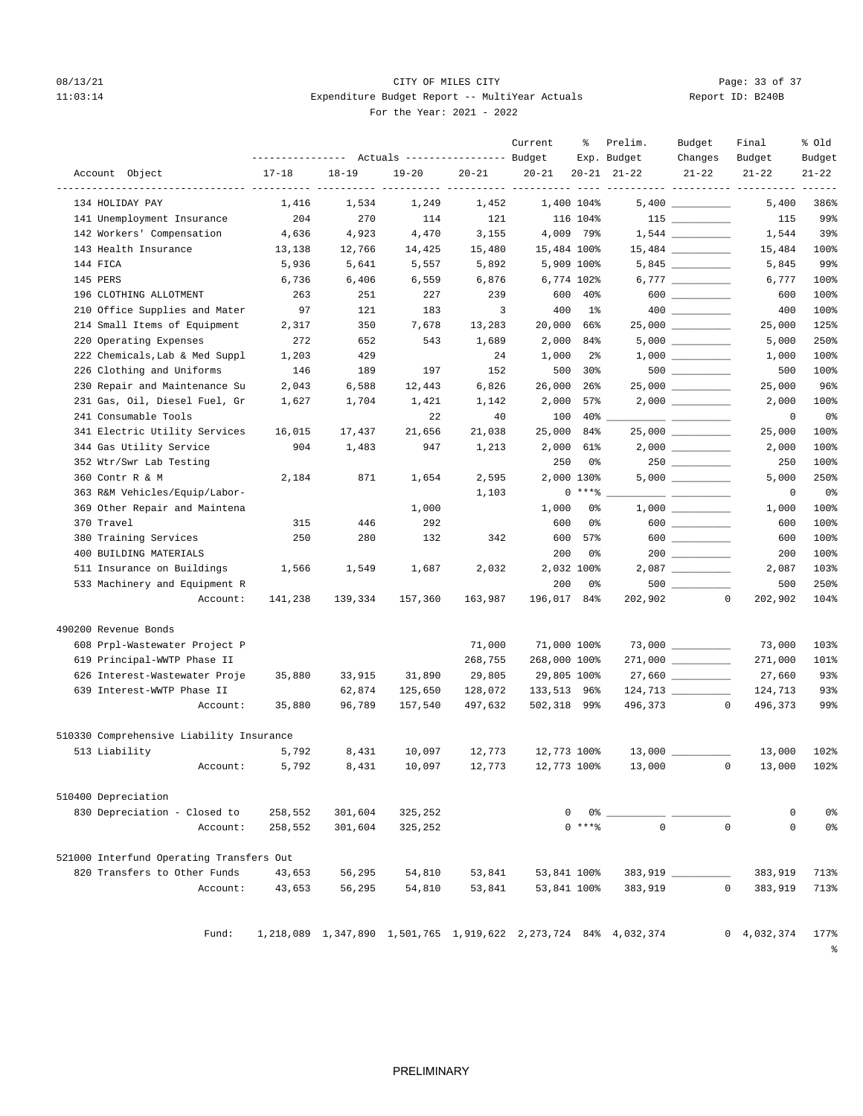# 08/13/21 Page: 33 of 37 11:03:14 Expenditure Budget Report -- MultiYear Actuals For the Year: 2021 - 2022

| Report ID: B240B |  |  |
|------------------|--|--|
|                  |  |  |

|                                          | --------------- Actuals ---------------- Budget |           |           |           | Current      | ႜ               | Prelim.<br>Exp. Budget                                          | Budget<br>Changes    | Final<br>Budget           | % old<br>Budget       |
|------------------------------------------|-------------------------------------------------|-----------|-----------|-----------|--------------|-----------------|-----------------------------------------------------------------|----------------------|---------------------------|-----------------------|
| Account Object                           | $17 - 18$                                       | $18 - 19$ | $19 - 20$ | $20 - 21$ | $20 - 21$    |                 | $20 - 21$ $21 - 22$                                             | $21 - 22$            | $21 - 22$                 | $21 - 22$             |
| 134 HOLIDAY PAY                          | 1,416                                           | 1,534     | 1,249     | 1,452     |              | 1,400 104%      |                                                                 |                      | ----- ----------<br>5,400 | 386%                  |
| 141 Unemployment Insurance               | 204                                             | 270       | 114       | 121       |              | 116 104%        |                                                                 | $115$ _________      | 115                       | 99%                   |
| 142 Workers' Compensation                | 4,636                                           | 4,923     | 4,470     | 3,155     |              | 4,009 79%       |                                                                 |                      | 1,544                     | 39%                   |
| 143 Health Insurance                     | 13,138                                          | 12,766    | 14,425    | 15,480    | 15,484 100%  |                 |                                                                 |                      | 15,484                    | 100%                  |
| 144 FICA                                 | 5,936                                           | 5,641     | 5,557     | 5,892     |              | 5,909 100%      |                                                                 |                      | 5,845                     | 99%                   |
| 145 PERS                                 | 6,736                                           | 6,406     | 6,559     | 6,876     |              | 6,774 102%      |                                                                 |                      | 6,777                     | 100%                  |
| 196 CLOTHING ALLOTMENT                   | 263                                             | 251       | 227       | 239       | 600          | 40%             |                                                                 | $600$ __________     | 600                       | 100%                  |
| 210 Office Supplies and Mater            | 97                                              | 121       | 183       | 3         | 400          | $1\%$           |                                                                 |                      | 400                       | 100%                  |
| 214 Small Items of Equipment             | 2,317                                           | 350       | 7,678     | 13,283    | 20,000       | 66%             |                                                                 | 25,000               | 25,000                    | 125%                  |
| 220 Operating Expenses                   | 272                                             | 652       | 543       | 1,689     | 2,000        | 84%             |                                                                 |                      | 5,000                     | 250%                  |
| 222 Chemicals, Lab & Med Suppl           | 1,203                                           | 429       |           | 24        | 1,000        | $2\overline{8}$ |                                                                 |                      | 1,000                     | 100%                  |
| 226 Clothing and Uniforms                | 146                                             | 189       | 197       | 152       | 500          | 30 <sup>8</sup> |                                                                 | $500$ ________       | 500                       | 100%                  |
| 230 Repair and Maintenance Su            | 2,043                                           | 6,588     | 12,443    | 6,826     | 26,000       | $26$ $%$        |                                                                 | $25,000$ ___________ | 25,000                    | 96%                   |
| 231 Gas, Oil, Diesel Fuel, Gr            | 1,627                                           | 1,704     | 1,421     | 1,142     | 2,000        | 57%             |                                                                 | $2,000$ __________   | 2,000                     | 100%                  |
| 241 Consumable Tools                     |                                                 |           | 22        | 40        | 100          | $40\%$          |                                                                 |                      | 0                         | 0%                    |
| 341 Electric Utility Services            | 16,015                                          | 17,437    | 21,656    | 21,038    | 25,000       | 84%             |                                                                 | 25,000               | 25,000                    | 100%                  |
| 344 Gas Utility Service                  | 904                                             | 1,483     | 947       | 1,213     | 2,000        | 61%             |                                                                 | $2,000$ __________   | 2,000                     | 100%                  |
| 352 Wtr/Swr Lab Testing                  |                                                 |           |           |           | 250          | 0%              |                                                                 | $250$ _________      | 250                       | 100%                  |
| 360 Contr R & M                          | 2,184                                           | 871       | 1,654     | 2,595     |              | 2,000 130%      |                                                                 |                      | 5,000                     | 250%                  |
| 363 R&M Vehicles/Equip/Labor-            |                                                 |           |           | 1,103     |              | $0$ ****        |                                                                 |                      | 0                         | 0%                    |
| 369 Other Repair and Maintena            |                                                 |           | 1,000     |           | 1,000        | 0%              |                                                                 |                      | 1,000                     | 100%                  |
| 370 Travel                               | 315                                             | 446       | 292       |           | 600          | 0%              |                                                                 | $600$                | 600                       | 100%                  |
| 380 Training Services                    | 250                                             | 280       | 132       | 342       | 600          | 57%             |                                                                 | $600$                | 600                       | 100%                  |
| 400 BUILDING MATERIALS                   |                                                 |           |           |           | 200          | 0%              |                                                                 |                      | 200                       | 100%                  |
| 511 Insurance on Buildings               | 1,566                                           | 1,549     | 1,687     | 2,032     |              | 2,032 100%      |                                                                 | $2,087$ __________   | 2,087                     | 103%                  |
| 533 Machinery and Equipment R            |                                                 |           |           |           | 200          | 0%              |                                                                 |                      | 500                       | 250%                  |
| Account:                                 | 141,238                                         | 139,334   | 157,360   | 163,987   | 196,017 84%  |                 | 202,902                                                         | $\circ$              | 202,902                   | 104%                  |
| 490200 Revenue Bonds                     |                                                 |           |           |           |              |                 |                                                                 |                      |                           |                       |
| 608 Prpl-Wastewater Project P            |                                                 |           |           | 71,000    | 71,000 100%  |                 |                                                                 |                      | 73,000                    | 103%                  |
| 619 Principal-WWTP Phase II              |                                                 |           |           | 268,755   | 268,000 100% |                 |                                                                 | 271,000 _________    | 271,000                   | 101%                  |
| 626 Interest-Wastewater Proje            | 35,880                                          | 33,915    | 31,890    | 29,805    | 29,805 100%  |                 |                                                                 | $27,660$ __________  | 27,660                    | 93%                   |
| 639 Interest-WWTP Phase II               |                                                 | 62,874    | 125,650   | 128,072   | 133,513 96%  |                 |                                                                 |                      | 124,713                   | 93%                   |
| Account:                                 | 35,880                                          | 96,789    | 157,540   | 497,632   | 502,318 99%  |                 | 496,373                                                         | $\mathbf{0}$         | 496,373                   | 99%                   |
| 510330 Comprehensive Liability Insurance |                                                 |           |           |           |              |                 |                                                                 |                      |                           |                       |
| 513 Liability                            | 5,792                                           | 8,431     | 10,097    | 12,773    | 12,773 100%  |                 |                                                                 | $13,000$ _________   | 13,000                    | 102%                  |
| Account:                                 | 5,792                                           | 8,431     | 10,097    | 12,773    | 12,773 100%  |                 | 13,000                                                          |                      | $\overline{0}$<br>13,000  | 102%                  |
| 510400 Depreciation                      |                                                 |           |           |           |              |                 |                                                                 |                      |                           |                       |
| 830 Depreciation - Closed to             | 258,552                                         | 301,604   | 325,252   |           | 0            | 0 %             |                                                                 |                      | 0                         | 0%                    |
| Account:                                 | 258,552                                         | 301,604   | 325,252   |           |              | $0***$ $*$      | $\mathbf 0$                                                     | $\Omega$             | $\mathbf 0$               | 0 <sup>°</sup>        |
| 521000 Interfund Operating Transfers Out |                                                 |           |           |           |              |                 |                                                                 |                      |                           |                       |
| 820 Transfers to Other Funds             | 43,653                                          | 56,295    | 54,810    | 53,841    | 53,841 100%  |                 |                                                                 | $383,919$ ________   | 383,919                   | 713%                  |
| Account:                                 | 43,653                                          | 56,295    | 54,810    | 53,841    | 53,841 100%  |                 | 383,919                                                         |                      | $\overline{0}$<br>383,919 | 713%                  |
| Fund:                                    |                                                 |           |           |           |              |                 | 1,218,089 1,347,890 1,501,765 1,919,622 2,273,724 84% 4,032,374 |                      | $0 \quad 4,032,374$       | 177%<br>$\frac{6}{6}$ |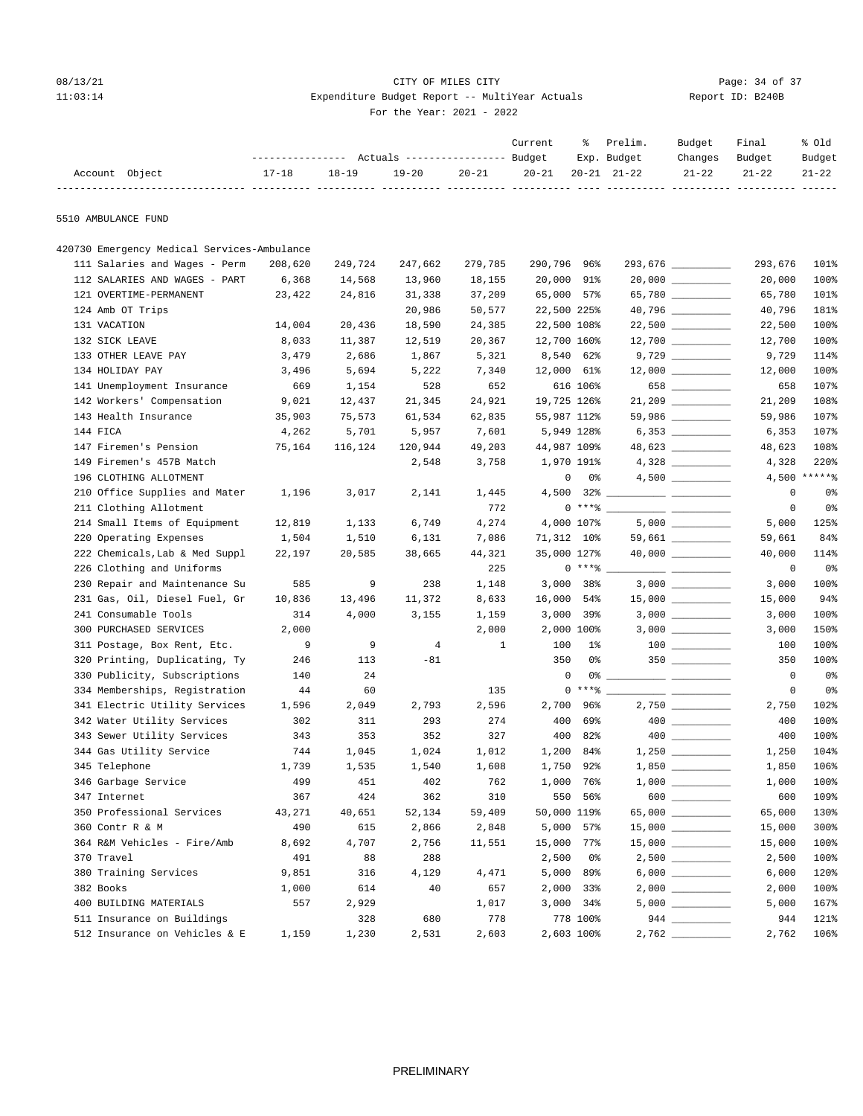## 08/13/21 Page: 34 of 37 11:03:14 Expenditure Budget Report -- MultiYear Actuals Report ID: B240B For the Year: 2021 - 2022

|                                             |                | --------------- Actuals ---------------- Budget |                |              | Current     | ႜ                  | Prelim.<br>Exp. Budget | Budget<br>Changes    | Final<br>Budget | % old<br>Budget |
|---------------------------------------------|----------------|-------------------------------------------------|----------------|--------------|-------------|--------------------|------------------------|----------------------|-----------------|-----------------|
| Account Object                              | $17 - 18$      | $18 - 19$                                       | $19 - 20$      | 20-21        | $20 - 21$   |                    | $20 - 21$ $21 - 22$    | $21 - 22$            | $21 - 22$       | $21 - 22$       |
| 5510 AMBULANCE FUND                         |                |                                                 |                |              |             |                    |                        |                      |                 |                 |
| 420730 Emergency Medical Services-Ambulance |                |                                                 |                |              |             |                    |                        |                      |                 |                 |
| 111 Salaries and Wages - Perm               | 208,620        | 249,724                                         | 247,662        | 279,785      | 290,796 96% |                    |                        | 293,676 __________   | 293,676         | 101%            |
| 112 SALARIES AND WAGES - PART               | 6,368          | 14,568                                          | 13,960         | 18,155       | 20,000 91%  |                    |                        | $20,000$ ___________ | 20,000          | 100%            |
| 121 OVERTIME-PERMANENT                      | 23,422         | 24,816                                          | 31,338         | 37,209       | 65,000 57%  |                    |                        | 65,780               | 65,780          | 101%            |
| 124 Amb OT Trips                            |                |                                                 | 20,986         | 50,577       | 22,500 225% |                    |                        | 40,796 __________    | 40,796          | 181%            |
| 131 VACATION                                | 14,004         | 20,436                                          | 18,590         | 24,385       | 22,500 108% |                    |                        | $22,500$ __________  | 22,500          | 100%            |
| 132 SICK LEAVE                              | 8,033          | 11,387                                          | 12,519         | 20,367       | 12,700 160% |                    |                        | $12,700$ ________    | 12,700          | 100%            |
| 133 OTHER LEAVE PAY                         | 3,479          | 2,686                                           | 1,867          | 5,321        | 8,540 62%   |                    |                        | $9,729$ __________   | 9,729           | 114%            |
| 134 HOLIDAY PAY                             | 3,496          | 5,694                                           | 5,222          | 7,340        | 12,000 61%  |                    |                        | $12,000$ _________   | 12,000          | 100%            |
| 141 Unemployment Insurance                  | 669            | 1,154                                           | 528            | 652          |             | 616 106%           |                        | 658                  | 658             | 107%            |
| 142 Workers' Compensation                   | 9,021          | 12,437                                          | 21,345         | 24,921       | 19,725 126% |                    |                        | $21,209$ __________  | 21,209          | 108%            |
| 143 Health Insurance                        | 35,903         | 75,573                                          | 61,534         | 62,835       | 55,987 112% |                    |                        | 59,986 __________    | 59,986          | 107%            |
| 144 FICA                                    | 4,262          | 5,701                                           | 5,957          | 7,601        |             | 5,949 128%         |                        |                      | 6,353           | 107%            |
| 147 Firemen's Pension                       | 75,164         | 116,124                                         | 120,944        | 49,203       | 44,987 109% |                    |                        | 48,623               | 48,623          | 108%            |
| 149 Firemen's 457B Match                    |                |                                                 | 2,548          | 3,758        |             | 1,970 191%         |                        |                      | 4,328           | 220%            |
| 196 CLOTHING ALLOTMENT                      |                |                                                 |                |              |             | $\mathbf{0}$<br>0% |                        | $4,500$ _________    | 4,500           | $*****$         |
| 210 Office Supplies and Mater               | 1,196          | 3,017                                           | 2,141          | 1,445        |             |                    |                        |                      | 0               | 0%              |
| 211 Clothing Allotment                      |                |                                                 |                | 772          |             | $0***$ $*$         |                        |                      | $\mathbf 0$     | 0%              |
| 214 Small Items of Equipment                | 12,819         | 1,133                                           | 6,749          | 4,274        |             | 4,000 107%         |                        |                      | 5,000           | 125%            |
| 220 Operating Expenses                      | 1,504          | 1,510                                           | 6,131          | 7,086        | 71,312 10%  |                    |                        | 59,661 _________     | 59,661          | 84%             |
| 222 Chemicals, Lab & Med Suppl              | 22,197         | 20,585                                          | 38,665         | 44,321       | 35,000 127% |                    |                        | $40,000$ ___________ | 40,000          | 114%            |
| 226 Clothing and Uniforms                   |                |                                                 |                | 225          |             | $0$ ****           |                        |                      | 0               | 0%              |
| 230 Repair and Maintenance Su               | 585            | 9                                               | 238            | 1,148        |             | 3,000 38%          |                        |                      | 3,000           | 100%            |
| 231 Gas, Oil, Diesel Fuel, Gr               | 10,836         | 13,496                                          | 11,372         | 8,633        | 16,000 54%  |                    |                        |                      | 15,000          | 94%             |
| 241 Consumable Tools                        | 314            | 4,000                                           | 3,155          | 1,159        |             | $3,000$ 39%        |                        |                      | 3,000           | 100%            |
| 300 PURCHASED SERVICES                      | 2,000          |                                                 |                | 2,000        |             | 2,000 100%         |                        | $3,000$ __________   | 3,000           | 150%            |
| 311 Postage, Box Rent, Etc.                 | $\overline{9}$ | 9                                               | $\overline{4}$ | $\mathbf{1}$ | 100         | <b>1%</b>          |                        |                      | 100             | 100%            |
| 320 Printing, Duplicating, Ty               | 246            | 113                                             | $-81$          |              | 350         | 0%                 |                        |                      | 350             | 100%            |
| 330 Publicity, Subscriptions                | 140            | 24                                              |                |              | 0           |                    |                        |                      | $\circ$         | 0%              |
| 334 Memberships, Registration               | 44             | 60                                              |                | 135          |             | $0***8$            |                        |                      | 0               | 0%              |
| 341 Electric Utility Services               | 1,596          | 2,049                                           | 2,793          | 2,596        |             | 2,700 96%          |                        | $2,750$ __________   | 2,750           | 102%            |
| 342 Water Utility Services                  | 302            | 311                                             | 293            | 274          |             | 400 69%            |                        |                      | 400             | 100%            |
| 343 Sewer Utility Services                  | 343            | 353                                             | 352            | 327          | 400         | 82%                |                        |                      | 400             | 100%            |
| 344 Gas Utility Service                     | 744            | 1,045                                           | 1,024          | 1,012        | 1,200       | 84%                |                        |                      | 1,250           | 104%            |
| 345 Telephone                               | 1,739          | 1,535                                           | 1,540          | 1,608        | 1,750       | 92%                |                        | $1,850$ __________   | 1,850           | 106%            |
| 346 Garbage Service                         | 499            | 451                                             | 402            | 762          |             | 1,000 76%          |                        |                      | 1,000           | 100%            |
| 347 Internet                                | 367            | 424                                             | 362            | 310          |             | 550 56%            |                        | 600                  | 600             | 109%            |
| 350 Professional Services                   | 43,271         | 40,651                                          | 52,134         | 59,409       | 50,000 119% |                    |                        | 65,000 _________     | 65,000          | 130%            |
| 360 Contr R & M                             | 490            | 615                                             | 2,866          | 2,848        |             | 5,000 57%          |                        |                      | 15,000          | 300%            |
| 364 R&M Vehicles - Fire/Amb                 | 8,692          | 4,707                                           | 2,756          | 11,551       | 15,000 77%  |                    |                        |                      | 15,000          | 100%            |
| 370 Travel                                  | 491            | 88                                              | 288            |              | 2,500       | 0%                 |                        |                      | 2,500           | 100%            |
| 380 Training Services                       | 9,851          | 316                                             | 4,129          | 4,471        |             | 5,000 89%          |                        | 6,000                | 6,000           | 120%            |
| 382 Books                                   | 1,000          | 614                                             | 40             | 657          |             | 2,000 33%          |                        |                      | 2,000           | 100%            |
| 400 BUILDING MATERIALS                      | 557            | 2,929                                           |                | 1,017        |             | 3,000 34%          |                        |                      | 5,000           | 167%            |
| 511 Insurance on Buildings                  |                | 328                                             | 680            | 778          |             | 778 100%           |                        |                      | 944             | 121%            |

512 Insurance on Vehicles & E 1,159 1,230 2,531 2,603 2,603 100% 2,762 \_\_\_\_\_\_\_\_\_\_ 2,762 106%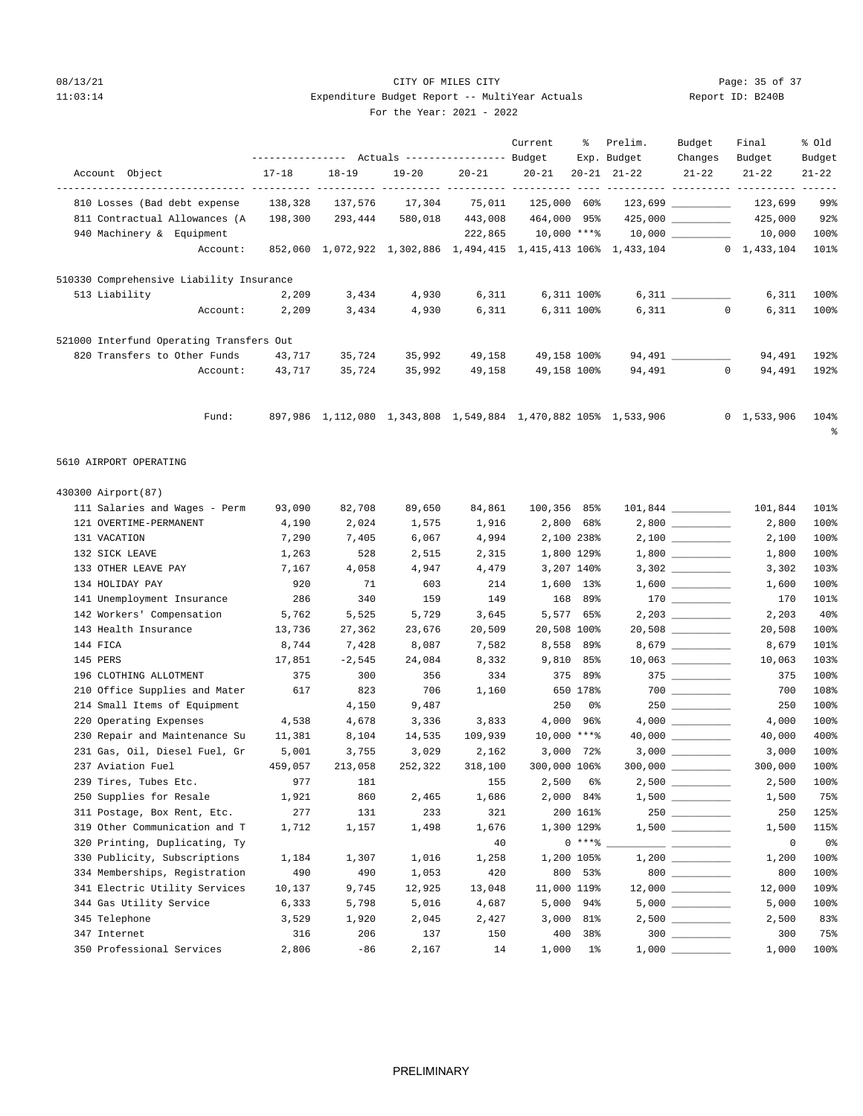## 08/13/21 Page: 35 of 37 11:03:14 Expenditure Budget Report -- MultiYear Actuals For the Year: 2021 - 2022

|                                                  |              |                                                 |         |              | Current             | ႜ               | Prelim.                                                                    | Budget                                   | Final          | % old          |
|--------------------------------------------------|--------------|-------------------------------------------------|---------|--------------|---------------------|-----------------|----------------------------------------------------------------------------|------------------------------------------|----------------|----------------|
|                                                  |              | --------------- Actuals ---------------- Budget |         |              |                     |                 | Exp. Budget                                                                | Changes                                  | Budget         | Budget         |
| Account Object                                   | 17-18        | $18 - 19$                                       | 19-20   | $20 - 21$    | $20 - 21$           |                 | $20 - 21$ $21 - 22$                                                        | $21 - 22$                                | $21 - 22$      | $21 - 22$      |
| 810 Losses (Bad debt expense                     | 138,328      | 137,576                                         | 17,304  |              |                     |                 |                                                                            |                                          |                | 99%            |
| 811 Contractual Allowances (A                    | 198,300      | 293,444                                         | 580,018 |              | 443,008 464,000 95% |                 |                                                                            |                                          | 425,000        | 92%            |
| 940 Machinery & Equipment                        |              |                                                 |         |              |                     |                 | $222,865$ 10,000 **** 10,000 ________                                      |                                          | 10,000         | 100%           |
| Account:                                         |              |                                                 |         |              |                     |                 | 852,060 1,072,922 1,302,886 1,494,415 1,415,413 106% 1,433,104 0 1,433,104 |                                          |                | 101%           |
| 510330 Comprehensive Liability Insurance         |              |                                                 |         |              |                     |                 |                                                                            |                                          |                |                |
| 513 Liability                                    | 2,209        | 3,434                                           | 4,930   | 6,311        |                     | 6,311 100%      |                                                                            | $6,311$ _________                        | 6,311          | 100%           |
| Account:                                         | 2,209        | 3,434                                           | 4,930   | 6,311        | 6,311 100%          |                 |                                                                            | $6,311$ 0                                | 6,311          | 100%           |
| 521000 Interfund Operating Transfers Out         |              |                                                 |         |              |                     |                 |                                                                            |                                          |                |                |
| 820 Transfers to Other Funds                     | 43,717       | 35,724                                          | 35,992  | 49,158       | 49,158 100%         |                 |                                                                            | 94,491                                   | 94,491         | 192%           |
| Account:                                         | 43,717       | 35,724                                          | 35,992  | 49,158       | 49,158 100%         |                 |                                                                            | 94,491 0                                 | 94,491         | 192%           |
|                                                  |              |                                                 |         |              |                     |                 |                                                                            |                                          |                |                |
| Fund:                                            |              |                                                 |         |              |                     |                 | 897,986 1,112,080 1,343,808 1,549,884 1,470,882 105% 1,533,906             |                                          | 0, 1, 533, 906 | 104%<br>ႜ      |
| 5610 AIRPORT OPERATING                           |              |                                                 |         |              |                     |                 |                                                                            |                                          |                |                |
| 430300 Airport (87)                              |              |                                                 |         |              |                     |                 |                                                                            |                                          |                |                |
| 111 Salaries and Wages - Perm                    | 93,090       | 82,708                                          | 89,650  | 84,861       | 100,356 85%         |                 |                                                                            |                                          | 101,844        | 101%           |
| 121 OVERTIME-PERMANENT                           | 4,190        | 2,024                                           | 1,575   | 1,916        |                     | 2,800 68%       |                                                                            | $2,800$ __________                       | 2,800          | 100%           |
| 131 VACATION                                     | 7,290        | 7,405                                           | 6,067   | 4,994        | 2,100 238%          |                 |                                                                            | $2\, , 100 \ \ \underline{\hspace{1cm}}$ | 2,100          | 100%           |
| 132 SICK LEAVE                                   | 1,263        | 528                                             | 2,515   | 2,315        | 1,800 129%          |                 |                                                                            |                                          | 1,800          | 100%           |
| 133 OTHER LEAVE PAY                              | 7,167        | 4,058                                           | 4,947   | 4,479        |                     | 3,207 140%      |                                                                            |                                          | 3,302          | 103%           |
| 134 HOLIDAY PAY                                  | 920          | 71                                              | 603     | 214          |                     | 1,600 13%       |                                                                            |                                          | 1,600          | 100%           |
| 141 Unemployment Insurance                       | 286          | 340                                             | 159     | 149          |                     | 168 89%         |                                                                            |                                          | 170            | 101%           |
| 142 Workers' Compensation                        | 5,762        | 5,525                                           | 5,729   | 3,645        |                     | 5,577 65%       |                                                                            | $2,203$ __________                       | 2,203          | 40%            |
| 143 Health Insurance                             | 13,736       | 27,362                                          | 23,676  | 20,509       | 20,508 100%         |                 |                                                                            |                                          | 20,508         | 100%           |
| 144 FICA                                         | 8,744        | 7,428                                           | 8,087   | 7,582        | 8,558 89%           |                 |                                                                            | 8,679 ________                           | 8,679          | 101%           |
| 145 PERS                                         | 17,851       | $-2,545$                                        | 24,084  | 8,332        | 9,810 85%           |                 |                                                                            | $10,063$ _________                       | 10,063         | 103%           |
| 196 CLOTHING ALLOTMENT                           | 375          | 300                                             | 356     | 334          |                     | 375 89%         |                                                                            |                                          | 375            | 100%           |
| 210 Office Supplies and Mater                    | 617          | 823                                             | 706     | 1,160        |                     | 650 178%        |                                                                            |                                          | 700            | 108%           |
| 214 Small Items of Equipment                     |              | 4,150                                           | 9,487   |              | 250                 | 0%              |                                                                            | $250$                                    | 250            | 100%           |
| 220 Operating Expenses                           | 4,538        | 4,678                                           | 3,336   | 3,833        | 4,000 96%           |                 |                                                                            |                                          | 4,000          | 100%           |
| 230 Repair and Maintenance Su                    | 11,381       | 8,104                                           | 14,535  | 109,939      | $10,000$ ***%       |                 |                                                                            | $40,000$ __________                      | 40,000         | 400%           |
| 231 Gas, Oil, Diesel Fuel, Gr                    | 5,001        | 3,755                                           | 3,029   | 2,162        |                     | $3,000$ 72%     |                                                                            | $3,000$ __________                       | 3,000          | 100%           |
| 237 Aviation Fuel                                | 459,057      | 213,058                                         | 252,322 | 318,100      | 300,000 106%        |                 |                                                                            |                                          | 300,000        | 100%           |
| 239 Tires, Tubes Etc.<br>250 Supplies for Resale | 977          | 181                                             | 2,465   | 155          | 2,500<br>2,000      | 6%              |                                                                            |                                          | 2,500          | 100%<br>75%    |
| 311 Postage, Box Rent, Etc.                      | 1,921<br>277 | 860<br>131                                      | 233     | 1,686<br>321 |                     | 84%<br>200 161% |                                                                            |                                          | 1,500<br>250   | 125%           |
| 319 Other Communication and T                    | 1,712        | 1,157                                           | 1,498   | 1,676        |                     | 1,300 129%      |                                                                            |                                          | 1,500          | 115%           |
| 320 Printing, Duplicating, Ty                    |              |                                                 |         | 40           |                     | $0***8$         |                                                                            |                                          | 0              | 0 <sup>°</sup> |
| 330 Publicity, Subscriptions                     | 1,184        | 1,307                                           | 1,016   | 1,258        |                     | 1,200 105%      |                                                                            |                                          | 1,200          | 100%           |
| 334 Memberships, Registration                    | 490          | 490                                             | 1,053   | 420          |                     | 800 53%         |                                                                            | $800$                                    | 800            | 100%           |
| 341 Electric Utility Services                    | 10,137       | 9,745                                           | 12,925  | 13,048       | 11,000 119%         |                 |                                                                            | $12,000$ _________                       | 12,000         | 109%           |
| 344 Gas Utility Service                          | 6,333        | 5,798                                           | 5,016   | 4,687        |                     | 5,000 94%       |                                                                            |                                          | 5,000          | 100%           |
| 345 Telephone                                    | 3,529        | 1,920                                           | 2,045   | 2,427        |                     | 3,000 81%       |                                                                            | $2,500$ __________                       | 2,500          | 83%            |
| 347 Internet                                     | 316          | 206                                             | 137     | 150          | 400                 | 38%             |                                                                            | $300$                                    | 300            | 75%            |
| 350 Professional Services                        | 2,806        | $-86$                                           | 2,167   | 14           |                     | $1,000$ 1%      | 1,000                                                                      |                                          | 1,000          | 100%           |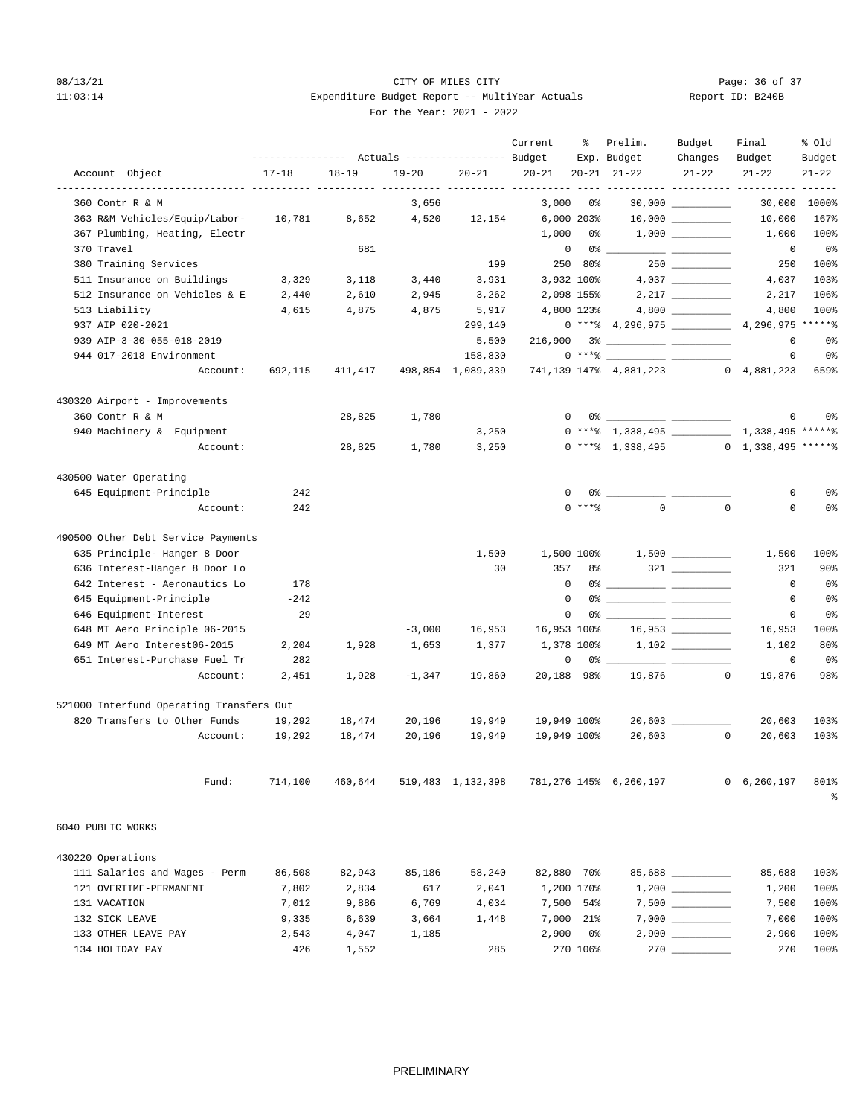## 08/13/21 Page: 36 of 37 11:03:14 **Expenditure Budget Report -- MultiYear Actuals** For the Year: 2021 - 2022

| Report ID: B240B |  |  |
|------------------|--|--|
|                  |  |  |

|                                          |           |                                                              |           |                            | Current     | ႜႜၟ               | Prelim.                                                                                                                                                                                                                                                                                                                                                                                                                                                                                                             | Budget                | Final                        | % old               |
|------------------------------------------|-----------|--------------------------------------------------------------|-----------|----------------------------|-------------|-------------------|---------------------------------------------------------------------------------------------------------------------------------------------------------------------------------------------------------------------------------------------------------------------------------------------------------------------------------------------------------------------------------------------------------------------------------------------------------------------------------------------------------------------|-----------------------|------------------------------|---------------------|
| Account Object                           | $17 - 18$ | --------------- Actuals ---------------- Budget<br>$18 - 19$ | $19 - 20$ | $20 - 21$                  | $20 - 21$   |                   | Exp. Budget<br>$20 - 21$ $21 - 22$                                                                                                                                                                                                                                                                                                                                                                                                                                                                                  | Changes<br>$21 - 22$  | Budget<br>$21 - 22$          | Budget<br>$21 - 22$ |
|                                          |           |                                                              |           | ----- ---------- --------- |             |                   |                                                                                                                                                                                                                                                                                                                                                                                                                                                                                                                     |                       | ------- ---------- --------- | $- - - - - -$       |
| 360 Contr R & M                          |           |                                                              | 3,656     |                            | 3,000       | - 0%              |                                                                                                                                                                                                                                                                                                                                                                                                                                                                                                                     | 30,000                | 30,000                       | 1000%               |
| 363 R&M Vehicles/Equip/Labor-            | 10,781    | 8,652                                                        | 4,520     | 12,154                     |             | $6,000$ 203%      |                                                                                                                                                                                                                                                                                                                                                                                                                                                                                                                     | $10,000$ _________    | 10,000                       | 167%                |
| 367 Plumbing, Heating, Electr            |           |                                                              |           |                            | 1,000       | 0 %               |                                                                                                                                                                                                                                                                                                                                                                                                                                                                                                                     |                       | 1,000                        | 100%                |
| 370 Travel                               |           | 681                                                          |           |                            |             | $\mathbf 0$<br>0% |                                                                                                                                                                                                                                                                                                                                                                                                                                                                                                                     |                       | $\circ$                      | 0%                  |
| 380 Training Services                    |           |                                                              |           | 199                        |             | 250 80%           |                                                                                                                                                                                                                                                                                                                                                                                                                                                                                                                     |                       | 250                          | 100%                |
| 511 Insurance on Buildings               | 3,329     | 3,118                                                        | 3,440     | 3,931                      |             | 3,932 100%        |                                                                                                                                                                                                                                                                                                                                                                                                                                                                                                                     |                       | 4,037                        | 103%                |
| 512 Insurance on Vehicles & E            | 2,440     | 2,610                                                        | 2,945     | 3,262                      |             | 2,098 155%        |                                                                                                                                                                                                                                                                                                                                                                                                                                                                                                                     |                       | 2,217                        | 106%                |
| 513 Liability                            | 4,615     | 4,875                                                        | 4,875     | 5,917                      |             | 4,800 123%        |                                                                                                                                                                                                                                                                                                                                                                                                                                                                                                                     |                       | 4,800                        | 100%                |
| 937 AIP 020-2021                         |           |                                                              |           | 299,140                    |             |                   | $0***$ 4, 296, 975                                                                                                                                                                                                                                                                                                                                                                                                                                                                                                  |                       | 4,296,975 ******             |                     |
| 939 AIP-3-30-055-018-2019                |           |                                                              |           | 5,500                      |             |                   |                                                                                                                                                                                                                                                                                                                                                                                                                                                                                                                     |                       | 0                            | 0%                  |
| 944 017-2018 Environment                 |           |                                                              |           | 158,830                    |             |                   | $0 \xrightarrow{***\text{\texttt{\%}}}\xrightarrow{\hspace*{1.5cm}}\xrightarrow{\hspace*{1.5cm}}\xrightarrow{\hspace*{1.5cm}}\xrightarrow{\hspace*{1.5cm}}\xrightarrow{\hspace*{1.5cm}}\xrightarrow{\hspace*{1.5cm}}\xrightarrow{\hspace*{1.5cm}}\xrightarrow{\hspace*{1.5cm}}\xrightarrow{\hspace*{1.5cm}}\xrightarrow{\hspace*{1.5cm}}\xrightarrow{\hspace*{1.5cm}}\xrightarrow{\hspace*{1.5cm}}\xrightarrow{\hspace*{1.5cm}}\xrightarrow{\hspace*{1.5cm}}\xrightarrow{\hspace*{1.5cm}}\xrightarrow{\hspace*{1.5$ |                       | 0                            | 0 <sup>o</sup>      |
| Account:                                 | 692,115   | 411,417                                                      |           | 498,854 1,089,339          |             |                   | 741,139 147% 4,881,223                                                                                                                                                                                                                                                                                                                                                                                                                                                                                              |                       | $0 \quad 4,881,223$          | 659%                |
| 430320 Airport - Improvements            |           |                                                              |           |                            |             |                   |                                                                                                                                                                                                                                                                                                                                                                                                                                                                                                                     |                       |                              |                     |
| 360 Contr R & M                          |           | 28,825                                                       | 1,780     |                            |             | $^{\circ}$        |                                                                                                                                                                                                                                                                                                                                                                                                                                                                                                                     |                       | 0                            | 0 <sup>°</sup>      |
| 940 Machinery & Equipment                |           |                                                              |           | 3,250                      |             |                   |                                                                                                                                                                                                                                                                                                                                                                                                                                                                                                                     |                       |                              |                     |
| Account:                                 |           | 28,825                                                       | 1,780     | 3,250                      |             |                   | $0$ *** $\text{*}$ 1,338,495                                                                                                                                                                                                                                                                                                                                                                                                                                                                                        |                       | $0 \quad 1,338,495$ ******   |                     |
|                                          |           |                                                              |           |                            |             |                   |                                                                                                                                                                                                                                                                                                                                                                                                                                                                                                                     |                       |                              |                     |
| 430500 Water Operating                   |           |                                                              |           |                            |             |                   |                                                                                                                                                                                                                                                                                                                                                                                                                                                                                                                     |                       |                              |                     |
| 645 Equipment-Principle                  | 242       |                                                              |           |                            |             | $\mathbf{0}$      | $0\,$ $\,$                                                                                                                                                                                                                                                                                                                                                                                                                                                                                                          |                       | 0                            | 0%                  |
| Account:                                 | 242       |                                                              |           |                            |             | $0$ ****          | $\Omega$                                                                                                                                                                                                                                                                                                                                                                                                                                                                                                            | $\mathbf 0$           | $\Omega$                     | 0%                  |
| 490500 Other Debt Service Payments       |           |                                                              |           |                            |             |                   |                                                                                                                                                                                                                                                                                                                                                                                                                                                                                                                     |                       |                              |                     |
| 635 Principle- Hanger 8 Door             |           |                                                              |           | 1,500                      |             |                   | $1,500$ 100% $1,500$ __________                                                                                                                                                                                                                                                                                                                                                                                                                                                                                     |                       | 1,500                        | 100%                |
| 636 Interest-Hanger 8 Door Lo            |           |                                                              |           | 30                         | 357         | 8%                |                                                                                                                                                                                                                                                                                                                                                                                                                                                                                                                     |                       | 321                          | 90%                 |
| 642 Interest - Aeronautics Lo            | 178       |                                                              |           |                            |             | $\mathbf 0$       |                                                                                                                                                                                                                                                                                                                                                                                                                                                                                                                     |                       | $\mathbf 0$                  | 0 <sup>o</sup>      |
| 645 Equipment-Principle                  | $-242$    |                                                              |           |                            |             | $^{\circ}$        |                                                                                                                                                                                                                                                                                                                                                                                                                                                                                                                     |                       | $^{\circ}$                   | 0%                  |
| 646 Equipment-Interest                   | 29        |                                                              |           |                            |             | $\Omega$          | 0% ____________ ____________                                                                                                                                                                                                                                                                                                                                                                                                                                                                                        |                       | 0                            | 0%                  |
| 648 MT Aero Principle 06-2015            |           |                                                              | $-3,000$  | 16,953                     | 16,953 100% |                   |                                                                                                                                                                                                                                                                                                                                                                                                                                                                                                                     | $16,953$ ____________ | 16,953                       | 100%                |
| 649 MT Aero Interest06-2015              | 2,204     | 1,928                                                        | 1,653     | 1,377                      |             | 1,378 100%        |                                                                                                                                                                                                                                                                                                                                                                                                                                                                                                                     |                       | 1,102                        | 80%                 |
| 651 Interest-Purchase Fuel Tr            | 282       |                                                              |           |                            |             | 0<br>0 응          |                                                                                                                                                                                                                                                                                                                                                                                                                                                                                                                     |                       | $\mathbf 0$                  | 0%                  |
| Account:                                 | 2,451     | 1,928                                                        | $-1,347$  | 19,860                     |             | 20,188 98%        | 19,876                                                                                                                                                                                                                                                                                                                                                                                                                                                                                                              | $\circ$               | 19,876                       | 98%                 |
| 521000 Interfund Operating Transfers Out |           |                                                              |           |                            |             |                   |                                                                                                                                                                                                                                                                                                                                                                                                                                                                                                                     |                       |                              |                     |
| 820 Transfers to Other Funds             | 19,292    | 18,474                                                       | 20,196    | 19,949                     | 19,949 100% |                   |                                                                                                                                                                                                                                                                                                                                                                                                                                                                                                                     |                       | 20,603                       | 103%                |
| Account:                                 | 19,292    | 18,474                                                       | 20,196    | 19,949                     | 19,949 100% |                   | 20,603                                                                                                                                                                                                                                                                                                                                                                                                                                                                                                              | $^{\circ}$            | 20,603                       | 103%                |
|                                          |           |                                                              |           |                            |             |                   |                                                                                                                                                                                                                                                                                                                                                                                                                                                                                                                     |                       |                              |                     |
| Fund:                                    | 714,100   | 460,644                                                      |           | 519,483 1,132,398          |             |                   | 781,276 145% 6,260,197                                                                                                                                                                                                                                                                                                                                                                                                                                                                                              |                       | 0, 6, 260, 197               | 801%                |
|                                          |           |                                                              |           |                            |             |                   |                                                                                                                                                                                                                                                                                                                                                                                                                                                                                                                     |                       |                              | န္                  |
| 6040 PUBLIC WORKS                        |           |                                                              |           |                            |             |                   |                                                                                                                                                                                                                                                                                                                                                                                                                                                                                                                     |                       |                              |                     |
| 430220 Operations                        |           |                                                              |           |                            |             |                   |                                                                                                                                                                                                                                                                                                                                                                                                                                                                                                                     |                       |                              |                     |
| 111 Salaries and Wages - Perm            | 86,508    | 82,943                                                       | 85,186    | 58,240                     |             | 82,880 70%        |                                                                                                                                                                                                                                                                                                                                                                                                                                                                                                                     | 85,688 __________     | 85,688                       | 103%                |
| 121 OVERTIME-PERMANENT                   | 7,802     | 2,834                                                        | 617       | 2,041                      |             | 1,200 170%        |                                                                                                                                                                                                                                                                                                                                                                                                                                                                                                                     |                       | 1,200                        | 100%                |
| 131 VACATION                             | 7,012     | 9,886                                                        | 6,769     | 4,034                      |             | 7,500 54%         |                                                                                                                                                                                                                                                                                                                                                                                                                                                                                                                     |                       | 7,500                        | 100%                |
| 132 SICK LEAVE                           | 9,335     | 6,639                                                        | 3,664     | 1,448                      | 7,000       | 21%               |                                                                                                                                                                                                                                                                                                                                                                                                                                                                                                                     |                       | 7,000                        | 100%                |
| 133 OTHER LEAVE PAY                      | 2,543     | 4,047                                                        | 1,185     |                            | 2,900       | 0%                |                                                                                                                                                                                                                                                                                                                                                                                                                                                                                                                     |                       | 2,900                        | 100%                |

134 HOLIDAY PAY 426 1,552 285 270 106% 270 \_\_\_\_\_\_\_\_\_\_ 270 100%